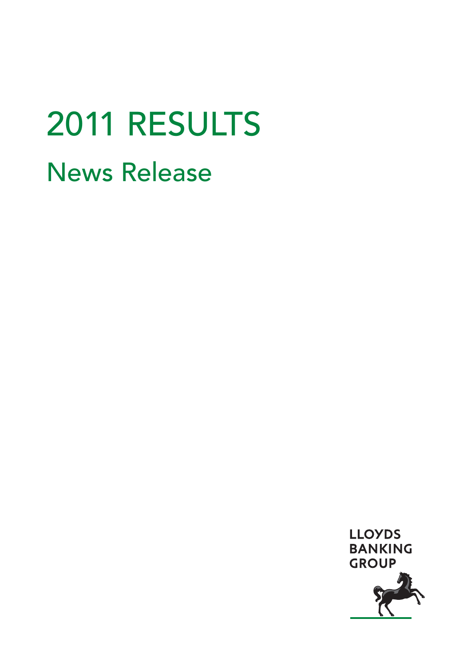# 2011 RESULTS News Release

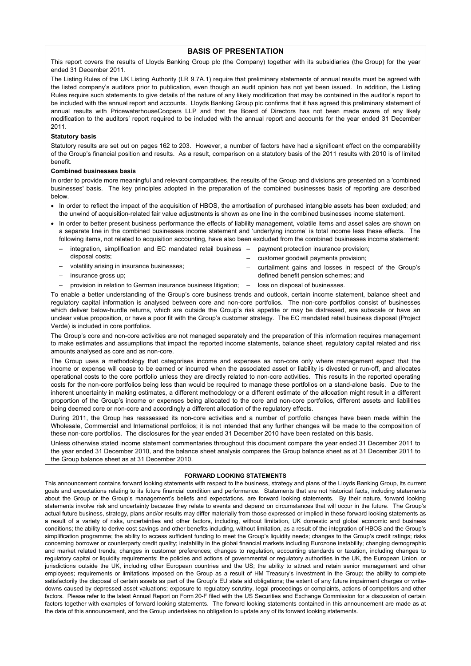#### **BASIS OF PRESENTATION**

This report covers the results of Lloyds Banking Group plc (the Company) together with its subsidiaries (the Group) for the year ended 31 December 2011.

The Listing Rules of the UK Listing Authority (LR 9.7A.1) require that preliminary statements of annual results must be agreed with the listed company's auditors prior to publication, even though an audit opinion has not yet been issued. In addition, the Listing Rules require such statements to give details of the nature of any likely modification that may be contained in the auditor's report to be included with the annual report and accounts. Lloyds Banking Group plc confirms that it has agreed this preliminary statement of annual results with PricewaterhouseCoopers LLP and that the Board of Directors has not been made aware of any likely modification to the auditors' report required to be included with the annual report and accounts for the year ended 31 December 2011.

#### **Statutory basis**

Statutory results are set out on pages 162 to 203. However, a number of factors have had a significant effect on the comparability of the Group's financial position and results. As a result, comparison on a statutory basis of the 2011 results with 2010 is of limited benefit.

#### **Combined businesses basis**

In order to provide more meaningful and relevant comparatives, the results of the Group and divisions are presented on a 'combined businesses' basis. The key principles adopted in the preparation of the combined businesses basis of reporting are described below.

- In order to reflect the impact of the acquisition of HBOS, the amortisation of purchased intangible assets has been excluded; and the unwind of acquisition-related fair value adjustments is shown as one line in the combined businesses income statement.
- In order to better present business performance the effects of liability management, volatile items and asset sales are shown on a separate line in the combined businesses income statement and 'underlying income' is total income less these effects. The following items, not related to acquisition accounting, have also been excluded from the combined businesses income statement:
	- integration, simplification and EC mandated retail business payment protection insurance provision; disposal costs;
	- volatility arising in insurance businesses;
- customer goodwill payments provision;
- curtailment gains and losses in respect of the Group's defined benefit pension schemes; and
- insurance gross up:
- provision in relation to German insurance business litigation; loss on disposal of businesses.

To enable a better understanding of the Group's core business trends and outlook, certain income statement, balance sheet and regulatory capital information is analysed between core and non-core portfolios. The non-core portfolios consist of businesses which deliver below-hurdle returns, which are outside the Group's risk appetite or may be distressed, are subscale or have an unclear value proposition, or have a poor fit with the Group's customer strategy. The EC mandated retail business disposal (Project Verde) is included in core portfolios.

The Group's core and non-core activities are not managed separately and the preparation of this information requires management to make estimates and assumptions that impact the reported income statements, balance sheet, regulatory capital related and risk amounts analysed as core and as non-core.

The Group uses a methodology that categorises income and expenses as non-core only where management expect that the income or expense will cease to be earned or incurred when the associated asset or liability is divested or run-off, and allocates operational costs to the core portfolio unless they are directly related to non-core activities. This results in the reported operating costs for the non-core portfolios being less than would be required to manage these portfolios on a stand-alone basis. Due to the inherent uncertainty in making estimates, a different methodology or a different estimate of the allocation might result in a different proportion of the Group's income or expenses being allocated to the core and non-core portfolios, different assets and liabilities being deemed core or non-core and accordingly a different allocation of the regulatory effects.

During 2011, the Group has reassessed its non-core activities and a number of portfolio changes have been made within the Wholesale, Commercial and International portfolios; it is not intended that any further changes will be made to the composition of these non-core portfolios. The disclosures for the year ended 31 December 2010 have been restated on this basis.

Unless otherwise stated income statement commentaries throughout this document compare the year ended 31 December 2011 to the year ended 31 December 2010, and the balance sheet analysis compares the Group balance sheet as at 31 December 2011 to the Group balance sheet as at 31 December 2010.

#### **FORWARD LOOKING STATEMENTS**

This announcement contains forward looking statements with respect to the business, strategy and plans of the Lloyds Banking Group, its current goals and expectations relating to its future financial condition and performance. Statements that are not historical facts, including statements about the Group or the Group's management's beliefs and expectations, are forward looking statements. By their nature, forward looking statements involve risk and uncertainty because they relate to events and depend on circumstances that will occur in the future. The Group's actual future business, strategy, plans and/or results may differ materially from those expressed or implied in these forward looking statements as a result of a variety of risks, uncertainties and other factors, including, without limitation, UK domestic and global economic and business conditions; the ability to derive cost savings and other benefits including, without limitation, as a result of the integration of HBOS and the Group's simplification programme; the ability to access sufficient funding to meet the Group's liquidity needs; changes to the Group's credit ratings; risks concerning borrower or counterparty credit quality; instability in the global financial markets including Eurozone instability; changing demographic and market related trends; changes in customer preferences; changes to regulation, accounting standards or taxation, including changes to regulatory capital or liquidity requirements; the policies and actions of governmental or regulatory authorities in the UK, the European Union, or jurisdictions outside the UK, including other European countries and the US; the ability to attract and retain senior management and other employees; requirements or limitations imposed on the Group as a result of HM Treasury's investment in the Group; the ability to complete satisfactorily the disposal of certain assets as part of the Group's EU state aid obligations; the extent of any future impairment charges or writedowns caused by depressed asset valuations; exposure to regulatory scrutiny, legal proceedings or complaints, actions of competitors and other factors. Please refer to the latest Annual Report on Form 20-F filed with the US Securities and Exchange Commission for a discussion of certain factors together with examples of forward looking statements. The forward looking statements contained in this announcement are made as at the date of this announcement, and the Group undertakes no obligation to update any of its forward looking statements.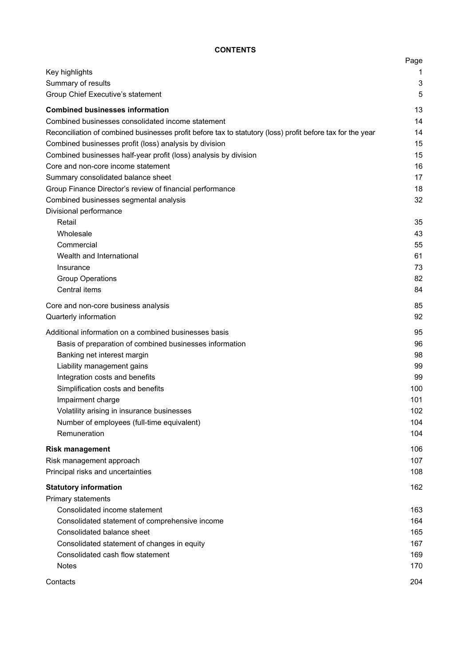## **CONTENTS**

|                                                                                                            | Page       |
|------------------------------------------------------------------------------------------------------------|------------|
| Key highlights                                                                                             | 1          |
| Summary of results                                                                                         | 3          |
| Group Chief Executive's statement                                                                          | 5          |
| <b>Combined businesses information</b>                                                                     | 13         |
| Combined businesses consolidated income statement                                                          | 14         |
| Reconciliation of combined businesses profit before tax to statutory (loss) profit before tax for the year | 14         |
| Combined businesses profit (loss) analysis by division                                                     | 15         |
| Combined businesses half-year profit (loss) analysis by division                                           | 15         |
| Core and non-core income statement<br>Summary consolidated balance sheet                                   | 16<br>17   |
| Group Finance Director's review of financial performance                                                   | 18         |
| Combined businesses segmental analysis                                                                     | 32         |
| Divisional performance                                                                                     |            |
| Retail                                                                                                     | 35         |
| Wholesale                                                                                                  | 43         |
| Commercial                                                                                                 | 55         |
| Wealth and International                                                                                   | 61         |
| Insurance                                                                                                  | 73         |
| <b>Group Operations</b>                                                                                    | 82         |
| Central items                                                                                              | 84         |
| Core and non-core business analysis                                                                        | 85         |
| Quarterly information                                                                                      | 92         |
| Additional information on a combined businesses basis                                                      | 95         |
| Basis of preparation of combined businesses information                                                    | 96         |
| Banking net interest margin                                                                                | 98         |
| Liability management gains                                                                                 | 99         |
| Integration costs and benefits                                                                             | 99         |
| Simplification costs and benefits                                                                          | 100        |
| Impairment charge                                                                                          | 101        |
| Volatility arising in insurance businesses<br>Number of employees (full-time equivalent)                   | 102<br>104 |
| Remuneration                                                                                               | 104        |
|                                                                                                            |            |
| <b>Risk management</b>                                                                                     | 106        |
| Risk management approach                                                                                   | 107        |
| Principal risks and uncertainties                                                                          | 108        |
| <b>Statutory information</b>                                                                               | 162        |
| Primary statements                                                                                         |            |
| Consolidated income statement                                                                              | 163        |
| Consolidated statement of comprehensive income<br>Consolidated balance sheet                               | 164<br>165 |
| Consolidated statement of changes in equity                                                                | 167        |
| Consolidated cash flow statement                                                                           | 169        |
| Notes                                                                                                      | 170        |
| Contacts                                                                                                   | 204        |
|                                                                                                            |            |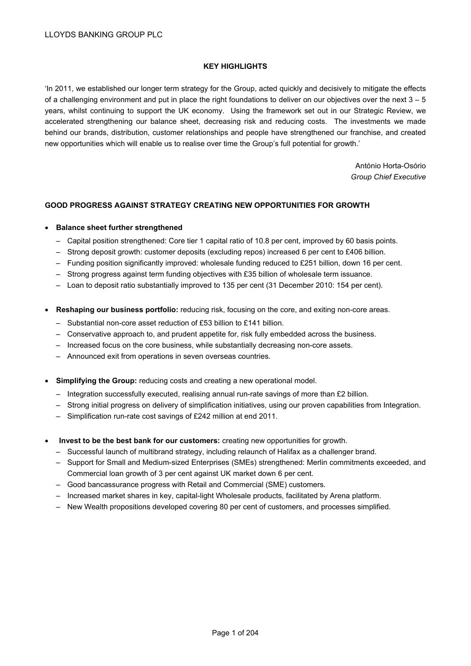#### **KEY HIGHLIGHTS**

'In 2011, we established our longer term strategy for the Group, acted quickly and decisively to mitigate the effects of a challenging environment and put in place the right foundations to deliver on our objectives over the next  $3 - 5$ years, whilst continuing to support the UK economy. Using the framework set out in our Strategic Review, we accelerated strengthening our balance sheet, decreasing risk and reducing costs. The investments we made behind our brands, distribution, customer relationships and people have strengthened our franchise, and created new opportunities which will enable us to realise over time the Group's full potential for growth.'

> António Horta-Osório *Group Chief Executive*

## **GOOD PROGRESS AGAINST STRATEGY CREATING NEW OPPORTUNITIES FOR GROWTH**

#### **Balance sheet further strengthened**

- Capital position strengthened: Core tier 1 capital ratio of 10.8 per cent, improved by 60 basis points.
- Strong deposit growth: customer deposits (excluding repos) increased 6 per cent to £406 billion.
- Funding position significantly improved: wholesale funding reduced to £251 billion, down 16 per cent.
- Strong progress against term funding objectives with £35 billion of wholesale term issuance.
- Loan to deposit ratio substantially improved to 135 per cent (31 December 2010: 154 per cent).
- **Reshaping our business portfolio:** reducing risk, focusing on the core, and exiting non-core areas.
	- Substantial non-core asset reduction of £53 billion to £141 billion.
	- Conservative approach to, and prudent appetite for, risk fully embedded across the business.
	- Increased focus on the core business, while substantially decreasing non-core assets.
	- Announced exit from operations in seven overseas countries.
- **Simplifying the Group:** reducing costs and creating a new operational model.
	- Integration successfully executed, realising annual run-rate savings of more than £2 billion.
	- Strong initial progress on delivery of simplification initiatives, using our proven capabilities from Integration.
	- Simplification run-rate cost savings of £242 million at end 2011.
- **Invest to be the best bank for our customers:** creating new opportunities for growth.
	- Successful launch of multibrand strategy, including relaunch of Halifax as a challenger brand.
	- Support for Small and Medium-sized Enterprises (SMEs) strengthened: Merlin commitments exceeded, and Commercial loan growth of 3 per cent against UK market down 6 per cent.
	- Good bancassurance progress with Retail and Commercial (SME) customers.
	- Increased market shares in key, capital-light Wholesale products, facilitated by Arena platform.
	- New Wealth propositions developed covering 80 per cent of customers, and processes simplified.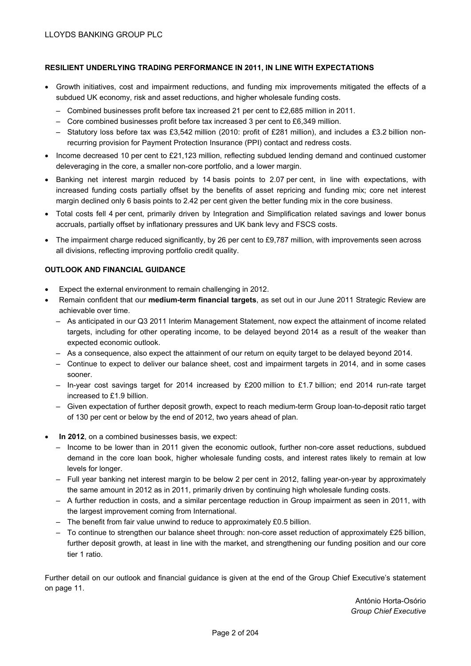## **RESILIENT UNDERLYING TRADING PERFORMANCE IN 2011, IN LINE WITH EXPECTATIONS**

- Growth initiatives, cost and impairment reductions, and funding mix improvements mitigated the effects of a subdued UK economy, risk and asset reductions, and higher wholesale funding costs.
	- Combined businesses profit before tax increased 21 per cent to £2,685 million in 2011.
	- Core combined businesses profit before tax increased 3 per cent to £6,349 million.
	- Statutory loss before tax was £3,542 million (2010: profit of £281 million), and includes a £3.2 billion nonrecurring provision for Payment Protection Insurance (PPI) contact and redress costs.
- Income decreased 10 per cent to £21,123 million, reflecting subdued lending demand and continued customer deleveraging in the core, a smaller non-core portfolio, and a lower margin.
- Banking net interest margin reduced by 14 basis points to 2.07 per cent, in line with expectations, with increased funding costs partially offset by the benefits of asset repricing and funding mix; core net interest margin declined only 6 basis points to 2.42 per cent given the better funding mix in the core business.
- Total costs fell 4 per cent, primarily driven by Integration and Simplification related savings and lower bonus accruals, partially offset by inflationary pressures and UK bank levy and FSCS costs.
- The impairment charge reduced significantly, by 26 per cent to £9,787 million, with improvements seen across all divisions, reflecting improving portfolio credit quality.

#### **OUTLOOK AND FINANCIAL GUIDANCE**

- Expect the external environment to remain challenging in 2012.
- Remain confident that our **medium-term financial targets**, as set out in our June 2011 Strategic Review are achievable over time.
	- As anticipated in our Q3 2011 Interim Management Statement, now expect the attainment of income related targets, including for other operating income, to be delayed beyond 2014 as a result of the weaker than expected economic outlook.
	- As a consequence, also expect the attainment of our return on equity target to be delayed beyond 2014.
	- Continue to expect to deliver our balance sheet, cost and impairment targets in 2014, and in some cases sooner.
	- In-year cost savings target for 2014 increased by £200 million to £1.7 billion; end 2014 run-rate target increased to £1.9 billion.
	- Given expectation of further deposit growth, expect to reach medium-term Group loan-to-deposit ratio target of 130 per cent or below by the end of 2012, two years ahead of plan.
- **In 2012**, on a combined businesses basis, we expect:
	- Income to be lower than in 2011 given the economic outlook, further non-core asset reductions, subdued demand in the core loan book, higher wholesale funding costs, and interest rates likely to remain at low levels for longer.
	- Full year banking net interest margin to be below 2 per cent in 2012, falling year-on-year by approximately the same amount in 2012 as in 2011, primarily driven by continuing high wholesale funding costs.
	- A further reduction in costs, and a similar percentage reduction in Group impairment as seen in 2011, with the largest improvement coming from International.
	- The benefit from fair value unwind to reduce to approximately £0.5 billion.
	- To continue to strengthen our balance sheet through: non-core asset reduction of approximately £25 billion, further deposit growth, at least in line with the market, and strengthening our funding position and our core tier 1 ratio.

Further detail on our outlook and financial guidance is given at the end of the Group Chief Executive's statement on page 11.

> António Horta-Osório *Group Chief Executive*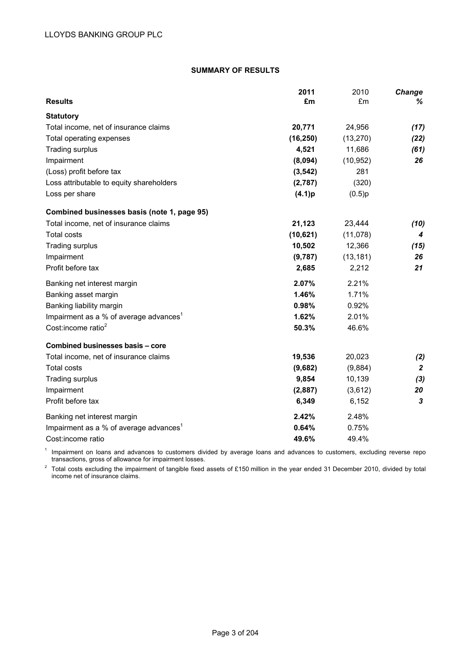## **SUMMARY OF RESULTS**

|                                                    | 2011      | 2010      | <b>Change</b>    |
|----------------------------------------------------|-----------|-----------|------------------|
| <b>Results</b>                                     | £m        | £m        | ℅                |
| <b>Statutory</b>                                   |           |           |                  |
| Total income, net of insurance claims              | 20,771    | 24,956    | (17)             |
| Total operating expenses                           | (16, 250) | (13, 270) | (22)             |
| <b>Trading surplus</b>                             | 4,521     | 11,686    | (61)             |
| Impairment                                         | (8,094)   | (10, 952) | 26               |
| (Loss) profit before tax                           | (3, 542)  | 281       |                  |
| Loss attributable to equity shareholders           | (2,787)   | (320)     |                  |
| Loss per share                                     | (4.1)p    | (0.5)p    |                  |
| Combined businesses basis (note 1, page 95)        |           |           |                  |
| Total income, net of insurance claims              | 21,123    | 23,444    | (10)             |
| <b>Total costs</b>                                 | (10, 621) | (11,078)  | 4                |
| Trading surplus                                    | 10,502    | 12,366    | (15)             |
| Impairment                                         | (9,787)   | (13, 181) | 26               |
| Profit before tax                                  | 2,685     | 2,212     | 21               |
| Banking net interest margin                        | 2.07%     | 2.21%     |                  |
| Banking asset margin                               | 1.46%     | 1.71%     |                  |
| Banking liability margin                           | 0.98%     | 0.92%     |                  |
| Impairment as a % of average advances <sup>1</sup> | 1.62%     | 2.01%     |                  |
| Cost:income ratio <sup>2</sup>                     | 50.3%     | 46.6%     |                  |
| Combined businesses basis - core                   |           |           |                  |
| Total income, net of insurance claims              | 19,536    | 20,023    | (2)              |
| <b>Total costs</b>                                 | (9,682)   | (9,884)   | $\overline{2}$   |
| Trading surplus                                    | 9,854     | 10,139    | $(3)$            |
| Impairment                                         | (2,887)   | (3,612)   | 20               |
| Profit before tax                                  | 6,349     | 6,152     | $\boldsymbol{3}$ |
| Banking net interest margin                        | 2.42%     | 2.48%     |                  |
| Impairment as a % of average advances <sup>1</sup> | 0.64%     | 0.75%     |                  |
| Cost:income ratio                                  | 49.6%     | 49.4%     |                  |

<sup>1</sup> Impairment on loans and advances to customers divided by average loans and advances to customers, excluding reverse repo transactions, gross of allowance for impairment losses.

 $2$  Total costs excluding the impairment of tangible fixed assets of £150 million in the year ended 31 December 2010, divided by total income net of insurance claims.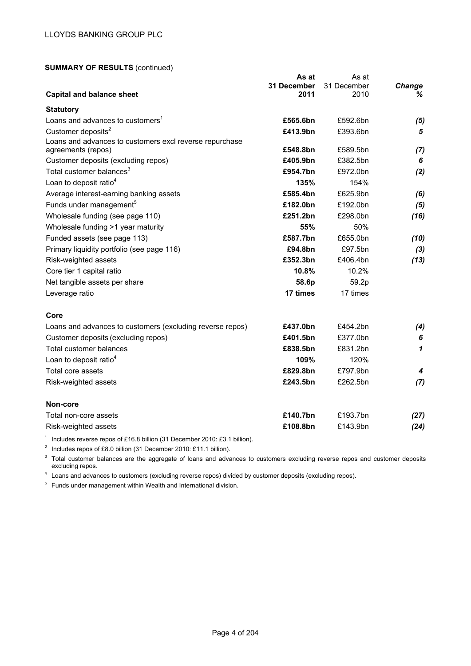#### **SUMMARY OF RESULTS** (continued)

|                                                           | As at       | As at       |        |
|-----------------------------------------------------------|-------------|-------------|--------|
|                                                           | 31 December | 31 December | Change |
| <b>Capital and balance sheet</b>                          | 2011        | 2010        | ℅      |
| <b>Statutory</b>                                          |             |             |        |
| Loans and advances to customers <sup>1</sup>              | £565.6bn    | £592.6bn    | (5)    |
| Customer deposits <sup>2</sup>                            | £413.9bn    | £393.6bn    | 5      |
| Loans and advances to customers excl reverse repurchase   |             |             |        |
| agreements (repos)                                        | £548.8bn    | £589.5bn    | (7)    |
| Customer deposits (excluding repos)                       | £405.9bn    | £382.5bn    | 6      |
| Total customer balances <sup>3</sup>                      | £954.7bn    | £972.0bn    | (2)    |
| Loan to deposit ratio $4$                                 | 135%        | 154%        |        |
| Average interest-earning banking assets                   | £585.4bn    | £625.9bn    | (6)    |
| Funds under management <sup>5</sup>                       | £182.0bn    | £192.0bn    | (5)    |
| Wholesale funding (see page 110)                          | £251.2bn    | £298.0bn    | (16)   |
| Wholesale funding >1 year maturity                        | 55%         | 50%         |        |
| Funded assets (see page 113)                              | £587.7bn    | £655.0bn    | (10)   |
| Primary liquidity portfolio (see page 116)                | £94.8bn     | £97.5bn     | (3)    |
| Risk-weighted assets                                      | £352.3bn    | £406.4bn    | (13)   |
| Core tier 1 capital ratio                                 | 10.8%       | 10.2%       |        |
| Net tangible assets per share                             | 58.6p       | 59.2p       |        |
| Leverage ratio                                            | 17 times    | 17 times    |        |
| Core                                                      |             |             |        |
| Loans and advances to customers (excluding reverse repos) | £437.0bn    | £454.2bn    | (4)    |
| Customer deposits (excluding repos)                       | £401.5bn    | £377.0bn    | 6      |
| <b>Total customer balances</b>                            | £838.5bn    | £831.2bn    | 1      |
| Loan to deposit ratio <sup>4</sup>                        | 109%        | 120%        |        |
| Total core assets                                         | £829.8bn    | £797.9bn    | 4      |
| Risk-weighted assets                                      | £243.5bn    | £262.5bn    | (7)    |
|                                                           |             |             |        |
| Non-core                                                  |             |             |        |
| Total non-core assets                                     | £140.7bn    | £193.7bn    | (27)   |
| Risk-weighted assets                                      | £108.8bn    | £143.9bn    | (24)   |
|                                                           |             |             |        |

Includes reverse repos of £16.8 billion (31 December 2010: £3.1 billion).

<sup>2</sup> Includes repos of £8.0 billion (31 December 2010: £11.1 billion).

<sup>3</sup> Total customer balances are the aggregate of loans and advances to customers excluding reverse repos and customer deposits excluding repos.

<sup>4</sup> Loans and advances to customers (excluding reverse repos) divided by customer deposits (excluding repos).

<sup>5</sup> Funds under management within Wealth and International division.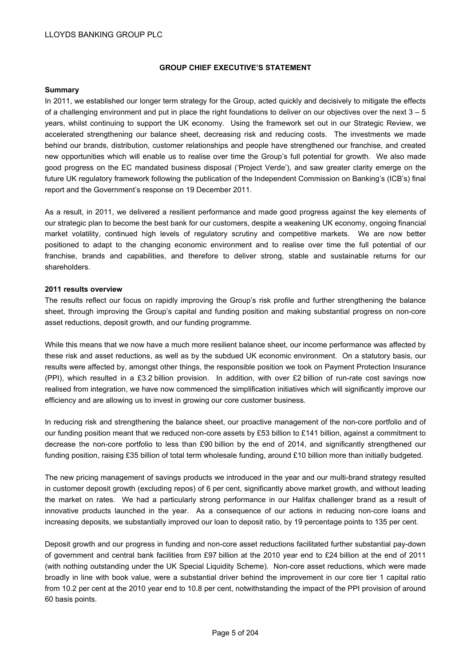#### **GROUP CHIEF EXECUTIVE'S STATEMENT**

#### **Summary**

In 2011, we established our longer term strategy for the Group, acted quickly and decisively to mitigate the effects of a challenging environment and put in place the right foundations to deliver on our objectives over the next  $3 - 5$ years, whilst continuing to support the UK economy. Using the framework set out in our Strategic Review, we accelerated strengthening our balance sheet, decreasing risk and reducing costs. The investments we made behind our brands, distribution, customer relationships and people have strengthened our franchise, and created new opportunities which will enable us to realise over time the Group's full potential for growth. We also made good progress on the EC mandated business disposal ('Project Verde'), and saw greater clarity emerge on the future UK regulatory framework following the publication of the Independent Commission on Banking's (ICB's) final report and the Government's response on 19 December 2011.

As a result, in 2011, we delivered a resilient performance and made good progress against the key elements of our strategic plan to become the best bank for our customers, despite a weakening UK economy, ongoing financial market volatility, continued high levels of regulatory scrutiny and competitive markets. We are now better positioned to adapt to the changing economic environment and to realise over time the full potential of our franchise, brands and capabilities, and therefore to deliver strong, stable and sustainable returns for our shareholders.

#### **2011 results overview**

The results reflect our focus on rapidly improving the Group's risk profile and further strengthening the balance sheet, through improving the Group's capital and funding position and making substantial progress on non-core asset reductions, deposit growth, and our funding programme.

While this means that we now have a much more resilient balance sheet, our income performance was affected by these risk and asset reductions, as well as by the subdued UK economic environment. On a statutory basis, our results were affected by, amongst other things, the responsible position we took on Payment Protection Insurance (PPI), which resulted in a £3.2 billion provision. In addition, with over £2 billion of run-rate cost savings now realised from integration, we have now commenced the simplification initiatives which will significantly improve our efficiency and are allowing us to invest in growing our core customer business.

In reducing risk and strengthening the balance sheet, our proactive management of the non-core portfolio and of our funding position meant that we reduced non-core assets by £53 billion to £141 billion, against a commitment to decrease the non-core portfolio to less than £90 billion by the end of 2014, and significantly strengthened our funding position, raising £35 billion of total term wholesale funding, around £10 billion more than initially budgeted.

The new pricing management of savings products we introduced in the year and our multi-brand strategy resulted in customer deposit growth (excluding repos) of 6 per cent, significantly above market growth, and without leading the market on rates. We had a particularly strong performance in our Halifax challenger brand as a result of innovative products launched in the year. As a consequence of our actions in reducing non-core loans and increasing deposits, we substantially improved our loan to deposit ratio, by 19 percentage points to 135 per cent.

Deposit growth and our progress in funding and non-core asset reductions facilitated further substantial pay-down of government and central bank facilities from £97 billion at the 2010 year end to £24 billion at the end of 2011 (with nothing outstanding under the UK Special Liquidity Scheme). Non-core asset reductions, which were made broadly in line with book value, were a substantial driver behind the improvement in our core tier 1 capital ratio from 10.2 per cent at the 2010 year end to 10.8 per cent, notwithstanding the impact of the PPI provision of around 60 basis points.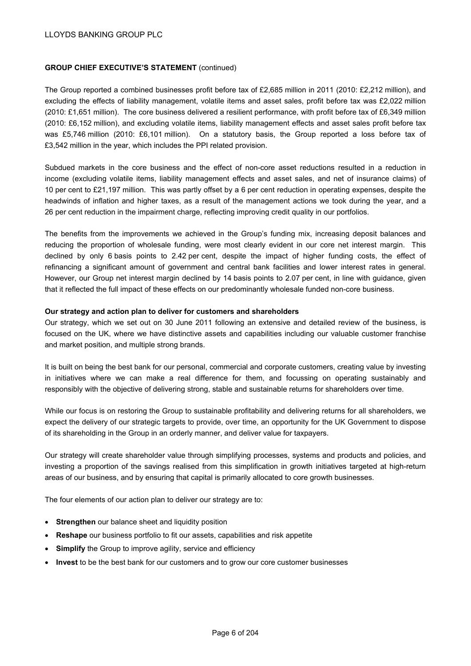#### LLOYDS BANKING GROUP PLC

#### **GROUP CHIEF EXECUTIVE'S STATEMENT** (continued)

The Group reported a combined businesses profit before tax of £2,685 million in 2011 (2010: £2,212 million), and excluding the effects of liability management, volatile items and asset sales, profit before tax was £2,022 million (2010: £1,651 million). The core business delivered a resilient performance, with profit before tax of £6,349 million (2010: £6,152 million), and excluding volatile items, liability management effects and asset sales profit before tax was £5,746 million (2010: £6,101 million). On a statutory basis, the Group reported a loss before tax of £3,542 million in the year, which includes the PPI related provision.

Subdued markets in the core business and the effect of non-core asset reductions resulted in a reduction in income (excluding volatile items, liability management effects and asset sales, and net of insurance claims) of 10 per cent to £21,197 million. This was partly offset by a 6 per cent reduction in operating expenses, despite the headwinds of inflation and higher taxes, as a result of the management actions we took during the year, and a 26 per cent reduction in the impairment charge, reflecting improving credit quality in our portfolios.

The benefits from the improvements we achieved in the Group's funding mix, increasing deposit balances and reducing the proportion of wholesale funding, were most clearly evident in our core net interest margin. This declined by only 6 basis points to 2.42 per cent, despite the impact of higher funding costs, the effect of refinancing a significant amount of government and central bank facilities and lower interest rates in general. However, our Group net interest margin declined by 14 basis points to 2.07 per cent, in line with guidance, given that it reflected the full impact of these effects on our predominantly wholesale funded non-core business.

#### **Our strategy and action plan to deliver for customers and shareholders**

Our strategy, which we set out on 30 June 2011 following an extensive and detailed review of the business, is focused on the UK, where we have distinctive assets and capabilities including our valuable customer franchise and market position, and multiple strong brands.

It is built on being the best bank for our personal, commercial and corporate customers, creating value by investing in initiatives where we can make a real difference for them, and focussing on operating sustainably and responsibly with the objective of delivering strong, stable and sustainable returns for shareholders over time.

While our focus is on restoring the Group to sustainable profitability and delivering returns for all shareholders, we expect the delivery of our strategic targets to provide, over time, an opportunity for the UK Government to dispose of its shareholding in the Group in an orderly manner, and deliver value for taxpayers.

Our strategy will create shareholder value through simplifying processes, systems and products and policies, and investing a proportion of the savings realised from this simplification in growth initiatives targeted at high-return areas of our business, and by ensuring that capital is primarily allocated to core growth businesses.

The four elements of our action plan to deliver our strategy are to:

- **Strengthen** our balance sheet and liquidity position
- **Reshape** our business portfolio to fit our assets, capabilities and risk appetite
- **Simplify** the Group to improve agility, service and efficiency
- **Invest** to be the best bank for our customers and to grow our core customer businesses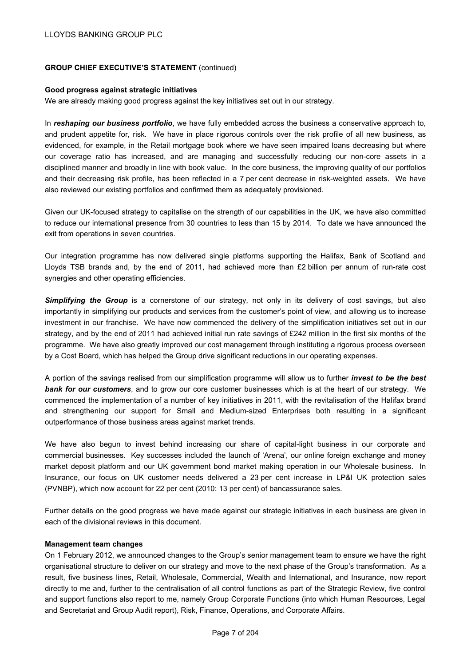#### **Good progress against strategic initiatives**

We are already making good progress against the key initiatives set out in our strategy.

In *reshaping our business portfolio*, we have fully embedded across the business a conservative approach to, and prudent appetite for, risk. We have in place rigorous controls over the risk profile of all new business, as evidenced, for example, in the Retail mortgage book where we have seen impaired loans decreasing but where our coverage ratio has increased, and are managing and successfully reducing our non-core assets in a disciplined manner and broadly in line with book value. In the core business, the improving quality of our portfolios and their decreasing risk profile, has been reflected in a 7 per cent decrease in risk-weighted assets. We have also reviewed our existing portfolios and confirmed them as adequately provisioned.

Given our UK-focused strategy to capitalise on the strength of our capabilities in the UK, we have also committed to reduce our international presence from 30 countries to less than 15 by 2014. To date we have announced the exit from operations in seven countries.

Our integration programme has now delivered single platforms supporting the Halifax, Bank of Scotland and Lloyds TSB brands and, by the end of 2011, had achieved more than £2 billion per annum of run-rate cost synergies and other operating efficiencies.

**Simplifying the Group** is a cornerstone of our strategy, not only in its delivery of cost savings, but also importantly in simplifying our products and services from the customer's point of view, and allowing us to increase investment in our franchise. We have now commenced the delivery of the simplification initiatives set out in our strategy, and by the end of 2011 had achieved initial run rate savings of £242 million in the first six months of the programme. We have also greatly improved our cost management through instituting a rigorous process overseen by a Cost Board, which has helped the Group drive significant reductions in our operating expenses.

A portion of the savings realised from our simplification programme will allow us to further *invest to be the best bank for our customers*, and to grow our core customer businesses which is at the heart of our strategy. We commenced the implementation of a number of key initiatives in 2011, with the revitalisation of the Halifax brand and strengthening our support for Small and Medium-sized Enterprises both resulting in a significant outperformance of those business areas against market trends.

We have also begun to invest behind increasing our share of capital-light business in our corporate and commercial businesses. Key successes included the launch of 'Arena', our online foreign exchange and money market deposit platform and our UK government bond market making operation in our Wholesale business. In Insurance, our focus on UK customer needs delivered a 23 per cent increase in LP&I UK protection sales (PVNBP), which now account for 22 per cent (2010: 13 per cent) of bancassurance sales.

Further details on the good progress we have made against our strategic initiatives in each business are given in each of the divisional reviews in this document.

#### **Management team changes**

On 1 February 2012, we announced changes to the Group's senior management team to ensure we have the right organisational structure to deliver on our strategy and move to the next phase of the Group's transformation. As a result, five business lines, Retail, Wholesale, Commercial, Wealth and International, and Insurance, now report directly to me and, further to the centralisation of all control functions as part of the Strategic Review, five control and support functions also report to me, namely Group Corporate Functions (into which Human Resources, Legal and Secretariat and Group Audit report), Risk, Finance, Operations, and Corporate Affairs.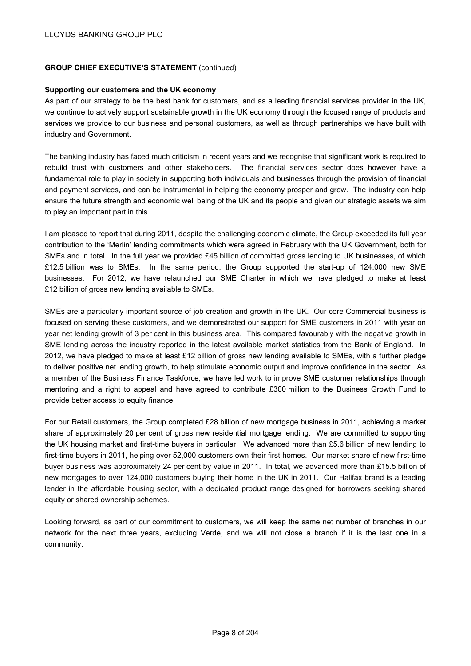#### **Supporting our customers and the UK economy**

As part of our strategy to be the best bank for customers, and as a leading financial services provider in the UK, we continue to actively support sustainable growth in the UK economy through the focused range of products and services we provide to our business and personal customers, as well as through partnerships we have built with industry and Government.

The banking industry has faced much criticism in recent years and we recognise that significant work is required to rebuild trust with customers and other stakeholders. The financial services sector does however have a fundamental role to play in society in supporting both individuals and businesses through the provision of financial and payment services, and can be instrumental in helping the economy prosper and grow. The industry can help ensure the future strength and economic well being of the UK and its people and given our strategic assets we aim to play an important part in this.

I am pleased to report that during 2011, despite the challenging economic climate, the Group exceeded its full year contribution to the 'Merlin' lending commitments which were agreed in February with the UK Government, both for SMEs and in total. In the full year we provided £45 billion of committed gross lending to UK businesses, of which £12.5 billion was to SMEs. In the same period, the Group supported the start-up of 124,000 new SME businesses. For 2012, we have relaunched our SME Charter in which we have pledged to make at least £12 billion of gross new lending available to SMEs.

SMEs are a particularly important source of job creation and growth in the UK. Our core Commercial business is focused on serving these customers, and we demonstrated our support for SME customers in 2011 with year on year net lending growth of 3 per cent in this business area. This compared favourably with the negative growth in SME lending across the industry reported in the latest available market statistics from the Bank of England. In 2012, we have pledged to make at least £12 billion of gross new lending available to SMEs, with a further pledge to deliver positive net lending growth, to help stimulate economic output and improve confidence in the sector. As a member of the Business Finance Taskforce, we have led work to improve SME customer relationships through mentoring and a right to appeal and have agreed to contribute £300 million to the Business Growth Fund to provide better access to equity finance.

For our Retail customers, the Group completed £28 billion of new mortgage business in 2011, achieving a market share of approximately 20 per cent of gross new residential mortgage lending. We are committed to supporting the UK housing market and first-time buyers in particular. We advanced more than £5.6 billion of new lending to first-time buyers in 2011, helping over 52,000 customers own their first homes. Our market share of new first-time buyer business was approximately 24 per cent by value in 2011. In total, we advanced more than £15.5 billion of new mortgages to over 124,000 customers buying their home in the UK in 2011. Our Halifax brand is a leading lender in the affordable housing sector, with a dedicated product range designed for borrowers seeking shared equity or shared ownership schemes.

Looking forward, as part of our commitment to customers, we will keep the same net number of branches in our network for the next three years, excluding Verde, and we will not close a branch if it is the last one in a community.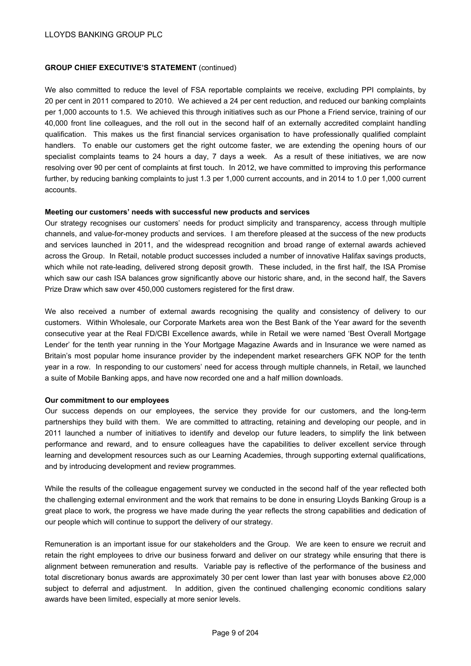We also committed to reduce the level of FSA reportable complaints we receive, excluding PPI complaints, by 20 per cent in 2011 compared to 2010. We achieved a 24 per cent reduction, and reduced our banking complaints per 1,000 accounts to 1.5. We achieved this through initiatives such as our Phone a Friend service, training of our 40,000 front line colleagues, and the roll out in the second half of an externally accredited complaint handling qualification. This makes us the first financial services organisation to have professionally qualified complaint handlers. To enable our customers get the right outcome faster, we are extending the opening hours of our specialist complaints teams to 24 hours a day, 7 days a week. As a result of these initiatives, we are now resolving over 90 per cent of complaints at first touch. In 2012, we have committed to improving this performance further, by reducing banking complaints to just 1.3 per 1,000 current accounts, and in 2014 to 1.0 per 1,000 current accounts.

#### **Meeting our customers' needs with successful new products and services**

Our strategy recognises our customers' needs for product simplicity and transparency, access through multiple channels, and value-for-money products and services. I am therefore pleased at the success of the new products and services launched in 2011, and the widespread recognition and broad range of external awards achieved across the Group. In Retail, notable product successes included a number of innovative Halifax savings products, which while not rate-leading, delivered strong deposit growth. These included, in the first half, the ISA Promise which saw our cash ISA balances grow significantly above our historic share, and, in the second half, the Savers Prize Draw which saw over 450,000 customers registered for the first draw.

We also received a number of external awards recognising the quality and consistency of delivery to our customers. Within Wholesale, our Corporate Markets area won the Best Bank of the Year award for the seventh consecutive year at the Real FD/CBI Excellence awards, while in Retail we were named 'Best Overall Mortgage Lender' for the tenth year running in the Your Mortgage Magazine Awards and in Insurance we were named as Britain's most popular home insurance provider by the independent market researchers GFK NOP for the tenth year in a row. In responding to our customers' need for access through multiple channels, in Retail, we launched a suite of Mobile Banking apps, and have now recorded one and a half million downloads.

#### **Our commitment to our employees**

Our success depends on our employees, the service they provide for our customers, and the long-term partnerships they build with them. We are committed to attracting, retaining and developing our people, and in 2011 launched a number of initiatives to identify and develop our future leaders, to simplify the link between performance and reward, and to ensure colleagues have the capabilities to deliver excellent service through learning and development resources such as our Learning Academies, through supporting external qualifications, and by introducing development and review programmes.

While the results of the colleague engagement survey we conducted in the second half of the year reflected both the challenging external environment and the work that remains to be done in ensuring Lloyds Banking Group is a great place to work, the progress we have made during the year reflects the strong capabilities and dedication of our people which will continue to support the delivery of our strategy.

Remuneration is an important issue for our stakeholders and the Group. We are keen to ensure we recruit and retain the right employees to drive our business forward and deliver on our strategy while ensuring that there is alignment between remuneration and results. Variable pay is reflective of the performance of the business and total discretionary bonus awards are approximately 30 per cent lower than last year with bonuses above £2,000 subject to deferral and adjustment. In addition, given the continued challenging economic conditions salary awards have been limited, especially at more senior levels.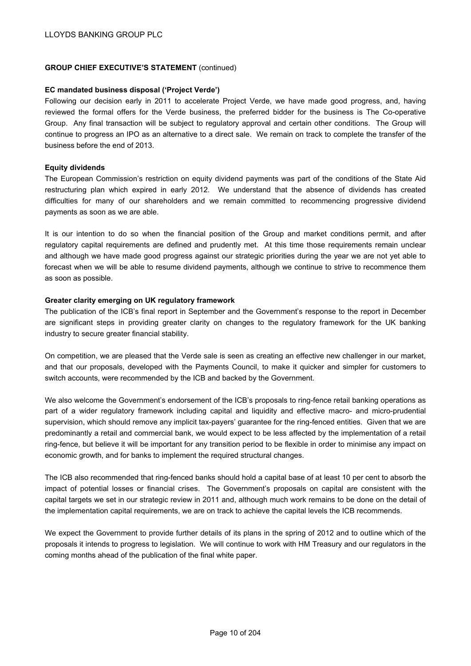#### **EC mandated business disposal ('Project Verde')**

Following our decision early in 2011 to accelerate Project Verde, we have made good progress, and, having reviewed the formal offers for the Verde business, the preferred bidder for the business is The Co-operative Group. Any final transaction will be subject to regulatory approval and certain other conditions. The Group will continue to progress an IPO as an alternative to a direct sale. We remain on track to complete the transfer of the business before the end of 2013.

#### **Equity dividends**

The European Commission's restriction on equity dividend payments was part of the conditions of the State Aid restructuring plan which expired in early 2012. We understand that the absence of dividends has created difficulties for many of our shareholders and we remain committed to recommencing progressive dividend payments as soon as we are able.

It is our intention to do so when the financial position of the Group and market conditions permit, and after regulatory capital requirements are defined and prudently met. At this time those requirements remain unclear and although we have made good progress against our strategic priorities during the year we are not yet able to forecast when we will be able to resume dividend payments, although we continue to strive to recommence them as soon as possible.

#### **Greater clarity emerging on UK regulatory framework**

The publication of the ICB's final report in September and the Government's response to the report in December are significant steps in providing greater clarity on changes to the regulatory framework for the UK banking industry to secure greater financial stability.

On competition, we are pleased that the Verde sale is seen as creating an effective new challenger in our market, and that our proposals, developed with the Payments Council, to make it quicker and simpler for customers to switch accounts, were recommended by the ICB and backed by the Government.

We also welcome the Government's endorsement of the ICB's proposals to ring-fence retail banking operations as part of a wider regulatory framework including capital and liquidity and effective macro- and micro-prudential supervision, which should remove any implicit tax-payers' guarantee for the ring-fenced entities. Given that we are predominantly a retail and commercial bank, we would expect to be less affected by the implementation of a retail ring-fence, but believe it will be important for any transition period to be flexible in order to minimise any impact on economic growth, and for banks to implement the required structural changes.

The ICB also recommended that ring-fenced banks should hold a capital base of at least 10 per cent to absorb the impact of potential losses or financial crises. The Government's proposals on capital are consistent with the capital targets we set in our strategic review in 2011 and, although much work remains to be done on the detail of the implementation capital requirements, we are on track to achieve the capital levels the ICB recommends.

We expect the Government to provide further details of its plans in the spring of 2012 and to outline which of the proposals it intends to progress to legislation. We will continue to work with HM Treasury and our regulators in the coming months ahead of the publication of the final white paper.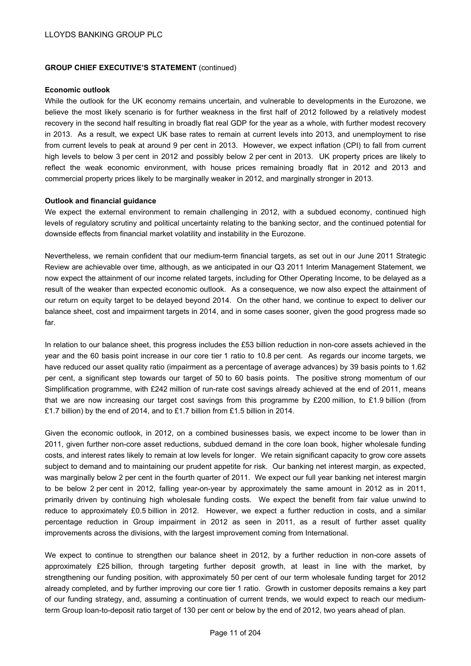#### **Economic outlook**

While the outlook for the UK economy remains uncertain, and vulnerable to developments in the Eurozone, we believe the most likely scenario is for further weakness in the first half of 2012 followed by a relatively modest recovery in the second half resulting in broadly flat real GDP for the year as a whole, with further modest recovery in 2013. As a result, we expect UK base rates to remain at current levels into 2013, and unemployment to rise from current levels to peak at around 9 per cent in 2013. However, we expect inflation (CPI) to fall from current high levels to below 3 per cent in 2012 and possibly below 2 per cent in 2013. UK property prices are likely to reflect the weak economic environment, with house prices remaining broadly flat in 2012 and 2013 and commercial property prices likely to be marginally weaker in 2012, and marginally stronger in 2013.

#### **Outlook and financial guidance**

We expect the external environment to remain challenging in 2012, with a subdued economy, continued high levels of regulatory scrutiny and political uncertainty relating to the banking sector, and the continued potential for downside effects from financial market volatility and instability in the Eurozone.

Nevertheless, we remain confident that our medium-term financial targets, as set out in our June 2011 Strategic Review are achievable over time, although, as we anticipated in our Q3 2011 Interim Management Statement, we now expect the attainment of our income related targets, including for Other Operating Income, to be delayed as a result of the weaker than expected economic outlook. As a consequence, we now also expect the attainment of our return on equity target to be delayed beyond 2014. On the other hand, we continue to expect to deliver our balance sheet, cost and impairment targets in 2014, and in some cases sooner, given the good progress made so far.

In relation to our balance sheet, this progress includes the £53 billion reduction in non-core assets achieved in the year and the 60 basis point increase in our core tier 1 ratio to 10.8 per cent. As regards our income targets, we have reduced our asset quality ratio (impairment as a percentage of average advances) by 39 basis points to 1.62 per cent, a significant step towards our target of 50 to 60 basis points. The positive strong momentum of our Simplification programme, with £242 million of run-rate cost savings already achieved at the end of 2011, means that we are now increasing our target cost savings from this programme by £200 million, to £1.9 billion (from £1.7 billion) by the end of 2014, and to £1.7 billion from £1.5 billion in 2014.

Given the economic outlook, in 2012, on a combined businesses basis, we expect income to be lower than in 2011, given further non-core asset reductions, subdued demand in the core loan book, higher wholesale funding costs, and interest rates likely to remain at low levels for longer. We retain significant capacity to grow core assets subject to demand and to maintaining our prudent appetite for risk. Our banking net interest margin, as expected, was marginally below 2 per cent in the fourth quarter of 2011. We expect our full year banking net interest margin to be below 2 per cent in 2012, falling year-on-year by approximately the same amount in 2012 as in 2011, primarily driven by continuing high wholesale funding costs. We expect the benefit from fair value unwind to reduce to approximately £0.5 billion in 2012. However, we expect a further reduction in costs, and a similar percentage reduction in Group impairment in 2012 as seen in 2011, as a result of further asset quality improvements across the divisions, with the largest improvement coming from International.

We expect to continue to strengthen our balance sheet in 2012, by a further reduction in non-core assets of approximately £25 billion, through targeting further deposit growth, at least in line with the market, by strengthening our funding position, with approximately 50 per cent of our term wholesale funding target for 2012 already completed, and by further improving our core tier 1 ratio. Growth in customer deposits remains a key part of our funding strategy, and, assuming a continuation of current trends, we would expect to reach our mediumterm Group loan-to-deposit ratio target of 130 per cent or below by the end of 2012, two years ahead of plan.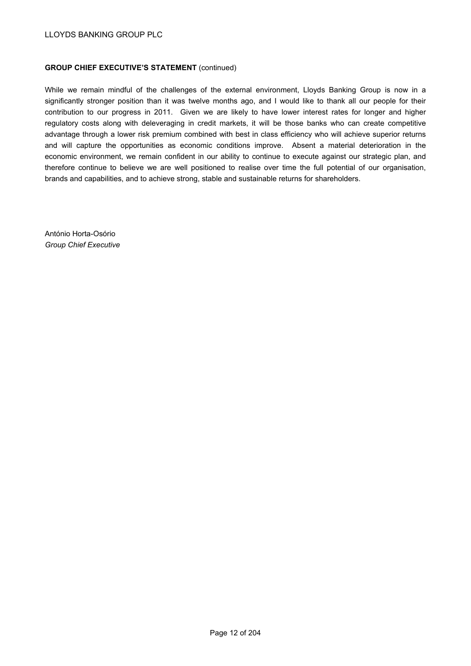While we remain mindful of the challenges of the external environment, Lloyds Banking Group is now in a significantly stronger position than it was twelve months ago, and I would like to thank all our people for their contribution to our progress in 2011. Given we are likely to have lower interest rates for longer and higher regulatory costs along with deleveraging in credit markets, it will be those banks who can create competitive advantage through a lower risk premium combined with best in class efficiency who will achieve superior returns and will capture the opportunities as economic conditions improve. Absent a material deterioration in the economic environment, we remain confident in our ability to continue to execute against our strategic plan, and therefore continue to believe we are well positioned to realise over time the full potential of our organisation, brands and capabilities, and to achieve strong, stable and sustainable returns for shareholders.

António Horta-Osório *Group Chief Executive*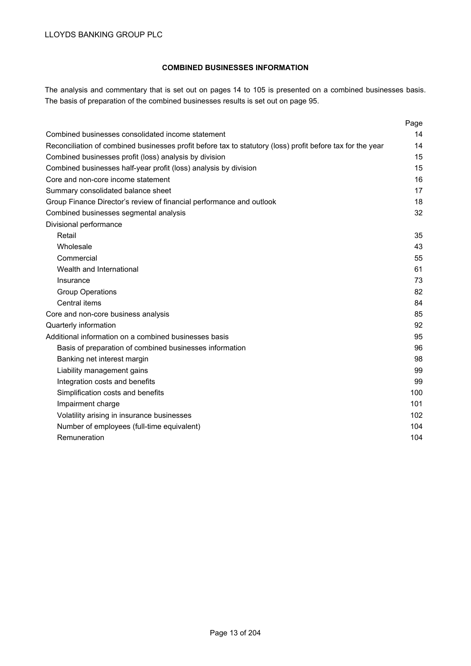## **COMBINED BUSINESSES INFORMATION**

The analysis and commentary that is set out on pages 14 to 105 is presented on a combined businesses basis. The basis of preparation of the combined businesses results is set out on page 95.

|                                                                                                            | Page |
|------------------------------------------------------------------------------------------------------------|------|
| Combined businesses consolidated income statement                                                          | 14   |
| Reconciliation of combined businesses profit before tax to statutory (loss) profit before tax for the year | 14   |
| Combined businesses profit (loss) analysis by division                                                     | 15   |
| Combined businesses half-year profit (loss) analysis by division                                           | 15   |
| Core and non-core income statement                                                                         | 16   |
| Summary consolidated balance sheet                                                                         | 17   |
| Group Finance Director's review of financial performance and outlook                                       | 18   |
| Combined businesses segmental analysis                                                                     | 32   |
| Divisional performance                                                                                     |      |
| Retail                                                                                                     | 35   |
| Wholesale                                                                                                  | 43   |
| Commercial                                                                                                 | 55   |
| Wealth and International                                                                                   | 61   |
| Insurance                                                                                                  | 73   |
| <b>Group Operations</b>                                                                                    | 82   |
| Central items                                                                                              | 84   |
| Core and non-core business analysis                                                                        | 85   |
| Quarterly information                                                                                      | 92   |
| Additional information on a combined businesses basis                                                      | 95   |
| Basis of preparation of combined businesses information                                                    | 96   |
| Banking net interest margin                                                                                | 98   |
| Liability management gains                                                                                 | 99   |
| Integration costs and benefits                                                                             | 99   |
| Simplification costs and benefits                                                                          | 100  |
| Impairment charge                                                                                          | 101  |
| Volatility arising in insurance businesses                                                                 | 102  |
| Number of employees (full-time equivalent)                                                                 | 104  |
| Remuneration                                                                                               | 104  |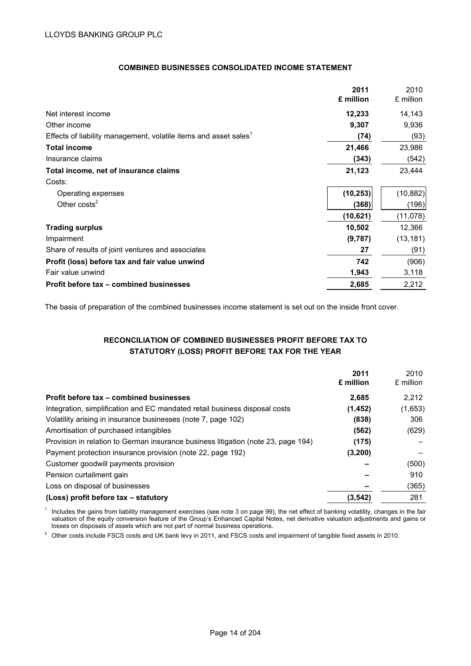## **COMBINED BUSINESSES CONSOLIDATED INCOME STATEMENT**

|                                                                              | 2011      | 2010      |
|------------------------------------------------------------------------------|-----------|-----------|
|                                                                              | £ million | £ million |
| Net interest income                                                          | 12,233    | 14,143    |
| Other income                                                                 | 9,307     | 9,936     |
| Effects of liability management, volatile items and asset sales <sup>1</sup> | (74)      | (93)      |
| <b>Total income</b>                                                          | 21,466    | 23,986    |
| Insurance claims                                                             | (343)     | (542)     |
| Total income, net of insurance claims                                        | 21,123    | 23,444    |
| Costs:                                                                       |           |           |
| Operating expenses                                                           | (10, 253) | (10, 882) |
| Other $costs2$                                                               | (368)     | (196)     |
|                                                                              | (10, 621) | (11,078)  |
| <b>Trading surplus</b>                                                       | 10,502    | 12,366    |
| Impairment                                                                   | (9,787)   | (13, 181) |
| Share of results of joint ventures and associates                            | 27        | (91)      |
| Profit (loss) before tax and fair value unwind                               | 742       | (906)     |
| Fair value unwind                                                            | 1,943     | 3,118     |
| Profit before tax – combined businesses                                      | 2,685     | 2,212     |

The basis of preparation of the combined businesses income statement is set out on the inside front cover.

# **RECONCILIATION OF COMBINED BUSINESSES PROFIT BEFORE TAX TO STATUTORY (LOSS) PROFIT BEFORE TAX FOR THE YEAR**

|                                                                                   | 2011<br>£ million | 2010<br>£ million |
|-----------------------------------------------------------------------------------|-------------------|-------------------|
| Profit before tax – combined businesses                                           | 2.685             | 2.212             |
| Integration, simplification and EC mandated retail business disposal costs        | (1, 452)          | (1,653)           |
| Volatility arising in insurance businesses (note 7, page 102)                     | (838)             | 306               |
| Amortisation of purchased intangibles                                             | (562)             | (629)             |
| Provision in relation to German insurance business litigation (note 23, page 194) | (175)             |                   |
| Payment protection insurance provision (note 22, page 192)                        | (3,200)           |                   |
| Customer goodwill payments provision                                              |                   | (500)             |
| Pension curtailment gain                                                          |                   | 910               |
| Loss on disposal of businesses                                                    |                   | (365)             |
| (Loss) profit before tax - statutory                                              | (3, 542)          | 281               |

 $1$  Includes the gains from liability management exercises (see note 3 on page 99), the net effect of banking volatility, changes in the fair valuation of the equity conversion feature of the Group's Enhanced Capital Notes, net derivative valuation adjustments and gains or losses on disposals of assets which are not part of normal business operations.

<sup>2</sup> Other costs include FSCS costs and UK bank levy in 2011, and FSCS costs and impairment of tangible fixed assets in 2010.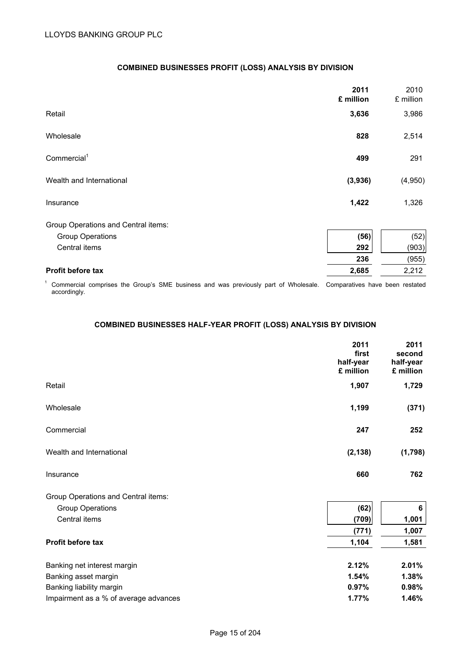# **COMBINED BUSINESSES PROFIT (LOSS) ANALYSIS BY DIVISION**

|                                     | 2011<br>£ million | 2010<br>£ million |
|-------------------------------------|-------------------|-------------------|
| Retail                              | 3,636             | 3,986             |
| Wholesale                           | 828               | 2,514             |
| Commercial <sup>1</sup>             | 499               | 291               |
| Wealth and International            | (3,936)           | (4,950)           |
| Insurance                           | 1,422             | 1,326             |
| Group Operations and Central items: |                   |                   |
| <b>Group Operations</b>             | (56)              | (52)              |
| Central items                       | 292               | (903)             |

<sup>1</sup> Commercial comprises the Group's SME business and was previously part of Wholesale. Comparatives have been restated accordingly.

**Profit before tax 2,685** 2,212

**236** (955)

### **COMBINED BUSINESSES HALF-YEAR PROFIT (LOSS) ANALYSIS BY DIVISION**

|                                       | 2011<br>first<br>half-year<br>£ million | 2011<br>second<br>half-year<br>£ million |
|---------------------------------------|-----------------------------------------|------------------------------------------|
| Retail                                | 1,907                                   | 1,729                                    |
| Wholesale                             | 1,199                                   | (371)                                    |
| Commercial                            | 247                                     | 252                                      |
| Wealth and International              | (2, 138)                                | (1,798)                                  |
| Insurance                             | 660                                     | 762                                      |
| Group Operations and Central items:   |                                         |                                          |
| <b>Group Operations</b>               | (62)                                    | 6                                        |
| Central items                         | (709)                                   | 1,001                                    |
|                                       | (771)                                   | 1,007                                    |
| <b>Profit before tax</b>              | 1,104                                   | 1,581                                    |
| Banking net interest margin           | 2.12%                                   | 2.01%                                    |
| Banking asset margin                  | 1.54%                                   | 1.38%                                    |
| Banking liability margin              | 0.97%                                   | 0.98%                                    |
| Impairment as a % of average advances | 1.77%                                   | 1.46%                                    |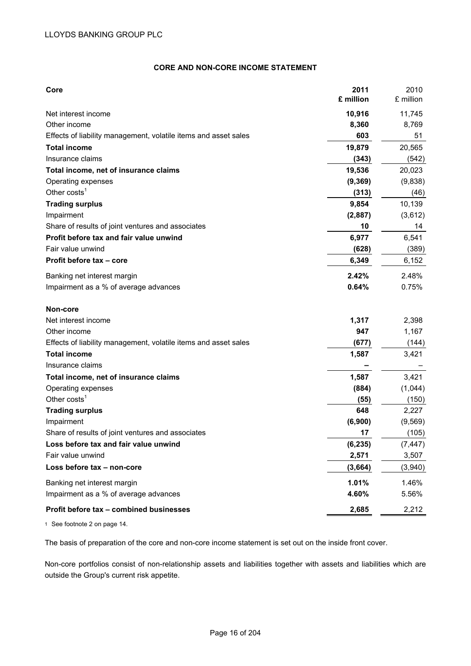## **CORE AND NON-CORE INCOME STATEMENT**

| Core                                                            | 2011<br>£ million | 2010<br>£ million |
|-----------------------------------------------------------------|-------------------|-------------------|
| Net interest income                                             | 10,916            | 11,745            |
| Other income                                                    | 8,360             | 8,769             |
| Effects of liability management, volatile items and asset sales | 603               | 51                |
| <b>Total income</b>                                             | 19,879            | 20,565            |
| Insurance claims                                                | (343)             | (542)             |
| Total income, net of insurance claims                           | 19,536            | 20,023            |
| Operating expenses                                              | (9, 369)          | (9,838)           |
| Other $costs1$                                                  | (313)             | (46)              |
| <b>Trading surplus</b>                                          | 9,854             | 10,139            |
| Impairment                                                      | (2,887)           | (3,612)           |
| Share of results of joint ventures and associates               | 10                | 14                |
| Profit before tax and fair value unwind                         | 6,977             | 6,541             |
| Fair value unwind                                               | (628)             | (389)             |
| Profit before tax - core                                        | 6,349             | 6,152             |
| Banking net interest margin                                     | 2.42%             | 2.48%             |
| Impairment as a % of average advances                           | 0.64%             | 0.75%             |
| Non-core                                                        |                   |                   |
| Net interest income                                             | 1,317             | 2,398             |
| Other income                                                    | 947               | 1,167             |
| Effects of liability management, volatile items and asset sales | (677)             | (144)             |
| <b>Total income</b>                                             | 1,587             | 3,421             |
| Insurance claims                                                |                   |                   |
| Total income, net of insurance claims                           | 1,587             | 3,421             |
| Operating expenses                                              | (884)             | (1,044)           |
| Other $costs1$                                                  | (55)              | (150)             |
| <b>Trading surplus</b>                                          | 648               | 2,227             |
| Impairment                                                      | (6,900)           | (9, 569)          |
| Share of results of joint ventures and associates               | 17                | (105)             |
| Loss before tax and fair value unwind                           | (6, 235)          | (7, 447)          |
| Fair value unwind                                               | 2,571             | 3,507             |
| Loss before tax - non-core                                      | (3,664)           | (3,940)           |
| Banking net interest margin                                     | 1.01%             | 1.46%             |
| Impairment as a % of average advances                           | 4.60%             | 5.56%             |
| Profit before tax - combined businesses                         | 2,685             | 2,212             |

1 See footnote 2 on page 14.

The basis of preparation of the core and non-core income statement is set out on the inside front cover.

Non-core portfolios consist of non-relationship assets and liabilities together with assets and liabilities which are outside the Group's current risk appetite.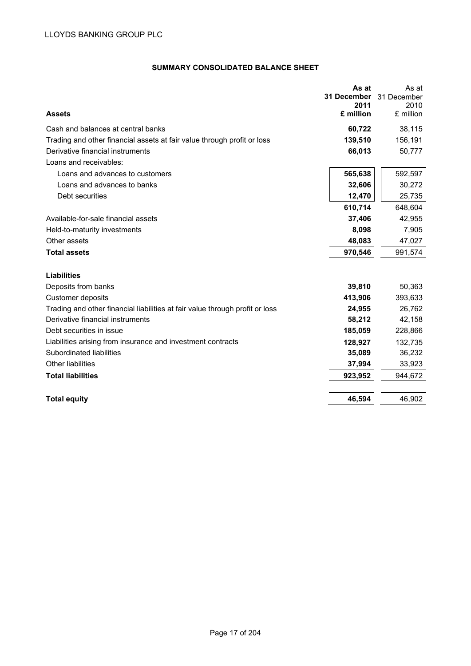## **SUMMARY CONSOLIDATED BALANCE SHEET**

| <b>Assets</b>                                                                | As at<br>31 December 31 December<br>2011<br>£ million | As at<br>2010<br>£ million |
|------------------------------------------------------------------------------|-------------------------------------------------------|----------------------------|
| Cash and balances at central banks                                           | 60,722                                                | 38,115                     |
| Trading and other financial assets at fair value through profit or loss      | 139,510                                               | 156,191                    |
| Derivative financial instruments                                             | 66,013                                                | 50,777                     |
| Loans and receivables:                                                       |                                                       |                            |
| Loans and advances to customers                                              | 565,638                                               | 592,597                    |
| Loans and advances to banks                                                  | 32,606                                                | 30,272                     |
| Debt securities                                                              | 12,470                                                | 25,735                     |
|                                                                              | 610,714                                               | 648,604                    |
| Available-for-sale financial assets                                          | 37,406                                                | 42,955                     |
| Held-to-maturity investments                                                 | 8,098                                                 | 7,905                      |
| Other assets                                                                 | 48,083                                                | 47,027                     |
| <b>Total assets</b>                                                          | 970,546                                               | 991,574                    |
| <b>Liabilities</b>                                                           |                                                       |                            |
| Deposits from banks                                                          | 39,810                                                | 50,363                     |
| <b>Customer deposits</b>                                                     | 413,906                                               | 393,633                    |
| Trading and other financial liabilities at fair value through profit or loss | 24,955                                                | 26,762                     |
| Derivative financial instruments                                             | 58,212                                                | 42,158                     |
| Debt securities in issue                                                     | 185,059                                               | 228,866                    |
| Liabilities arising from insurance and investment contracts                  | 128,927                                               | 132,735                    |
| Subordinated liabilities                                                     | 35,089                                                | 36,232                     |
| Other liabilities                                                            | 37,994                                                | 33,923                     |
| <b>Total liabilities</b>                                                     | 923,952                                               | 944,672                    |
| <b>Total equity</b>                                                          | 46,594                                                | 46,902                     |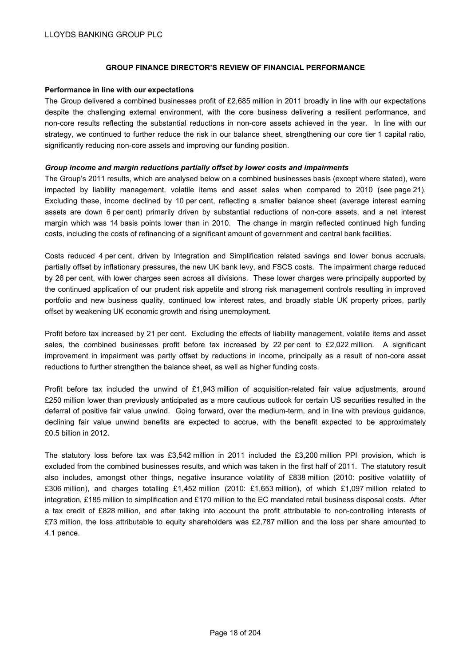#### **Performance in line with our expectations**

The Group delivered a combined businesses profit of £2,685 million in 2011 broadly in line with our expectations despite the challenging external environment, with the core business delivering a resilient performance, and non-core results reflecting the substantial reductions in non-core assets achieved in the year. In line with our strategy, we continued to further reduce the risk in our balance sheet, strengthening our core tier 1 capital ratio, significantly reducing non-core assets and improving our funding position.

#### *Group income and margin reductions partially offset by lower costs and impairments*

The Group's 2011 results, which are analysed below on a combined businesses basis (except where stated), were impacted by liability management, volatile items and asset sales when compared to 2010 (see page 21). Excluding these, income declined by 10 per cent, reflecting a smaller balance sheet (average interest earning assets are down 6 per cent) primarily driven by substantial reductions of non-core assets, and a net interest margin which was 14 basis points lower than in 2010. The change in margin reflected continued high funding costs, including the costs of refinancing of a significant amount of government and central bank facilities.

Costs reduced 4 per cent, driven by Integration and Simplification related savings and lower bonus accruals, partially offset by inflationary pressures, the new UK bank levy, and FSCS costs. The impairment charge reduced by 26 per cent, with lower charges seen across all divisions. These lower charges were principally supported by the continued application of our prudent risk appetite and strong risk management controls resulting in improved portfolio and new business quality, continued low interest rates, and broadly stable UK property prices, partly offset by weakening UK economic growth and rising unemployment.

Profit before tax increased by 21 per cent. Excluding the effects of liability management, volatile items and asset sales, the combined businesses profit before tax increased by 22 per cent to £2,022 million. A significant improvement in impairment was partly offset by reductions in income, principally as a result of non-core asset reductions to further strengthen the balance sheet, as well as higher funding costs.

Profit before tax included the unwind of £1,943 million of acquisition-related fair value adjustments, around £250 million lower than previously anticipated as a more cautious outlook for certain US securities resulted in the deferral of positive fair value unwind. Going forward, over the medium-term, and in line with previous guidance, declining fair value unwind benefits are expected to accrue, with the benefit expected to be approximately £0.5 billion in 2012.

The statutory loss before tax was £3,542 million in 2011 included the £3,200 million PPI provision, which is excluded from the combined businesses results, and which was taken in the first half of 2011. The statutory result also includes, amongst other things, negative insurance volatility of £838 million (2010: positive volatility of £306 million), and charges totalling £1,452 million (2010: £1,653 million), of which £1,097 million related to integration, £185 million to simplification and £170 million to the EC mandated retail business disposal costs. After a tax credit of £828 million, and after taking into account the profit attributable to non-controlling interests of £73 million, the loss attributable to equity shareholders was £2,787 million and the loss per share amounted to 4.1 pence.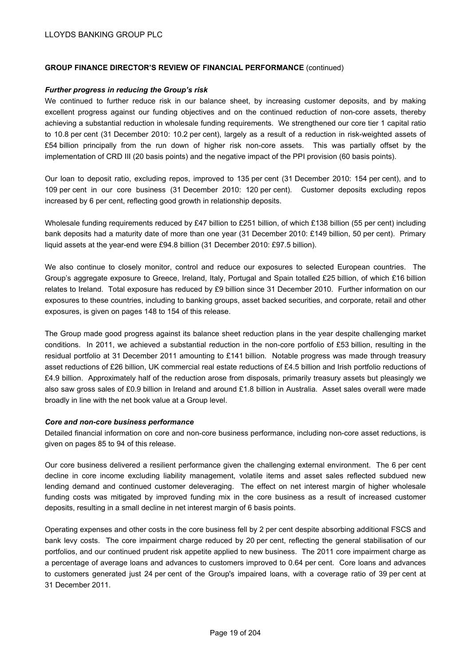#### *Further progress in reducing the Group's risk*

We continued to further reduce risk in our balance sheet, by increasing customer deposits, and by making excellent progress against our funding objectives and on the continued reduction of non-core assets, thereby achieving a substantial reduction in wholesale funding requirements. We strengthened our core tier 1 capital ratio to 10.8 per cent (31 December 2010: 10.2 per cent), largely as a result of a reduction in risk-weighted assets of £54 billion principally from the run down of higher risk non-core assets. This was partially offset by the implementation of CRD III (20 basis points) and the negative impact of the PPI provision (60 basis points).

Our loan to deposit ratio, excluding repos, improved to 135 per cent (31 December 2010: 154 per cent), and to 109 per cent in our core business (31 December 2010: 120 per cent). Customer deposits excluding repos increased by 6 per cent, reflecting good growth in relationship deposits.

Wholesale funding requirements reduced by £47 billion to £251 billion, of which £138 billion (55 per cent) including bank deposits had a maturity date of more than one year (31 December 2010: £149 billion, 50 per cent). Primary liquid assets at the year-end were £94.8 billion (31 December 2010: £97.5 billion).

We also continue to closely monitor, control and reduce our exposures to selected European countries. The Group's aggregate exposure to Greece, Ireland, Italy, Portugal and Spain totalled £25 billion, of which £16 billion relates to Ireland. Total exposure has reduced by £9 billion since 31 December 2010. Further information on our exposures to these countries, including to banking groups, asset backed securities, and corporate, retail and other exposures, is given on pages 148 to 154 of this release.

The Group made good progress against its balance sheet reduction plans in the year despite challenging market conditions. In 2011, we achieved a substantial reduction in the non-core portfolio of £53 billion, resulting in the residual portfolio at 31 December 2011 amounting to £141 billion. Notable progress was made through treasury asset reductions of £26 billion, UK commercial real estate reductions of £4.5 billion and Irish portfolio reductions of £4.9 billion. Approximately half of the reduction arose from disposals, primarily treasury assets but pleasingly we also saw gross sales of £0.9 billion in Ireland and around £1.8 billion in Australia. Asset sales overall were made broadly in line with the net book value at a Group level.

#### *Core and non-core business performance*

Detailed financial information on core and non-core business performance, including non-core asset reductions, is given on pages 85 to 94 of this release.

Our core business delivered a resilient performance given the challenging external environment. The 6 per cent decline in core income excluding liability management, volatile items and asset sales reflected subdued new lending demand and continued customer deleveraging. The effect on net interest margin of higher wholesale funding costs was mitigated by improved funding mix in the core business as a result of increased customer deposits, resulting in a small decline in net interest margin of 6 basis points.

Operating expenses and other costs in the core business fell by 2 per cent despite absorbing additional FSCS and bank levy costs. The core impairment charge reduced by 20 per cent, reflecting the general stabilisation of our portfolios, and our continued prudent risk appetite applied to new business. The 2011 core impairment charge as a percentage of average loans and advances to customers improved to 0.64 per cent. Core loans and advances to customers generated just 24 per cent of the Group's impaired loans, with a coverage ratio of 39 per cent at 31 December 2011.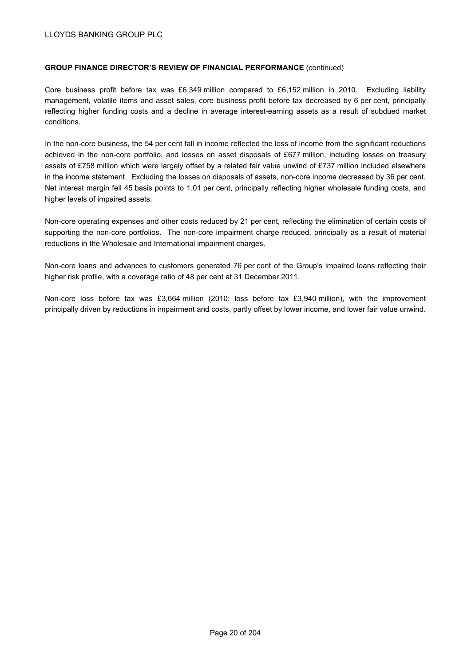Core business profit before tax was £6,349 million compared to £6,152 million in 2010. Excluding liability management, volatile items and asset sales, core business profit before tax decreased by 6 per cent, principally reflecting higher funding costs and a decline in average interest-earning assets as a result of subdued market conditions.

In the non-core business, the 54 per cent fall in income reflected the loss of income from the significant reductions achieved in the non-core portfolio, and losses on asset disposals of £677 million, including losses on treasury assets of £758 million which were largely offset by a related fair value unwind of £737 million included elsewhere in the income statement. Excluding the losses on disposals of assets, non-core income decreased by 36 per cent. Net interest margin fell 45 basis points to 1.01 per cent, principally reflecting higher wholesale funding costs, and higher levels of impaired assets.

Non-core operating expenses and other costs reduced by 21 per cent, reflecting the elimination of certain costs of supporting the non-core portfolios. The non-core impairment charge reduced, principally as a result of material reductions in the Wholesale and International impairment charges.

Non-core loans and advances to customers generated 76 per cent of the Group's impaired loans reflecting their higher risk profile, with a coverage ratio of 48 per cent at 31 December 2011.

Non-core loss before tax was £3,664 million (2010: loss before tax £3,940 million), with the improvement principally driven by reductions in impairment and costs, partly offset by lower income, and lower fair value unwind.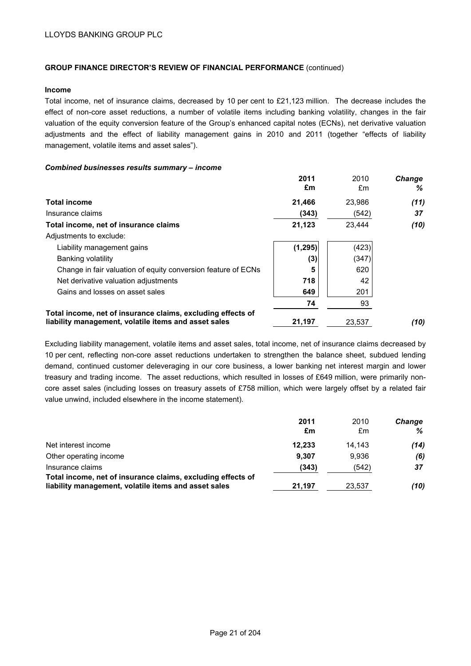## **Income**

Total income, net of insurance claims, decreased by 10 per cent to £21,123 million. The decrease includes the effect of non-core asset reductions, a number of volatile items including banking volatility, changes in the fair valuation of the equity conversion feature of the Group's enhanced capital notes (ECNs), net derivative valuation adjustments and the effect of liability management gains in 2010 and 2011 (together "effects of liability management, volatile items and asset sales").

#### *Combined businesses results summary – income*

|                                                                                                                     | 2011<br>£m | 2010<br>£m | <b>Change</b><br>℅ |
|---------------------------------------------------------------------------------------------------------------------|------------|------------|--------------------|
| <b>Total income</b>                                                                                                 | 21,466     | 23,986     | (11)               |
| Insurance claims                                                                                                    | (343)      | (542)      | 37                 |
| Total income, net of insurance claims                                                                               | 21,123     | 23,444     | (10)               |
| Adjustments to exclude:                                                                                             |            |            |                    |
| Liability management gains                                                                                          | (1, 295)   | (423)      |                    |
| Banking volatility                                                                                                  | (3)        | (347)      |                    |
| Change in fair valuation of equity conversion feature of ECNs                                                       | 5          | 620        |                    |
| Net derivative valuation adjustments                                                                                | 718        | 42         |                    |
| Gains and losses on asset sales                                                                                     | 649        | 201        |                    |
|                                                                                                                     | 74         | 93         |                    |
| Total income, net of insurance claims, excluding effects of<br>liability management, volatile items and asset sales | 21,197     | 23.537     | (10)               |

Excluding liability management, volatile items and asset sales, total income, net of insurance claims decreased by 10 per cent, reflecting non-core asset reductions undertaken to strengthen the balance sheet, subdued lending demand, continued customer deleveraging in our core business, a lower banking net interest margin and lower treasury and trading income. The asset reductions, which resulted in losses of £649 million, were primarily noncore asset sales (including losses on treasury assets of £758 million, which were largely offset by a related fair value unwind, included elsewhere in the income statement).

|                                                                                                                     | 2011   | 2010   | <b>Change</b> |
|---------------------------------------------------------------------------------------------------------------------|--------|--------|---------------|
|                                                                                                                     | £m     | £m     | ℅             |
| Net interest income                                                                                                 | 12.233 | 14.143 | (14)          |
| Other operating income                                                                                              | 9.307  | 9.936  | (6)           |
| Insurance claims                                                                                                    | (343)  | (542)  | 37            |
| Total income, net of insurance claims, excluding effects of<br>liability management, volatile items and asset sales | 21.197 | 23.537 | (10)          |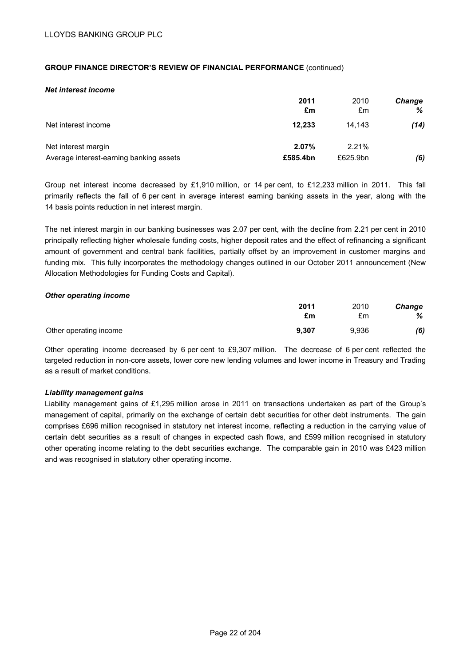#### *Net interest income*

|                                         | 2011     | 2010     | <b>Change</b> |
|-----------------------------------------|----------|----------|---------------|
|                                         | £m       | £m       | %             |
| Net interest income                     | 12.233   | 14.143   | (14)          |
| Net interest margin                     | $2.07\%$ | 2.21%    | (6)           |
| Average interest-earning banking assets | £585.4bn | £625.9bn |               |

Group net interest income decreased by £1,910 million, or 14 per cent, to £12,233 million in 2011. This fall primarily reflects the fall of 6 per cent in average interest earning banking assets in the year, along with the 14 basis points reduction in net interest margin.

The net interest margin in our banking businesses was 2.07 per cent, with the decline from 2.21 per cent in 2010 principally reflecting higher wholesale funding costs, higher deposit rates and the effect of refinancing a significant amount of government and central bank facilities, partially offset by an improvement in customer margins and funding mix. This fully incorporates the methodology changes outlined in our October 2011 announcement (New Allocation Methodologies for Funding Costs and Capital).

#### *Other operating income*

|                        | 2011  | 2010  | Change |
|------------------------|-------|-------|--------|
|                        | £m    | £m    | %      |
| Other operating income | 9.307 | 9.936 | (6)    |

Other operating income decreased by 6 per cent to £9,307 million. The decrease of 6 per cent reflected the targeted reduction in non-core assets, lower core new lending volumes and lower income in Treasury and Trading as a result of market conditions.

#### *Liability management gains*

Liability management gains of £1,295 million arose in 2011 on transactions undertaken as part of the Group's management of capital, primarily on the exchange of certain debt securities for other debt instruments. The gain comprises £696 million recognised in statutory net interest income, reflecting a reduction in the carrying value of certain debt securities as a result of changes in expected cash flows, and £599 million recognised in statutory other operating income relating to the debt securities exchange. The comparable gain in 2010 was £423 million and was recognised in statutory other operating income.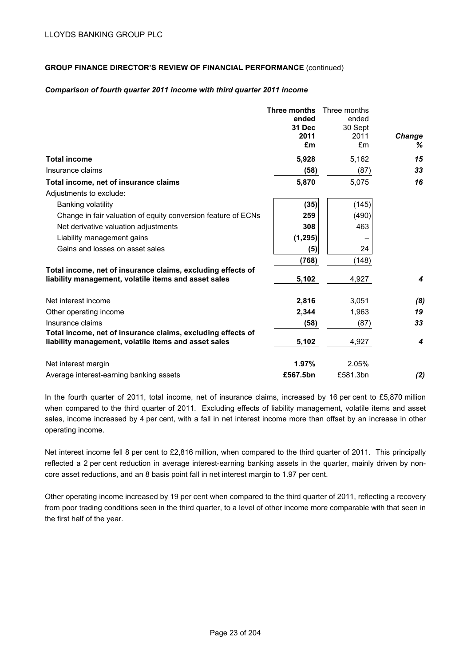#### *Comparison of fourth quarter 2011 income with third quarter 2011 income*

|                                                                                                                     | Three months<br>ended<br><b>31 Dec</b><br>2011<br>£m | Three months<br>ended<br>30 Sept<br>2011<br>£m | <b>Change</b><br>% |
|---------------------------------------------------------------------------------------------------------------------|------------------------------------------------------|------------------------------------------------|--------------------|
| <b>Total income</b>                                                                                                 | 5,928                                                | 5,162                                          | 15                 |
| Insurance claims                                                                                                    | (58)                                                 | (87)                                           | 33                 |
| Total income, net of insurance claims                                                                               | 5,870                                                | 5,075                                          | 16                 |
| Adjustments to exclude:                                                                                             |                                                      |                                                |                    |
| Banking volatility                                                                                                  | (35)                                                 | (145)                                          |                    |
| Change in fair valuation of equity conversion feature of ECNs                                                       | 259                                                  | (490)                                          |                    |
| Net derivative valuation adjustments                                                                                | 308                                                  | 463                                            |                    |
| Liability management gains                                                                                          | (1, 295)                                             |                                                |                    |
| Gains and losses on asset sales                                                                                     | (5)                                                  | 24                                             |                    |
|                                                                                                                     | (768)                                                | (148)                                          |                    |
| Total income, net of insurance claims, excluding effects of<br>liability management, volatile items and asset sales | 5,102                                                | 4,927                                          | 4                  |
| Net interest income                                                                                                 | 2,816                                                | 3,051                                          | (8)                |
| Other operating income                                                                                              | 2,344                                                | 1,963                                          | 19                 |
| Insurance claims                                                                                                    | (58)                                                 | (87)                                           | 33                 |
| Total income, net of insurance claims, excluding effects of<br>liability management, volatile items and asset sales | 5,102                                                | 4,927                                          | 4                  |
| Net interest margin                                                                                                 | 1.97%                                                | 2.05%                                          |                    |
| Average interest-earning banking assets                                                                             | £567.5bn                                             | £581.3bn                                       | (2)                |

In the fourth quarter of 2011, total income, net of insurance claims, increased by 16 per cent to £5,870 million when compared to the third quarter of 2011. Excluding effects of liability management, volatile items and asset sales, income increased by 4 per cent, with a fall in net interest income more than offset by an increase in other operating income.

Net interest income fell 8 per cent to £2,816 million, when compared to the third quarter of 2011. This principally reflected a 2 per cent reduction in average interest-earning banking assets in the quarter, mainly driven by noncore asset reductions, and an 8 basis point fall in net interest margin to 1.97 per cent.

Other operating income increased by 19 per cent when compared to the third quarter of 2011, reflecting a recovery from poor trading conditions seen in the third quarter, to a level of other income more comparable with that seen in the first half of the year.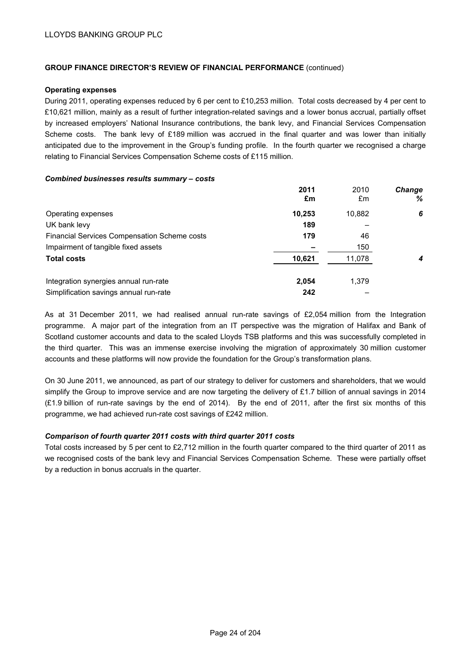#### **Operating expenses**

During 2011, operating expenses reduced by 6 per cent to £10,253 million. Total costs decreased by 4 per cent to £10,621 million, mainly as a result of further integration-related savings and a lower bonus accrual, partially offset by increased employers' National Insurance contributions, the bank levy, and Financial Services Compensation Scheme costs. The bank levy of £189 million was accrued in the final quarter and was lower than initially anticipated due to the improvement in the Group's funding profile. In the fourth quarter we recognised a charge relating to Financial Services Compensation Scheme costs of £115 million.

#### *Combined businesses results summary – costs*

|                                                     | 2011<br>£m | 2010<br>£m | Change<br>% |
|-----------------------------------------------------|------------|------------|-------------|
| Operating expenses                                  | 10.253     | 10,882     | 6           |
| UK bank levy                                        | 189        |            |             |
| <b>Financial Services Compensation Scheme costs</b> | 179        | 46         |             |
| Impairment of tangible fixed assets                 |            | 150        |             |
| <b>Total costs</b>                                  | 10,621     | 11,078     | 4           |
| Integration synergies annual run-rate               | 2,054      | 1,379      |             |
| Simplification savings annual run-rate              | 242        |            |             |

As at 31 December 2011, we had realised annual run-rate savings of £2,054 million from the Integration programme. A major part of the integration from an IT perspective was the migration of Halifax and Bank of Scotland customer accounts and data to the scaled Lloyds TSB platforms and this was successfully completed in the third quarter. This was an immense exercise involving the migration of approximately 30 million customer accounts and these platforms will now provide the foundation for the Group's transformation plans.

On 30 June 2011, we announced, as part of our strategy to deliver for customers and shareholders, that we would simplify the Group to improve service and are now targeting the delivery of £1.7 billion of annual savings in 2014 (£1.9 billion of run-rate savings by the end of 2014). By the end of 2011, after the first six months of this programme, we had achieved run-rate cost savings of £242 million.

## *Comparison of fourth quarter 2011 costs with third quarter 2011 costs*

Total costs increased by 5 per cent to £2,712 million in the fourth quarter compared to the third quarter of 2011 as we recognised costs of the bank levy and Financial Services Compensation Scheme. These were partially offset by a reduction in bonus accruals in the quarter.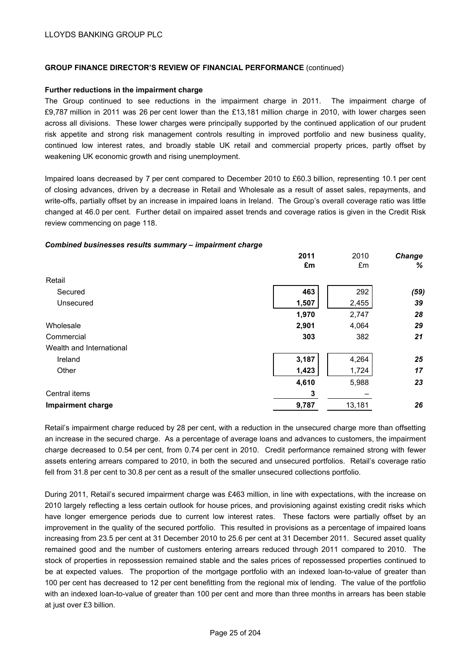#### **Further reductions in the impairment charge**

The Group continued to see reductions in the impairment charge in 2011. The impairment charge of £9,787 million in 2011 was 26 per cent lower than the £13,181 million charge in 2010, with lower charges seen across all divisions. These lower charges were principally supported by the continued application of our prudent risk appetite and strong risk management controls resulting in improved portfolio and new business quality, continued low interest rates, and broadly stable UK retail and commercial property prices, partly offset by weakening UK economic growth and rising unemployment.

Impaired loans decreased by 7 per cent compared to December 2010 to £60.3 billion, representing 10.1 per cent of closing advances, driven by a decrease in Retail and Wholesale as a result of asset sales, repayments, and write-offs, partially offset by an increase in impaired loans in Ireland. The Group's overall coverage ratio was little changed at 46.0 per cent. Further detail on impaired asset trends and coverage ratios is given in the Credit Risk review commencing on page 118.

#### *Combined businesses results summary – impairment charge*

|                          | 2011  | 2010   | <b>Change</b> |
|--------------------------|-------|--------|---------------|
|                          | £m    | £m     | %             |
| Retail                   |       |        |               |
| Secured                  | 463   | 292    | (59)          |
| Unsecured                | 1,507 | 2,455  | 39            |
|                          | 1,970 | 2,747  | 28            |
| Wholesale                | 2,901 | 4,064  | 29            |
| Commercial               | 303   | 382    | 21            |
| Wealth and International |       |        |               |
| Ireland                  | 3,187 | 4,264  | 25            |
| Other                    | 1,423 | 1,724  | 17            |
|                          | 4,610 | 5,988  | 23            |
| Central items            | 3     |        |               |
| <b>Impairment charge</b> | 9,787 | 13,181 | 26            |

Retail's impairment charge reduced by 28 per cent, with a reduction in the unsecured charge more than offsetting an increase in the secured charge. As a percentage of average loans and advances to customers, the impairment charge decreased to 0.54 per cent, from 0.74 per cent in 2010. Credit performance remained strong with fewer assets entering arrears compared to 2010, in both the secured and unsecured portfolios. Retail's coverage ratio fell from 31.8 per cent to 30.8 per cent as a result of the smaller unsecured collections portfolio.

During 2011, Retail's secured impairment charge was £463 million, in line with expectations, with the increase on 2010 largely reflecting a less certain outlook for house prices, and provisioning against existing credit risks which have longer emergence periods due to current low interest rates. These factors were partially offset by an improvement in the quality of the secured portfolio. This resulted in provisions as a percentage of impaired loans increasing from 23.5 per cent at 31 December 2010 to 25.6 per cent at 31 December 2011. Secured asset quality remained good and the number of customers entering arrears reduced through 2011 compared to 2010. The stock of properties in repossession remained stable and the sales prices of repossessed properties continued to be at expected values. The proportion of the mortgage portfolio with an indexed loan-to-value of greater than 100 per cent has decreased to 12 per cent benefitting from the regional mix of lending. The value of the portfolio with an indexed loan-to-value of greater than 100 per cent and more than three months in arrears has been stable at just over £3 billion.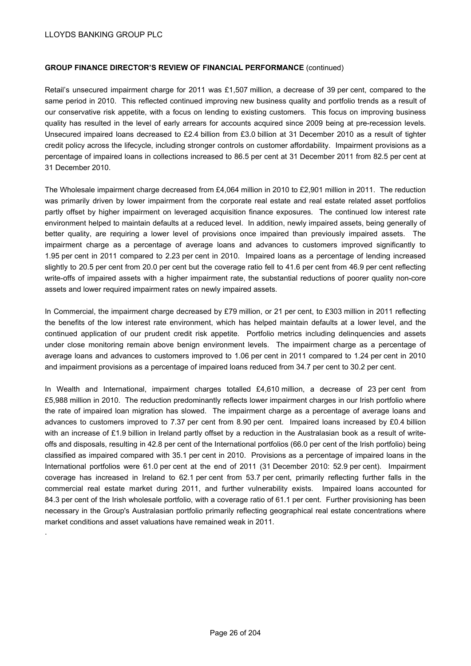.

## **GROUP FINANCE DIRECTOR'S REVIEW OF FINANCIAL PERFORMANCE** (continued)

Retail's unsecured impairment charge for 2011 was £1,507 million, a decrease of 39 per cent, compared to the same period in 2010. This reflected continued improving new business quality and portfolio trends as a result of our conservative risk appetite, with a focus on lending to existing customers. This focus on improving business quality has resulted in the level of early arrears for accounts acquired since 2009 being at pre-recession levels. Unsecured impaired loans decreased to £2.4 billion from £3.0 billion at 31 December 2010 as a result of tighter credit policy across the lifecycle, including stronger controls on customer affordability. Impairment provisions as a percentage of impaired loans in collections increased to 86.5 per cent at 31 December 2011 from 82.5 per cent at 31 December 2010.

The Wholesale impairment charge decreased from £4,064 million in 2010 to £2,901 million in 2011. The reduction was primarily driven by lower impairment from the corporate real estate and real estate related asset portfolios partly offset by higher impairment on leveraged acquisition finance exposures. The continued low interest rate environment helped to maintain defaults at a reduced level. In addition, newly impaired assets, being generally of better quality, are requiring a lower level of provisions once impaired than previously impaired assets. The impairment charge as a percentage of average loans and advances to customers improved significantly to 1.95 per cent in 2011 compared to 2.23 per cent in 2010. Impaired loans as a percentage of lending increased slightly to 20.5 per cent from 20.0 per cent but the coverage ratio fell to 41.6 per cent from 46.9 per cent reflecting write-offs of impaired assets with a higher impairment rate, the substantial reductions of poorer quality non-core assets and lower required impairment rates on newly impaired assets.

In Commercial, the impairment charge decreased by £79 million, or 21 per cent, to £303 million in 2011 reflecting the benefits of the low interest rate environment, which has helped maintain defaults at a lower level, and the continued application of our prudent credit risk appetite. Portfolio metrics including delinquencies and assets under close monitoring remain above benign environment levels.The impairment charge as a percentage of average loans and advances to customers improved to 1.06 per cent in 2011 compared to 1.24 per cent in 2010 and impairment provisions as a percentage of impaired loans reduced from 34.7 per cent to 30.2 per cent.

In Wealth and International, impairment charges totalled £4,610 million, a decrease of 23 per cent from £5,988 million in 2010. The reduction predominantly reflects lower impairment charges in our Irish portfolio where the rate of impaired loan migration has slowed. The impairment charge as a percentage of average loans and advances to customers improved to 7.37 per cent from 8.90 per cent. Impaired loans increased by £0.4 billion with an increase of £1.9 billion in Ireland partly offset by a reduction in the Australasian book as a result of writeoffs and disposals, resulting in 42.8 per cent of the International portfolios (66.0 per cent of the Irish portfolio) being classified as impaired compared with 35.1 per cent in 2010. Provisions as a percentage of impaired loans in the International portfolios were 61.0 per cent at the end of 2011 (31 December 2010: 52.9 per cent). Impairment coverage has increased in Ireland to 62.1 per cent from 53.7 per cent, primarily reflecting further falls in the commercial real estate market during 2011, and further vulnerability exists. Impaired loans accounted for 84.3 per cent of the Irish wholesale portfolio, with a coverage ratio of 61.1 per cent. Further provisioning has been necessary in the Group's Australasian portfolio primarily reflecting geographical real estate concentrations where market conditions and asset valuations have remained weak in 2011.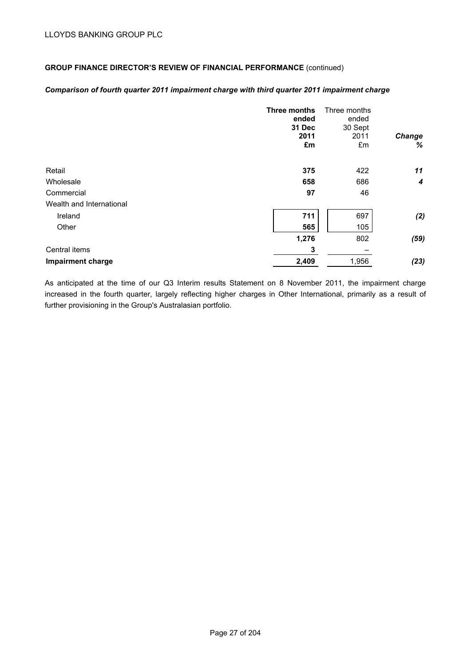### *Comparison of fourth quarter 2011 impairment charge with third quarter 2011 impairment charge*

|                          | Three months<br>ended<br>31 Dec | Three months<br>ended<br>30 Sept |                    |
|--------------------------|---------------------------------|----------------------------------|--------------------|
|                          | 2011<br>£m                      | 2011<br>£m                       | <b>Change</b><br>% |
|                          |                                 |                                  |                    |
| Retail                   | 375                             | 422                              | 11                 |
| Wholesale                | 658                             | 686                              | $\boldsymbol{4}$   |
| Commercial               | 97                              | 46                               |                    |
| Wealth and International |                                 |                                  |                    |
| Ireland                  | 711                             | 697                              | (2)                |
| Other                    | 565                             | 105                              |                    |
|                          | 1,276                           | 802                              | (59)               |
| Central items            | 3                               |                                  |                    |
| <b>Impairment charge</b> | 2,409                           | 1,956                            | (23)               |

As anticipated at the time of our Q3 Interim results Statement on 8 November 2011, the impairment charge increased in the fourth quarter, largely reflecting higher charges in Other International, primarily as a result of further provisioning in the Group's Australasian portfolio.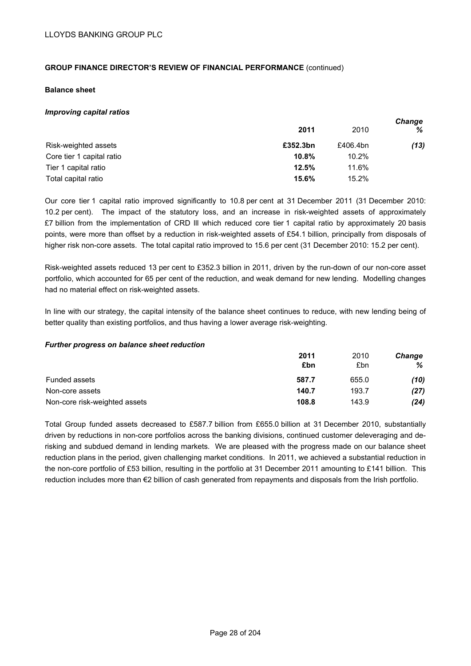#### **Balance sheet**

#### *Improving capital ratios*

|                           | 2011     | 2010     | Change<br>% |
|---------------------------|----------|----------|-------------|
| Risk-weighted assets      | £352.3bn | £406.4bn | (13)        |
| Core tier 1 capital ratio | 10.8%    | 10.2%    |             |
| Tier 1 capital ratio      | 12.5%    | 11.6%    |             |
| Total capital ratio       | 15.6%    | 15.2%    |             |

Our core tier 1 capital ratio improved significantly to 10.8 per cent at 31 December 2011 (31 December 2010: 10.2 per cent). The impact of the statutory loss, and an increase in risk-weighted assets of approximately £7 billion from the implementation of CRD lll which reduced core tier 1 capital ratio by approximately 20 basis points, were more than offset by a reduction in risk-weighted assets of £54.1 billion, principally from disposals of higher risk non-core assets. The total capital ratio improved to 15.6 per cent (31 December 2010: 15.2 per cent).

Risk-weighted assets reduced 13 per cent to £352.3 billion in 2011, driven by the run-down of our non-core asset portfolio, which accounted for 65 per cent of the reduction, and weak demand for new lending. Modelling changes had no material effect on risk-weighted assets.

In line with our strategy, the capital intensity of the balance sheet continues to reduce, with new lending being of better quality than existing portfolios, and thus having a lower average risk-weighting.

### *Further progress on balance sheet reduction*

|                               | 2011  | 2010  | <b>Change</b> |
|-------------------------------|-------|-------|---------------|
|                               | £bn   | £bn   | %             |
| Funded assets                 | 587.7 | 655.0 | (10)          |
| Non-core assets               | 140.7 | 193.7 | (27)          |
| Non-core risk-weighted assets | 108.8 | 143.9 | (24)          |

Total Group funded assets decreased to £587.7 billion from £655.0 billion at 31 December 2010, substantially driven by reductions in non-core portfolios across the banking divisions, continued customer deleveraging and derisking and subdued demand in lending markets. We are pleased with the progress made on our balance sheet reduction plans in the period, given challenging market conditions. In 2011, we achieved a substantial reduction in the non-core portfolio of £53 billion, resulting in the portfolio at 31 December 2011 amounting to £141 billion. This reduction includes more than €2 billion of cash generated from repayments and disposals from the Irish portfolio.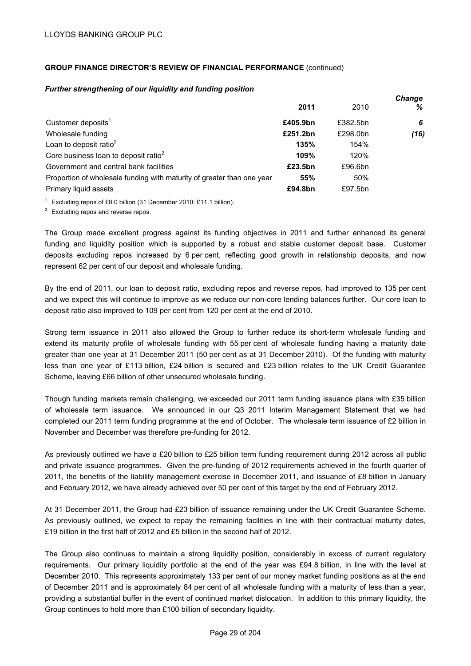#### *Further strengthening of our liquidity and funding position*

|                                                                        |          |          | <b>Change</b> |
|------------------------------------------------------------------------|----------|----------|---------------|
|                                                                        | 2011     | 2010     | ℅             |
| Customer deposits <sup>1</sup>                                         | £405.9bn | £382.5bn | 6             |
| Wholesale funding                                                      | £251.2bn | £298.0bn | (16)          |
| Loan to deposit ratio $2$                                              | 135%     | 154%     |               |
| Core business loan to deposit ratio <sup>2</sup>                       | 109%     | 120%     |               |
| Government and central bank facilities                                 | £23.5bn  | £96.6bn  |               |
| Proportion of wholesale funding with maturity of greater than one year | 55%      | 50%      |               |
| Primary liquid assets                                                  | £94.8bn  | £97.5bn  |               |
|                                                                        |          |          |               |

<sup>1</sup> Excluding repos of £8.0 billion (31 December 2010: £11.1 billion).

<sup>2</sup> Excluding repos and reverse repos.

The Group made excellent progress against its funding objectives in 2011 and further enhanced its general funding and liquidity position which is supported by a robust and stable customer deposit base. Customer deposits excluding repos increased by 6 per cent, reflecting good growth in relationship deposits, and now represent 62 per cent of our deposit and wholesale funding.

By the end of 2011, our loan to deposit ratio, excluding repos and reverse repos, had improved to 135 per cent and we expect this will continue to improve as we reduce our non-core lending balances further. Our core loan to deposit ratio also improved to 109 per cent from 120 per cent at the end of 2010.

Strong term issuance in 2011 also allowed the Group to further reduce its short-term wholesale funding and extend its maturity profile of wholesale funding with 55 per cent of wholesale funding having a maturity date greater than one year at 31 December 2011 (50 per cent as at 31 December 2010). Of the funding with maturity less than one year of £113 billion, £24 billion is secured and £23 billion relates to the UK Credit Guarantee Scheme, leaving £66 billion of other unsecured wholesale funding.

Though funding markets remain challenging, we exceeded our 2011 term funding issuance plans with £35 billion of wholesale term issuance. We announced in our Q3 2011 Interim Management Statement that we had completed our 2011 term funding programme at the end of October. The wholesale term issuance of £2 billion in November and December was therefore pre-funding for 2012.

As previously outlined we have a £20 billion to £25 billion term funding requirement during 2012 across all public and private issuance programmes. Given the pre-funding of 2012 requirements achieved in the fourth quarter of 2011, the benefits of the liability management exercise in December 2011, and issuance of £8 billion in January and February 2012, we have already achieved over 50 per cent of this target by the end of February 2012.

At 31 December 2011, the Group had £23 billion of issuance remaining under the UK Credit Guarantee Scheme. As previously outlined, we expect to repay the remaining facilities in line with their contractual maturity dates, £19 billion in the first half of 2012 and £5 billion in the second half of 2012.

The Group also continues to maintain a strong liquidity position, considerably in excess of current regulatory requirements. Our primary liquidity portfolio at the end of the year was £94.8 billion, in line with the level at December 2010. This represents approximately 133 per cent of our money market funding positions as at the end of December 2011 and is approximately 84 per cent of all wholesale funding with a maturity of less than a year, providing a substantial buffer in the event of continued market dislocation. In addition to this primary liquidity, the Group continues to hold more than £100 billion of secondary liquidity.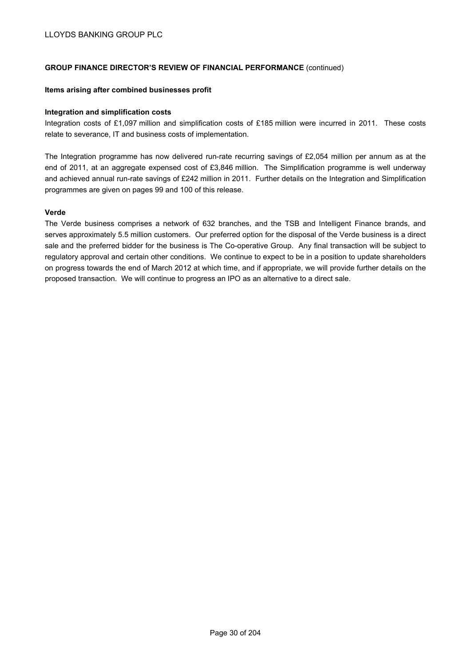#### **Items arising after combined businesses profit**

#### **Integration and simplification costs**

Integration costs of £1,097 million and simplification costs of £185 million were incurred in 2011. These costs relate to severance, IT and business costs of implementation.

The Integration programme has now delivered run-rate recurring savings of £2,054 million per annum as at the end of 2011, at an aggregate expensed cost of £3,846 million. The Simplification programme is well underway and achieved annual run-rate savings of £242 million in 2011. Further details on the Integration and Simplification programmes are given on pages 99 and 100 of this release.

#### **Verde**

The Verde business comprises a network of 632 branches, and the TSB and Intelligent Finance brands, and serves approximately 5.5 million customers. Our preferred option for the disposal of the Verde business is a direct sale and the preferred bidder for the business is The Co-operative Group. Any final transaction will be subject to regulatory approval and certain other conditions. We continue to expect to be in a position to update shareholders on progress towards the end of March 2012 at which time, and if appropriate, we will provide further details on the proposed transaction. We will continue to progress an IPO as an alternative to a direct sale.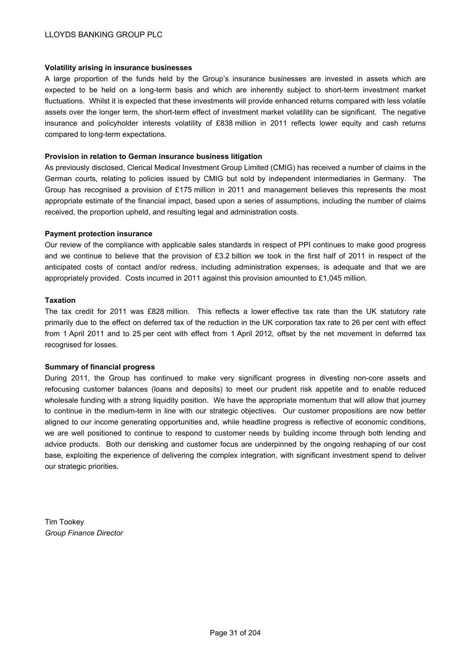#### **Volatility arising in insurance businesses**

A large proportion of the funds held by the Group's insurance businesses are invested in assets which are expected to be held on a long-term basis and which are inherently subject to short-term investment market fluctuations. Whilst it is expected that these investments will provide enhanced returns compared with less volatile assets over the longer term, the short-term effect of investment market volatility can be significant. The negative insurance and policyholder interests volatility of £838 million in 2011 reflects lower equity and cash returns compared to long-term expectations.

#### **Provision in relation to German insurance business litigation**

As previously disclosed, Clerical Medical Investment Group Limited (CMIG) has received a number of claims in the German courts, relating to policies issued by CMIG but sold by independent intermediaries in Germany. The Group has recognised a provision of £175 million in 2011 and management believes this represents the most appropriate estimate of the financial impact, based upon a series of assumptions, including the number of claims received, the proportion upheld, and resulting legal and administration costs.

#### **Payment protection insurance**

Our review of the compliance with applicable sales standards in respect of PPI continues to make good progress and we continue to believe that the provision of £3.2 billion we took in the first half of 2011 in respect of the anticipated costs of contact and/or redress, including administration expenses, is adequate and that we are appropriately provided. Costs incurred in 2011 against this provision amounted to £1,045 million.

#### **Taxation**

The tax credit for 2011 was £828 million. This reflects a lower effective tax rate than the UK statutory rate primarily due to the effect on deferred tax of the reduction in the UK corporation tax rate to 26 per cent with effect from 1 April 2011 and to 25 per cent with effect from 1 April 2012, offset by the net movement in deferred tax recognised for losses.

#### **Summary of financial progress**

During 2011, the Group has continued to make very significant progress in divesting non-core assets and refocusing customer balances (loans and deposits) to meet our prudent risk appetite and to enable reduced wholesale funding with a strong liquidity position. We have the appropriate momentum that will allow that journey to continue in the medium-term in line with our strategic objectives. Our customer propositions are now better aligned to our income generating opportunities and, while headline progress is reflective of economic conditions, we are well positioned to continue to respond to customer needs by building income through both lending and advice products. Both our derisking and customer focus are underpinned by the ongoing reshaping of our cost base, exploiting the experience of delivering the complex integration, with significant investment spend to deliver our strategic priorities.

Tim Tookey *Group Finance Director*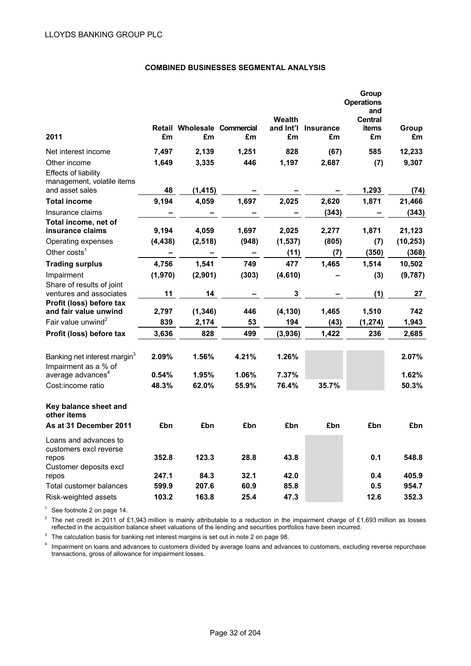# **COMBINED BUSINESSES SEGMENTAL ANALYSIS**

|                                                                    |          |          | Retail Wholesale Commercial | Wealth<br>and Int'l | <b>Insurance</b> | Group<br><b>Operations</b><br>and<br><b>Central</b><br>items | Group     |
|--------------------------------------------------------------------|----------|----------|-----------------------------|---------------------|------------------|--------------------------------------------------------------|-----------|
| 2011                                                               | £m       | £m       | £m                          | £m                  | £m               | £m                                                           | £m        |
| Net interest income                                                | 7,497    | 2,139    | 1,251                       | 828                 | (67)             | 585                                                          | 12,233    |
| Other income<br>Effects of liability<br>management, volatile items | 1,649    | 3,335    | 446                         | 1,197               | 2,687            | (7)                                                          | 9,307     |
| and asset sales                                                    | 48       | (1, 415) |                             |                     |                  | 1,293                                                        | (74)      |
| <b>Total income</b>                                                | 9,194    | 4,059    | 1,697                       | 2,025               | 2,620            | 1,871                                                        | 21,466    |
| Insurance claims                                                   |          |          |                             |                     | (343)            |                                                              | (343)     |
| Total income, net of<br>insurance claims                           | 9,194    | 4,059    | 1,697                       | 2,025               | 2,277            | 1,871                                                        | 21,123    |
| Operating expenses                                                 | (4, 438) | (2, 518) | (948)                       | (1, 537)            | (805)            | (7)                                                          | (10, 253) |
| Other $costs1$                                                     | -        |          |                             | (11)                | (7)              | (350)                                                        | (368)     |
| <b>Trading surplus</b>                                             | 4,756    | 1,541    | 749                         | 477                 | 1,465            | 1,514                                                        | 10,502    |
| Impairment                                                         |          |          |                             | (4, 610)            |                  |                                                              |           |
| Share of results of joint                                          | (1,970)  | (2,901)  | (303)                       |                     |                  | (3)                                                          | (9,787)   |
| ventures and associates                                            | 11       | 14       |                             | $\mathbf 3$         |                  | (1)                                                          | 27        |
| Profit (loss) before tax                                           |          |          |                             |                     |                  |                                                              |           |
| and fair value unwind                                              | 2,797    | (1, 346) | 446                         | (4, 130)            | 1,465            | 1,510                                                        | 742       |
| Fair value unwind <sup>2</sup>                                     | 839      | 2,174    | 53                          | 194                 | (43)             | (1, 274)                                                     | 1,943     |
| Profit (loss) before tax                                           | 3,636    | 828      | 499                         | (3,936)             | 1,422            | 236                                                          | 2,685     |
| Banking net interest margin <sup>3</sup><br>Impairment as a % of   | 2.09%    | 1.56%    | 4.21%                       | 1.26%               |                  |                                                              | 2.07%     |
| average advances <sup>4</sup>                                      | 0.54%    | 1.95%    | 1.06%                       | 7.37%               |                  |                                                              | 1.62%     |
| Cost:income ratio                                                  | 48.3%    | 62.0%    | 55.9%                       | 76.4%               | 35.7%            |                                                              | 50.3%     |
| Key balance sheet and<br>other items                               |          |          |                             |                     |                  |                                                              |           |
| As at 31 December 2011                                             | £bn      | £bn      | £bn                         | £bn                 | £bn              | £bn                                                          | £bn       |
| Loans and advances to<br>customers excl reverse                    |          |          |                             |                     |                  |                                                              |           |
| repos                                                              | 352.8    | 123.3    | 28.8                        | 43.8                |                  | 0.1                                                          | 548.8     |
| Customer deposits excl<br>repos                                    | 247.1    | 84.3     | 32.1                        | 42.0                |                  | 0.4                                                          | 405.9     |
| <b>Total customer balances</b>                                     | 599.9    | 207.6    | 60.9                        | 85.8                |                  | 0.5                                                          | 954.7     |
| Risk-weighted assets                                               | 103.2    | 163.8    | 25.4                        | 47.3                |                  | 12.6                                                         | 352.3     |
|                                                                    |          |          |                             |                     |                  |                                                              |           |

 $1$  See footnote 2 on page 14.

<sup>2</sup> The net credit in 2011 of £1,943 million is mainly attributable to a reduction in the impairment charge of £1,693 million as losses reflected in the acquisition balance sheet valuations of the lending and securities portfolios have been incurred.

<sup>3</sup> The calculation basis for banking net interest margins is set out in note 2 on page 98.

<sup>4</sup> Impairment on loans and advances to customers divided by average loans and advances to customers, excluding reverse repurchase transactions, gross of allowance for impairment losses.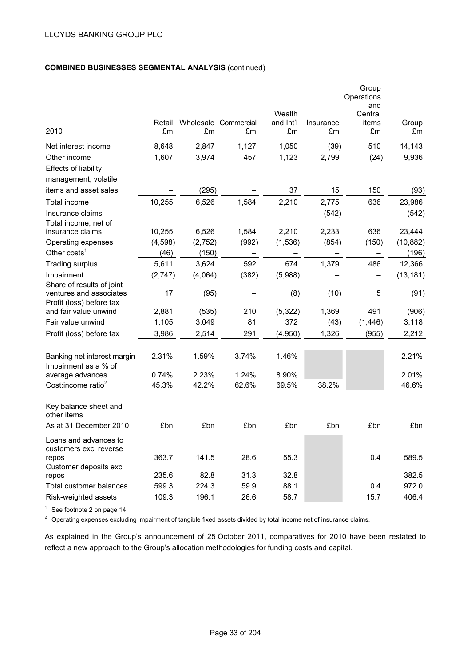## **COMBINED BUSINESSES SEGMENTAL ANALYSIS** (continued)

|                                                      | Retail  |         | Wholesale Commercial | Wealth<br>and Int'l | Insurance | Group<br>Operations<br>and<br>Central<br>items | Group     |
|------------------------------------------------------|---------|---------|----------------------|---------------------|-----------|------------------------------------------------|-----------|
| 2010                                                 | £m      | £m      | £m                   | £m                  | £m        | £m                                             | £m        |
| Net interest income                                  | 8,648   | 2,847   | 1,127                | 1,050               | (39)      | 510                                            | 14,143    |
| Other income<br><b>Effects of liability</b>          | 1,607   | 3,974   | 457                  | 1,123               | 2,799     | (24)                                           | 9,936     |
| management, volatile                                 |         |         |                      |                     |           |                                                |           |
| items and asset sales                                |         | (295)   |                      | 37                  | 15        | 150                                            | (93)      |
| Total income                                         | 10,255  | 6,526   | 1,584                | 2,210               | 2,775     | 636                                            | 23,986    |
| Insurance claims                                     |         |         |                      |                     | (542)     |                                                | (542)     |
| Total income, net of<br>insurance claims             | 10,255  | 6,526   | 1,584                | 2,210               | 2,233     | 636                                            | 23,444    |
| Operating expenses                                   | (4,598) | (2,752) | (992)                | (1, 536)            | (854)     | (150)                                          | (10, 882) |
| Other $costs1$                                       | (46)    | (150)   |                      |                     |           |                                                | (196)     |
| <b>Trading surplus</b>                               | 5,611   | 3,624   | 592                  | 674                 | 1,379     | 486                                            | 12,366    |
| Impairment                                           | (2,747) | (4,064) | (382)                | (5,988)             |           |                                                | (13, 181) |
| Share of results of joint<br>ventures and associates | 17      | (95)    |                      | (8)                 | (10)      | 5                                              | (91)      |
| Profit (loss) before tax<br>and fair value unwind    | 2,881   | (535)   | 210                  | (5,322)             | 1,369     | 491                                            | (906)     |
| Fair value unwind                                    | 1,105   | 3,049   | 81                   | 372                 | (43)      | (1, 446)                                       | 3,118     |
| Profit (loss) before tax                             | 3,986   | 2,514   | 291                  | (4,950)             | 1,326     | (955)                                          | 2,212     |
|                                                      |         |         |                      |                     |           |                                                |           |
| Banking net interest margin<br>Impairment as a % of  | 2.31%   | 1.59%   | 3.74%                | 1.46%               |           |                                                | 2.21%     |
| average advances                                     | 0.74%   | 2.23%   | 1.24%                | 8.90%               |           |                                                | 2.01%     |
| Cost:income ratio <sup>2</sup>                       | 45.3%   | 42.2%   | 62.6%                | 69.5%               | 38.2%     |                                                | 46.6%     |
| Key balance sheet and<br>other items                 |         |         |                      |                     |           |                                                |           |
| As at 31 December 2010                               | £bn     | £bn     | £bn                  | £bn                 | £bn       | £bn                                            | £bn       |
| Loans and advances to<br>customers excl reverse      |         |         |                      |                     |           |                                                |           |
| repos<br>Customer deposits excl                      | 363.7   | 141.5   | 28.6                 | 55.3                |           | 0.4                                            | 589.5     |
| repos                                                | 235.6   | 82.8    | 31.3                 | 32.8                |           |                                                | 382.5     |
| <b>Total customer balances</b>                       | 599.3   | 224.3   | 59.9                 | 88.1                |           | 0.4                                            | 972.0     |
| Risk-weighted assets                                 | 109.3   | 196.1   | 26.6                 | 58.7                |           | 15.7                                           | 406.4     |

<sup>1</sup> See footnote 2 on page 14.

<sup>2</sup> Operating expenses excluding impairment of tangible fixed assets divided by total income net of insurance claims.

As explained in the Group's announcement of 25 October 2011, comparatives for 2010 have been restated to reflect a new approach to the Group's allocation methodologies for funding costs and capital.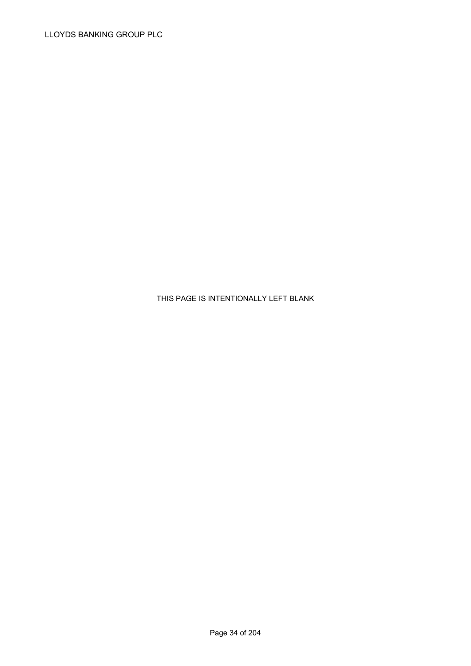THIS PAGE IS INTENTIONALLY LEFT BLANK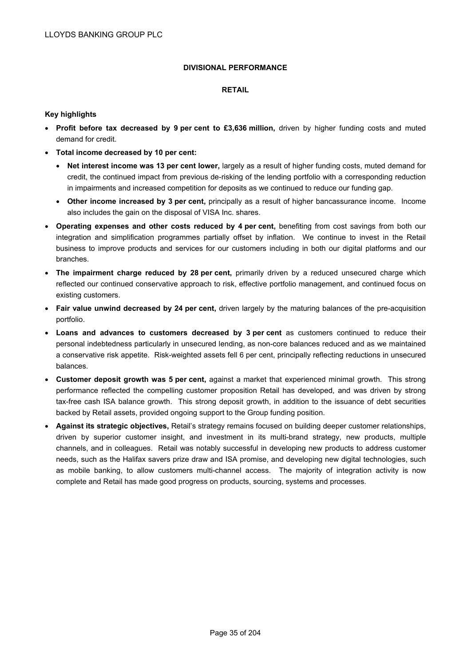## **DIVISIONAL PERFORMANCE**

## **RETAIL**

# **Key highlights**

- **Profit before tax decreased by 9 per cent to £3,636 million,** driven by higher funding costs and muted demand for credit.
- **Total income decreased by 10 per cent:** 
	- **Net interest income was 13 per cent lower,** largely as a result of higher funding costs, muted demand for credit, the continued impact from previous de-risking of the lending portfolio with a corresponding reduction in impairments and increased competition for deposits as we continued to reduce our funding gap.
	- **Other income increased by 3 per cent,** principally as a result of higher bancassurance income. Income also includes the gain on the disposal of VISA Inc. shares.
- Operating expenses and other costs reduced by 4 per cent, benefiting from cost savings from both our integration and simplification programmes partially offset by inflation. We continue to invest in the Retail business to improve products and services for our customers including in both our digital platforms and our branches.
- **The impairment charge reduced by 28 per cent,** primarily driven by a reduced unsecured charge which reflected our continued conservative approach to risk, effective portfolio management, and continued focus on existing customers.
- **Fair value unwind decreased by 24 per cent,** driven largely by the maturing balances of the pre-acquisition portfolio.
- **Loans and advances to customers decreased by 3 per cent** as customers continued to reduce their personal indebtedness particularly in unsecured lending, as non-core balances reduced and as we maintained a conservative risk appetite. Risk-weighted assets fell 6 per cent, principally reflecting reductions in unsecured balances.
- **Customer deposit growth was 5 per cent,** against a market that experienced minimal growth. This strong performance reflected the compelling customer proposition Retail has developed, and was driven by strong tax-free cash ISA balance growth. This strong deposit growth, in addition to the issuance of debt securities backed by Retail assets, provided ongoing support to the Group funding position.
- **Against its strategic objectives,** Retail's strategy remains focused on building deeper customer relationships, driven by superior customer insight, and investment in its multi-brand strategy, new products, multiple channels, and in colleagues. Retail was notably successful in developing new products to address customer needs, such as the Halifax savers prize draw and ISA promise, and developing new digital technologies, such as mobile banking, to allow customers multi-channel access. The majority of integration activity is now complete and Retail has made good progress on products, sourcing, systems and processes.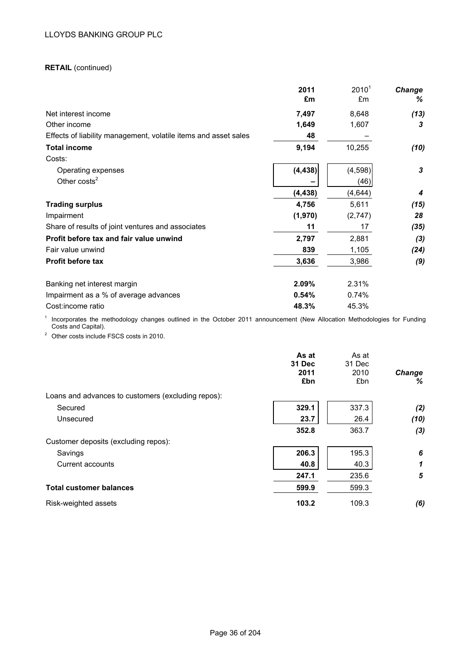|                                                                                                                          | 2011<br>£m | 2010 <sup>1</sup><br>£m | Change<br>℅ |
|--------------------------------------------------------------------------------------------------------------------------|------------|-------------------------|-------------|
| Net interest income                                                                                                      | 7,497      | 8,648                   | (13)        |
| Other income                                                                                                             | 1,649      | 1,607                   | 3           |
| Effects of liability management, volatile items and asset sales                                                          | 48         |                         |             |
| <b>Total income</b>                                                                                                      | 9,194      | 10,255                  | (10)        |
| Costs:                                                                                                                   |            |                         |             |
| Operating expenses                                                                                                       | (4, 438)   | (4, 598)                | 3           |
| Other $costs2$                                                                                                           |            | (46)                    |             |
|                                                                                                                          | (4, 438)   | (4,644)                 | 4           |
| <b>Trading surplus</b>                                                                                                   | 4,756      | 5,611                   | (15)        |
| Impairment                                                                                                               | (1,970)    | (2,747)                 | 28          |
| Share of results of joint ventures and associates                                                                        | 11         | 17                      | (35)        |
| Profit before tax and fair value unwind                                                                                  | 2,797      | 2,881                   | (3)         |
| Fair value unwind                                                                                                        | 839        | 1,105                   | (24)        |
| <b>Profit before tax</b>                                                                                                 | 3,636      | 3,986                   | (9)         |
| Banking net interest margin                                                                                              | 2.09%      | 2.31%                   |             |
| Impairment as a % of average advances                                                                                    | 0.54%      | 0.74%                   |             |
| Cost:income ratio                                                                                                        | 48.3%      | 45.3%                   |             |
| Incorporates the methodology changes outlined in the October 2011 announcement (New Allocation Methodologies for Funding |            |                         |             |

Costs and Capital).

 $2^2$  Other costs include FSCS costs in 2010.

| As at<br>31 Dec<br>2011<br>£bn | As at<br>31 Dec<br>2010<br>£bn | <b>Change</b><br>% |
|--------------------------------|--------------------------------|--------------------|
|                                |                                |                    |
| 329.1                          | 337.3                          | (2)                |
| 23.7                           | 26.4                           | (10)               |
| 352.8                          | 363.7                          | (3)                |
|                                |                                |                    |
| 206.3                          | 195.3                          | 6                  |
| 40.8                           | 40.3                           | 1                  |
| 247.1                          | 235.6                          | 5                  |
| 599.9                          | 599.3                          |                    |
| 103.2                          | 109.3                          | (6)                |
|                                |                                |                    |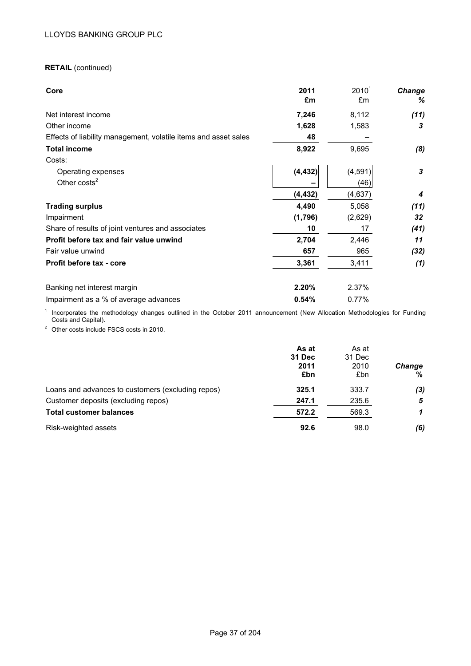| Core                                                            | 2011<br>£m | $2010^{1}$<br>£m | <b>Change</b><br>% |
|-----------------------------------------------------------------|------------|------------------|--------------------|
| Net interest income                                             | 7,246      | 8,112            | (11)               |
| Other income                                                    | 1,628      | 1,583            | 3                  |
| Effects of liability management, volatile items and asset sales | 48         |                  |                    |
| <b>Total income</b>                                             | 8,922      | 9,695            | (8)                |
| Costs:                                                          |            |                  |                    |
| Operating expenses                                              | (4, 432)   | (4, 591)         | 3                  |
| Other $costs2$                                                  |            | (46)             |                    |
|                                                                 | (4, 432)   | (4,637)          | 4                  |
| <b>Trading surplus</b>                                          | 4,490      | 5,058            | (11)               |
| Impairment                                                      | (1,796)    | (2,629)          | 32                 |
| Share of results of joint ventures and associates               | 10         | 17               | (41)               |
| Profit before tax and fair value unwind                         | 2,704      | 2,446            | 11                 |
| Fair value unwind                                               | 657        | 965              | (32)               |
| Profit before tax - core                                        | 3,361      | 3,411            | (1)                |
| Banking net interest margin                                     | 2.20%      | 2.37%            |                    |
| Impairment as a % of average advances                           | 0.54%      | 0.77%            |                    |

<sup>1</sup> Incorporates the methodology changes outlined in the October 2011 announcement (New Allocation Methodologies for Funding Costs and Capital).

<sup>2</sup> Other costs include FSCS costs in 2010.

|                                                   | As at<br>31 Dec<br>2011 | As at<br>31 Dec<br>2010 | Change |
|---------------------------------------------------|-------------------------|-------------------------|--------|
|                                                   | £bn                     | £bn                     | %      |
| Loans and advances to customers (excluding repos) | 325.1                   | 333.7                   | (3)    |
| Customer deposits (excluding repos)               | 247.1                   | 235.6                   | 5      |
| <b>Total customer balances</b>                    | 572.2                   | 569.3                   | 1      |
| Risk-weighted assets                              | 92.6                    | 98.0                    | (6)    |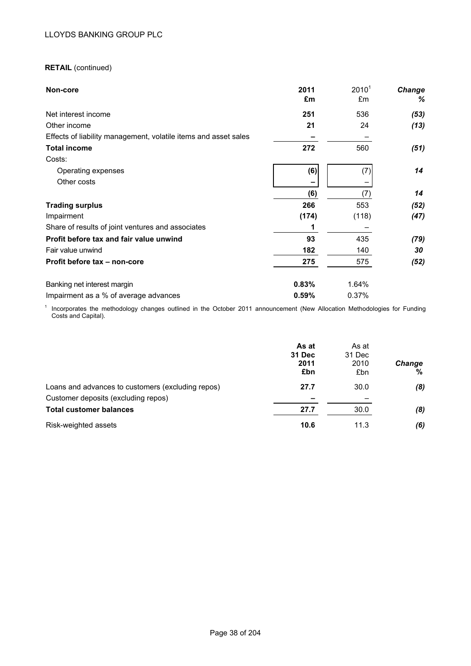| Non-core                                                        | 2011<br>£m | $2010^{1}$<br>£m | <b>Change</b><br>℅ |
|-----------------------------------------------------------------|------------|------------------|--------------------|
| Net interest income                                             | 251        | 536              | (53)               |
| Other income                                                    | 21         | 24               | (13)               |
| Effects of liability management, volatile items and asset sales |            |                  |                    |
| <b>Total income</b>                                             | 272        | 560              | (51)               |
| Costs:                                                          |            |                  |                    |
| Operating expenses                                              | (6)        | (7)              | 14                 |
| Other costs                                                     |            |                  |                    |
|                                                                 | (6)        | (7)              | 14                 |
| <b>Trading surplus</b>                                          | 266        | 553              | (52)               |
| Impairment                                                      | (174)      | (118)            | (47)               |
| Share of results of joint ventures and associates               | 1          |                  |                    |
| Profit before tax and fair value unwind                         | 93         | 435              | (79)               |
| Fair value unwind                                               | 182        | 140              | 30                 |
| Profit before tax - non-core                                    | 275        | 575              | (52)               |
| Banking net interest margin                                     | 0.83%      | 1.64%            |                    |
| Impairment as a % of average advances                           | 0.59%      | 0.37%            |                    |

|                                                   | As at<br>31 Dec<br>2011<br>£bn | As at<br>31 Dec<br>2010<br>£bn | <b>Change</b><br>% |
|---------------------------------------------------|--------------------------------|--------------------------------|--------------------|
| Loans and advances to customers (excluding repos) | 27.7                           | 30.0                           | (8)                |
| Customer deposits (excluding repos)               | -                              |                                |                    |
| <b>Total customer balances</b>                    | 27.7                           | 30.0                           | (8)                |
| Risk-weighted assets                              | 10.6                           | 11.3                           | (6)                |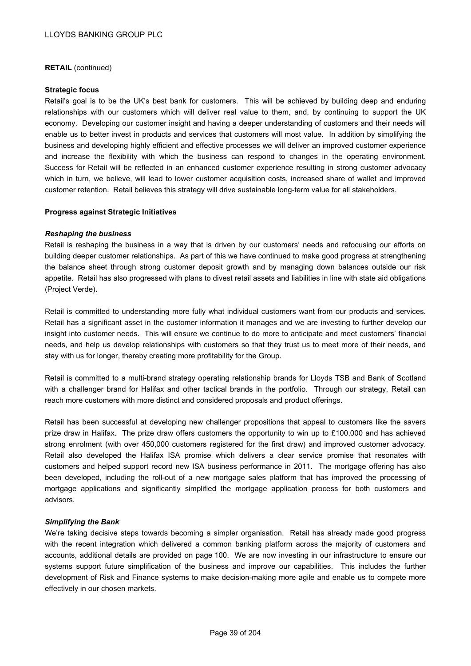#### **Strategic focus**

Retail's goal is to be the UK's best bank for customers. This will be achieved by building deep and enduring relationships with our customers which will deliver real value to them, and, by continuing to support the UK economy. Developing our customer insight and having a deeper understanding of customers and their needs will enable us to better invest in products and services that customers will most value. In addition by simplifying the business and developing highly efficient and effective processes we will deliver an improved customer experience and increase the flexibility with which the business can respond to changes in the operating environment. Success for Retail will be reflected in an enhanced customer experience resulting in strong customer advocacy which in turn, we believe, will lead to lower customer acquisition costs, increased share of wallet and improved customer retention. Retail believes this strategy will drive sustainable long-term value for all stakeholders.

#### **Progress against Strategic Initiatives**

#### *Reshaping the business*

Retail is reshaping the business in a way that is driven by our customers' needs and refocusing our efforts on building deeper customer relationships. As part of this we have continued to make good progress at strengthening the balance sheet through strong customer deposit growth and by managing down balances outside our risk appetite. Retail has also progressed with plans to divest retail assets and liabilities in line with state aid obligations (Project Verde).

Retail is committed to understanding more fully what individual customers want from our products and services. Retail has a significant asset in the customer information it manages and we are investing to further develop our insight into customer needs. This will ensure we continue to do more to anticipate and meet customers' financial needs, and help us develop relationships with customers so that they trust us to meet more of their needs, and stay with us for longer, thereby creating more profitability for the Group.

Retail is committed to a multi-brand strategy operating relationship brands for Lloyds TSB and Bank of Scotland with a challenger brand for Halifax and other tactical brands in the portfolio. Through our strategy, Retail can reach more customers with more distinct and considered proposals and product offerings.

Retail has been successful at developing new challenger propositions that appeal to customers like the savers prize draw in Halifax. The prize draw offers customers the opportunity to win up to £100,000 and has achieved strong enrolment (with over 450,000 customers registered for the first draw) and improved customer advocacy. Retail also developed the Halifax ISA promise which delivers a clear service promise that resonates with customers and helped support record new ISA business performance in 2011. The mortgage offering has also been developed, including the roll-out of a new mortgage sales platform that has improved the processing of mortgage applications and significantly simplified the mortgage application process for both customers and advisors.

### *Simplifying the Bank*

We're taking decisive steps towards becoming a simpler organisation. Retail has already made good progress with the recent integration which delivered a common banking platform across the majority of customers and accounts, additional details are provided on page 100. We are now investing in our infrastructure to ensure our systems support future simplification of the business and improve our capabilities. This includes the further development of Risk and Finance systems to make decision-making more agile and enable us to compete more effectively in our chosen markets.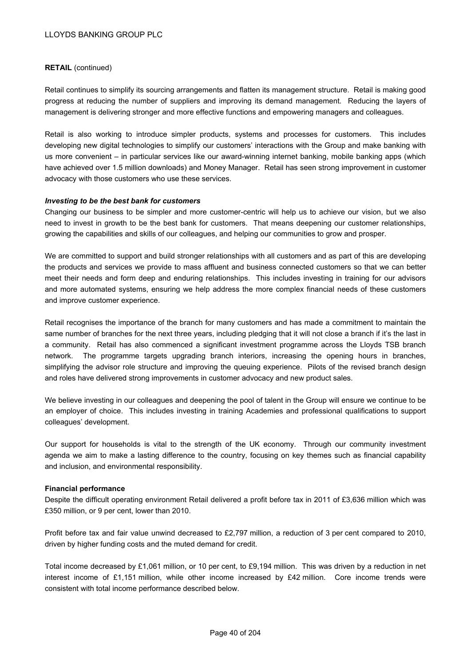Retail continues to simplify its sourcing arrangements and flatten its management structure. Retail is making good progress at reducing the number of suppliers and improving its demand management. Reducing the layers of management is delivering stronger and more effective functions and empowering managers and colleagues.

Retail is also working to introduce simpler products, systems and processes for customers. This includes developing new digital technologies to simplify our customers' interactions with the Group and make banking with us more convenient – in particular services like our award-winning internet banking, mobile banking apps (which have achieved over 1.5 million downloads) and Money Manager. Retail has seen strong improvement in customer advocacy with those customers who use these services.

## *Investing to be the best bank for customers*

Changing our business to be simpler and more customer-centric will help us to achieve our vision, but we also need to invest in growth to be the best bank for customers. That means deepening our customer relationships, growing the capabilities and skills of our colleagues, and helping our communities to grow and prosper.

We are committed to support and build stronger relationships with all customers and as part of this are developing the products and services we provide to mass affluent and business connected customers so that we can better meet their needs and form deep and enduring relationships. This includes investing in training for our advisors and more automated systems, ensuring we help address the more complex financial needs of these customers and improve customer experience.

Retail recognises the importance of the branch for many customers and has made a commitment to maintain the same number of branches for the next three years, including pledging that it will not close a branch if it's the last in a community. Retail has also commenced a significant investment programme across the Lloyds TSB branch network. The programme targets upgrading branch interiors, increasing the opening hours in branches, simplifying the advisor role structure and improving the queuing experience. Pilots of the revised branch design and roles have delivered strong improvements in customer advocacy and new product sales.

We believe investing in our colleagues and deepening the pool of talent in the Group will ensure we continue to be an employer of choice. This includes investing in training Academies and professional qualifications to support colleagues' development.

Our support for households is vital to the strength of the UK economy. Through our community investment agenda we aim to make a lasting difference to the country, focusing on key themes such as financial capability and inclusion, and environmental responsibility.

### **Financial performance**

Despite the difficult operating environment Retail delivered a profit before tax in 2011 of £3,636 million which was £350 million, or 9 per cent, lower than 2010.

Profit before tax and fair value unwind decreased to £2,797 million, a reduction of 3 per cent compared to 2010, driven by higher funding costs and the muted demand for credit.

Total income decreased by £1,061 million, or 10 per cent, to £9,194 million. This was driven by a reduction in net interest income of £1,151 million, while other income increased by £42 million. Core income trends were consistent with total income performance described below.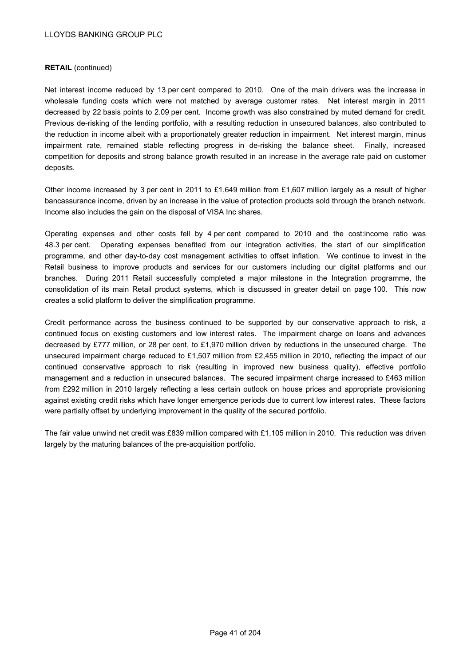Net interest income reduced by 13 per cent compared to 2010. One of the main drivers was the increase in wholesale funding costs which were not matched by average customer rates. Net interest margin in 2011 decreased by 22 basis points to 2.09 per cent. Income growth was also constrained by muted demand for credit. Previous de-risking of the lending portfolio, with a resulting reduction in unsecured balances, also contributed to the reduction in income albeit with a proportionately greater reduction in impairment. Net interest margin, minus impairment rate, remained stable reflecting progress in de-risking the balance sheet. Finally, increased competition for deposits and strong balance growth resulted in an increase in the average rate paid on customer deposits.

Other income increased by 3 per cent in 2011 to £1,649 million from £1,607 million largely as a result of higher bancassurance income, driven by an increase in the value of protection products sold through the branch network. Income also includes the gain on the disposal of VISA Inc shares.

Operating expenses and other costs fell by 4 per cent compared to 2010 and the cost:income ratio was 48.3 per cent. Operating expenses benefited from our integration activities, the start of our simplification programme, and other day-to-day cost management activities to offset inflation. We continue to invest in the Retail business to improve products and services for our customers including our digital platforms and our branches. During 2011 Retail successfully completed a major milestone in the Integration programme, the consolidation of its main Retail product systems, which is discussed in greater detail on page 100. This now creates a solid platform to deliver the simplification programme.

Credit performance across the business continued to be supported by our conservative approach to risk, a continued focus on existing customers and low interest rates. The impairment charge on loans and advances decreased by £777 million, or 28 per cent, to £1,970 million driven by reductions in the unsecured charge. The unsecured impairment charge reduced to £1,507 million from £2,455 million in 2010, reflecting the impact of our continued conservative approach to risk (resulting in improved new business quality), effective portfolio management and a reduction in unsecured balances. The secured impairment charge increased to £463 million from £292 million in 2010 largely reflecting a less certain outlook on house prices and appropriate provisioning against existing credit risks which have longer emergence periods due to current low interest rates. These factors were partially offset by underlying improvement in the quality of the secured portfolio.

The fair value unwind net credit was £839 million compared with £1,105 million in 2010. This reduction was driven largely by the maturing balances of the pre-acquisition portfolio.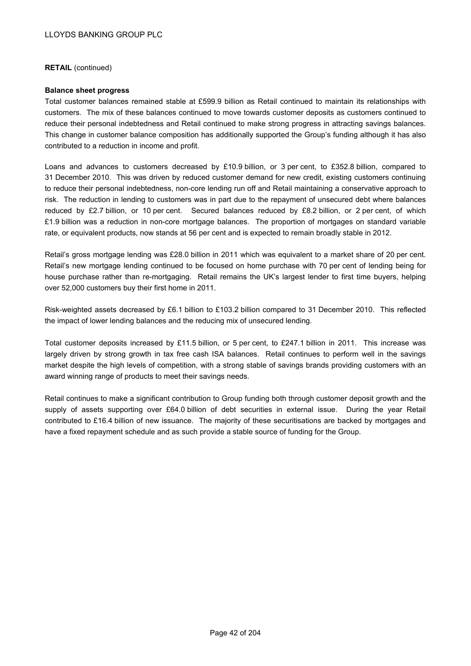#### **Balance sheet progress**

Total customer balances remained stable at £599.9 billion as Retail continued to maintain its relationships with customers. The mix of these balances continued to move towards customer deposits as customers continued to reduce their personal indebtedness and Retail continued to make strong progress in attracting savings balances. This change in customer balance composition has additionally supported the Group's funding although it has also contributed to a reduction in income and profit.

Loans and advances to customers decreased by £10.9 billion, or 3 per cent, to £352.8 billion, compared to 31 December 2010. This was driven by reduced customer demand for new credit, existing customers continuing to reduce their personal indebtedness, non-core lending run off and Retail maintaining a conservative approach to risk. The reduction in lending to customers was in part due to the repayment of unsecured debt where balances reduced by £2.7 billion, or 10 per cent. Secured balances reduced by £8.2 billion, or 2 per cent, of which £1.9 billion was a reduction in non-core mortgage balances. The proportion of mortgages on standard variable rate, or equivalent products, now stands at 56 per cent and is expected to remain broadly stable in 2012.

Retail's gross mortgage lending was £28.0 billion in 2011 which was equivalent to a market share of 20 per cent. Retail's new mortgage lending continued to be focused on home purchase with 70 per cent of lending being for house purchase rather than re-mortgaging. Retail remains the UK's largest lender to first time buyers, helping over 52,000 customers buy their first home in 2011.

Risk-weighted assets decreased by £6.1 billion to £103.2 billion compared to 31 December 2010. This reflected the impact of lower lending balances and the reducing mix of unsecured lending.

Total customer deposits increased by £11.5 billion, or 5 per cent, to £247.1 billion in 2011. This increase was largely driven by strong growth in tax free cash ISA balances. Retail continues to perform well in the savings market despite the high levels of competition, with a strong stable of savings brands providing customers with an award winning range of products to meet their savings needs.

Retail continues to make a significant contribution to Group funding both through customer deposit growth and the supply of assets supporting over £64.0 billion of debt securities in external issue. During the year Retail contributed to £16.4 billion of new issuance. The majority of these securitisations are backed by mortgages and have a fixed repayment schedule and as such provide a stable source of funding for the Group.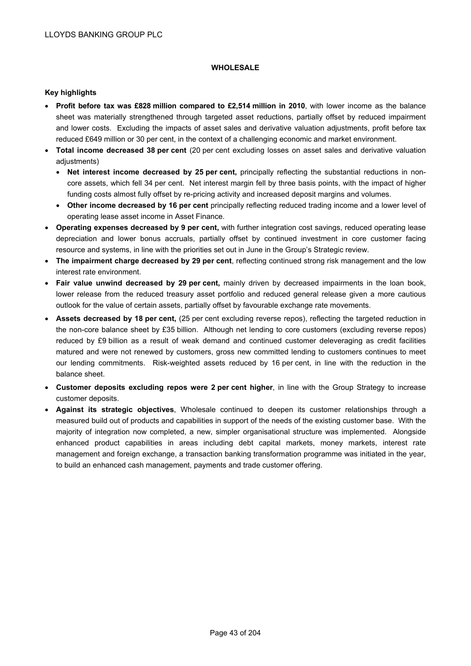## **WHOLESALE**

# **Key highlights**

- **Profit before tax was £828 million compared to £2,514 million in 2010**, with lower income as the balance sheet was materially strengthened through targeted asset reductions, partially offset by reduced impairment and lower costs. Excluding the impacts of asset sales and derivative valuation adjustments, profit before tax reduced £649 million or 30 per cent, in the context of a challenging economic and market environment.
- **Total income decreased 38 per cent** (20 per cent excluding losses on asset sales and derivative valuation adiustments)
	- **Net interest income decreased by 25 per cent,** principally reflecting the substantial reductions in noncore assets, which fell 34 per cent. Net interest margin fell by three basis points, with the impact of higher funding costs almost fully offset by re-pricing activity and increased deposit margins and volumes.
	- **Other income decreased by 16 per cent** principally reflecting reduced trading income and a lower level of operating lease asset income in Asset Finance.
- **Operating expenses decreased by 9 per cent,** with further integration cost savings, reduced operating lease depreciation and lower bonus accruals, partially offset by continued investment in core customer facing resource and systems, in line with the priorities set out in June in the Group's Strategic review.
- **The impairment charge decreased by 29 per cent**, reflecting continued strong risk management and the low interest rate environment.
- **Fair value unwind decreased by 29 per cent,** mainly driven by decreased impairments in the loan book, lower release from the reduced treasury asset portfolio and reduced general release given a more cautious outlook for the value of certain assets, partially offset by favourable exchange rate movements.
- **Assets decreased by 18 per cent,** (25 per cent excluding reverse repos), reflecting the targeted reduction in the non-core balance sheet by £35 billion. Although net lending to core customers (excluding reverse repos) reduced by £9 billion as a result of weak demand and continued customer deleveraging as credit facilities matured and were not renewed by customers, gross new committed lending to customers continues to meet our lending commitments. Risk-weighted assets reduced by 16 per cent, in line with the reduction in the balance sheet.
- **Customer deposits excluding repos were 2 per cent higher**, in line with the Group Strategy to increase customer deposits.
- **Against its strategic objectives**, Wholesale continued to deepen its customer relationships through a measured build out of products and capabilities in support of the needs of the existing customer base. With the majority of integration now completed, a new, simpler organisational structure was implemented. Alongside enhanced product capabilities in areas including debt capital markets, money markets, interest rate management and foreign exchange, a transaction banking transformation programme was initiated in the year, to build an enhanced cash management, payments and trade customer offering.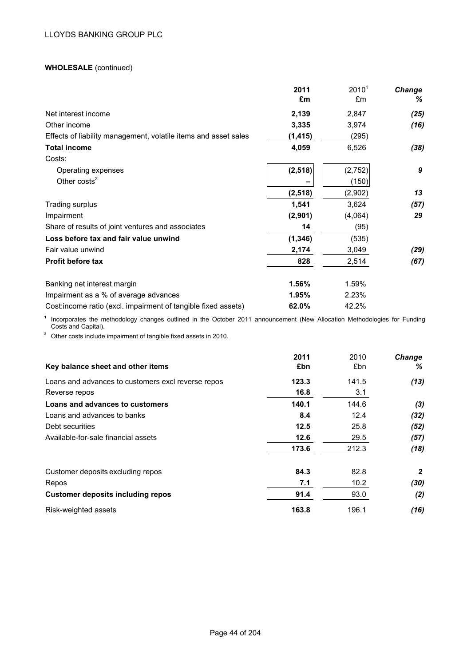|                                                                 | 2011<br>£m | $2010^{1}$<br>£m | Change<br>℅ |
|-----------------------------------------------------------------|------------|------------------|-------------|
| Net interest income                                             | 2,139      | 2,847            | (25)        |
| Other income                                                    | 3,335      | 3,974            | (16)        |
| Effects of liability management, volatile items and asset sales | (1, 415)   | (295)            |             |
| <b>Total income</b>                                             | 4,059      | 6,526            | (38)        |
| Costs:                                                          |            |                  |             |
| Operating expenses                                              | (2, 518)   | (2,752)          | 9           |
| Other $costs2$                                                  |            | (150)            |             |
|                                                                 | (2, 518)   | (2,902)          | 13          |
| Trading surplus                                                 | 1,541      | 3,624            | (57)        |
| Impairment                                                      | (2,901)    | (4,064)          | 29          |
| Share of results of joint ventures and associates               | 14         | (95)             |             |
| Loss before tax and fair value unwind                           | (1, 346)   | (535)            |             |
| Fair value unwind                                               | 2,174      | 3,049            | (29)        |
| <b>Profit before tax</b>                                        | 828        | 2,514            | (67)        |
| Banking net interest margin                                     | 1.56%      | 1.59%            |             |
| Impairment as a % of average advances                           | 1.95%      | 2.23%            |             |
| Cost: income ratio (excl. impairment of tangible fixed assets)  | 62.0%      | 42.2%            |             |

**<sup>1</sup>** Incorporates the methodology changes outlined in the October 2011 announcement (New Allocation Methodologies for Funding Costs and Capital).

**<sup>2</sup>** Other costs include impairment of tangible fixed assets in 2010.

|                                                    | 2011  | 2010  | Change         |
|----------------------------------------------------|-------|-------|----------------|
| Key balance sheet and other items                  | £bn   | £bn   | %              |
| Loans and advances to customers excl reverse repos | 123.3 | 141.5 | (13)           |
| Reverse repos                                      | 16.8  | 3.1   |                |
| Loans and advances to customers                    | 140.1 | 144.6 | (3)            |
| Loans and advances to banks                        | 8.4   | 12.4  | (32)           |
| Debt securities                                    | 12.5  | 25.8  | (52)           |
| Available-for-sale financial assets                | 12.6  | 29.5  | (57)           |
|                                                    | 173.6 | 212.3 | (18)           |
| Customer deposits excluding repos                  | 84.3  | 82.8  | $\overline{2}$ |
| Repos                                              | 7.1   | 10.2  | (30)           |
| <b>Customer deposits including repos</b>           | 91.4  | 93.0  | (2)            |
| Risk-weighted assets                               | 163.8 | 196.1 | (16)           |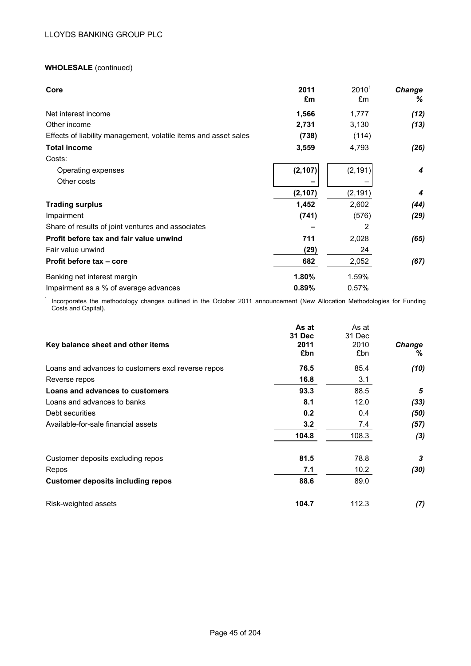| Core                                                            | 2011<br>£m | $2010^{1}$<br>£m | <b>Change</b><br>% |
|-----------------------------------------------------------------|------------|------------------|--------------------|
| Net interest income                                             | 1,566      | 1,777            | (12)               |
| Other income                                                    | 2,731      | 3,130            | (13)               |
| Effects of liability management, volatile items and asset sales | (738)      | (114)            |                    |
| <b>Total income</b>                                             | 3,559      | 4,793            | (26)               |
| Costs:                                                          |            |                  |                    |
| Operating expenses                                              | (2, 107)   | (2, 191)         | 4                  |
| Other costs                                                     |            |                  |                    |
|                                                                 | (2, 107)   | (2, 191)         | 4                  |
| <b>Trading surplus</b>                                          | 1,452      | 2,602            | (44)               |
| Impairment                                                      | (741)      | (576)            | (29)               |
| Share of results of joint ventures and associates               |            | 2                |                    |
| Profit before tax and fair value unwind                         | 711        | 2,028            | (65)               |
| Fair value unwind                                               | (29)       | 24               |                    |
| Profit before tax - core                                        | 682        | 2,052            | (67)               |
| Banking net interest margin                                     | 1.80%      | 1.59%            |                    |
| Impairment as a % of average advances                           | 0.89%      | 0.57%            |                    |

| Key balance sheet and other items                  | As at<br><b>31 Dec</b><br>2011<br>£bn | As at<br>31 Dec<br>2010<br>£bn | <b>Change</b><br>% |
|----------------------------------------------------|---------------------------------------|--------------------------------|--------------------|
| Loans and advances to customers excl reverse repos | 76.5                                  | 85.4                           | (10)               |
| Reverse repos                                      | 16.8                                  | 3.1                            |                    |
| Loans and advances to customers                    | 93.3                                  | 88.5                           | 5                  |
| Loans and advances to banks                        | 8.1                                   | 12.0                           | (33)               |
| Debt securities                                    | 0.2                                   | 0.4                            | (50)               |
| Available-for-sale financial assets                | 3.2                                   | 7.4                            | (57)               |
|                                                    | 104.8                                 | 108.3                          | (3)                |
| Customer deposits excluding repos                  | 81.5                                  | 78.8                           | 3                  |
| Repos                                              | 7.1                                   | 10.2 <sub>1</sub>              | (30)               |
| <b>Customer deposits including repos</b>           | 88.6                                  | 89.0                           |                    |
| Risk-weighted assets                               | 104.7                                 | 112.3                          | (7)                |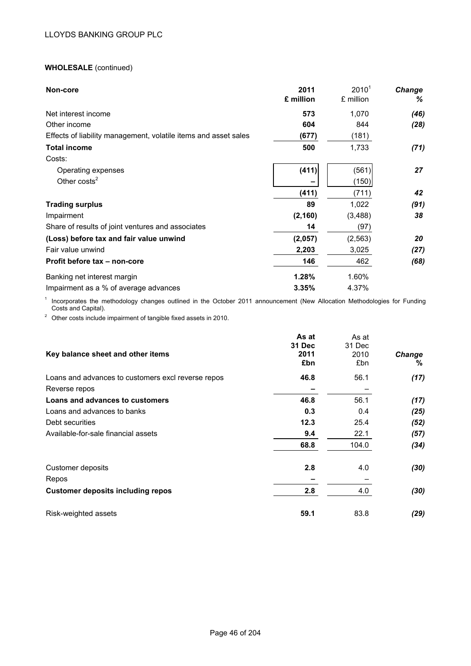| Non-core                                                        | 2011<br>£ million | $2010^{1}$<br>£ million | Change<br>℅ |
|-----------------------------------------------------------------|-------------------|-------------------------|-------------|
| Net interest income                                             | 573               | 1,070                   | (46)        |
| Other income                                                    | 604               | 844                     | (28)        |
| Effects of liability management, volatile items and asset sales | (677)             | (181)                   |             |
| <b>Total income</b>                                             | 500               | 1,733                   | (71)        |
| Costs:                                                          |                   |                         |             |
| Operating expenses                                              | (411)             | (561)                   | 27          |
| Other $costs2$                                                  | -                 | (150)                   |             |
|                                                                 | (411)             | (711)                   | 42          |
| <b>Trading surplus</b>                                          | 89                | 1,022                   | (91)        |
| Impairment                                                      | (2, 160)          | (3,488)                 | 38          |
| Share of results of joint ventures and associates               | 14                | (97)                    |             |
| (Loss) before tax and fair value unwind                         | (2,057)           | (2, 563)                | 20          |
| Fair value unwind                                               | 2,203             | 3,025                   | (27)        |
| Profit before tax - non-core                                    | 146               | 462                     | (68)        |
| Banking net interest margin                                     | 1.28%             | 1.60%                   |             |
| Impairment as a % of average advances                           | 3.35%             | 4.37%                   |             |

<sup>1</sup> Incorporates the methodology changes outlined in the October 2011 announcement (New Allocation Methodologies for Funding Costs and Capital).

 $2^2$  Other costs include impairment of tangible fixed assets in 2010.

|                                                    | As at         | As at  |               |
|----------------------------------------------------|---------------|--------|---------------|
|                                                    | <b>31 Dec</b> | 31 Dec |               |
| Key balance sheet and other items                  | 2011          | 2010   | <b>Change</b> |
|                                                    | £bn           | £bn    | ℅             |
| Loans and advances to customers excl reverse repos | 46.8          | 56.1   | (17)          |
| Reverse repos                                      |               |        |               |
| Loans and advances to customers                    | 46.8          | 56.1   | (17)          |
| Loans and advances to banks                        | 0.3           | 0.4    | (25)          |
| Debt securities                                    | 12.3          | 25.4   | (52)          |
| Available-for-sale financial assets                | 9.4           | 22.1   | (57)          |
|                                                    | 68.8          | 104.0  | (34)          |
| Customer deposits                                  | 2.8           | 4.0    | (30)          |
| Repos                                              |               |        |               |
| <b>Customer deposits including repos</b>           | 2.8           | 4.0    | (30)          |
| Risk-weighted assets                               | 59.1          | 83.8   | (29)          |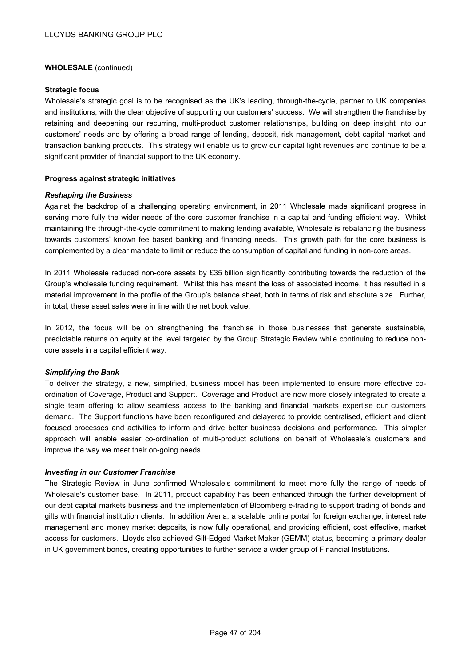## **Strategic focus**

Wholesale's strategic goal is to be recognised as the UK's leading, through-the-cycle, partner to UK companies and institutions, with the clear objective of supporting our customers' success. We will strengthen the franchise by retaining and deepening our recurring, multi-product customer relationships, building on deep insight into our customers' needs and by offering a broad range of lending, deposit, risk management, debt capital market and transaction banking products. This strategy will enable us to grow our capital light revenues and continue to be a significant provider of financial support to the UK economy.

### **Progress against strategic initiatives**

### *Reshaping the Business*

Against the backdrop of a challenging operating environment, in 2011 Wholesale made significant progress in serving more fully the wider needs of the core customer franchise in a capital and funding efficient way. Whilst maintaining the through-the-cycle commitment to making lending available, Wholesale is rebalancing the business towards customers' known fee based banking and financing needs. This growth path for the core business is complemented by a clear mandate to limit or reduce the consumption of capital and funding in non-core areas.

In 2011 Wholesale reduced non-core assets by £35 billion significantly contributing towards the reduction of the Group's wholesale funding requirement. Whilst this has meant the loss of associated income, it has resulted in a material improvement in the profile of the Group's balance sheet, both in terms of risk and absolute size. Further, in total, these asset sales were in line with the net book value.

In 2012, the focus will be on strengthening the franchise in those businesses that generate sustainable, predictable returns on equity at the level targeted by the Group Strategic Review while continuing to reduce noncore assets in a capital efficient way.

### *Simplifying the Bank*

To deliver the strategy, a new, simplified, business model has been implemented to ensure more effective coordination of Coverage, Product and Support. Coverage and Product are now more closely integrated to create a single team offering to allow seamless access to the banking and financial markets expertise our customers demand. The Support functions have been reconfigured and delayered to provide centralised, efficient and client focused processes and activities to inform and drive better business decisions and performance. This simpler approach will enable easier co-ordination of multi-product solutions on behalf of Wholesale's customers and improve the way we meet their on-going needs.

### *Investing in our Customer Franchise*

The Strategic Review in June confirmed Wholesale's commitment to meet more fully the range of needs of Wholesale's customer base. In 2011, product capability has been enhanced through the further development of our debt capital markets business and the implementation of Bloomberg e-trading to support trading of bonds and gilts with financial institution clients. In addition Arena, a scalable online portal for foreign exchange, interest rate management and money market deposits, is now fully operational, and providing efficient, cost effective, market access for customers. Lloyds also achieved Gilt-Edged Market Maker (GEMM) status, becoming a primary dealer in UK government bonds, creating opportunities to further service a wider group of Financial Institutions.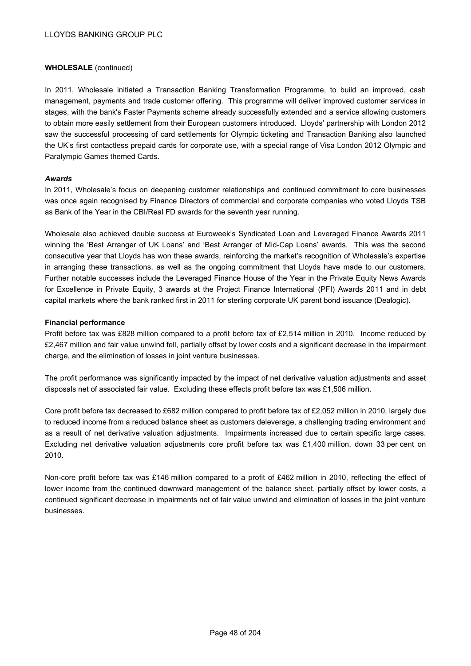## LLOYDS BANKING GROUP PLC

### **WHOLESALE** (continued)

In 2011, Wholesale initiated a Transaction Banking Transformation Programme, to build an improved, cash management, payments and trade customer offering. This programme will deliver improved customer services in stages, with the bank's Faster Payments scheme already successfully extended and a service allowing customers to obtain more easily settlement from their European customers introduced. Lloyds' partnership with London 2012 saw the successful processing of card settlements for Olympic ticketing and Transaction Banking also launched the UK's first contactless prepaid cards for corporate use, with a special range of Visa London 2012 Olympic and Paralympic Games themed Cards.

## *Awards*

In 2011, Wholesale's focus on deepening customer relationships and continued commitment to core businesses was once again recognised by Finance Directors of commercial and corporate companies who voted Lloyds TSB as Bank of the Year in the CBI/Real FD awards for the seventh year running.

Wholesale also achieved double success at Euroweek's Syndicated Loan and Leveraged Finance Awards 2011 winning the 'Best Arranger of UK Loans' and 'Best Arranger of Mid-Cap Loans' awards. This was the second consecutive year that Lloyds has won these awards, reinforcing the market's recognition of Wholesale's expertise in arranging these transactions, as well as the ongoing commitment that Lloyds have made to our customers. Further notable successes include the Leveraged Finance House of the Year in the Private Equity News Awards for Excellence in Private Equity, 3 awards at the Project Finance International (PFI) Awards 2011 and in debt capital markets where the bank ranked first in 2011 for sterling corporate UK parent bond issuance (Dealogic).

## **Financial performance**

Profit before tax was £828 million compared to a profit before tax of £2,514 million in 2010. Income reduced by £2,467 million and fair value unwind fell, partially offset by lower costs and a significant decrease in the impairment charge, and the elimination of losses in joint venture businesses.

The profit performance was significantly impacted by the impact of net derivative valuation adjustments and asset disposals net of associated fair value. Excluding these effects profit before tax was £1,506 million.

Core profit before tax decreased to £682 million compared to profit before tax of £2,052 million in 2010, largely due to reduced income from a reduced balance sheet as customers deleverage, a challenging trading environment and as a result of net derivative valuation adjustments. Impairments increased due to certain specific large cases. Excluding net derivative valuation adjustments core profit before tax was £1,400 million, down 33 per cent on 2010.

Non-core profit before tax was £146 million compared to a profit of £462 million in 2010, reflecting the effect of lower income from the continued downward management of the balance sheet, partially offset by lower costs, a continued significant decrease in impairments net of fair value unwind and elimination of losses in the joint venture businesses.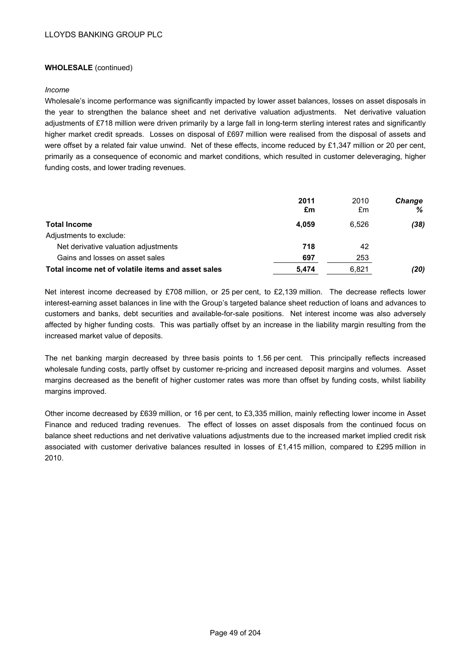### *Income*

Wholesale's income performance was significantly impacted by lower asset balances, losses on asset disposals in the year to strengthen the balance sheet and net derivative valuation adjustments. Net derivative valuation adjustments of £718 million were driven primarily by a large fall in long-term sterling interest rates and significantly higher market credit spreads. Losses on disposal of £697 million were realised from the disposal of assets and were offset by a related fair value unwind. Net of these effects, income reduced by £1,347 million or 20 per cent, primarily as a consequence of economic and market conditions, which resulted in customer deleveraging, higher funding costs, and lower trading revenues.

|                                                    | 2011<br>£m | 2010<br>£m | <b>Change</b><br>% |
|----------------------------------------------------|------------|------------|--------------------|
| <b>Total Income</b>                                | 4.059      | 6.526      | (38)               |
| Adjustments to exclude:                            |            |            |                    |
| Net derivative valuation adjustments               | 718        | 42         |                    |
| Gains and losses on asset sales                    | 697        | 253        |                    |
| Total income net of volatile items and asset sales | 5.474      | 6,821      | (20)               |

Net interest income decreased by £708 million, or 25 per cent, to £2,139 million. The decrease reflects lower interest-earning asset balances in line with the Group's targeted balance sheet reduction of loans and advances to customers and banks, debt securities and available-for-sale positions. Net interest income was also adversely affected by higher funding costs. This was partially offset by an increase in the liability margin resulting from the increased market value of deposits.

The net banking margin decreased by three basis points to 1.56 per cent. This principally reflects increased wholesale funding costs, partly offset by customer re-pricing and increased deposit margins and volumes. Asset margins decreased as the benefit of higher customer rates was more than offset by funding costs, whilst liability margins improved.

Other income decreased by £639 million, or 16 per cent, to £3,335 million, mainly reflecting lower income in Asset Finance and reduced trading revenues. The effect of losses on asset disposals from the continued focus on balance sheet reductions and net derivative valuations adjustments due to the increased market implied credit risk associated with customer derivative balances resulted in losses of £1,415 million, compared to £295 million in 2010.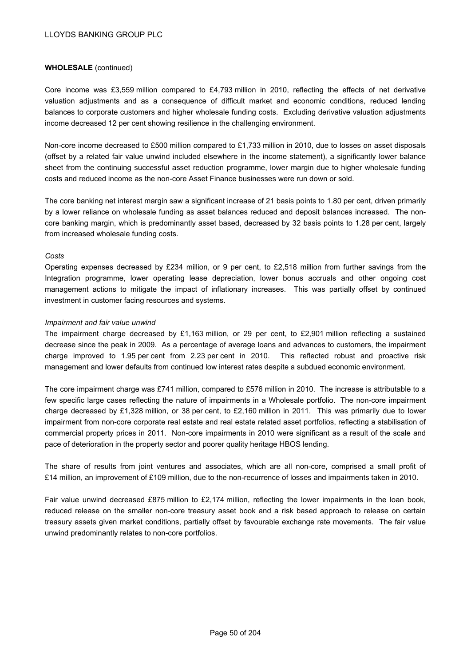Core income was £3,559 million compared to £4,793 million in 2010, reflecting the effects of net derivative valuation adjustments and as a consequence of difficult market and economic conditions, reduced lending balances to corporate customers and higher wholesale funding costs. Excluding derivative valuation adjustments income decreased 12 per cent showing resilience in the challenging environment.

Non-core income decreased to £500 million compared to £1,733 million in 2010, due to losses on asset disposals (offset by a related fair value unwind included elsewhere in the income statement), a significantly lower balance sheet from the continuing successful asset reduction programme, lower margin due to higher wholesale funding costs and reduced income as the non-core Asset Finance businesses were run down or sold.

The core banking net interest margin saw a significant increase of 21 basis points to 1.80 per cent, driven primarily by a lower reliance on wholesale funding as asset balances reduced and deposit balances increased. The noncore banking margin, which is predominantly asset based, decreased by 32 basis points to 1.28 per cent, largely from increased wholesale funding costs.

## *Costs*

Operating expenses decreased by £234 million, or 9 per cent, to £2,518 million from further savings from the Integration programme, lower operating lease depreciation, lower bonus accruals and other ongoing cost management actions to mitigate the impact of inflationary increases. This was partially offset by continued investment in customer facing resources and systems.

## *Impairment and fair value unwind*

The impairment charge decreased by £1,163 million, or 29 per cent, to £2,901 million reflecting a sustained decrease since the peak in 2009. As a percentage of average loans and advances to customers, the impairment charge improved to 1.95 per cent from 2.23 per cent in 2010. This reflected robust and proactive risk management and lower defaults from continued low interest rates despite a subdued economic environment.

The core impairment charge was £741 million, compared to £576 million in 2010. The increase is attributable to a few specific large cases reflecting the nature of impairments in a Wholesale portfolio. The non-core impairment charge decreased by £1,328 million, or 38 per cent, to £2,160 million in 2011. This was primarily due to lower impairment from non-core corporate real estate and real estate related asset portfolios, reflecting a stabilisation of commercial property prices in 2011. Non-core impairments in 2010 were significant as a result of the scale and pace of deterioration in the property sector and poorer quality heritage HBOS lending.

The share of results from joint ventures and associates, which are all non-core, comprised a small profit of £14 million, an improvement of £109 million, due to the non-recurrence of losses and impairments taken in 2010.

Fair value unwind decreased £875 million to £2,174 million, reflecting the lower impairments in the loan book, reduced release on the smaller non-core treasury asset book and a risk based approach to release on certain treasury assets given market conditions, partially offset by favourable exchange rate movements. The fair value unwind predominantly relates to non-core portfolios.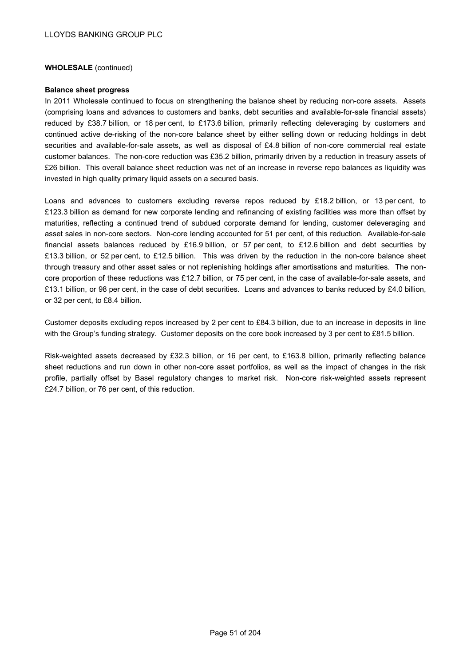### **Balance sheet progress**

In 2011 Wholesale continued to focus on strengthening the balance sheet by reducing non-core assets. Assets (comprising loans and advances to customers and banks, debt securities and available-for-sale financial assets) reduced by £38.7 billion, or 18 per cent, to £173.6 billion, primarily reflecting deleveraging by customers and continued active de-risking of the non-core balance sheet by either selling down or reducing holdings in debt securities and available-for-sale assets, as well as disposal of £4.8 billion of non-core commercial real estate customer balances. The non-core reduction was £35.2 billion, primarily driven by a reduction in treasury assets of £26 billion. This overall balance sheet reduction was net of an increase in reverse repo balances as liquidity was invested in high quality primary liquid assets on a secured basis.

Loans and advances to customers excluding reverse repos reduced by £18.2 billion, or 13 per cent, to £123.3 billion as demand for new corporate lending and refinancing of existing facilities was more than offset by maturities, reflecting a continued trend of subdued corporate demand for lending, customer deleveraging and asset sales in non-core sectors. Non-core lending accounted for 51 per cent, of this reduction. Available-for-sale financial assets balances reduced by £16.9 billion, or 57 per cent, to £12.6 billion and debt securities by £13.3 billion, or 52 per cent, to £12.5 billion. This was driven by the reduction in the non-core balance sheet through treasury and other asset sales or not replenishing holdings after amortisations and maturities. The noncore proportion of these reductions was £12.7 billion, or 75 per cent, in the case of available-for-sale assets, and £13.1 billion, or 98 per cent, in the case of debt securities. Loans and advances to banks reduced by £4.0 billion, or 32 per cent, to £8.4 billion.

Customer deposits excluding repos increased by 2 per cent to £84.3 billion, due to an increase in deposits in line with the Group's funding strategy. Customer deposits on the core book increased by 3 per cent to £81.5 billion.

Risk-weighted assets decreased by £32.3 billion, or 16 per cent, to £163.8 billion, primarily reflecting balance sheet reductions and run down in other non-core asset portfolios, as well as the impact of changes in the risk profile, partially offset by Basel regulatory changes to market risk. Non-core risk-weighted assets represent £24.7 billion, or 76 per cent, of this reduction.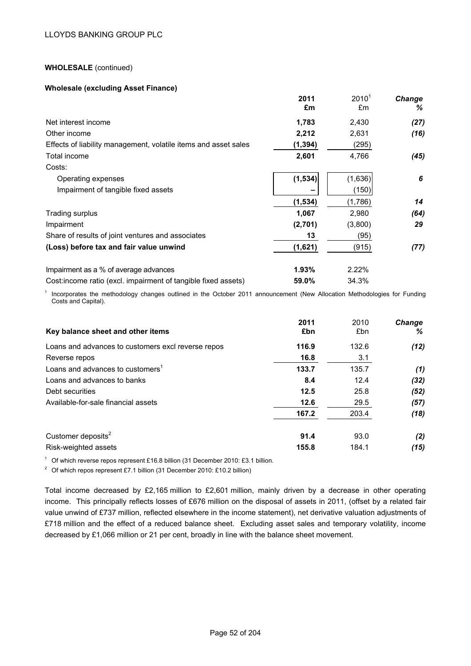### **Wholesale (excluding Asset Finance)**

|                                                                 | 2011     | $2010^{1}$ | <b>Change</b> |
|-----------------------------------------------------------------|----------|------------|---------------|
|                                                                 | £m       | £m         | ℅             |
| Net interest income                                             | 1,783    | 2,430      | (27)          |
| Other income                                                    | 2,212    | 2,631      | (16)          |
| Effects of liability management, volatile items and asset sales | (1, 394) | (295)      |               |
| Total income                                                    | 2,601    | 4,766      | (45)          |
| Costs:                                                          |          |            |               |
| Operating expenses                                              | (1, 534) | (1,636)    | 6             |
| Impairment of tangible fixed assets                             |          | (150)      |               |
|                                                                 | (1, 534) | (1,786)    | 14            |
| Trading surplus                                                 | 1,067    | 2,980      | (64)          |
| Impairment                                                      | (2,701)  | (3,800)    | 29            |
| Share of results of joint ventures and associates               | 13       | (95)       |               |
| (Loss) before tax and fair value unwind                         | (1,621)  | (915)      | (77)          |
| Impairment as a % of average advances                           | 1.93%    | 2.22%      |               |
| Cost: income ratio (excl. impairment of tangible fixed assets)  | 59.0%    | 34.3%      |               |

<sup>1</sup> Incorporates the methodology changes outlined in the October 2011 announcement (New Allocation Methodologies for Funding Costs and Capital).

| Key balance sheet and other items                  | 2011<br>£bn | 2010<br>£bn | <b>Change</b><br>℅ |
|----------------------------------------------------|-------------|-------------|--------------------|
| Loans and advances to customers excl reverse repos | 116.9       | 132.6       | (12)               |
| Reverse repos                                      | 16.8        | 3.1         |                    |
| Loans and advances to customers <sup>1</sup>       | 133.7       | 135.7       | (1)                |
| Loans and advances to banks                        | 8.4         | 12.4        | (32)               |
| Debt securities                                    | 12.5        | 25.8        | (52)               |
| Available-for-sale financial assets                | 12.6        | 29.5        | (57)               |
|                                                    | 167.2       | 203.4       | (18)               |
| Customer deposits <sup>2</sup>                     | 91.4        | 93.0        | (2)                |
| Risk-weighted assets                               | 155.8       | 184.1       | (15)               |

<sup>1</sup> Of which reverse repos represent £16.8 billion (31 December 2010: £3.1 billion.

<sup>2</sup> Of which repos represent £7.1 billion (31 December 2010: £10.2 billion)

Total income decreased by £2,165 million to £2,601 million, mainly driven by a decrease in other operating income. This principally reflects losses of £676 million on the disposal of assets in 2011, (offset by a related fair value unwind of £737 million, reflected elsewhere in the income statement), net derivative valuation adjustments of £718 million and the effect of a reduced balance sheet. Excluding asset sales and temporary volatility, income decreased by £1,066 million or 21 per cent, broadly in line with the balance sheet movement.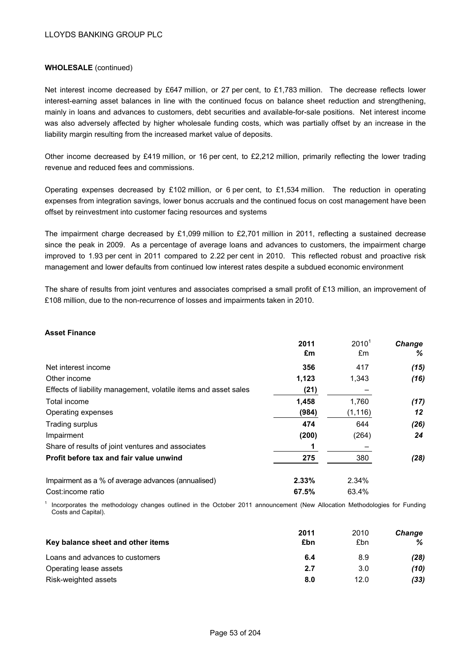Net interest income decreased by £647 million, or 27 per cent, to £1,783 million. The decrease reflects lower interest-earning asset balances in line with the continued focus on balance sheet reduction and strengthening, mainly in loans and advances to customers, debt securities and available-for-sale positions. Net interest income was also adversely affected by higher wholesale funding costs, which was partially offset by an increase in the liability margin resulting from the increased market value of deposits.

Other income decreased by £419 million, or 16 per cent, to £2,212 million, primarily reflecting the lower trading revenue and reduced fees and commissions.

Operating expenses decreased by £102 million, or 6 per cent, to £1,534 million. The reduction in operating expenses from integration savings, lower bonus accruals and the continued focus on cost management have been offset by reinvestment into customer facing resources and systems

The impairment charge decreased by £1,099 million to £2,701 million in 2011, reflecting a sustained decrease since the peak in 2009. As a percentage of average loans and advances to customers, the impairment charge improved to 1.93 per cent in 2011 compared to 2.22 per cent in 2010. This reflected robust and proactive risk management and lower defaults from continued low interest rates despite a subdued economic environment

The share of results from joint ventures and associates comprised a small profit of £13 million, an improvement of £108 million, due to the non-recurrence of losses and impairments taken in 2010.

#### **Asset Finance**

|                                                                 | 2011  | 2010 <sup>1</sup> | Change |
|-----------------------------------------------------------------|-------|-------------------|--------|
|                                                                 | £m    | £m                | ℅      |
| Net interest income                                             | 356   | 417               | (15)   |
| Other income                                                    | 1,123 | 1,343             | (16)   |
| Effects of liability management, volatile items and asset sales | (21)  |                   |        |
| Total income                                                    | 1,458 | 1.760             | (17)   |
| Operating expenses                                              | (984) | (1, 116)          | 12     |
| Trading surplus                                                 | 474   | 644               | (26)   |
| Impairment                                                      | (200) | (264)             | 24     |
| Share of results of joint ventures and associates               |       |                   |        |
| Profit before tax and fair value unwind                         | 275   | 380               | (28)   |
| Impairment as a % of average advances (annualised)              | 2.33% | 2.34%             |        |
| Cost: income ratio                                              | 67.5% | 63.4%             |        |

| Key balance sheet and other items | 2011<br>£bn | 2010<br>£bn | <b>Change</b><br>℅ |
|-----------------------------------|-------------|-------------|--------------------|
| Loans and advances to customers   | 6.4         | 8.9         | (28)               |
| Operating lease assets            | 2.7         | 3.0         | (10)               |
| Risk-weighted assets              | 8.0         | 12.0        | (33)               |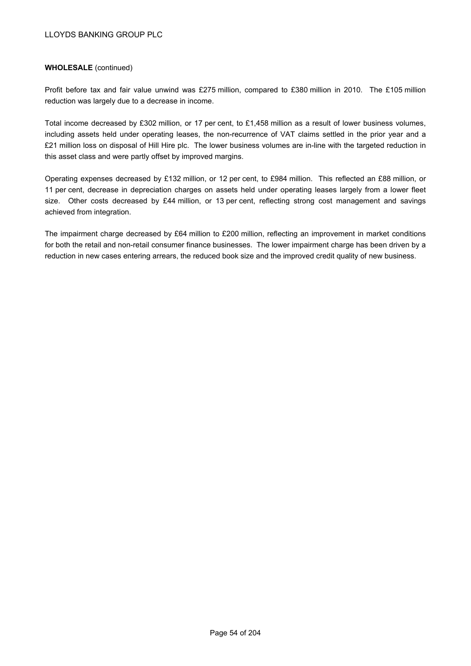Profit before tax and fair value unwind was £275 million, compared to £380 million in 2010. The £105 million reduction was largely due to a decrease in income.

Total income decreased by £302 million, or 17 per cent, to £1,458 million as a result of lower business volumes, including assets held under operating leases, the non-recurrence of VAT claims settled in the prior year and a £21 million loss on disposal of Hill Hire plc. The lower business volumes are in-line with the targeted reduction in this asset class and were partly offset by improved margins.

Operating expenses decreased by £132 million, or 12 per cent, to £984 million. This reflected an £88 million, or 11 per cent, decrease in depreciation charges on assets held under operating leases largely from a lower fleet size. Other costs decreased by £44 million, or 13 per cent, reflecting strong cost management and savings achieved from integration.

The impairment charge decreased by £64 million to £200 million, reflecting an improvement in market conditions for both the retail and non-retail consumer finance businesses. The lower impairment charge has been driven by a reduction in new cases entering arrears, the reduced book size and the improved credit quality of new business.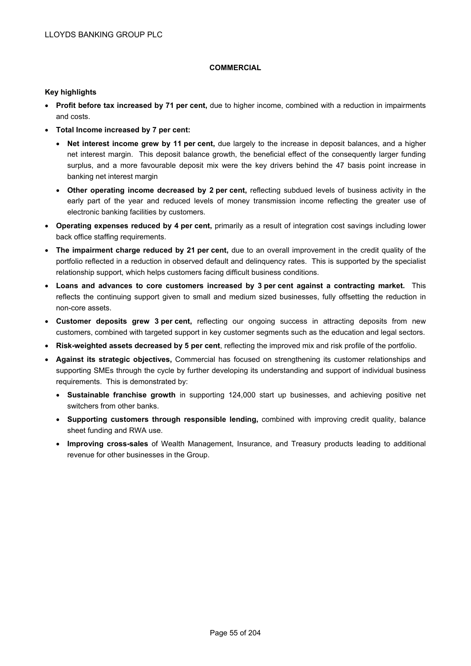# **COMMERCIAL**

# **Key highlights**

- **Profit before tax increased by 71 per cent,** due to higher income, combined with a reduction in impairments and costs.
- **Total Income increased by 7 per cent:** 
	- **Net interest income grew by 11 per cent,** due largely to the increase in deposit balances, and a higher net interest margin. This deposit balance growth, the beneficial effect of the consequently larger funding surplus, and a more favourable deposit mix were the key drivers behind the 47 basis point increase in banking net interest margin
	- **Other operating income decreased by 2 per cent,** reflecting subdued levels of business activity in the early part of the year and reduced levels of money transmission income reflecting the greater use of electronic banking facilities by customers.
- **Operating expenses reduced by 4 per cent,** primarily as a result of integration cost savings including lower back office staffing requirements.
- **The impairment charge reduced by 21 per cent,** due to an overall improvement in the credit quality of the portfolio reflected in a reduction in observed default and delinquency rates. This is supported by the specialist relationship support, which helps customers facing difficult business conditions.
- **Loans and advances to core customers increased by 3 per cent against a contracting market.** This reflects the continuing support given to small and medium sized businesses, fully offsetting the reduction in non-core assets.
- **Customer deposits grew 3 per cent,** reflecting our ongoing success in attracting deposits from new customers, combined with targeted support in key customer segments such as the education and legal sectors.
- **Risk-weighted assets decreased by 5 per cent**, reflecting the improved mix and risk profile of the portfolio.
- **Against its strategic objectives,** Commercial has focused on strengthening its customer relationships and supporting SMEs through the cycle by further developing its understanding and support of individual business requirements. This is demonstrated by:
	- **Sustainable franchise growth** in supporting 124,000 start up businesses, and achieving positive net switchers from other banks.
	- **Supporting customers through responsible lending,** combined with improving credit quality, balance sheet funding and RWA use.
	- **Improving cross-sales** of Wealth Management, Insurance, and Treasury products leading to additional revenue for other businesses in the Group.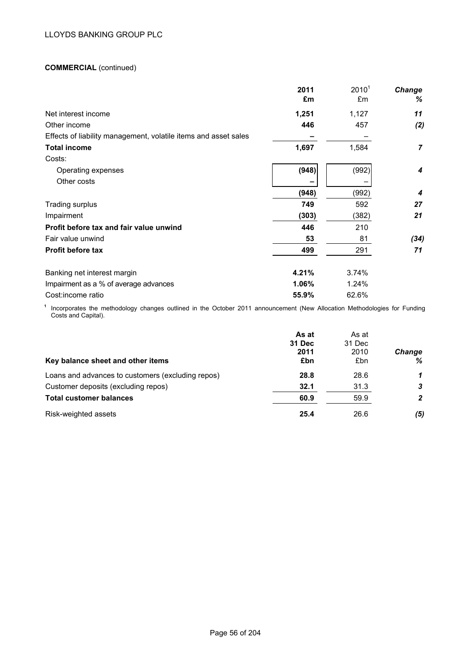|                                                                 | 2011  | 2010 <sup>1</sup> | <b>Change</b>    |
|-----------------------------------------------------------------|-------|-------------------|------------------|
|                                                                 | £m    | £m                | %                |
| Net interest income                                             | 1,251 | 1,127             | 11               |
| Other income                                                    | 446   | 457               | (2)              |
| Effects of liability management, volatile items and asset sales |       |                   |                  |
| <b>Total income</b>                                             | 1,697 | 1,584             | $\overline{7}$   |
| Costs:                                                          |       |                   |                  |
| Operating expenses                                              | (948) | (992)             | $\boldsymbol{4}$ |
| Other costs                                                     |       |                   |                  |
|                                                                 | (948) | (992)             | 4                |
| Trading surplus                                                 | 749   | 592               | 27               |
| Impairment                                                      | (303) | (382)             | 21               |
| Profit before tax and fair value unwind                         | 446   | 210               |                  |
| Fair value unwind                                               | 53    | 81                | (34)             |
| <b>Profit before tax</b>                                        | 499   | 291               | 71               |
| Banking net interest margin                                     | 4.21% | 3.74%             |                  |
| Impairment as a % of average advances                           | 1.06% | 1.24%             |                  |
| Cost:income ratio                                               | 55.9% | 62.6%             |                  |

| Key balance sheet and other items                 | As at<br>31 Dec<br>2011<br>£bn | As at<br>31 Dec<br>2010<br>£bn | <b>Change</b><br>℅ |
|---------------------------------------------------|--------------------------------|--------------------------------|--------------------|
| Loans and advances to customers (excluding repos) | 28.8                           | 28.6                           |                    |
| Customer deposits (excluding repos)               | 32.1                           | 31.3                           | 3                  |
| <b>Total customer balances</b>                    | 60.9                           | 59.9                           | $\overline{2}$     |
| Risk-weighted assets                              | 25.4                           | 26.6                           | (5)                |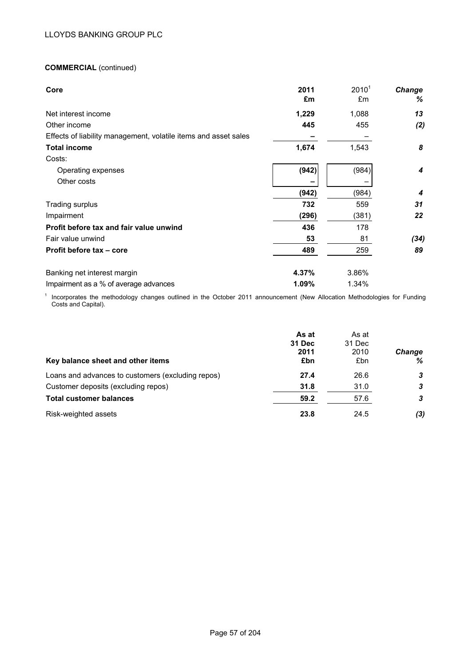| Core                                                            | 2011<br>£m | 2010 <sup>1</sup><br>£m | Change<br>% |
|-----------------------------------------------------------------|------------|-------------------------|-------------|
| Net interest income                                             | 1,229      | 1,088                   | 13          |
| Other income                                                    | 445        | 455                     | (2)         |
| Effects of liability management, volatile items and asset sales |            |                         |             |
| <b>Total income</b>                                             | 1,674      | 1,543                   | 8           |
| Costs:                                                          |            |                         |             |
| Operating expenses                                              | (942)      | (984)                   | 4           |
| Other costs                                                     |            |                         |             |
|                                                                 | (942)      | (984)                   | 4           |
| Trading surplus                                                 | 732        | 559                     | 31          |
| Impairment                                                      | (296)      | (381)                   | 22          |
| Profit before tax and fair value unwind                         | 436        | 178                     |             |
| Fair value unwind                                               | 53         | 81                      | (34)        |
| Profit before tax - core                                        | 489        | 259                     | 89          |
| Banking net interest margin                                     | 4.37%      | 3.86%                   |             |
| Impairment as a % of average advances                           | 1.09%      | 1.34%                   |             |

|                                                   | As at  | As at  |               |
|---------------------------------------------------|--------|--------|---------------|
|                                                   | 31 Dec | 31 Dec |               |
|                                                   | 2011   | 2010   | <b>Change</b> |
| Key balance sheet and other items                 | £bn    | £bn    | ℅             |
| Loans and advances to customers (excluding repos) | 27.4   | 26.6   | 3             |
| Customer deposits (excluding repos)               | 31.8   | 31.0   | 3             |
| <b>Total customer balances</b>                    | 59.2   | 57.6   | 3             |
| Risk-weighted assets                              | 23.8   | 24.5   | (3)           |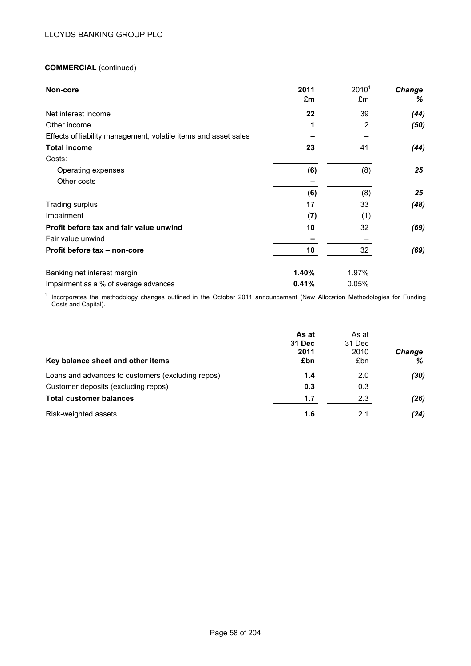| Non-core                                                        | 2011<br>£m | $2010^{1}$<br>£m | <b>Change</b><br>% |
|-----------------------------------------------------------------|------------|------------------|--------------------|
| Net interest income                                             | 22         | 39               | (44)               |
| Other income                                                    |            | 2                | (50)               |
| Effects of liability management, volatile items and asset sales |            |                  |                    |
| <b>Total income</b>                                             | 23         | 41               | (44)               |
| Costs:                                                          |            |                  |                    |
| Operating expenses                                              | (6)        | (8)              | 25                 |
| Other costs                                                     |            |                  |                    |
|                                                                 | (6)        | (8)              | 25                 |
| <b>Trading surplus</b>                                          | 17         | 33               | (48)               |
| Impairment                                                      | (7)        | (1)              |                    |
| Profit before tax and fair value unwind                         | 10         | 32               | (69)               |
| Fair value unwind                                               |            |                  |                    |
| Profit before tax - non-core                                    | 10         | 32               | (69)               |
| Banking net interest margin                                     | 1.40%      | 1.97%            |                    |
| Impairment as a % of average advances                           | 0.41%      | 0.05%            |                    |

|                                                   | As at<br>31 Dec | As at<br>31 Dec |                    |
|---------------------------------------------------|-----------------|-----------------|--------------------|
| Key balance sheet and other items                 | 2011<br>£bn     | 2010<br>£bn     | <b>Change</b><br>℅ |
| Loans and advances to customers (excluding repos) | 1.4             | 2.0             | (30)               |
| Customer deposits (excluding repos)               | 0.3             | 0.3             |                    |
| <b>Total customer balances</b>                    | 1.7             | 2.3             | (26)               |
| Risk-weighted assets                              | 1.6             | 2.1             | (24)               |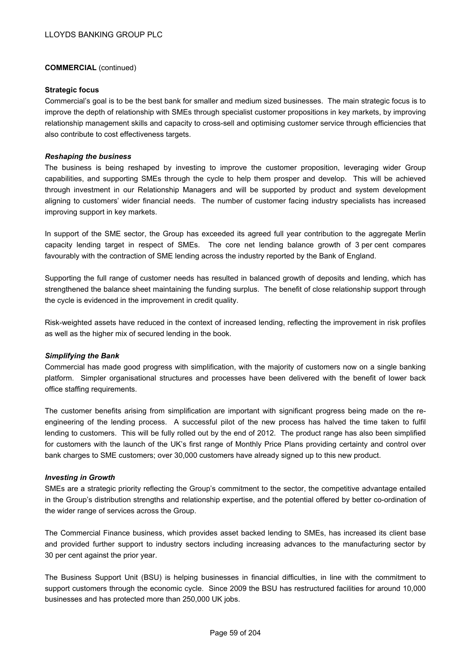## **Strategic focus**

Commercial's goal is to be the best bank for smaller and medium sized businesses. The main strategic focus is to improve the depth of relationship with SMEs through specialist customer propositions in key markets, by improving relationship management skills and capacity to cross-sell and optimising customer service through efficiencies that also contribute to cost effectiveness targets.

## *Reshaping the business*

The business is being reshaped by investing to improve the customer proposition, leveraging wider Group capabilities, and supporting SMEs through the cycle to help them prosper and develop. This will be achieved through investment in our Relationship Managers and will be supported by product and system development aligning to customers' wider financial needs. The number of customer facing industry specialists has increased improving support in key markets.

In support of the SME sector, the Group has exceeded its agreed full year contribution to the aggregate Merlin capacity lending target in respect of SMEs. The core net lending balance growth of 3 per cent compares favourably with the contraction of SME lending across the industry reported by the Bank of England.

Supporting the full range of customer needs has resulted in balanced growth of deposits and lending, which has strengthened the balance sheet maintaining the funding surplus. The benefit of close relationship support through the cycle is evidenced in the improvement in credit quality.

Risk-weighted assets have reduced in the context of increased lending, reflecting the improvement in risk profiles as well as the higher mix of secured lending in the book.

### *Simplifying the Bank*

Commercial has made good progress with simplification, with the majority of customers now on a single banking platform. Simpler organisational structures and processes have been delivered with the benefit of lower back office staffing requirements.

The customer benefits arising from simplification are important with significant progress being made on the reengineering of the lending process. A successful pilot of the new process has halved the time taken to fulfil lending to customers. This will be fully rolled out by the end of 2012. The product range has also been simplified for customers with the launch of the UK's first range of Monthly Price Plans providing certainty and control over bank charges to SME customers; over 30,000 customers have already signed up to this new product.

### *Investing in Growth*

SMEs are a strategic priority reflecting the Group's commitment to the sector, the competitive advantage entailed in the Group's distribution strengths and relationship expertise, and the potential offered by better co-ordination of the wider range of services across the Group.

The Commercial Finance business, which provides asset backed lending to SMEs, has increased its client base and provided further support to industry sectors including increasing advances to the manufacturing sector by 30 per cent against the prior year.

The Business Support Unit (BSU) is helping businesses in financial difficulties, in line with the commitment to support customers through the economic cycle. Since 2009 the BSU has restructured facilities for around 10,000 businesses and has protected more than 250,000 UK jobs.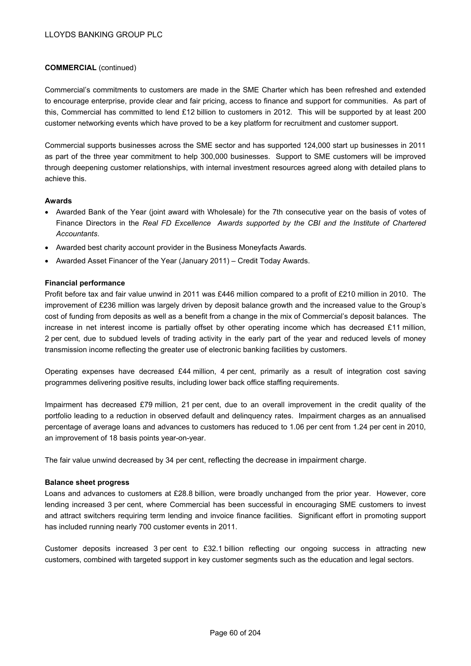Commercial's commitments to customers are made in the SME Charter which has been refreshed and extended to encourage enterprise, provide clear and fair pricing, access to finance and support for communities. As part of this, Commercial has committed to lend £12 billion to customers in 2012. This will be supported by at least 200 customer networking events which have proved to be a key platform for recruitment and customer support.

Commercial supports businesses across the SME sector and has supported 124,000 start up businesses in 2011 as part of the three year commitment to help 300,000 businesses. Support to SME customers will be improved through deepening customer relationships, with internal investment resources agreed along with detailed plans to achieve this.

# **Awards**

- Awarded Bank of the Year (joint award with Wholesale) for the 7th consecutive year on the basis of votes of Finance Directors in the *Real FD Excellence Awards supported by the CBI and the Institute of Chartered Accountants*.
- Awarded best charity account provider in the Business Moneyfacts Awards.
- Awarded Asset Financer of the Year (January 2011) Credit Today Awards.

## **Financial performance**

Profit before tax and fair value unwind in 2011 was £446 million compared to a profit of £210 million in 2010. The improvement of £236 million was largely driven by deposit balance growth and the increased value to the Group's cost of funding from deposits as well as a benefit from a change in the mix of Commercial's deposit balances. The increase in net interest income is partially offset by other operating income which has decreased £11 million, 2 per cent, due to subdued levels of trading activity in the early part of the year and reduced levels of money transmission income reflecting the greater use of electronic banking facilities by customers.

Operating expenses have decreased £44 million, 4 per cent, primarily as a result of integration cost saving programmes delivering positive results, including lower back office staffing requirements.

Impairment has decreased £79 million, 21 per cent, due to an overall improvement in the credit quality of the portfolio leading to a reduction in observed default and delinquency rates. Impairment charges as an annualised percentage of average loans and advances to customers has reduced to 1.06 per cent from 1.24 per cent in 2010, an improvement of 18 basis points year-on-year.

The fair value unwind decreased by 34 per cent, reflecting the decrease in impairment charge.

### **Balance sheet progress**

Loans and advances to customers at £28.8 billion, were broadly unchanged from the prior year. However, core lending increased 3 per cent, where Commercial has been successful in encouraging SME customers to invest and attract switchers requiring term lending and invoice finance facilities. Significant effort in promoting support has included running nearly 700 customer events in 2011.

Customer deposits increased 3 per cent to £32.1 billion reflecting our ongoing success in attracting new customers, combined with targeted support in key customer segments such as the education and legal sectors.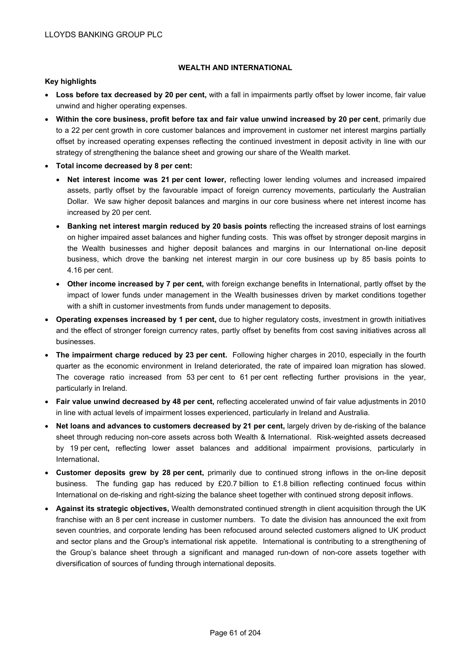## **WEALTH AND INTERNATIONAL**

## **Key highlights**

- **Loss before tax decreased by 20 per cent,** with a fall in impairments partly offset by lower income, fair value unwind and higher operating expenses.
- **Within the core business, profit before tax and fair value unwind increased by 20 per cent**, primarily due to a 22 per cent growth in core customer balances and improvement in customer net interest margins partially offset by increased operating expenses reflecting the continued investment in deposit activity in line with our strategy of strengthening the balance sheet and growing our share of the Wealth market.
- **Total income decreased by 8 per cent:**
	- Net interest income was 21 per cent lower, reflecting lower lending volumes and increased impaired assets, partly offset by the favourable impact of foreign currency movements, particularly the Australian Dollar. We saw higher deposit balances and margins in our core business where net interest income has increased by 20 per cent.
	- **Banking net interest margin reduced by 20 basis points** reflecting the increased strains of lost earnings on higher impaired asset balances and higher funding costs. This was offset by stronger deposit margins in the Wealth businesses and higher deposit balances and margins in our International on-line deposit business, which drove the banking net interest margin in our core business up by 85 basis points to 4.16 per cent.
	- **Other income increased by 7 per cent,** with foreign exchange benefits in International, partly offset by the impact of lower funds under management in the Wealth businesses driven by market conditions together with a shift in customer investments from funds under management to deposits.
- **Operating expenses increased by 1 per cent,** due to higher regulatory costs, investment in growth initiatives and the effect of stronger foreign currency rates, partly offset by benefits from cost saving initiatives across all businesses.
- **The impairment charge reduced by 23 per cent.** Following higher charges in 2010, especially in the fourth quarter as the economic environment in Ireland deteriorated, the rate of impaired loan migration has slowed. The coverage ratio increased from 53 per cent to 61 per cent reflecting further provisions in the year, particularly in Ireland.
- **Fair value unwind decreased by 48 per cent,** reflecting accelerated unwind of fair value adjustments in 2010 in line with actual levels of impairment losses experienced, particularly in Ireland and Australia.
- **Net loans and advances to customers decreased by 21 per cent,** largely driven by de-risking of the balance sheet through reducing non-core assets across both Wealth & International. Risk-weighted assets decreased by 19 per cent**,** reflecting lower asset balances and additional impairment provisions, particularly in International**.**
- **Customer deposits grew by 28 per cent,** primarily due to continued strong inflows in the on-line deposit business. The funding gap has reduced by £20.7 billion to £1.8 billion reflecting continued focus within International on de-risking and right-sizing the balance sheet together with continued strong deposit inflows.
- **Against its strategic objectives,** Wealth demonstrated continued strength in client acquisition through the UK franchise with an 8 per cent increase in customer numbers. To date the division has announced the exit from seven countries, and corporate lending has been refocused around selected customers aligned to UK product and sector plans and the Group's international risk appetite. International is contributing to a strengthening of the Group's balance sheet through a significant and managed run-down of non-core assets together with diversification of sources of funding through international deposits.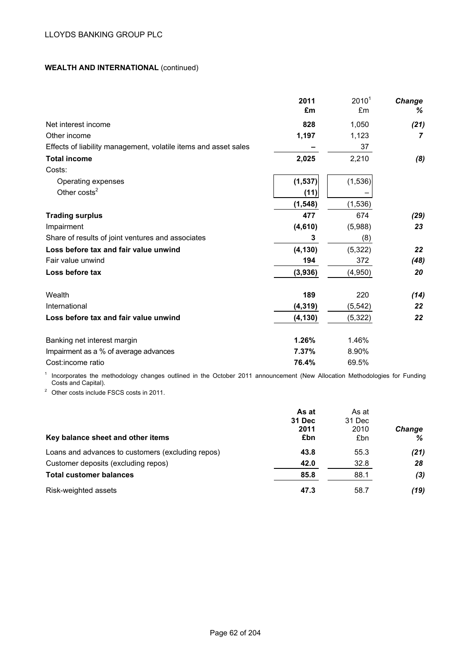|                                                                 | 2011<br>£m | $2010^{1}$<br>£m | Change<br>℅ |
|-----------------------------------------------------------------|------------|------------------|-------------|
|                                                                 |            |                  |             |
| Net interest income                                             | 828        | 1,050            | (21)        |
| Other income                                                    | 1,197      | 1,123            | 7           |
| Effects of liability management, volatile items and asset sales |            | 37               |             |
| <b>Total income</b>                                             | 2,025      | 2,210            | (8)         |
| Costs:                                                          |            |                  |             |
| Operating expenses                                              | (1, 537)   | (1, 536)         |             |
| Other $costs2$                                                  | (11)       |                  |             |
|                                                                 | (1, 548)   | (1,536)          |             |
| <b>Trading surplus</b>                                          | 477        | 674              | (29)        |
| Impairment                                                      | (4,610)    | (5,988)          | 23          |
| Share of results of joint ventures and associates               | 3          | (8)              |             |
| Loss before tax and fair value unwind                           | (4, 130)   | (5,322)          | 22          |
| Fair value unwind                                               | 194        | 372              | (48)        |
| Loss before tax                                                 | (3,936)    | (4,950)          | 20          |
| Wealth                                                          | 189        | 220              | (14)        |
| International                                                   | (4, 319)   | (5, 542)         | 22          |
| Loss before tax and fair value unwind                           | (4, 130)   | (5,322)          | 22          |
| Banking net interest margin                                     | 1.26%      | 1.46%            |             |
| Impairment as a % of average advances                           | 7.37%      | 8.90%            |             |
| Cost:income ratio                                               | 76.4%      | 69.5%            |             |

Cost:income ratio **76.4%** 69.5% 1 Incorporates the methodology changes outlined in the October 2011 announcement (New Allocation Methodologies for Funding Costs and Capital).

<sup>2</sup> Other costs include FSCS costs in 2011.

|                                                   | As at         | As at  |               |
|---------------------------------------------------|---------------|--------|---------------|
|                                                   | <b>31 Dec</b> | 31 Dec |               |
|                                                   | 2011          | 2010   | <b>Change</b> |
| Key balance sheet and other items                 | £bn           | £bn    | ℅             |
| Loans and advances to customers (excluding repos) | 43.8          | 55.3   | (21)          |
| Customer deposits (excluding repos)               | 42.0          | 32.8   | 28            |
| <b>Total customer balances</b>                    | 85.8          | 88.1   | $(3)$         |
| Risk-weighted assets                              | 47.3          | 58.7   | (19)          |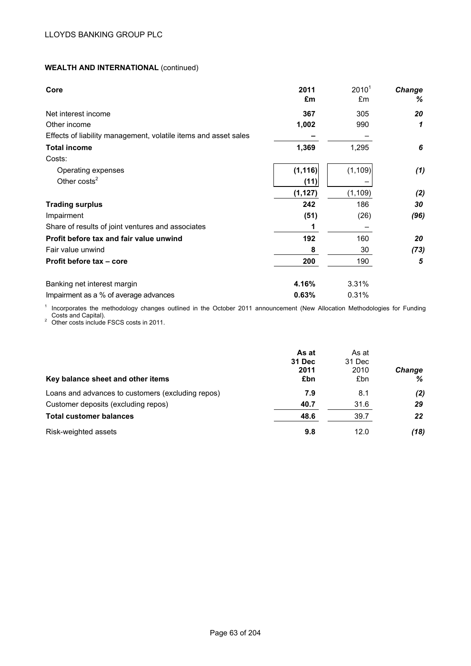| Core                                                            | 2011<br>£m | $2010^{1}$<br>£m | <b>Change</b><br>% |
|-----------------------------------------------------------------|------------|------------------|--------------------|
| Net interest income                                             | 367        | 305              | 20                 |
| Other income                                                    | 1,002      | 990              | 1                  |
| Effects of liability management, volatile items and asset sales |            |                  |                    |
| <b>Total income</b>                                             | 1,369      | 1,295            | 6                  |
| Costs:                                                          |            |                  |                    |
| Operating expenses                                              | (1, 116)   | (1, 109)         | (1)                |
| Other $costs2$                                                  | (11)       |                  |                    |
|                                                                 | (1, 127)   | (1, 109)         | (2)                |
| <b>Trading surplus</b>                                          | 242        | 186              | 30                 |
| Impairment                                                      | (51)       | (26)             | (96)               |
| Share of results of joint ventures and associates               | 1          |                  |                    |
| Profit before tax and fair value unwind                         | 192        | 160              | 20                 |
| Fair value unwind                                               | 8          | 30               | (73)               |
| Profit before tax - core                                        | 200        | 190              | 5                  |
| Banking net interest margin                                     | 4.16%      | 3.31%            |                    |
| Impairment as a % of average advances                           | 0.63%      | 0.31%            |                    |

<sup>1</sup> Incorporates the methodology changes outlined in the October 2011 announcement (New Allocation Methodologies for Funding

Costs and Capital).<br><sup>2</sup> Other costs include FSCS costs in 2011.

|                                                   | As at  | As at  |               |
|---------------------------------------------------|--------|--------|---------------|
|                                                   | 31 Dec | 31 Dec |               |
|                                                   | 2011   | 2010   | <b>Change</b> |
| Key balance sheet and other items                 | £bn    | £bn    | ℅             |
| Loans and advances to customers (excluding repos) | 7.9    | 8.1    | (2)           |
| Customer deposits (excluding repos)               | 40.7   | 31.6   | 29            |
| <b>Total customer balances</b>                    | 48.6   | 39.7   | 22            |
| Risk-weighted assets                              | 9.8    | 12.0   | (18)          |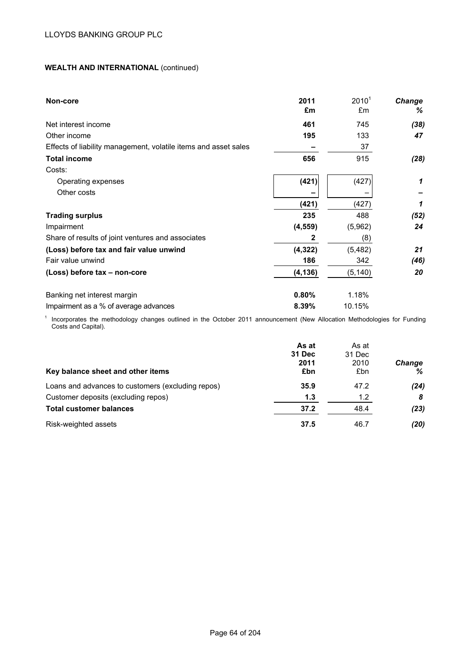| Non-core                                                        | 2011<br>£m | $2010^{1}$<br>£m | Change<br>℅ |
|-----------------------------------------------------------------|------------|------------------|-------------|
| Net interest income                                             | 461        | 745              | (38)        |
| Other income                                                    | 195        | 133              | 47          |
| Effects of liability management, volatile items and asset sales |            | 37               |             |
| <b>Total income</b>                                             | 656        | 915              | (28)        |
| Costs:                                                          |            |                  |             |
| Operating expenses                                              | (421)      | (427)            | 1           |
| Other costs                                                     |            |                  |             |
|                                                                 | (421)      | (427)            | 1           |
| <b>Trading surplus</b>                                          | 235        | 488              | (52)        |
| Impairment                                                      | (4, 559)   | (5,962)          | 24          |
| Share of results of joint ventures and associates               | 2          | (8)              |             |
| (Loss) before tax and fair value unwind                         | (4, 322)   | (5, 482)         | 21          |
| Fair value unwind                                               | 186        | 342              | (46)        |
| (Loss) before tax - non-core                                    | (4, 136)   | (5, 140)         | 20          |
| Banking net interest margin                                     | 0.80%      | 1.18%            |             |
| Impairment as a % of average advances                           | 8.39%      | 10.15%           |             |

|                                                   | As at  | As at  |               |
|---------------------------------------------------|--------|--------|---------------|
|                                                   | 31 Dec | 31 Dec |               |
|                                                   | 2011   | 2010   | <b>Change</b> |
| Key balance sheet and other items                 | £bn    | £bn    | ℅             |
| Loans and advances to customers (excluding repos) | 35.9   | 47.2   | (24)          |
| Customer deposits (excluding repos)               | 1.3    | 1.2    | 8             |
| <b>Total customer balances</b>                    | 37.2   | 48.4   | (23)          |
| Risk-weighted assets                              | 37.5   | 46.7   | (20)          |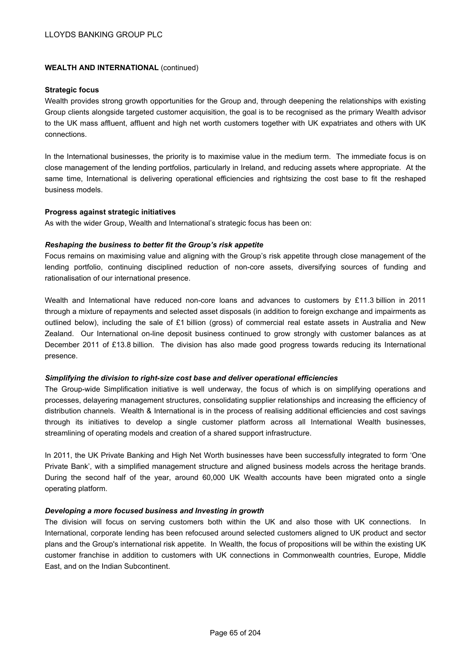## **Strategic focus**

Wealth provides strong growth opportunities for the Group and, through deepening the relationships with existing Group clients alongside targeted customer acquisition, the goal is to be recognised as the primary Wealth advisor to the UK mass affluent, affluent and high net worth customers together with UK expatriates and others with UK connections.

In the International businesses, the priority is to maximise value in the medium term. The immediate focus is on close management of the lending portfolios, particularly in Ireland, and reducing assets where appropriate. At the same time, International is delivering operational efficiencies and rightsizing the cost base to fit the reshaped business models.

### **Progress against strategic initiatives**

As with the wider Group, Wealth and International's strategic focus has been on:

## *Reshaping the business to better fit the Group's risk appetite*

Focus remains on maximising value and aligning with the Group's risk appetite through close management of the lending portfolio, continuing disciplined reduction of non-core assets, diversifying sources of funding and rationalisation of our international presence.

Wealth and International have reduced non-core loans and advances to customers by £11.3 billion in 2011 through a mixture of repayments and selected asset disposals (in addition to foreign exchange and impairments as outlined below), including the sale of £1 billion (gross) of commercial real estate assets in Australia and New Zealand. Our International on-line deposit business continued to grow strongly with customer balances as at December 2011 of £13.8 billion. The division has also made good progress towards reducing its International presence.

### *Simplifying the division to right-size cost base and deliver operational efficiencies*

The Group-wide Simplification initiative is well underway, the focus of which is on simplifying operations and processes, delayering management structures, consolidating supplier relationships and increasing the efficiency of distribution channels. Wealth & International is in the process of realising additional efficiencies and cost savings through its initiatives to develop a single customer platform across all International Wealth businesses, streamlining of operating models and creation of a shared support infrastructure.

In 2011, the UK Private Banking and High Net Worth businesses have been successfully integrated to form 'One Private Bank', with a simplified management structure and aligned business models across the heritage brands. During the second half of the year, around 60,000 UK Wealth accounts have been migrated onto a single operating platform.

# *Developing a more focused business and Investing in growth*

The division will focus on serving customers both within the UK and also those with UK connections. In International, corporate lending has been refocused around selected customers aligned to UK product and sector plans and the Group's international risk appetite. In Wealth, the focus of propositions will be within the existing UK customer franchise in addition to customers with UK connections in Commonwealth countries, Europe, Middle East, and on the Indian Subcontinent.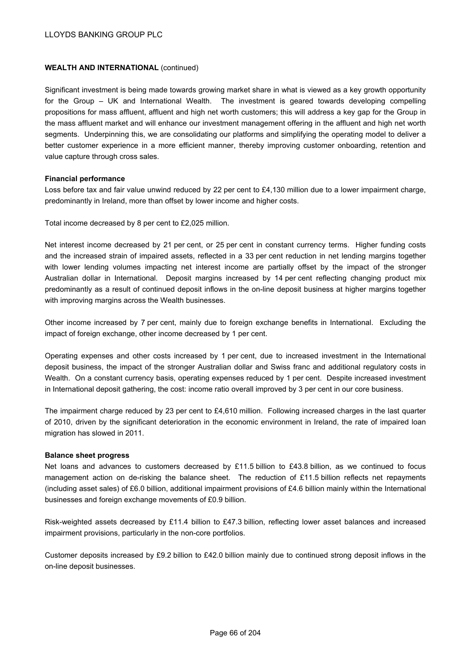Significant investment is being made towards growing market share in what is viewed as a key growth opportunity for the Group – UK and International Wealth. The investment is geared towards developing compelling propositions for mass affluent, affluent and high net worth customers; this will address a key gap for the Group in the mass affluent market and will enhance our investment management offering in the affluent and high net worth segments. Underpinning this, we are consolidating our platforms and simplifying the operating model to deliver a better customer experience in a more efficient manner, thereby improving customer onboarding, retention and value capture through cross sales.

## **Financial performance**

Loss before tax and fair value unwind reduced by 22 per cent to £4,130 million due to a lower impairment charge, predominantly in Ireland, more than offset by lower income and higher costs.

Total income decreased by 8 per cent to £2,025 million.

Net interest income decreased by 21 per cent, or 25 per cent in constant currency terms. Higher funding costs and the increased strain of impaired assets, reflected in a 33 per cent reduction in net lending margins together with lower lending volumes impacting net interest income are partially offset by the impact of the stronger Australian dollar in International. Deposit margins increased by 14 per cent reflecting changing product mix predominantly as a result of continued deposit inflows in the on-line deposit business at higher margins together with improving margins across the Wealth businesses.

Other income increased by 7 per cent, mainly due to foreign exchange benefits in International. Excluding the impact of foreign exchange, other income decreased by 1 per cent.

Operating expenses and other costs increased by 1 per cent, due to increased investment in the International deposit business, the impact of the stronger Australian dollar and Swiss franc and additional regulatory costs in Wealth. On a constant currency basis, operating expenses reduced by 1 per cent. Despite increased investment in International deposit gathering, the cost: income ratio overall improved by 3 per cent in our core business.

The impairment charge reduced by 23 per cent to £4,610 million. Following increased charges in the last quarter of 2010, driven by the significant deterioration in the economic environment in Ireland, the rate of impaired loan migration has slowed in 2011.

### **Balance sheet progress**

Net loans and advances to customers decreased by £11.5 billion to £43.8 billion, as we continued to focus management action on de-risking the balance sheet. The reduction of £11.5 billion reflects net repayments (including asset sales) of £6.0 billion, additional impairment provisions of £4.6 billion mainly within the International businesses and foreign exchange movements of £0.9 billion.

Risk-weighted assets decreased by £11.4 billion to £47.3 billion, reflecting lower asset balances and increased impairment provisions, particularly in the non-core portfolios.

Customer deposits increased by £9.2 billion to £42.0 billion mainly due to continued strong deposit inflows in the on-line deposit businesses.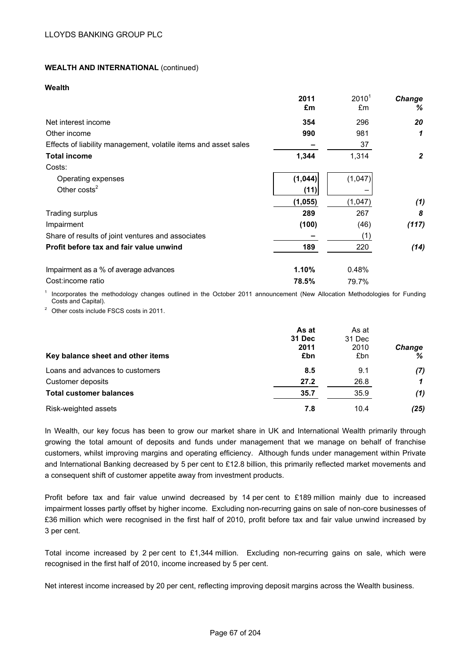**Wealth** 

|                                                                 | 2011    | $2010^{1}$ | Change         |
|-----------------------------------------------------------------|---------|------------|----------------|
|                                                                 | £m      | £m         | %              |
| Net interest income                                             | 354     | 296        | 20             |
| Other income                                                    | 990     | 981        | 1              |
| Effects of liability management, volatile items and asset sales |         | 37         |                |
| <b>Total income</b>                                             | 1,344   | 1,314      | $\overline{2}$ |
| Costs:                                                          |         |            |                |
| Operating expenses                                              | (1,044) | (1,047)    |                |
| Other $costs2$                                                  | (11)    |            |                |
|                                                                 | (1,055) | (1,047)    | (1)            |
| Trading surplus                                                 | 289     | 267        | 8              |
| Impairment                                                      | (100)   | (46)       | (117)          |
| Share of results of joint ventures and associates               |         | (1)        |                |
| Profit before tax and fair value unwind                         | 189     | 220        | (14)           |
| Impairment as a % of average advances                           | 1.10%   | 0.48%      |                |
| Cost: income ratio                                              | 78.5%   | 79.7%      |                |

<sup>1</sup> Incorporates the methodology changes outlined in the October 2011 announcement (New Allocation Methodologies for Funding Costs and Capital).

<sup>2</sup> Other costs include FSCS costs in 2011.

|                                   | As at  | As at  |               |
|-----------------------------------|--------|--------|---------------|
|                                   | 31 Dec | 31 Dec |               |
|                                   | 2011   | 2010   | <b>Change</b> |
| Key balance sheet and other items | £bn    | £bn    | %             |
| Loans and advances to customers   | 8.5    | 9.1    | (7)           |
| Customer deposits                 | 27.2   | 26.8   |               |
| <b>Total customer balances</b>    | 35.7   | 35.9   | (1)           |
| Risk-weighted assets              | 7.8    | 10.4   | (25)          |

In Wealth, our key focus has been to grow our market share in UK and International Wealth primarily through growing the total amount of deposits and funds under management that we manage on behalf of franchise customers, whilst improving margins and operating efficiency. Although funds under management within Private and International Banking decreased by 5 per cent to £12.8 billion, this primarily reflected market movements and a consequent shift of customer appetite away from investment products.

Profit before tax and fair value unwind decreased by 14 per cent to £189 million mainly due to increased impairment losses partly offset by higher income. Excluding non-recurring gains on sale of non-core businesses of £36 million which were recognised in the first half of 2010, profit before tax and fair value unwind increased by 3 per cent.

Total income increased by 2 per cent to £1,344 million. Excluding non-recurring gains on sale, which were recognised in the first half of 2010, income increased by 5 per cent.

Net interest income increased by 20 per cent, reflecting improving deposit margins across the Wealth business.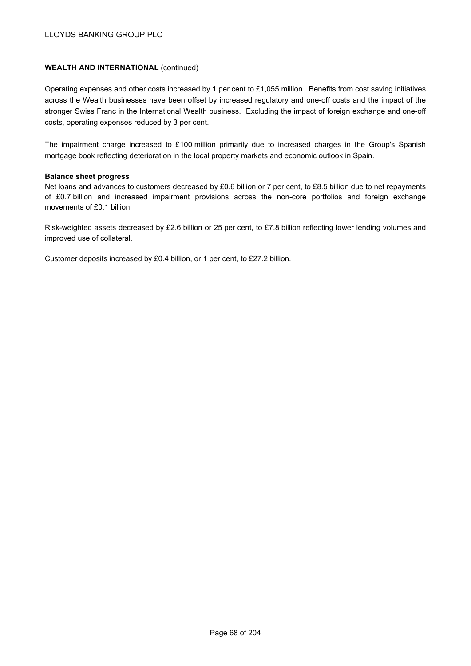Operating expenses and other costs increased by 1 per cent to £1,055 million. Benefits from cost saving initiatives across the Wealth businesses have been offset by increased regulatory and one-off costs and the impact of the stronger Swiss Franc in the International Wealth business. Excluding the impact of foreign exchange and one-off costs, operating expenses reduced by 3 per cent.

The impairment charge increased to £100 million primarily due to increased charges in the Group's Spanish mortgage book reflecting deterioration in the local property markets and economic outlook in Spain.

### **Balance sheet progress**

Net loans and advances to customers decreased by £0.6 billion or 7 per cent, to £8.5 billion due to net repayments of £0.7 billion and increased impairment provisions across the non-core portfolios and foreign exchange movements of £0.1 billion.

Risk-weighted assets decreased by £2.6 billion or 25 per cent, to £7.8 billion reflecting lower lending volumes and improved use of collateral.

Customer deposits increased by £0.4 billion, or 1 per cent, to £27.2 billion.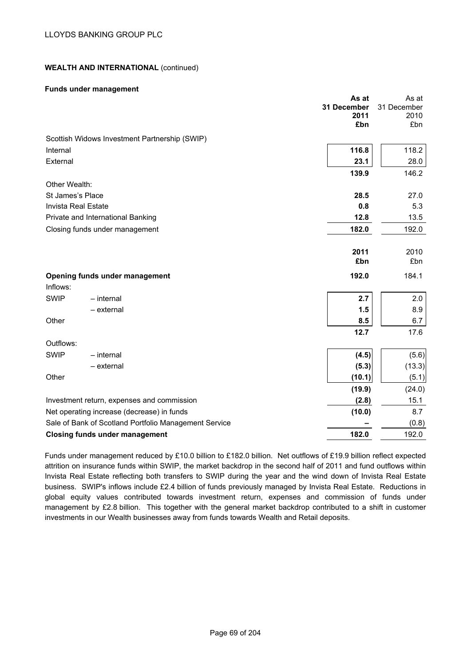#### **Funds under management**

|                  |                                                       | As at<br>31 December<br>2011<br>£bn | As at<br>31 December<br>2010<br>£bn |
|------------------|-------------------------------------------------------|-------------------------------------|-------------------------------------|
|                  | Scottish Widows Investment Partnership (SWIP)         |                                     |                                     |
| Internal         |                                                       | 116.8                               | 118.2                               |
| External         |                                                       | 23.1                                | 28.0                                |
|                  |                                                       | 139.9                               | 146.2                               |
| Other Wealth:    |                                                       |                                     |                                     |
| St James's Place |                                                       | 28.5                                | 27.0                                |
|                  | <b>Invista Real Estate</b>                            | 0.8                                 | 5.3                                 |
|                  | Private and International Banking                     | 12.8                                | 13.5                                |
|                  | Closing funds under management                        | 182.0                               | 192.0                               |
|                  |                                                       | 2011<br>£bn                         | 2010<br>£bn                         |
|                  | Opening funds under management                        | 192.0                               | 184.1                               |
| Inflows:         |                                                       |                                     |                                     |
| <b>SWIP</b>      | $-$ internal                                          | 2.7                                 | 2.0                                 |
|                  | - external                                            | 1.5                                 | 8.9                                 |
| Other            |                                                       | 8.5                                 | 6.7                                 |
| Outflows:        |                                                       | 12.7                                | 17.6                                |
| <b>SWIP</b>      | $-$ internal                                          |                                     |                                     |
|                  | $-$ external                                          | (4.5)<br>(5.3)                      | (5.6)                               |
| Other            |                                                       | (10.1)                              | (13.3)                              |
|                  |                                                       |                                     | (5.1)                               |
|                  |                                                       | (19.9)                              | (24.0)<br>15.1                      |
|                  | Investment return, expenses and commission            | (2.8)                               |                                     |
|                  | Net operating increase (decrease) in funds            | (10.0)                              | 8.7                                 |
|                  | Sale of Bank of Scotland Portfolio Management Service |                                     | (0.8)                               |
|                  | <b>Closing funds under management</b>                 | 182.0                               | 192.0                               |

Funds under management reduced by £10.0 billion to £182.0 billion. Net outflows of £19.9 billion reflect expected attrition on insurance funds within SWIP, the market backdrop in the second half of 2011 and fund outflows within Invista Real Estate reflecting both transfers to SWIP during the year and the wind down of Invista Real Estate business. SWIP's inflows include £2.4 billion of funds previously managed by Invista Real Estate. Reductions in global equity values contributed towards investment return, expenses and commission of funds under management by £2.8 billion. This together with the general market backdrop contributed to a shift in customer investments in our Wealth businesses away from funds towards Wealth and Retail deposits.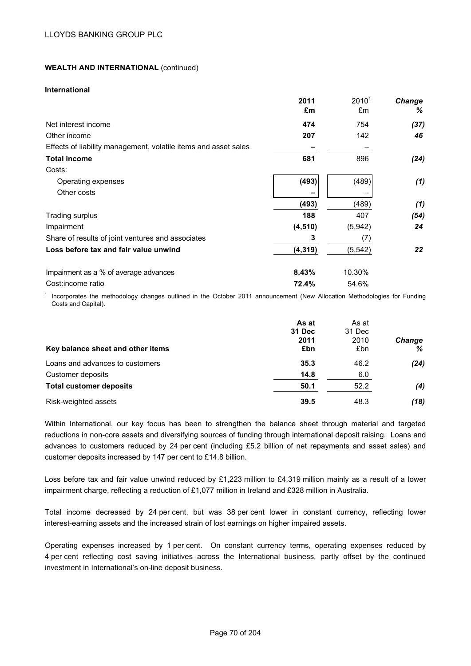## **WEALTH AND INTERNATIONAL** (continued)

### **International**

|                                                                 | 2011     | $2010^{1}$ | Change |
|-----------------------------------------------------------------|----------|------------|--------|
|                                                                 | £m       | £m         | ℅      |
| Net interest income                                             | 474      | 754        | (37)   |
| Other income                                                    | 207      | 142        | 46     |
| Effects of liability management, volatile items and asset sales |          |            |        |
| <b>Total income</b>                                             | 681      | 896        | (24)   |
| Costs:                                                          |          |            |        |
| Operating expenses                                              | (493)    | (489)      | (1)    |
| Other costs                                                     | -        |            |        |
|                                                                 | (493)    | (489)      | (1)    |
| Trading surplus                                                 | 188      | 407        | (54)   |
| Impairment                                                      | (4, 510) | (5,942)    | 24     |
| Share of results of joint ventures and associates               | 3        | (7)        |        |
| Loss before tax and fair value unwind                           | (4, 319) | (5, 542)   | 22     |
| Impairment as a % of average advances                           | 8.43%    | 10.30%     |        |
| Cost: income ratio                                              | 72.4%    | 54.6%      |        |

<sup>1</sup> Incorporates the methodology changes outlined in the October 2011 announcement (New Allocation Methodologies for Funding Costs and Capital).

| Key balance sheet and other items | As at<br>31 Dec<br>2011<br>£bn | As at<br>31 Dec<br>2010<br>£bn | <b>Change</b><br>% |
|-----------------------------------|--------------------------------|--------------------------------|--------------------|
| Loans and advances to customers   | 35.3                           | 46.2                           | (24)               |
| Customer deposits                 | 14.8                           | 6.0                            |                    |
| <b>Total customer deposits</b>    | 50.1                           | 52.2                           | (4)                |
| Risk-weighted assets              | 39.5                           | 48.3                           | (18)               |

Within International, our key focus has been to strengthen the balance sheet through material and targeted reductions in non-core assets and diversifying sources of funding through international deposit raising. Loans and advances to customers reduced by 24 per cent (including £5.2 billion of net repayments and asset sales) and customer deposits increased by 147 per cent to £14.8 billion.

Loss before tax and fair value unwind reduced by £1,223 million to £4,319 million mainly as a result of a lower impairment charge, reflecting a reduction of £1,077 million in Ireland and £328 million in Australia.

Total income decreased by 24 per cent, but was 38 per cent lower in constant currency, reflecting lower interest-earning assets and the increased strain of lost earnings on higher impaired assets.

Operating expenses increased by 1 per cent. On constant currency terms, operating expenses reduced by 4 per cent reflecting cost saving initiatives across the International business, partly offset by the continued investment in International's on-line deposit business.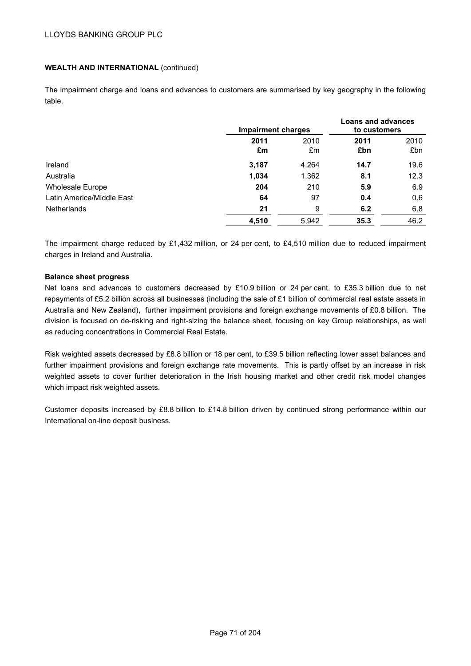# **WEALTH AND INTERNATIONAL** (continued)

The impairment charge and loans and advances to customers are summarised by key geography in the following table.

|                           |            | <b>Impairment charges</b> |             | <b>Loans and advances</b><br>to customers |
|---------------------------|------------|---------------------------|-------------|-------------------------------------------|
|                           | 2011<br>£m | 2010<br>£m                | 2011<br>£bn | 2010<br>£bn                               |
| Ireland                   | 3,187      | 4,264                     | 14.7        | 19.6                                      |
| Australia                 | 1,034      | 1,362                     | 8.1         | 12.3                                      |
| <b>Wholesale Europe</b>   | 204        | 210                       | 5.9         | 6.9                                       |
| Latin America/Middle East | 64         | 97                        | 0.4         | 0.6                                       |
| <b>Netherlands</b>        | 21         | 9                         | 6.2         | 6.8                                       |
|                           | 4,510      | 5,942                     | 35.3        | 46.2                                      |

The impairment charge reduced by £1,432 million, or 24 per cent, to £4,510 million due to reduced impairment charges in Ireland and Australia.

# **Balance sheet progress**

Net loans and advances to customers decreased by £10.9 billion or 24 per cent, to £35.3 billion due to net repayments of £5.2 billion across all businesses (including the sale of £1 billion of commercial real estate assets in Australia and New Zealand), further impairment provisions and foreign exchange movements of £0.8 billion. The division is focused on de-risking and right-sizing the balance sheet, focusing on key Group relationships, as well as reducing concentrations in Commercial Real Estate.

Risk weighted assets decreased by £8.8 billion or 18 per cent, to £39.5 billion reflecting lower asset balances and further impairment provisions and foreign exchange rate movements. This is partly offset by an increase in risk weighted assets to cover further deterioration in the Irish housing market and other credit risk model changes which impact risk weighted assets.

Customer deposits increased by £8.8 billion to £14.8 billion driven by continued strong performance within our International on-line deposit business.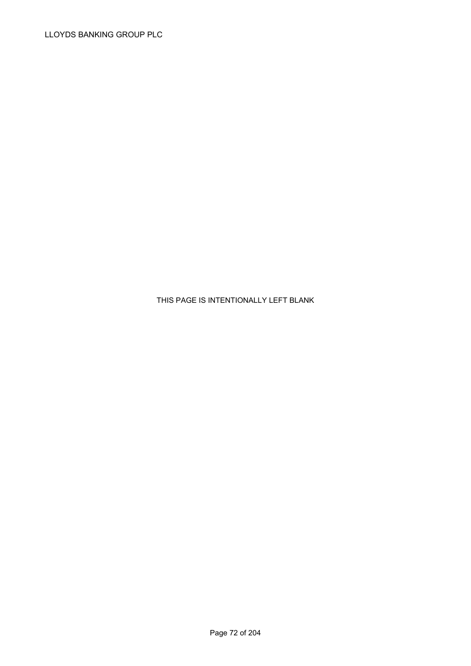THIS PAGE IS INTENTIONALLY LEFT BLANK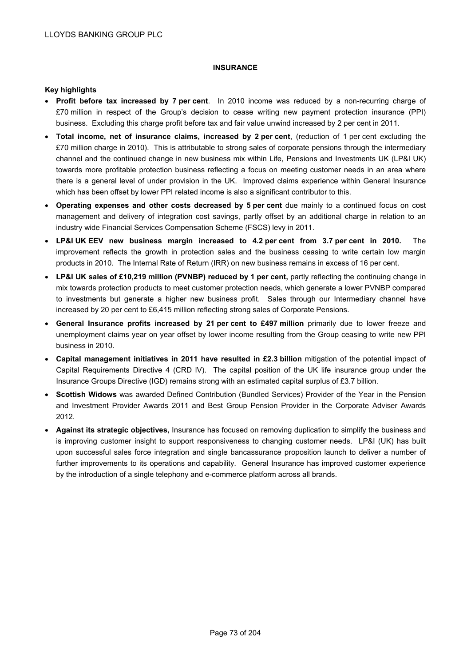#### **INSURANCE**

# **Key highlights**

- **Profit before tax increased by 7 per cent**. In 2010 income was reduced by a non-recurring charge of £70 million in respect of the Group's decision to cease writing new payment protection insurance (PPI) business. Excluding this charge profit before tax and fair value unwind increased by 2 per cent in 2011.
- **Total income, net of insurance claims, increased by 2 per cent**, (reduction of 1 per cent excluding the £70 million charge in 2010). This is attributable to strong sales of corporate pensions through the intermediary channel and the continued change in new business mix within Life, Pensions and Investments UK (LP&I UK) towards more profitable protection business reflecting a focus on meeting customer needs in an area where there is a general level of under provision in the UK. Improved claims experience within General Insurance which has been offset by lower PPI related income is also a significant contributor to this.
- **Operating expenses and other costs decreased by 5 per cent** due mainly to a continued focus on cost management and delivery of integration cost savings, partly offset by an additional charge in relation to an industry wide Financial Services Compensation Scheme (FSCS) levy in 2011.
- **LP&I UK EEV new business margin increased to 4.2 per cent from 3.7 per cent in 2010.** The improvement reflects the growth in protection sales and the business ceasing to write certain low margin products in 2010. The Internal Rate of Return (IRR) on new business remains in excess of 16 per cent.
- LP&I UK sales of £10,219 million (PVNBP) reduced by 1 per cent, partly reflecting the continuing change in mix towards protection products to meet customer protection needs, which generate a lower PVNBP compared to investments but generate a higher new business profit. Sales through our Intermediary channel have increased by 20 per cent to £6,415 million reflecting strong sales of Corporate Pensions.
- **General Insurance profits increased by 21 per cent to £497 million** primarily due to lower freeze and unemployment claims year on year offset by lower income resulting from the Group ceasing to write new PPI business in 2010.
- **Capital management initiatives in 2011 have resulted in £2.3 billion** mitigation of the potential impact of Capital Requirements Directive 4 (CRD lV). The capital position of the UK life insurance group under the Insurance Groups Directive (IGD) remains strong with an estimated capital surplus of £3.7 billion.
- **Scottish Widows** was awarded Defined Contribution (Bundled Services) Provider of the Year in the Pension and Investment Provider Awards 2011 and Best Group Pension Provider in the Corporate Adviser Awards 2012.
- **Against its strategic objectives,** Insurance has focused on removing duplication to simplify the business and is improving customer insight to support responsiveness to changing customer needs. LP&I (UK) has built upon successful sales force integration and single bancassurance proposition launch to deliver a number of further improvements to its operations and capability. General Insurance has improved customer experience by the introduction of a single telephony and e-commerce platform across all brands.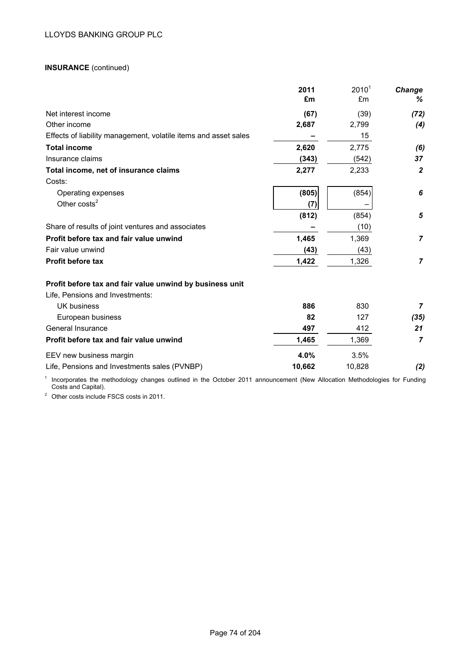|                                                                                                         | 2011<br>£m | $2010^{1}$<br>£m                                                                                                                                                                                                                     | Change<br>℅    |
|---------------------------------------------------------------------------------------------------------|------------|--------------------------------------------------------------------------------------------------------------------------------------------------------------------------------------------------------------------------------------|----------------|
| Net interest income                                                                                     |            |                                                                                                                                                                                                                                      |                |
|                                                                                                         | (67)       | (39)                                                                                                                                                                                                                                 | (72)           |
| Other income                                                                                            | 2,687      | 2,799                                                                                                                                                                                                                                | (4)            |
| Effects of liability management, volatile items and asset sales                                         |            | 15                                                                                                                                                                                                                                   |                |
| <b>Total income</b>                                                                                     | 2,620      | 2,775                                                                                                                                                                                                                                | (6)            |
| Insurance claims                                                                                        | (343)      | (542)                                                                                                                                                                                                                                | 37             |
| Total income, net of insurance claims                                                                   | 2,277      | 2,233                                                                                                                                                                                                                                | $\overline{2}$ |
| Costs:                                                                                                  |            |                                                                                                                                                                                                                                      |                |
| Operating expenses                                                                                      | (805)      | (854)                                                                                                                                                                                                                                | 6              |
| Other $costs2$                                                                                          | (7)        |                                                                                                                                                                                                                                      |                |
|                                                                                                         | (812)      | (854)                                                                                                                                                                                                                                | 5              |
| Share of results of joint ventures and associates                                                       |            | (10)                                                                                                                                                                                                                                 |                |
| Profit before tax and fair value unwind                                                                 | 1,465      | 1,369                                                                                                                                                                                                                                | $\overline{7}$ |
| Fair value unwind                                                                                       | (43)       | (43)                                                                                                                                                                                                                                 |                |
| <b>Profit before tax</b>                                                                                | 1,422      | 1,326                                                                                                                                                                                                                                | $\overline{7}$ |
| Profit before tax and fair value unwind by business unit                                                |            |                                                                                                                                                                                                                                      |                |
| Life, Pensions and Investments:                                                                         |            |                                                                                                                                                                                                                                      |                |
| UK business                                                                                             | 886        | 830                                                                                                                                                                                                                                  | 7              |
| European business                                                                                       | 82         | 127                                                                                                                                                                                                                                  | (35)           |
| General Insurance                                                                                       | 497        | 412                                                                                                                                                                                                                                  | 21             |
| Profit before tax and fair value unwind                                                                 | 1,465      | 1,369                                                                                                                                                                                                                                | $\overline{7}$ |
| EEV new business margin                                                                                 | 4.0%       | 3.5%                                                                                                                                                                                                                                 |                |
| Life, Pensions and Investments sales (PVNBP)                                                            | 10,662     | 10,828                                                                                                                                                                                                                               | (2)            |
| $1$ the concentration of the concentration of the concentration of the first $\bigwedge_{i=1}^{\infty}$ |            | <b>Alternative Contract Manager and State Advanced State Advanced State Advanced State Advanced Advanced Advanced Advanced Advanced Advanced Advanced Advanced Advanced Advanced Advanced Advanced Advanced Advanced Advanced Ad</b> |                |

<sup>1</sup> Incorporates the methodology changes outlined in the October 2011 announcement (New Allocation Methodologies for Funding Costs and Capital).

<sup>2</sup> Other costs include FSCS costs in 2011.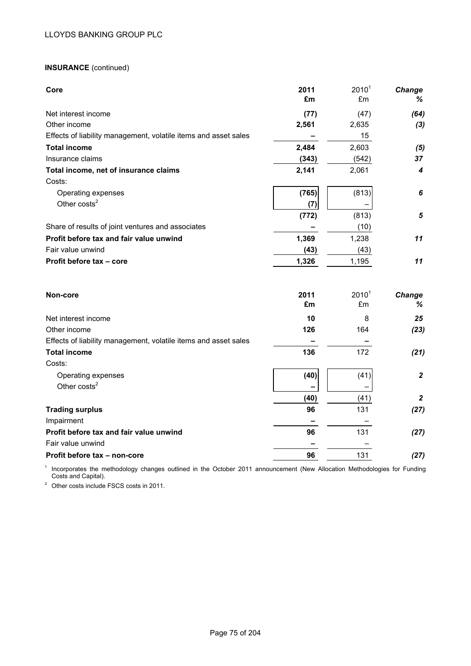| 2011<br>£m | $2010^{1}$<br>£m      | <b>Change</b><br>℅                         |
|------------|-----------------------|--------------------------------------------|
| (77)       | (47)                  | (64)                                       |
| 2,561      | 2,635                 | (3)                                        |
|            | 15                    |                                            |
| 2,484      | 2,603                 | (5)                                        |
| (343)      | (542)                 | 37                                         |
| 2,141      | 2,061                 | 4                                          |
|            |                       |                                            |
| (765)      | (813)                 | 6                                          |
| (7)        |                       |                                            |
|            |                       | 5                                          |
|            |                       |                                            |
| 1,369      | 1,238                 | 11                                         |
|            |                       |                                            |
| 1,326      | 1,195                 | 11                                         |
|            |                       | <b>Change</b>                              |
| £m         | £m                    | ℅                                          |
| 10         | 8                     | 25                                         |
|            | (772)<br>(43)<br>2011 | (813)<br>(10)<br>(43)<br>2010 <sup>1</sup> |

| Other income                                                    | 126  | 164  | (23) |
|-----------------------------------------------------------------|------|------|------|
| Effects of liability management, volatile items and asset sales |      |      |      |
| <b>Total income</b>                                             | 136  | 172  | (21) |
| Costs:                                                          |      |      |      |
| Operating expenses                                              | (40) | (41) |      |
| Other $costs2$                                                  |      |      |      |
|                                                                 | (40) | (41) | 2    |
| <b>Trading surplus</b>                                          | 96   | 131  | (27) |
| Impairment                                                      |      |      |      |
| Profit before tax and fair value unwind                         | 96   | 131  | (27) |
| Fair value unwind                                               |      |      |      |
| Profit before tax - non-core                                    | 96   | 131  | (27) |

<sup>1</sup> Incorporates the methodology changes outlined in the October 2011 announcement (New Allocation Methodologies for Funding Costs and Capital).

<sup>2</sup> Other costs include FSCS costs in 2011.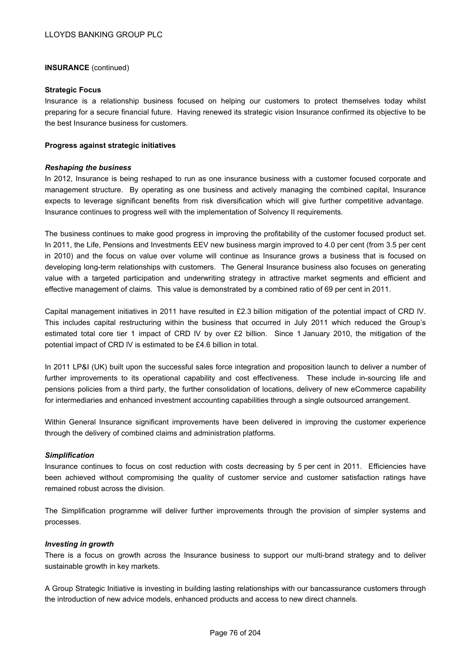### **Strategic Focus**

Insurance is a relationship business focused on helping our customers to protect themselves today whilst preparing for a secure financial future. Having renewed its strategic vision Insurance confirmed its objective to be the best Insurance business for customers.

### **Progress against strategic initiatives**

### *Reshaping the business*

In 2012, Insurance is being reshaped to run as one insurance business with a customer focused corporate and management structure. By operating as one business and actively managing the combined capital, Insurance expects to leverage significant benefits from risk diversification which will give further competitive advantage. Insurance continues to progress well with the implementation of Solvency II requirements.

The business continues to make good progress in improving the profitability of the customer focused product set. In 2011, the Life, Pensions and Investments EEV new business margin improved to 4.0 per cent (from 3.5 per cent in 2010) and the focus on value over volume will continue as Insurance grows a business that is focused on developing long-term relationships with customers. The General Insurance business also focuses on generating value with a targeted participation and underwriting strategy in attractive market segments and efficient and effective management of claims. This value is demonstrated by a combined ratio of 69 per cent in 2011.

Capital management initiatives in 2011 have resulted in £2.3 billion mitigation of the potential impact of CRD lV. This includes capital restructuring within the business that occurred in July 2011 which reduced the Group's estimated total core tier 1 impact of CRD lV by over £2 billion. Since 1 January 2010, the mitigation of the potential impact of CRD lV is estimated to be £4.6 billion in total.

In 2011 LP&I (UK) built upon the successful sales force integration and proposition launch to deliver a number of further improvements to its operational capability and cost effectiveness. These include in-sourcing life and pensions policies from a third party, the further consolidation of locations, delivery of new eCommerce capability for intermediaries and enhanced investment accounting capabilities through a single outsourced arrangement.

Within General Insurance significant improvements have been delivered in improving the customer experience through the delivery of combined claims and administration platforms.

# *Simplification*

Insurance continues to focus on cost reduction with costs decreasing by 5 per cent in 2011. Efficiencies have been achieved without compromising the quality of customer service and customer satisfaction ratings have remained robust across the division.

The Simplification programme will deliver further improvements through the provision of simpler systems and processes.

### *Investing in growth*

There is a focus on growth across the Insurance business to support our multi-brand strategy and to deliver sustainable growth in key markets.

A Group Strategic Initiative is investing in building lasting relationships with our bancassurance customers through the introduction of new advice models, enhanced products and access to new direct channels.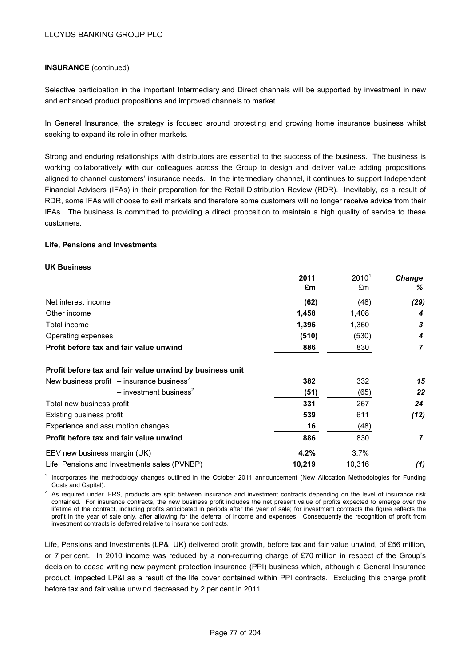Selective participation in the important Intermediary and Direct channels will be supported by investment in new and enhanced product propositions and improved channels to market.

In General Insurance, the strategy is focused around protecting and growing home insurance business whilst seeking to expand its role in other markets.

Strong and enduring relationships with distributors are essential to the success of the business. The business is working collaboratively with our colleagues across the Group to design and deliver value adding propositions aligned to channel customers' insurance needs. In the intermediary channel, it continues to support Independent Financial Advisers (IFAs) in their preparation for the Retail Distribution Review (RDR). Inevitably, as a result of RDR, some IFAs will choose to exit markets and therefore some customers will no longer receive advice from their IFAs. The business is committed to providing a direct proposition to maintain a high quality of service to these customers.

### **Life, Pensions and Investments**

### **UK Business**

|                                                          | 2011   | $2010^{1}$ | Change         |
|----------------------------------------------------------|--------|------------|----------------|
|                                                          | £m     | £m         | ℅              |
| Net interest income                                      | (62)   | (48)       | (29)           |
| Other income                                             | 1,458  | 1,408      | 4              |
| Total income                                             | 1,396  | 1,360      | 3              |
| Operating expenses                                       | (510)  | (530)      | 4              |
| Profit before tax and fair value unwind                  | 886    | 830        | 7              |
| Profit before tax and fair value unwind by business unit |        |            |                |
| New business profit $-$ insurance business <sup>2</sup>  | 382    | 332        | 15             |
| $-$ investment business <sup>2</sup>                     | (51)   | (65)       | 22             |
| Total new business profit                                | 331    | 267        | 24             |
| Existing business profit                                 | 539    | 611        | (12)           |
| Experience and assumption changes                        | 16     | (48)       |                |
| Profit before tax and fair value unwind                  | 886    | 830        | $\overline{7}$ |
| EEV new business margin (UK)                             | 4.2%   | 3.7%       |                |
| Life, Pensions and Investments sales (PVNBP)             | 10,219 | 10,316     | (1)            |

<sup>1</sup> Incorporates the methodology changes outlined in the October 2011 announcement (New Allocation Methodologies for Funding Costs and Capital).

<sup>2</sup> As required under IFRS, products are split between insurance and investment contracts depending on the level of insurance risk contained. For insurance contracts, the new business profit includes the net present value of profits expected to emerge over the lifetime of the contract, including profits anticipated in periods after the year of sale; for investment contracts the figure reflects the profit in the year of sale only, after allowing for the deferral of income and expenses. Consequently the recognition of profit from investment contracts is deferred relative to insurance contracts.

Life, Pensions and Investments (LP&I UK) delivered profit growth, before tax and fair value unwind, of £56 million, or 7 per cent. In 2010 income was reduced by a non-recurring charge of £70 million in respect of the Group's decision to cease writing new payment protection insurance (PPI) business which, although a General Insurance product, impacted LP&I as a result of the life cover contained within PPI contracts. Excluding this charge profit before tax and fair value unwind decreased by 2 per cent in 2011.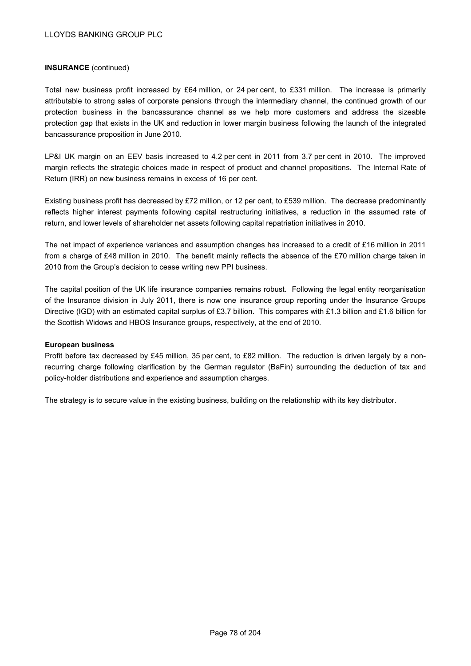Total new business profit increased by £64 million, or 24 per cent, to £331 million. The increase is primarily attributable to strong sales of corporate pensions through the intermediary channel, the continued growth of our protection business in the bancassurance channel as we help more customers and address the sizeable protection gap that exists in the UK and reduction in lower margin business following the launch of the integrated bancassurance proposition in June 2010.

LP&I UK margin on an EEV basis increased to 4.2 per cent in 2011 from 3.7 per cent in 2010. The improved margin reflects the strategic choices made in respect of product and channel propositions. The Internal Rate of Return (IRR) on new business remains in excess of 16 per cent.

Existing business profit has decreased by £72 million, or 12 per cent, to £539 million. The decrease predominantly reflects higher interest payments following capital restructuring initiatives, a reduction in the assumed rate of return, and lower levels of shareholder net assets following capital repatriation initiatives in 2010.

The net impact of experience variances and assumption changes has increased to a credit of £16 million in 2011 from a charge of £48 million in 2010. The benefit mainly reflects the absence of the £70 million charge taken in 2010 from the Group's decision to cease writing new PPI business.

The capital position of the UK life insurance companies remains robust. Following the legal entity reorganisation of the Insurance division in July 2011, there is now one insurance group reporting under the Insurance Groups Directive (IGD) with an estimated capital surplus of £3.7 billion. This compares with £1.3 billion and £1.6 billion for the Scottish Widows and HBOS Insurance groups, respectively, at the end of 2010.

### **European business**

Profit before tax decreased by £45 million, 35 per cent, to £82 million. The reduction is driven largely by a nonrecurring charge following clarification by the German regulator (BaFin) surrounding the deduction of tax and policy-holder distributions and experience and assumption charges.

The strategy is to secure value in the existing business, building on the relationship with its key distributor.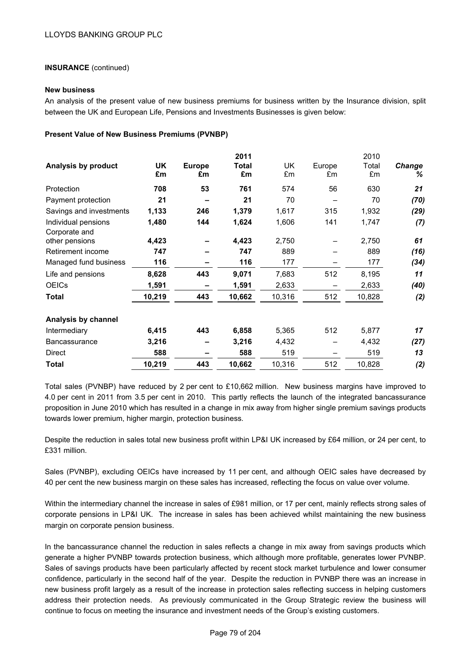### **New business**

An analysis of the present value of new business premiums for business written by the Insurance division, split between the UK and European Life, Pensions and Investments Businesses is given below:

### **Present Value of New Business Premiums (PVNBP)**

| Analysis by product                  | UK     | <b>Europe</b> | 2011<br><b>Total</b> | UK     | Europe | 2010<br>Total | Change |
|--------------------------------------|--------|---------------|----------------------|--------|--------|---------------|--------|
|                                      | £m     | £m            | £m                   | £m     | £m     | £m            | ℅      |
| Protection                           | 708    | 53            | 761                  | 574    | 56     | 630           | 21     |
| Payment protection                   | 21     |               | 21                   | 70     |        | 70            | (70)   |
| Savings and investments              | 1,133  | 246           | 1,379                | 1,617  | 315    | 1,932         | (29)   |
| Individual pensions<br>Corporate and | 1,480  | 144           | 1,624                | 1,606  | 141    | 1,747         | (7)    |
| other pensions                       | 4,423  |               | 4,423                | 2,750  |        | 2,750         | 61     |
| Retirement income                    | 747    |               | 747                  | 889    |        | 889           | (16)   |
| Managed fund business                | 116    |               | 116                  | 177    |        | 177           | (34)   |
| Life and pensions                    | 8,628  | 443           | 9,071                | 7,683  | 512    | 8,195         | 11     |
| <b>OEICs</b>                         | 1,591  |               | 1,591                | 2,633  |        | 2,633         | (40)   |
| Total                                | 10,219 | 443           | 10,662               | 10,316 | 512    | 10,828        | (2)    |
| Analysis by channel                  |        |               |                      |        |        |               |        |
| Intermediary                         | 6,415  | 443           | 6,858                | 5,365  | 512    | 5,877         | 17     |
| <b>Bancassurance</b>                 | 3,216  |               | 3,216                | 4,432  |        | 4,432         | (27)   |
| Direct                               | 588    |               | 588                  | 519    |        | 519           | 13     |
| Total                                | 10,219 | 443           | 10,662               | 10,316 | 512    | 10,828        | (2)    |

Total sales (PVNBP) have reduced by 2 per cent to £10,662 million. New business margins have improved to 4.0 per cent in 2011 from 3.5 per cent in 2010. This partly reflects the launch of the integrated bancassurance proposition in June 2010 which has resulted in a change in mix away from higher single premium savings products towards lower premium, higher margin, protection business.

Despite the reduction in sales total new business profit within LP&I UK increased by £64 million, or 24 per cent, to £331 million.

Sales (PVNBP), excluding OEICs have increased by 11 per cent, and although OEIC sales have decreased by 40 per cent the new business margin on these sales has increased, reflecting the focus on value over volume.

Within the intermediary channel the increase in sales of £981 million, or 17 per cent, mainly reflects strong sales of corporate pensions in LP&I UK. The increase in sales has been achieved whilst maintaining the new business margin on corporate pension business.

In the bancassurance channel the reduction in sales reflects a change in mix away from savings products which generate a higher PVNBP towards protection business, which although more profitable, generates lower PVNBP. Sales of savings products have been particularly affected by recent stock market turbulence and lower consumer confidence, particularly in the second half of the year. Despite the reduction in PVNBP there was an increase in new business profit largely as a result of the increase in protection sales reflecting success in helping customers address their protection needs. As previously communicated in the Group Strategic review the business will continue to focus on meeting the insurance and investment needs of the Group's existing customers.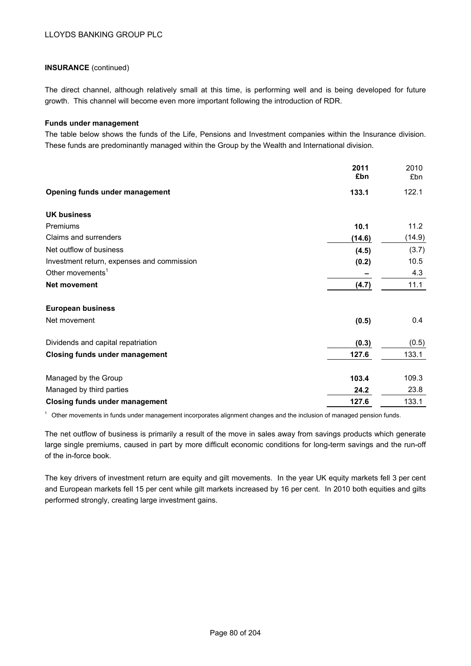The direct channel, although relatively small at this time, is performing well and is being developed for future growth. This channel will become even more important following the introduction of RDR.

### **Funds under management**

The table below shows the funds of the Life, Pensions and Investment companies within the Insurance division. These funds are predominantly managed within the Group by the Wealth and International division.

| Opening funds under management<br>133.1<br><b>UK business</b><br>Premiums<br>10.1<br>Claims and surrenders<br>(14.6)<br>Net outflow of business<br>(4.5)<br>Investment return, expenses and commission<br>(0.2)<br>Other movements <sup>1</sup><br><b>Net movement</b><br>(4.7)<br><b>European business</b><br>Net movement<br>(0.5)<br>Dividends and capital repatriation<br>(0.3)<br><b>Closing funds under management</b><br>127.6<br>Managed by the Group<br>103.4 |                          | 2011<br>£bn | 2010<br>£bn |
|------------------------------------------------------------------------------------------------------------------------------------------------------------------------------------------------------------------------------------------------------------------------------------------------------------------------------------------------------------------------------------------------------------------------------------------------------------------------|--------------------------|-------------|-------------|
|                                                                                                                                                                                                                                                                                                                                                                                                                                                                        |                          |             | 122.1       |
|                                                                                                                                                                                                                                                                                                                                                                                                                                                                        |                          |             |             |
|                                                                                                                                                                                                                                                                                                                                                                                                                                                                        |                          |             | 11.2        |
|                                                                                                                                                                                                                                                                                                                                                                                                                                                                        |                          |             | (14.9)      |
|                                                                                                                                                                                                                                                                                                                                                                                                                                                                        |                          |             | (3.7)       |
|                                                                                                                                                                                                                                                                                                                                                                                                                                                                        |                          |             | 10.5        |
|                                                                                                                                                                                                                                                                                                                                                                                                                                                                        |                          |             | 4.3         |
|                                                                                                                                                                                                                                                                                                                                                                                                                                                                        |                          |             | 11.1        |
|                                                                                                                                                                                                                                                                                                                                                                                                                                                                        |                          |             |             |
|                                                                                                                                                                                                                                                                                                                                                                                                                                                                        |                          |             | 0.4         |
|                                                                                                                                                                                                                                                                                                                                                                                                                                                                        |                          |             | (0.5)       |
|                                                                                                                                                                                                                                                                                                                                                                                                                                                                        |                          |             | 133.1       |
|                                                                                                                                                                                                                                                                                                                                                                                                                                                                        |                          |             | 109.3       |
|                                                                                                                                                                                                                                                                                                                                                                                                                                                                        | Managed by third parties | 24.2        | 23.8        |
| 127.6<br><b>Closing funds under management</b>                                                                                                                                                                                                                                                                                                                                                                                                                         |                          |             | 133.1       |

 $1$  Other movements in funds under management incorporates alignment changes and the inclusion of managed pension funds.

The net outflow of business is primarily a result of the move in sales away from savings products which generate large single premiums, caused in part by more difficult economic conditions for long-term savings and the run-off of the in-force book.

The key drivers of investment return are equity and gilt movements. In the year UK equity markets fell 3 per cent and European markets fell 15 per cent while gilt markets increased by 16 per cent. In 2010 both equities and gilts performed strongly, creating large investment gains.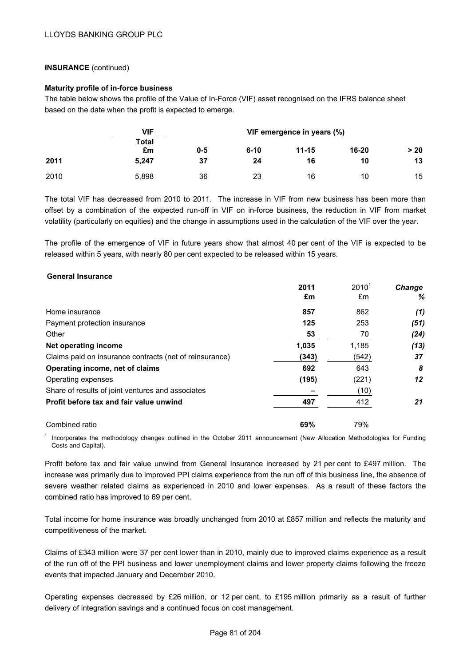### **Maturity profile of in-force business**

The table below shows the profile of the Value of In-Force (VIF) asset recognised on the IFRS balance sheet based on the date when the profit is expected to emerge.

|      | VIF                         |             |                | VIF emergence in years (%) |             |            |
|------|-----------------------------|-------------|----------------|----------------------------|-------------|------------|
| 2011 | <b>Total</b><br>£m<br>5,247 | $0-5$<br>37 | $6 - 10$<br>24 | $11 - 15$<br>16            | 16-20<br>10 | > 20<br>13 |
| 2010 | 5,898                       | 36          | 23             | 16                         | 10          | 15         |

The total VIF has decreased from 2010 to 2011. The increase in VIF from new business has been more than offset by a combination of the expected run-off in VIF on in-force business, the reduction in VIF from market volatility (particularly on equities) and the change in assumptions used in the calculation of the VIF over the year.

The profile of the emergence of VIF in future years show that almost 40 per cent of the VIF is expected to be released within 5 years, with nearly 80 per cent expected to be released within 15 years.

#### **General Insurance**

|                                                         | 2011  | $2010^{1}$ | <b>Change</b> |
|---------------------------------------------------------|-------|------------|---------------|
|                                                         | £m    | £m         | %             |
| Home insurance                                          | 857   | 862        | (1)           |
| Payment protection insurance                            | 125   | 253        | (51)          |
| Other                                                   | 53    | 70         | (24)          |
| Net operating income                                    | 1,035 | 1,185      | (13)          |
| Claims paid on insurance contracts (net of reinsurance) | (343) | (542)      | 37            |
| Operating income, net of claims                         | 692   | 643        | 8             |
| Operating expenses                                      | (195) | (221)      | 12            |
| Share of results of joint ventures and associates       |       | (10)       |               |
| Profit before tax and fair value unwind                 | 497   | 412        | 21            |
| Combined ratio                                          | 69%   | 79%        |               |

<sup>1</sup> Incorporates the methodology changes outlined in the October 2011 announcement (New Allocation Methodologies for Funding Costs and Capital).

Profit before tax and fair value unwind from General Insurance increased by 21 per cent to £497 million. The increase was primarily due to improved PPI claims experience from the run off of this business line, the absence of severe weather related claims as experienced in 2010 and lower expenses. As a result of these factors the combined ratio has improved to 69 per cent.

Total income for home insurance was broadly unchanged from 2010 at £857 million and reflects the maturity and competitiveness of the market.

Claims of £343 million were 37 per cent lower than in 2010, mainly due to improved claims experience as a result of the run off of the PPI business and lower unemployment claims and lower property claims following the freeze events that impacted January and December 2010.

Operating expenses decreased by £26 million, or 12 per cent, to £195 million primarily as a result of further delivery of integration savings and a continued focus on cost management.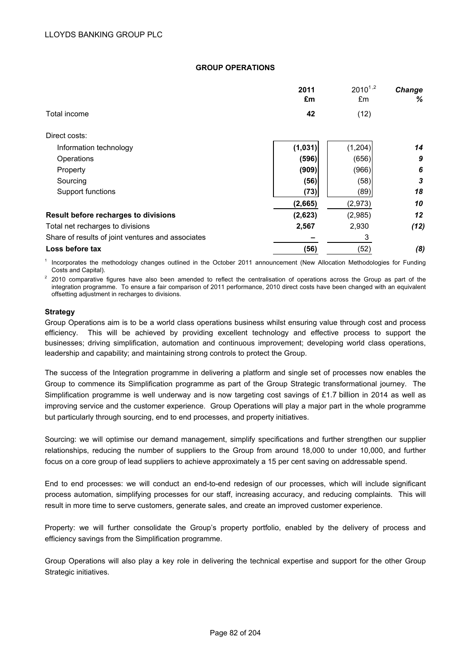## **GROUP OPERATIONS**

|                                                   | 2011<br>£m | $2010^{1.2}$<br>£m | <b>Change</b><br>% |
|---------------------------------------------------|------------|--------------------|--------------------|
| Total income                                      | 42         | (12)               |                    |
| Direct costs:                                     |            |                    |                    |
| Information technology                            | (1,031)    | (1, 204)           | 14                 |
| Operations                                        | (596)      | (656)              | 9                  |
| Property                                          | (909)      | (966)              | 6                  |
| Sourcing                                          | (56)       | (58)               | 3                  |
| Support functions                                 | (73)       | (89)               | 18                 |
|                                                   | (2,665)    | (2,973)            | 10                 |
| Result before recharges to divisions              | (2,623)    | (2,985)            | 12                 |
| Total net recharges to divisions                  | 2,567      | 2,930              | (12)               |
| Share of results of joint ventures and associates |            | 3                  |                    |
| Loss before tax                                   | (56)       | (52)               | (8)                |

<sup>1</sup> Incorporates the methodology changes outlined in the October 2011 announcement (New Allocation Methodologies for Funding Costs and Capital).

 $2$  2010 comparative figures have also been amended to reflect the centralisation of operations across the Group as part of the integration programme. To ensure a fair comparison of 2011 performance, 2010 direct costs have been changed with an equivalent offsetting adjustment in recharges to divisions.

# **Strategy**

Group Operations aim is to be a world class operations business whilst ensuring value through cost and process efficiency. This will be achieved by providing excellent technology and effective process to support the businesses; driving simplification, automation and continuous improvement; developing world class operations, leadership and capability; and maintaining strong controls to protect the Group.

The success of the Integration programme in delivering a platform and single set of processes now enables the Group to commence its Simplification programme as part of the Group Strategic transformational journey. The Simplification programme is well underway and is now targeting cost savings of £1.7 billion in 2014 as well as improving service and the customer experience. Group Operations will play a major part in the whole programme but particularly through sourcing, end to end processes, and property initiatives.

Sourcing: we will optimise our demand management, simplify specifications and further strengthen our supplier relationships, reducing the number of suppliers to the Group from around 18,000 to under 10,000, and further focus on a core group of lead suppliers to achieve approximately a 15 per cent saving on addressable spend.

End to end processes: we will conduct an end-to-end redesign of our processes, which will include significant process automation, simplifying processes for our staff, increasing accuracy, and reducing complaints. This will result in more time to serve customers, generate sales, and create an improved customer experience.

Property: we will further consolidate the Group's property portfolio, enabled by the delivery of process and efficiency savings from the Simplification programme.

Group Operations will also play a key role in delivering the technical expertise and support for the other Group Strategic initiatives.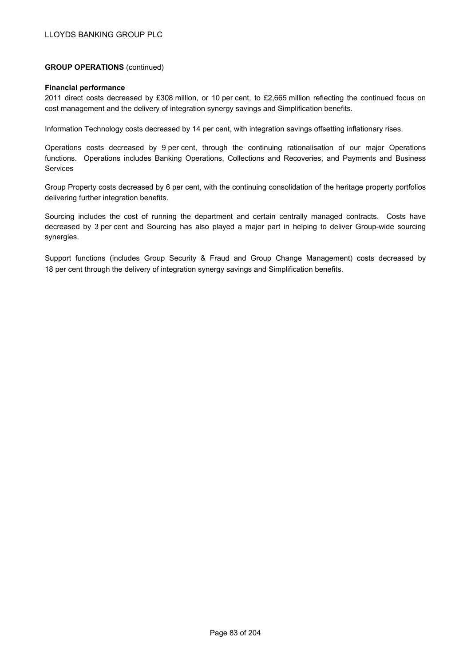# **GROUP OPERATIONS** (continued)

#### **Financial performance**

2011 direct costs decreased by £308 million, or 10 per cent, to £2,665 million reflecting the continued focus on cost management and the delivery of integration synergy savings and Simplification benefits.

Information Technology costs decreased by 14 per cent, with integration savings offsetting inflationary rises.

Operations costs decreased by 9 per cent, through the continuing rationalisation of our major Operations functions. Operations includes Banking Operations, Collections and Recoveries, and Payments and Business Services

Group Property costs decreased by 6 per cent, with the continuing consolidation of the heritage property portfolios delivering further integration benefits.

Sourcing includes the cost of running the department and certain centrally managed contracts. Costs have decreased by 3 per cent and Sourcing has also played a major part in helping to deliver Group-wide sourcing synergies.

Support functions (includes Group Security & Fraud and Group Change Management) costs decreased by 18 per cent through the delivery of integration synergy savings and Simplification benefits.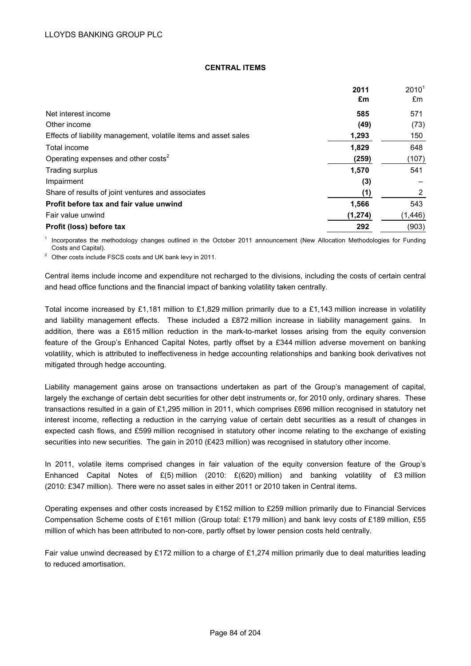### **CENTRAL ITEMS**

|                                                                 | 2011     | 2010 <sup>1</sup> |
|-----------------------------------------------------------------|----------|-------------------|
|                                                                 | £m       | £m                |
| Net interest income                                             | 585      | 571               |
| Other income                                                    | (49)     | (73)              |
| Effects of liability management, volatile items and asset sales | 1,293    | 150               |
| Total income                                                    | 1,829    | 648               |
| Operating expenses and other costs <sup>2</sup>                 | (259)    | (107)             |
| Trading surplus                                                 | 1,570    | 541               |
| Impairment                                                      | (3)      |                   |
| Share of results of joint ventures and associates               | (1)      | 2                 |
| Profit before tax and fair value unwind                         | 1,566    | 543               |
| Fair value unwind                                               | (1, 274) | (1,446)           |
| Profit (loss) before tax                                        | 292      | (903)             |

<sup>1</sup> Incorporates the methodology changes outlined in the October 2011 announcement (New Allocation Methodologies for Funding Costs and Capital).

<sup>2</sup> Other costs include FSCS costs and UK bank levy in 2011.

Central items include income and expenditure not recharged to the divisions, including the costs of certain central and head office functions and the financial impact of banking volatility taken centrally.

Total income increased by £1,181 million to £1,829 million primarily due to a £1,143 million increase in volatility and liability management effects. These included a £872 million increase in liability management gains. In addition, there was a £615 million reduction in the mark-to-market losses arising from the equity conversion feature of the Group's Enhanced Capital Notes, partly offset by a £344 million adverse movement on banking volatility, which is attributed to ineffectiveness in hedge accounting relationships and banking book derivatives not mitigated through hedge accounting.

Liability management gains arose on transactions undertaken as part of the Group's management of capital, largely the exchange of certain debt securities for other debt instruments or, for 2010 only, ordinary shares. These transactions resulted in a gain of £1,295 million in 2011, which comprises £696 million recognised in statutory net interest income, reflecting a reduction in the carrying value of certain debt securities as a result of changes in expected cash flows, and £599 million recognised in statutory other income relating to the exchange of existing securities into new securities. The gain in 2010 (£423 million) was recognised in statutory other income.

In 2011, volatile items comprised changes in fair valuation of the equity conversion feature of the Group's Enhanced Capital Notes of  $E(5)$  million (2010:  $E(620)$  million) and banking volatility of £3 million (2010: £347 million). There were no asset sales in either 2011 or 2010 taken in Central items.

Operating expenses and other costs increased by £152 million to £259 million primarily due to Financial Services Compensation Scheme costs of £161 million (Group total: £179 million) and bank levy costs of £189 million, £55 million of which has been attributed to non-core, partly offset by lower pension costs held centrally.

Fair value unwind decreased by £172 million to a charge of £1,274 million primarily due to deal maturities leading to reduced amortisation.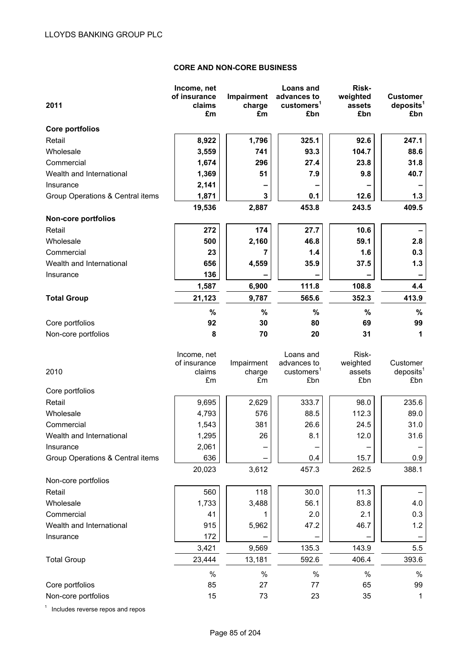# **CORE AND NON-CORE BUSINESS**

|                                        | Income, net  |              | Loans and                     | Risk-         |                              |
|----------------------------------------|--------------|--------------|-------------------------------|---------------|------------------------------|
|                                        | of insurance | Impairment   | advances to                   | weighted      | <b>Customer</b>              |
| 2011                                   | claims<br>£m | charge<br>£m | customers <sup>1</sup><br>£bn | assets<br>£bn | deposits <sup>1</sup><br>£bn |
|                                        |              |              |                               |               |                              |
| <b>Core portfolios</b>                 |              |              |                               |               |                              |
| Retail                                 | 8,922        | 1,796        | 325.1                         | 92.6          | 247.1                        |
| Wholesale                              | 3,559        | 741          | 93.3                          | 104.7         | 88.6                         |
| Commercial                             | 1,674        | 296          | 27.4                          | 23.8          | 31.8                         |
| Wealth and International               | 1,369        | 51           | 7.9                           | 9.8           | 40.7                         |
| Insurance                              | 2,141        |              |                               |               |                              |
| Group Operations & Central items       | 1,871        | 3            | 0.1                           | 12.6          | 1.3                          |
|                                        | 19,536       | 2,887        | 453.8                         | 243.5         | 409.5                        |
| <b>Non-core portfolios</b>             |              |              |                               |               |                              |
| Retail                                 | 272          | 174          | 27.7                          | 10.6          |                              |
| Wholesale                              | 500          | 2,160        | 46.8                          | 59.1          | 2.8                          |
| Commercial                             | 23           | 7            | 1.4                           | 1.6           | 0.3                          |
| Wealth and International               | 656          | 4,559        | 35.9                          | 37.5          | 1.3                          |
| Insurance                              | 136          |              |                               |               |                              |
|                                        | 1,587        | 6,900        | 111.8                         | 108.8         | 4.4                          |
| <b>Total Group</b>                     | 21,123       | 9,787        | 565.6                         | 352.3         | 413.9                        |
|                                        | %            | %            | %                             | $\%$          | %                            |
| Core portfolios                        | 92           | 30           | 80                            | 69            | 99                           |
| Non-core portfolios                    | 8            | 70           | 20                            | 31            | 1                            |
|                                        |              |              |                               |               |                              |
|                                        |              |              |                               |               |                              |
|                                        | Income, net  |              | Loans and                     | Risk-         |                              |
|                                        | of insurance | Impairment   | advances to                   | weighted      | Customer                     |
| 2010                                   | claims       | charge       | $\text{customers}^1$          | assets        | deposits <sup>1</sup>        |
|                                        | £m           | £m           | £bn                           | £bn           | £bn                          |
| Core portfolios                        |              |              |                               |               |                              |
| Retail                                 | 9,695        | 2,629        | 333.7                         | 98.0          | 235.6                        |
| Wholesale                              | 4,793        | 576          | 88.5                          | 112.3         | 89.0                         |
| Commercial                             | 1,543        | 381          | 26.6                          | 24.5          | 31.0                         |
| Wealth and International               | 1,295        | 26           | 8.1                           | 12.0          | 31.6                         |
| Insurance                              | 2,061        |              |                               |               |                              |
| Group Operations & Central items       | 636          |              | 0.4                           | 15.7          | 0.9                          |
|                                        | 20,023       | 3,612        | 457.3                         | 262.5         | 388.1                        |
| Non-core portfolios                    |              |              |                               |               |                              |
| Retail                                 | 560          | 118          | 30.0                          | 11.3          |                              |
| Wholesale                              | 1,733        | 3,488        | 56.1                          | 83.8          | 4.0                          |
| Commercial                             | 41           | 1            | 2.0                           | 2.1           | 0.3                          |
| Wealth and International               | 915          | 5,962        | 47.2                          | 46.7          | 1.2                          |
| Insurance                              | 172          |              |                               |               |                              |
|                                        | 3,421        | 9,569        | 135.3                         | 143.9         | 5.5                          |
| <b>Total Group</b>                     | 23,444       | 13,181       | 592.6                         | 406.4         | 393.6                        |
|                                        | %            | $\%$         | %                             | $\%$          | $\%$                         |
| Core portfolios<br>Non-core portfolios | 85<br>15     | 27<br>73     | 77<br>23                      | 65<br>35      | 99                           |

<sup>1</sup> Includes reverse repos and repos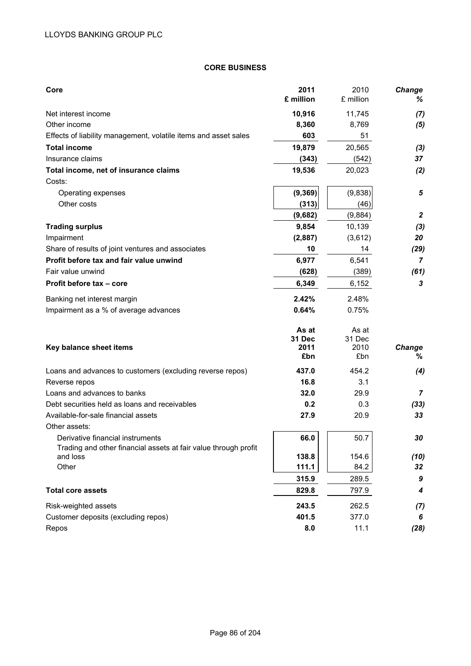# **CORE BUSINESS**

| Core                                                                                                | 2011<br>£ million              | 2010<br>£ million              | Change<br>%      |
|-----------------------------------------------------------------------------------------------------|--------------------------------|--------------------------------|------------------|
| Net interest income                                                                                 | 10,916                         | 11,745                         | (7)              |
| Other income                                                                                        | 8,360                          | 8,769                          | $(5)$            |
| Effects of liability management, volatile items and asset sales                                     | 603                            | 51                             |                  |
| <b>Total income</b>                                                                                 | 19,879                         | 20,565                         | (3)              |
| Insurance claims                                                                                    | (343)                          | (542)                          | 37               |
| Total income, net of insurance claims                                                               | 19,536                         | 20,023                         | (2)              |
| Costs:                                                                                              |                                |                                |                  |
| Operating expenses                                                                                  | (9, 369)                       | (9,838)                        | 5                |
| Other costs                                                                                         | (313)                          | (46)                           |                  |
|                                                                                                     | (9,682)                        | (9,884)                        | $\boldsymbol{2}$ |
| <b>Trading surplus</b>                                                                              | 9,854                          | 10,139                         | $(3)$            |
| Impairment                                                                                          | (2,887)                        | (3,612)                        | 20               |
| Share of results of joint ventures and associates                                                   | 10                             | 14                             | (29)             |
| Profit before tax and fair value unwind                                                             | 6,977                          | 6,541                          | 7                |
| Fair value unwind                                                                                   | (628)                          | (389)                          | (61)             |
| Profit before tax - core                                                                            | 6,349                          | 6,152                          | 3                |
| Banking net interest margin                                                                         | 2.42%                          | 2.48%                          |                  |
| Impairment as a % of average advances                                                               | 0.64%                          | 0.75%                          |                  |
| Key balance sheet items                                                                             | As at<br>31 Dec<br>2011<br>£bn | As at<br>31 Dec<br>2010<br>£bn | Change<br>%      |
| Loans and advances to customers (excluding reverse repos)                                           | 437.0                          | 454.2                          | (4)              |
| Reverse repos                                                                                       | 16.8                           | 3.1                            |                  |
| Loans and advances to banks                                                                         | 32.0                           | 29.9                           | $\overline{7}$   |
| Debt securities held as loans and receivables                                                       | 0.2                            | 0.3                            | (33)             |
| Available-for-sale financial assets                                                                 | 27.9                           | 20.9                           | 33               |
| Other assets:                                                                                       |                                |                                |                  |
| Derivative financial instruments<br>Trading and other financial assets at fair value through profit | 66.0                           | 50.7                           | 30               |
| and loss                                                                                            | 138.8                          | 154.6                          | (10)             |
| Other                                                                                               | 111.1                          | 84.2                           | 32               |
|                                                                                                     | 315.9                          | 289.5                          | 9                |
| <b>Total core assets</b>                                                                            | 829.8                          | 797.9                          | 4                |
| Risk-weighted assets                                                                                | 243.5                          | 262.5                          | (7)              |
| Customer deposits (excluding repos)                                                                 | 401.5                          | 377.0                          | 6                |
| Repos                                                                                               | 8.0                            | 11.1                           | (28)             |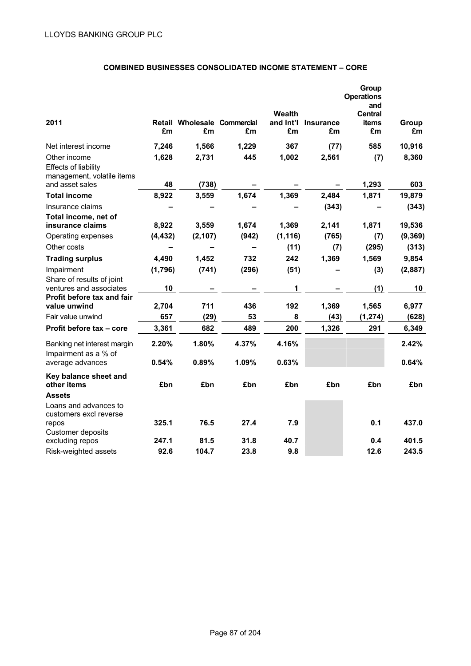| 2011                                                               | £m                | Retail Wholesale Commercial<br>£m | £m             | Wealth<br>and Int'l<br>£m | <b>Insurance</b><br>£m | Group<br><b>Operations</b><br>and<br><b>Central</b><br>items<br>£m | Group<br>£m        |
|--------------------------------------------------------------------|-------------------|-----------------------------------|----------------|---------------------------|------------------------|--------------------------------------------------------------------|--------------------|
| Net interest income                                                | 7,246             | 1,566                             | 1,229          | 367                       | (77)                   | 585                                                                | 10,916             |
| Other income<br>Effects of liability<br>management, volatile items | 1,628             | 2,731                             | 445            | 1,002                     | 2,561                  | (7)                                                                | 8,360              |
| and asset sales                                                    | 48                | (738)                             |                |                           |                        | 1,293                                                              | 603                |
| <b>Total income</b>                                                | 8,922             | 3,559                             | 1,674          | 1,369                     | 2,484                  | 1,871                                                              | 19,879             |
| Insurance claims                                                   |                   |                                   |                |                           | (343)                  |                                                                    | (343)              |
| Total income, net of<br>insurance claims<br>Operating expenses     | 8,922<br>(4, 432) | 3,559<br>(2, 107)                 | 1,674<br>(942) | 1,369<br>(1, 116)         | 2,141<br>(765)         | 1,871<br>(7)                                                       | 19,536<br>(9, 369) |
| Other costs                                                        |                   |                                   |                | (11)                      | (7)                    | (295)                                                              | (313)              |
| <b>Trading surplus</b>                                             | 4,490             | 1,452                             | 732            | 242                       | 1,369                  | 1,569                                                              | 9,854              |
| Impairment<br>Share of results of joint                            | (1,796)           | (741)                             | (296)          | (51)                      |                        | (3)                                                                | (2,887)            |
| ventures and associates                                            | 10                |                                   |                | 1                         |                        | (1)                                                                | 10                 |
| Profit before tax and fair<br>value unwind<br>Fair value unwind    | 2,704<br>657      | 711<br>(29)                       | 436<br>53      | 192<br>8                  | 1,369                  | 1,565                                                              | 6,977              |
| Profit before tax - core                                           | 3,361             | 682                               | 489            | 200                       | (43)<br>1,326          | (1, 274)<br>291                                                    | (628)<br>6,349     |
|                                                                    |                   |                                   |                |                           |                        |                                                                    |                    |
| Banking net interest margin<br>Impairment as a % of                | 2.20%             | 1.80%                             | 4.37%          | 4.16%                     |                        |                                                                    | 2.42%              |
| average advances                                                   | 0.54%             | 0.89%                             | 1.09%          | 0.63%                     |                        |                                                                    | 0.64%              |
| Key balance sheet and<br>other items                               | £bn               | £bn                               | £bn            | £bn                       | £bn                    | £bn                                                                | £bn                |
| <b>Assets</b>                                                      |                   |                                   |                |                           |                        |                                                                    |                    |
| Loans and advances to<br>customers excl reverse                    |                   |                                   |                |                           |                        |                                                                    |                    |
| repos<br><b>Customer deposits</b>                                  | 325.1             | 76.5                              | 27.4           | 7.9                       |                        | 0.1                                                                | 437.0              |
| excluding repos                                                    | 247.1             | 81.5                              | 31.8           | 40.7                      |                        | 0.4                                                                | 401.5              |

Risk-weighted assets **92.6 104.7 23.8 9.8 12.6 243.5** 

# **COMBINED BUSINESSES CONSOLIDATED INCOME STATEMENT – CORE**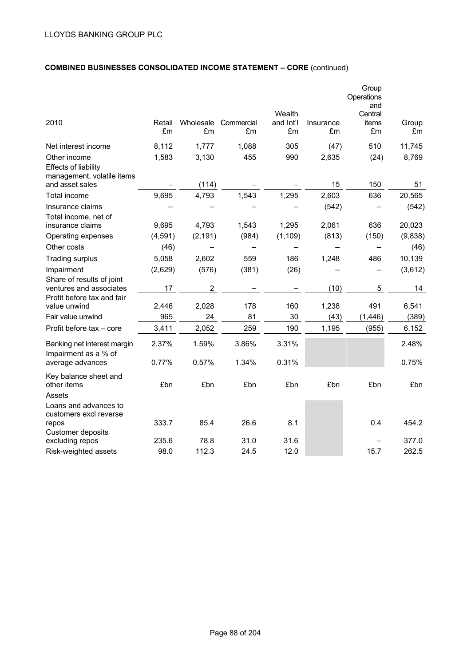# **COMBINED BUSINESSES CONSOLIDATED INCOME STATEMENT – CORE** (continued)

| 2010                                            | Retail<br>£m | Wholesale<br>£m | Commercial<br>£m | Wealth<br>and Int'l<br>£m | Insurance<br>£m | Group<br>Operations<br>and<br>Central<br>items<br>£m | Group<br>£m |
|-------------------------------------------------|--------------|-----------------|------------------|---------------------------|-----------------|------------------------------------------------------|-------------|
| Net interest income                             | 8,112        | 1,777           | 1,088            | 305                       | (47)            | 510                                                  | 11,745      |
| Other income                                    | 1,583        | 3,130           | 455              | 990                       | 2,635           | (24)                                                 | 8,769       |
| <b>Effects of liability</b>                     |              |                 |                  |                           |                 |                                                      |             |
| management, volatile items<br>and asset sales   |              |                 |                  |                           |                 |                                                      | 51          |
| Total income                                    | 9,695        | (114)<br>4,793  | 1,543            | 1,295                     | 15<br>2,603     | 150<br>636                                           | 20,565      |
| Insurance claims                                |              |                 |                  |                           | (542)           |                                                      | (542)       |
| Total income, net of                            |              |                 |                  |                           |                 |                                                      |             |
| insurance claims                                | 9,695        | 4,793           | 1,543            | 1,295                     | 2,061           | 636                                                  | 20,023      |
| Operating expenses                              | (4, 591)     | (2, 191)        | (984)            | (1, 109)                  | (813)           | (150)                                                | (9,838)     |
| Other costs                                     | (46)         |                 |                  |                           |                 |                                                      | (46)        |
| <b>Trading surplus</b>                          | 5,058        | 2,602           | 559              | 186                       | 1,248           | 486                                                  | 10,139      |
| Impairment                                      | (2,629)      | (576)           | (381)            | (26)                      |                 | —                                                    | (3,612)     |
| Share of results of joint                       |              |                 |                  |                           |                 |                                                      |             |
| ventures and associates                         | 17           | $\overline{2}$  |                  |                           | (10)            | 5                                                    | 14          |
| Profit before tax and fair<br>value unwind      | 2,446        | 2,028           | 178              | 160                       | 1,238           | 491                                                  | 6,541       |
| Fair value unwind                               | 965          | 24              | 81               | 30                        | (43)            | (1, 446)                                             | (389)       |
| Profit before tax - core                        | 3,411        | 2,052           | 259              | 190                       | 1,195           | (955)                                                | 6,152       |
| Banking net interest margin                     | 2.37%        | 1.59%           | 3.86%            | 3.31%                     |                 |                                                      | 2.48%       |
| Impairment as a % of<br>average advances        | 0.77%        | 0.57%           | 1.34%            | 0.31%                     |                 |                                                      | 0.75%       |
| Key balance sheet and                           |              |                 |                  |                           |                 |                                                      |             |
| other items                                     | £bn          | £bn             | £bn              | £bn                       | £bn             | £bn                                                  | £bn         |
| Assets                                          |              |                 |                  |                           |                 |                                                      |             |
| Loans and advances to<br>customers excl reverse |              |                 |                  |                           |                 |                                                      |             |
| repos                                           | 333.7        | 85.4            | 26.6             | 8.1                       |                 | 0.4                                                  | 454.2       |
| Customer deposits                               |              |                 |                  |                           |                 |                                                      |             |
| excluding repos                                 | 235.6        | 78.8            | 31.0             | 31.6                      |                 |                                                      | 377.0       |
| Risk-weighted assets                            | 98.0         | 112.3           | 24.5             | 12.0                      |                 | 15.7                                                 | 262.5       |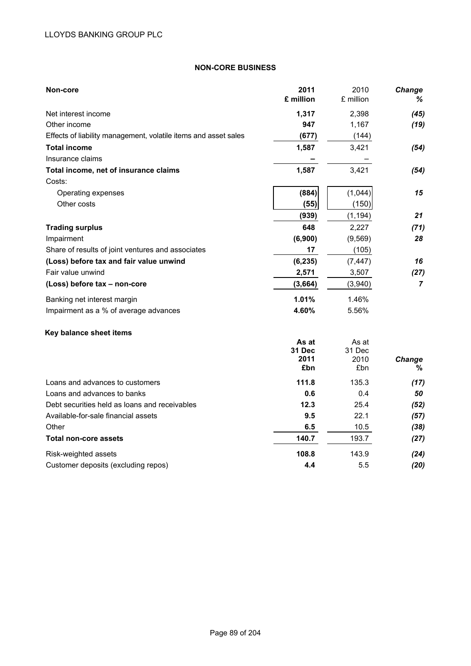# **NON-CORE BUSINESS**

| Non-core                                                        | 2011<br>£ million | 2010<br>£ million | Change<br>℅    |
|-----------------------------------------------------------------|-------------------|-------------------|----------------|
| Net interest income                                             | 1,317             | 2,398             | (45)           |
| Other income                                                    | 947               | 1,167             | (19)           |
| Effects of liability management, volatile items and asset sales | (677)             | (144)             |                |
| <b>Total income</b>                                             | 1,587             | 3,421             | (54)           |
| Insurance claims                                                |                   |                   |                |
| Total income, net of insurance claims                           | 1,587             | 3,421             | (54)           |
| Costs:                                                          |                   |                   |                |
| Operating expenses                                              | (884)             | (1,044)           | 15             |
| Other costs                                                     | (55)              | (150)             |                |
|                                                                 | (939)             | (1, 194)          | 21             |
| <b>Trading surplus</b>                                          | 648               | 2,227             | (71)           |
| Impairment                                                      | (6,900)           | (9, 569)          | 28             |
| Share of results of joint ventures and associates               | 17                | (105)             |                |
| (Loss) before tax and fair value unwind                         | (6, 235)          | (7, 447)          | 16             |
| Fair value unwind                                               | 2,571             | 3,507             | (27)           |
| (Loss) before tax - non-core                                    | (3,664)           | (3,940)           | $\overline{ }$ |
| Banking net interest margin                                     | 1.01%             | 1.46%             |                |
| Impairment as a % of average advances                           | 4.60%             | 5.56%             |                |
| Key balance sheet items                                         |                   |                   |                |
|                                                                 | As at             | As at             |                |
|                                                                 | 31 Dec<br>2011    | 31 Dec<br>2010    | <b>Change</b>  |
|                                                                 | £bn               | £bn               | %              |
| Loans and advances to customers                                 | 111.8             | 135.3             | (17)           |
| Loans and advances to banks                                     | 0.6               | 0.4               | 50             |
| Debt securities held as loans and receivables                   | 12.3              | 25.4              | (52)           |
| Available-for-sale financial assets                             | 9.5               | 22.1              | (57)           |
| Other                                                           | 6.5               | 10.5              | (38)           |
| <b>Total non-core assets</b>                                    | 140.7             | 193.7             | (27)           |

Risk-weighted assets (24)<br>Customer deposits (excluding repos) **108.8** 143.9 **(24)**<br>**4.4** 5.5 (20) Customer deposits (excluding repos) **4.4** 5.5 *(20)*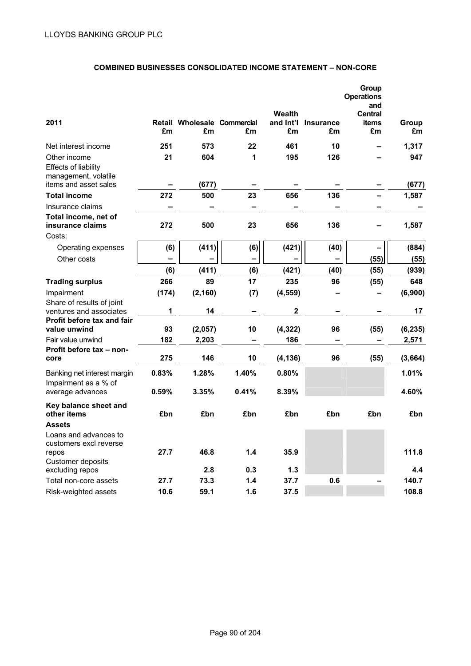| 2011                                                                                             | £m    | Retail Wholesale Commercial<br>£m | £m         | Wealth<br>and Int'l<br>£m | <b>Insurance</b><br>£m | Group<br><b>Operations</b><br>and<br><b>Central</b><br>items<br>£m | Group<br>£m  |
|--------------------------------------------------------------------------------------------------|-------|-----------------------------------|------------|---------------------------|------------------------|--------------------------------------------------------------------|--------------|
| Net interest income                                                                              | 251   | 573                               | 22         | 461                       | 10                     |                                                                    | 1,317        |
|                                                                                                  |       | 604                               |            |                           |                        |                                                                    |              |
| Other income<br>Effects of liability<br>management, volatile<br>items and asset sales            | 21    | (677)                             | 1          | 195                       | 126                    |                                                                    | 947<br>(677) |
| <b>Total income</b>                                                                              | 272   | 500                               | 23         | 656                       | 136                    |                                                                    | 1,587        |
| Insurance claims                                                                                 |       |                                   |            |                           |                        |                                                                    |              |
| Total income, net of                                                                             |       |                                   |            |                           |                        |                                                                    |              |
| insurance claims<br>Costs:                                                                       | 272   | 500                               | 23         | 656                       | 136                    |                                                                    | 1,587        |
| Operating expenses                                                                               | (6)   | (411)                             | (6)        | (421)                     | (40)                   |                                                                    | (884)        |
| Other costs                                                                                      |       |                                   |            |                           |                        | (55)                                                               | (55)         |
|                                                                                                  | (6)   | (411)                             | (6)        | (421)                     | (40)                   | (55)                                                               | (939)        |
| <b>Trading surplus</b>                                                                           | 266   | 89                                | 17         | 235                       | 96                     | (55)                                                               | 648          |
| Impairment                                                                                       | (174) | (2, 160)                          | (7)        | (4, 559)                  |                        |                                                                    | (6,900)      |
| Share of results of joint                                                                        |       |                                   |            |                           |                        |                                                                    |              |
| ventures and associates                                                                          | 1     | 14                                |            | $\mathbf 2$               |                        |                                                                    | 17           |
| Profit before tax and fair<br>value unwind                                                       | 93    | (2,057)                           | 10         | (4, 322)                  | 96                     | (55)                                                               | (6, 235)     |
| Fair value unwind                                                                                | 182   | 2,203                             |            | 186                       |                        |                                                                    |              |
| Profit before tax - non-                                                                         |       |                                   |            |                           |                        |                                                                    | 2,571        |
| core                                                                                             | 275   | 146                               | 10         | (4, 136)                  | 96                     | (55)                                                               | (3,664)      |
| Banking net interest margin<br>Impairment as a % of                                              | 0.83% | 1.28%                             | 1.40%      | 0.80%                     |                        |                                                                    | 1.01%        |
| average advances                                                                                 | 0.59% | 3.35%                             | 0.41%      | 8.39%                     |                        |                                                                    | 4.60%        |
| Key balance sheet and<br>other items<br><b>Assets</b>                                            | £bn   | £bn                               | £bn        | £bn                       | £bn                    | £bn                                                                | £bn          |
| Loans and advances to<br>customers excl reverse<br>repos<br>Customer deposits<br>excluding repos | 27.7  | 46.8<br>2.8                       | 1.4<br>0.3 | 35.9<br>1.3               |                        |                                                                    | 111.8<br>4.4 |
| Total non-core assets                                                                            | 27.7  | 73.3                              | 1.4        | 37.7                      | 0.6                    |                                                                    | 140.7        |
| Risk-weighted assets                                                                             | 10.6  | 59.1                              | 1.6        | 37.5                      |                        |                                                                    | 108.8        |
|                                                                                                  |       |                                   |            |                           |                        |                                                                    |              |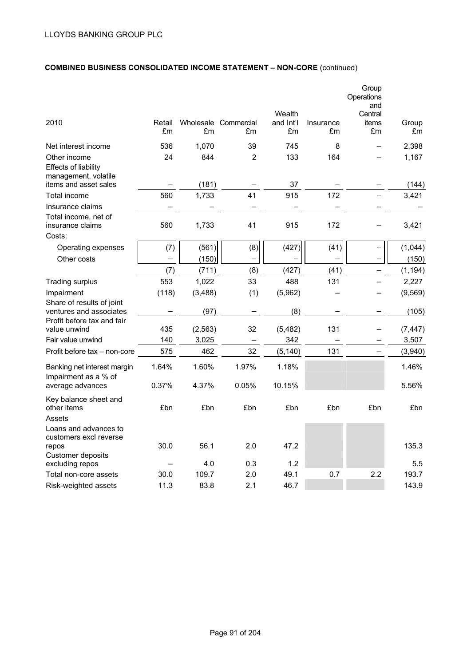# **COMBINED BUSINESS CONSOLIDATED INCOME STATEMENT – NON-CORE** (continued)

| 2010                                                         | Retail<br>£m | £m       | Wholesale Commercial<br>£m | Wealth<br>and Int'l<br>£m | Insurance<br>£m | Group<br>Operations<br>and<br>Central<br>items<br>£m | Group<br>£m |
|--------------------------------------------------------------|--------------|----------|----------------------------|---------------------------|-----------------|------------------------------------------------------|-------------|
| Net interest income                                          | 536          | 1,070    | 39                         | 745                       | 8               |                                                      | 2,398       |
| Other income<br>Effects of liability<br>management, volatile | 24           | 844      | $\overline{2}$             | 133                       | 164             |                                                      | 1,167       |
| items and asset sales                                        |              | (181)    |                            | 37                        |                 |                                                      | (144)       |
| Total income                                                 | 560          | 1,733    | 41                         | 915                       | 172             |                                                      | 3,421       |
| Insurance claims                                             |              |          |                            |                           |                 |                                                      |             |
| Total income, net of<br>insurance claims<br>Costs:           | 560          | 1,733    | 41                         | 915                       | 172             |                                                      | 3,421       |
|                                                              |              | (561)    |                            | (427)                     |                 |                                                      | (1,044)     |
| Operating expenses<br>Other costs                            | (7)          | (150)    | (8)                        |                           | (41)            |                                                      | (150)       |
|                                                              | (7)          | (711)    | (8)                        | (427)                     | (41)            | —                                                    | (1, 194)    |
| Trading surplus                                              | 553          | 1,022    | 33                         | 488                       | 131             |                                                      | 2,227       |
| Impairment                                                   | (118)        | (3,488)  | (1)                        | (5,962)                   |                 |                                                      | (9, 569)    |
| Share of results of joint                                    |              |          |                            |                           |                 |                                                      |             |
| ventures and associates                                      |              | (97)     |                            | (8)                       |                 |                                                      | (105)       |
| Profit before tax and fair                                   |              |          |                            |                           |                 |                                                      |             |
| value unwind                                                 | 435          | (2, 563) | 32                         | (5, 482)                  | 131             |                                                      | (7, 447)    |
| Fair value unwind                                            | 140          | 3,025    |                            | 342                       |                 |                                                      | 3,507       |
| Profit before tax - non-core                                 | 575          | 462      | 32                         | (5, 140)                  | 131             |                                                      | (3,940)     |
| Banking net interest margin<br>Impairment as a % of          | 1.64%        | 1.60%    | 1.97%                      | 1.18%                     |                 |                                                      | 1.46%       |
| average advances                                             | 0.37%        | 4.37%    | 0.05%                      | 10.15%                    |                 |                                                      | 5.56%       |
| Key balance sheet and<br>other items<br>Assets               | £bn          | £bn      | £bn                        | £bn                       | £bn             | £bn                                                  | £bn         |
| Loans and advances to<br>customers excl reverse              |              |          |                            |                           |                 |                                                      |             |
| repos<br><b>Customer deposits</b>                            | 30.0         | 56.1     | 2.0                        | 47.2                      |                 |                                                      | 135.3       |
| excluding repos                                              |              | 4.0      | 0.3                        | 1.2                       |                 |                                                      | 5.5         |
| Total non-core assets                                        | 30.0         | 109.7    | 2.0                        | 49.1                      | 0.7             | 2.2                                                  | 193.7       |
| Risk-weighted assets                                         | 11.3         | 83.8     | 2.1                        | 46.7                      |                 |                                                      | 143.9       |
|                                                              |              |          |                            |                           |                 |                                                      |             |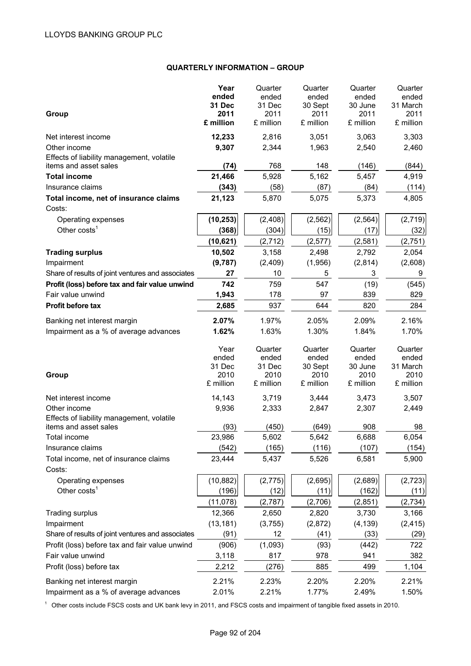# **QUARTERLY INFORMATION – GROUP**

|                                                                      | Year<br>ended<br>31 Dec                      | Quarter<br>ended                                | Quarter<br>ended                                 | Quarter<br>ended                                 | Quarter<br>ended<br>31 March                      |
|----------------------------------------------------------------------|----------------------------------------------|-------------------------------------------------|--------------------------------------------------|--------------------------------------------------|---------------------------------------------------|
| Group                                                                | 2011                                         | 31 Dec<br>2011                                  | 30 Sept<br>2011                                  | 30 June<br>2011                                  | 2011                                              |
|                                                                      | £ million                                    | £ million                                       | £ million                                        | £ million                                        | £ million                                         |
| Net interest income                                                  | 12,233                                       | 2,816                                           | 3,051                                            | 3,063                                            | 3,303                                             |
| Other income                                                         | 9,307                                        | 2,344                                           | 1,963                                            | 2,540                                            | 2,460                                             |
| Effects of liability management, volatile<br>items and asset sales   | (74)                                         | 768                                             | 148                                              | (146)                                            | (844)                                             |
| <b>Total income</b>                                                  | 21,466                                       | 5,928                                           | 5,162                                            | 5,457                                            | 4,919                                             |
| Insurance claims                                                     | (343)                                        | (58)                                            | (87)                                             | (84)                                             | (114)                                             |
| Total income, net of insurance claims<br>Costs:                      | 21,123                                       | 5,870                                           | 5,075                                            | 5,373                                            | 4,805                                             |
| Operating expenses                                                   | (10, 253)                                    | (2,408)                                         | (2, 562)                                         | (2, 564)                                         | (2,719)                                           |
| Other costs <sup>1</sup>                                             | (368)                                        | (304)                                           | (15)                                             | (17)                                             | (32)                                              |
|                                                                      | (10, 621)                                    | (2,712)                                         | (2, 577)                                         | (2, 581)                                         | (2,751)                                           |
| <b>Trading surplus</b>                                               | 10,502                                       | 3,158                                           | 2,498                                            | 2,792                                            | 2,054                                             |
| Impairment                                                           | (9,787)                                      | (2,409)                                         | (1,956)                                          | (2,814)                                          | (2,608)                                           |
| Share of results of joint ventures and associates                    | 27                                           | 10                                              | 5                                                | 3                                                | 9                                                 |
| Profit (loss) before tax and fair value unwind                       | 742                                          | 759                                             | 547                                              | (19)                                             | (545)                                             |
| Fair value unwind                                                    | 1,943                                        | 178                                             | 97                                               | 839                                              | 829                                               |
| Profit before tax                                                    | 2,685                                        | 937                                             | 644                                              | 820                                              | 284                                               |
| Banking net interest margin                                          | 2.07%                                        | 1.97%                                           | 2.05%                                            | 2.09%                                            | 2.16%                                             |
| Impairment as a % of average advances                                | 1.62%                                        | 1.63%                                           | 1.30%                                            | 1.84%                                            | 1.70%                                             |
| Group                                                                | Year<br>ended<br>31 Dec<br>2010<br>£ million | Quarter<br>ended<br>31 Dec<br>2010<br>£ million | Quarter<br>ended<br>30 Sept<br>2010<br>£ million | Quarter<br>ended<br>30 June<br>2010<br>£ million | Quarter<br>ended<br>31 March<br>2010<br>£ million |
| Net interest income                                                  | 14,143                                       | 3,719                                           | 3,444                                            | 3,473                                            | 3,507                                             |
| Other income                                                         | 9,936                                        | 2,333                                           | 2,847                                            | 2,307                                            | 2,449                                             |
| Effects of liability management, volatile<br>items and asset sales   | (93)                                         | (450)                                           | (649)                                            | 908                                              | 98                                                |
| Total income                                                         | 23,986                                       | 5,602                                           | 5,642                                            | 6,688                                            | 6,054                                             |
| Insurance claims                                                     | (542)                                        | (165)                                           | (116)                                            | (107)                                            | (154)                                             |
| Total income, net of insurance claims<br>Costs:                      | 23,444                                       | 5,437                                           | 5,526                                            | 6,581                                            | 5,900                                             |
| Operating expenses                                                   | (10, 882)                                    | (2, 775)                                        | (2,695)                                          | (2,689)                                          | (2, 723)                                          |
| Other $costs1$                                                       | (196)                                        | (12)                                            | (11)                                             | (162)                                            | (11)                                              |
|                                                                      | (11,078)                                     | (2,787)                                         | (2,706)                                          | (2,851)                                          | (2,734)                                           |
| Trading surplus                                                      | 12,366                                       | 2,650                                           | 2,820                                            | 3,730                                            | 3,166                                             |
| Impairment                                                           | (13, 181)                                    | (3,755)                                         | (2,872)                                          | (4, 139)                                         | (2, 415)                                          |
| Share of results of joint ventures and associates                    | (91)                                         | 12                                              | (41)                                             | (33)                                             | (29)                                              |
| Profit (loss) before tax and fair value unwind                       | (906)                                        | (1,093)                                         | (93)                                             | (442)                                            | 722                                               |
| Fair value unwind                                                    | 3,118                                        | 817                                             | 978                                              | 941                                              | 382                                               |
| Profit (loss) before tax                                             | 2,212                                        | (276)                                           | 885                                              | 499                                              | 1,104                                             |
| Banking net interest margin<br>Impairment as a % of average advances | 2.21%<br>2.01%                               | 2.23%<br>2.21%                                  | 2.20%<br>1.77%                                   | 2.20%<br>2.49%                                   | 2.21%<br>1.50%                                    |
|                                                                      |                                              |                                                 |                                                  |                                                  |                                                   |

<sup>1</sup> Other costs include FSCS costs and UK bank levy in 2011, and FSCS costs and impairment of tangible fixed assets in 2010.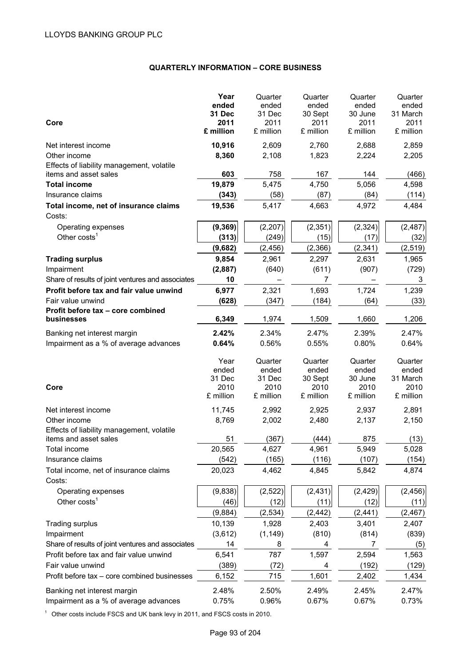# **QUARTERLY INFORMATION – CORE BUSINESS**

|                                                                      | Year           | Quarter        | Quarter        | Quarter        | Quarter        |
|----------------------------------------------------------------------|----------------|----------------|----------------|----------------|----------------|
|                                                                      | ended          | ended          | ended          | ended          | ended          |
|                                                                      | 31 Dec         | 31 Dec         | 30 Sept        | 30 June        | 31 March       |
| Core                                                                 | 2011           | 2011           | 2011           | 2011           | 2011           |
|                                                                      | £ million      | £ million      | £ million      | £ million      | £ million      |
| Net interest income                                                  | 10,916         | 2,609          | 2,760          | 2,688          | 2,859          |
| Other income                                                         | 8,360          | 2,108          | 1,823          | 2,224          | 2,205          |
| Effects of liability management, volatile                            |                |                |                |                |                |
| items and asset sales                                                | 603            | 758            | 167            | 144            | (466)          |
| <b>Total income</b>                                                  | 19,879         | 5,475          | 4,750          | 5,056          | 4,598          |
| Insurance claims                                                     | (343)          | (58)           | (87)           | (84)           | (114)          |
| Total income, net of insurance claims<br>Costs:                      | 19,536         | 5,417          | 4,663          | 4,972          | 4,484          |
| Operating expenses                                                   | (9, 369)       | (2, 207)       | (2, 351)       | (2, 324)       | (2, 487)       |
| Other $costs1$                                                       | (313)          | (249)          | (15)           | (17)           | (32)           |
|                                                                      | (9,682)        | (2, 456)       | (2,366)        | (2, 341)       | (2, 519)       |
| <b>Trading surplus</b>                                               | 9,854          | 2,961          | 2,297          | 2,631          | 1,965          |
| Impairment                                                           | (2,887)        | (640)          | (611)          | (907)          | (729)          |
| Share of results of joint ventures and associates                    | 10             |                | 7              |                | 3              |
| Profit before tax and fair value unwind                              | 6,977          | 2,321          | 1,693          | 1,724          | 1,239          |
| Fair value unwind                                                    | (628)          | (347)          | (184)          | (64)           | (33)           |
| Profit before tax - core combined                                    |                |                |                |                |                |
| businesses                                                           | 6,349          | 1,974          | 1,509          | 1,660          | 1,206          |
| Banking net interest margin                                          | 2.42%          | 2.34%          | 2.47%          | 2.39%          | 2.47%          |
| Impairment as a % of average advances                                | 0.64%          | 0.56%          | 0.55%          | 0.80%          | 0.64%          |
|                                                                      | Year           | Quarter        | Quarter        | Quarter        | Quarter        |
|                                                                      | ended          | ended          | ended          | ended          | ended          |
|                                                                      | 31 Dec         | 31 Dec         | 30 Sept        | 30 June        | 31 March       |
| Core                                                                 | 2010           | 2010           | 2010           | 2010           | 2010           |
|                                                                      | £ million      | £ million      | £ million      | £ million      | £ million      |
| Net interest income                                                  | 11,745         | 2,992          | 2,925          | 2,937          | 2,891          |
| Other income                                                         | 8,769          | 2,002          | 2,480          | 2,137          | 2,150          |
| Effects of liability management, volatile                            |                |                |                |                |                |
| items and asset sales                                                | 51             | (367)          | (444)          | 875            | (13)           |
| Total income                                                         | 20,565         | 4,627          | 4,961          | 5,949          | 5,028          |
| Insurance claims                                                     | (542)          | (165)          | (116)          | (107)          | (154)          |
| Total income, net of insurance claims<br>Costs:                      | 20,023         | 4,462          | 4,845          | 5,842          | 4,874          |
| Operating expenses                                                   | (9,838)        | (2, 522)       | (2, 431)       | (2, 429)       | (2, 456)       |
| Other costs <sup>1</sup>                                             | (46)           | (12)           | (11)           | (12)           | (11)           |
|                                                                      | (9,884)        | (2, 534)       | (2, 442)       | (2, 441)       | (2, 467)       |
| Trading surplus                                                      | 10,139         | 1,928          | 2,403          | 3,401          | 2,407          |
| Impairment                                                           | (3,612)        | (1, 149)       | (810)          | (814)          | (839)          |
| Share of results of joint ventures and associates                    | 14             | 8              | 4              | 7              | (5)            |
| Profit before tax and fair value unwind                              | 6,541          | 787            | 1,597          | 2,594          | 1,563          |
| Fair value unwind                                                    | (389)          | (72)           | 4              | (192)          | (129)          |
| Profit before tax - core combined businesses                         | 6,152          | 715            | 1,601          | 2,402          | 1,434          |
|                                                                      |                |                |                |                |                |
| Banking net interest margin<br>Impairment as a % of average advances | 2.48%<br>0.75% | 2.50%<br>0.96% | 2.49%<br>0.67% | 2.45%<br>0.67% | 2.47%<br>0.73% |
|                                                                      |                |                |                |                |                |

<sup>1</sup> Other costs include FSCS and UK bank levy in 2011, and FSCS costs in 2010.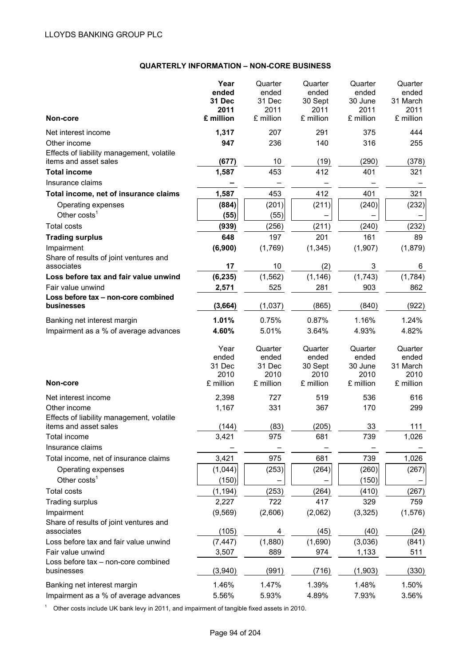# **QUARTERLY INFORMATION – NON-CORE BUSINESS**

|                                                   | Year      | Quarter   | Quarter   | Quarter   | Quarter   |
|---------------------------------------------------|-----------|-----------|-----------|-----------|-----------|
|                                                   | ended     | ended     | ended     | ended     | ended     |
|                                                   | 31 Dec    | 31 Dec    | 30 Sept   | 30 June   | 31 March  |
|                                                   | 2011      | 2011      | 2011      | 2011      | 2011      |
| Non-core                                          | £ million | £ million | £ million | £ million | £ million |
| Net interest income                               | 1,317     | 207       | 291       | 375       | 444       |
| Other income                                      | 947       | 236       | 140       | 316       | 255       |
| Effects of liability management, volatile         |           |           |           |           |           |
| items and asset sales                             | (677)     | 10        | (19)      | (290)     | (378)     |
| <b>Total income</b>                               | 1,587     | 453       | 412       | 401       | 321       |
| Insurance claims                                  |           |           |           |           |           |
| Total income, net of insurance claims             | 1,587     | 453       | 412       | 401       | 321       |
| Operating expenses                                | (884)     | (201)     | (211)     | (240)     | (232)     |
| Other $costs1$                                    | (55)      | (55)      |           |           |           |
| <b>Total costs</b>                                | (939)     | (256)     | (211)     | (240)     | (232)     |
| <b>Trading surplus</b>                            | 648       | 197       | 201       | 161       | 89        |
| Impairment                                        | (6,900)   | (1,769)   | (1, 345)  | (1, 907)  | (1,879)   |
| Share of results of joint ventures and            |           |           |           |           |           |
| associates                                        | 17        | 10        | (2)       | 3         | 6         |
| Loss before tax and fair value unwind             | (6, 235)  | (1, 562)  | (1, 146)  | (1,743)   | (1,784)   |
| Fair value unwind                                 | 2,571     | 525       | 281       | 903       | 862       |
| Loss before tax - non-core combined<br>businesses | (3,664)   | (1,037)   | (865)     | (840)     | (922)     |
|                                                   |           |           |           |           |           |
| Banking net interest margin                       | 1.01%     | 0.75%     | 0.87%     | 1.16%     | 1.24%     |
| Impairment as a % of average advances             | 4.60%     | 5.01%     | 3.64%     | 4.93%     | 4.82%     |
|                                                   | Year      | Quarter   | Quarter   | Quarter   | Quarter   |
|                                                   | ended     | ended     | ended     | ended     | ended     |
|                                                   | 31 Dec    | 31 Dec    | 30 Sept   | 30 June   | 31 March  |
|                                                   | 2010      | 2010      | 2010      | 2010      | 2010      |
| Non-core                                          | £ million | £ million | £ million | £ million | £ million |
| Net interest income                               | 2,398     | 727       | 519       | 536       | 616       |
| Other income                                      | 1,167     | 331       | 367       | 170       | 299       |
| Effects of liability management, volatile         |           |           |           |           |           |
| items and asset sales                             | (144)     | (83)      | (205)     | 33        | 111       |
| Total income                                      | 3,421     | 975       | 681       | 739       | 1,026     |
| Insurance claims                                  |           |           |           |           |           |
| Total income, net of insurance claims             | 3,421     | 975       | 681       | 739       | 1,026     |
| Operating expenses                                | (1,044)   | (253)     | (264)     | (260)     | (267)     |
| Other $costs1$                                    | (150)     |           |           | (150)     |           |
| <b>Total costs</b>                                | (1, 194)  | (253)     | (264)     | (410)     | (267)     |
| <b>Trading surplus</b>                            | 2,227     | 722       | 417       | 329       | 759       |
| Impairment                                        | (9, 569)  | (2,606)   | (2,062)   | (3,325)   | (1, 576)  |
| Share of results of joint ventures and            |           |           |           |           |           |
| associates                                        | (105)     | 4         | (45)      | (40)      | (24)      |
| Loss before tax and fair value unwind             | (7, 447)  | (1,880)   | (1,690)   | (3,036)   | (841)     |
| Fair value unwind                                 | 3,507     | 889       | 974       | 1,133     | 511       |
| Loss before tax - non-core combined               |           |           |           |           |           |
| businesses                                        | (3,940)   | (991)     | (716)     | (1,903)   | (330)     |
| Banking net interest margin                       | 1.46%     | 1.47%     | 1.39%     | 1.48%     | 1.50%     |
| Impairment as a % of average advances             | 5.56%     | 5.93%     | 4.89%     | 7.93%     | 3.56%     |

1 Other costs include UK bank levy in 2011, and impairment of tangible fixed assets in 2010.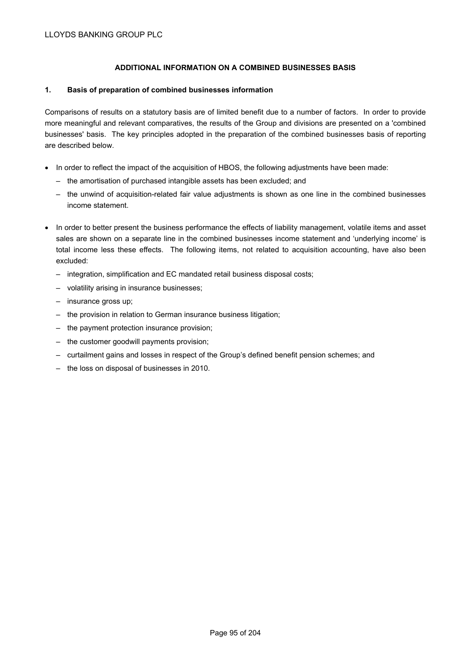# **ADDITIONAL INFORMATION ON A COMBINED BUSINESSES BASIS**

### **1. Basis of preparation of combined businesses information**

Comparisons of results on a statutory basis are of limited benefit due to a number of factors. In order to provide more meaningful and relevant comparatives, the results of the Group and divisions are presented on a 'combined businesses' basis. The key principles adopted in the preparation of the combined businesses basis of reporting are described below.

- In order to reflect the impact of the acquisition of HBOS, the following adjustments have been made:
	- the amortisation of purchased intangible assets has been excluded; and
	- the unwind of acquisition-related fair value adjustments is shown as one line in the combined businesses income statement.
- In order to better present the business performance the effects of liability management, volatile items and asset sales are shown on a separate line in the combined businesses income statement and 'underlying income' is total income less these effects. The following items, not related to acquisition accounting, have also been excluded:
	- integration, simplification and EC mandated retail business disposal costs;
	- volatility arising in insurance businesses;
	- insurance gross up;
	- the provision in relation to German insurance business litigation;
	- the payment protection insurance provision;
	- the customer goodwill payments provision;
	- curtailment gains and losses in respect of the Group's defined benefit pension schemes; and
	- the loss on disposal of businesses in 2010.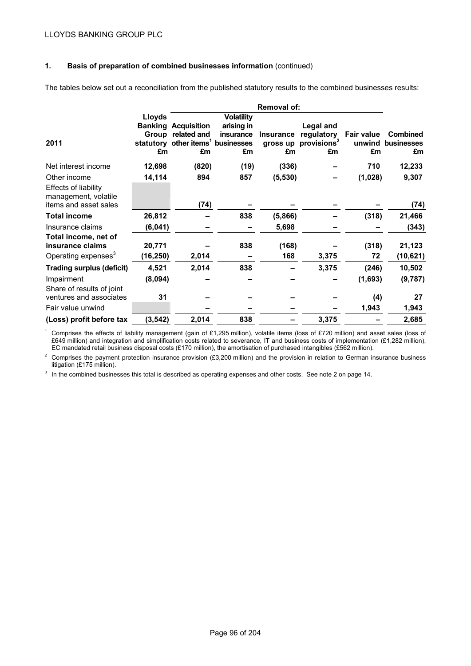# **1. Basis of preparation of combined businesses information** (continued)

The tables below set out a reconciliation from the published statutory results to the combined businesses results:

|                                                                             | <b>Removal of:</b>    |                                                                                                  |                                                    |                                    |                                                        |                                   |                                     |
|-----------------------------------------------------------------------------|-----------------------|--------------------------------------------------------------------------------------------------|----------------------------------------------------|------------------------------------|--------------------------------------------------------|-----------------------------------|-------------------------------------|
| 2011                                                                        | Lloyds<br>Group<br>£m | <b>Banking Acquisition</b><br>related and<br>statutory other items <sup>1</sup> businesses<br>£m | <b>Volatility</b><br>arising in<br>insurance<br>£m | <b>Insurance</b><br>gross up<br>£m | <b>Legal and</b><br>regulatory<br>provisions $2$<br>£m | <b>Fair value</b><br>unwind<br>£m | <b>Combined</b><br>businesses<br>£m |
| Net interest income                                                         | 12,698                | (820)                                                                                            | (19)                                               | (336)                              |                                                        | 710                               | 12,233                              |
| Other income                                                                | 14,114                | 894                                                                                              | 857                                                | (5, 530)                           |                                                        | (1,028)                           | 9,307                               |
| Effects of liability<br>management, volatile<br>items and asset sales       |                       | (74)                                                                                             |                                                    |                                    |                                                        |                                   | (74)                                |
| <b>Total income</b>                                                         | 26,812                |                                                                                                  | 838                                                | (5,866)                            |                                                        | (318)                             | 21,466                              |
| Insurance claims                                                            | (6,041)               |                                                                                                  |                                                    | 5,698                              |                                                        |                                   | (343)                               |
| Total income, net of<br>insurance claims<br>Operating expenses <sup>3</sup> | 20,771<br>(16, 250)   | 2,014                                                                                            | 838                                                | (168)<br>168                       | 3,375                                                  | (318)<br>72                       | 21,123<br>(10, 621)                 |
| <b>Trading surplus (deficit)</b>                                            | 4,521                 | 2,014                                                                                            | 838                                                |                                    | 3,375                                                  | (246)                             | 10,502                              |
| Impairment<br>Share of results of joint                                     | (8,094)               |                                                                                                  |                                                    |                                    |                                                        | (1,693)                           | (9,787)                             |
| ventures and associates                                                     | 31                    |                                                                                                  |                                                    |                                    |                                                        | (4)                               | 27                                  |
| Fair value unwind                                                           |                       |                                                                                                  |                                                    |                                    |                                                        | 1,943                             | 1,943                               |
| (Loss) profit before tax                                                    | (3, 542)              | 2,014                                                                                            | 838                                                |                                    | 3,375                                                  |                                   | 2,685                               |

<sup>1</sup> Comprises the effects of liability management (gain of £1,295 million), volatile items (loss of £720 million) and asset sales (loss of £649 million) and integration and simplification costs related to severance, IT and business costs of implementation (£1,282 million), EC mandated retail business disposal costs (£170 million), the amortisation of purchased intangibles (£562 million).

 $2$  Comprises the payment protection insurance provision (£3,200 million) and the provision in relation to German insurance business litigation (£175 million).

<sup>3</sup> In the combined businesses this total is described as operating expenses and other costs. See note 2 on page 14.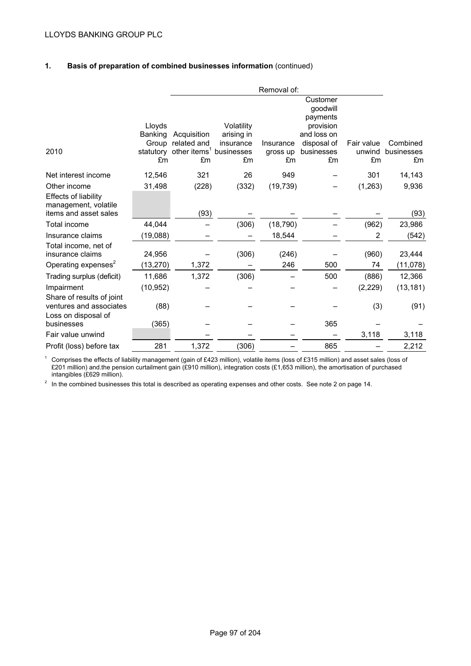# **1. Basis of preparation of combined businesses information** (continued)

|                                                                             |                                         | Removal of:                                                                       |                                             |                             |                                                                                                 |                            |                              |
|-----------------------------------------------------------------------------|-----------------------------------------|-----------------------------------------------------------------------------------|---------------------------------------------|-----------------------------|-------------------------------------------------------------------------------------------------|----------------------------|------------------------------|
| 2010                                                                        | Lloyds<br><b>Banking</b><br>Group<br>£m | Acquisition<br>related and<br>statutory other items <sup>1</sup> businesses<br>£m | Volatility<br>arising in<br>insurance<br>£m | Insurance<br>gross up<br>£m | Customer<br>goodwill<br>payments<br>provision<br>and loss on<br>disposal of<br>businesses<br>£m | Fair value<br>unwind<br>£m | Combined<br>businesses<br>£m |
| Net interest income                                                         | 12,546                                  | 321                                                                               | 26                                          | 949                         |                                                                                                 | 301                        | 14,143                       |
| Other income                                                                | 31,498                                  | (228)                                                                             | (332)                                       | (19, 739)                   |                                                                                                 | (1, 263)                   | 9,936                        |
| Effects of liability<br>management, volatile<br>items and asset sales       |                                         | (93)                                                                              |                                             |                             |                                                                                                 |                            | (93)                         |
| Total income                                                                | 44,044                                  |                                                                                   | (306)                                       | (18, 790)                   |                                                                                                 | (962)                      | 23,986                       |
| Insurance claims                                                            | (19,088)                                |                                                                                   |                                             | 18,544                      |                                                                                                 | 2                          | (542)                        |
| Total income, net of<br>insurance claims<br>Operating expenses <sup>2</sup> | 24,956<br>(13, 270)                     | 1,372                                                                             | (306)                                       | (246)<br>246                | 500                                                                                             | (960)<br>74                | 23,444<br>(11, 078)          |
| Trading surplus (deficit)                                                   | 11,686                                  | 1,372                                                                             | (306)                                       |                             | 500                                                                                             | (886)                      | 12,366                       |
| Impairment                                                                  | (10, 952)                               |                                                                                   |                                             |                             |                                                                                                 | (2, 229)                   | (13, 181)                    |
| Share of results of joint<br>ventures and associates<br>Loss on disposal of | (88)                                    |                                                                                   |                                             |                             |                                                                                                 | (3)                        | (91)                         |
| businesses                                                                  | (365)                                   |                                                                                   |                                             |                             | 365                                                                                             |                            |                              |
| Fair value unwind                                                           |                                         |                                                                                   |                                             |                             |                                                                                                 | 3,118                      | 3,118                        |
| Profit (loss) before tax                                                    | 281                                     | 1,372                                                                             | (306)                                       |                             | 865                                                                                             |                            | 2,212                        |

<sup>1</sup> Comprises the effects of liability management (gain of £423 million), volatile items (loss of £315 million) and asset sales (loss of £201 million) and.the pension curtailment gain (£910 million), integration costs (£1,653 million), the amortisation of purchased intangibles (£629 million).

 $2$  In the combined businesses this total is described as operating expenses and other costs. See note 2 on page 14.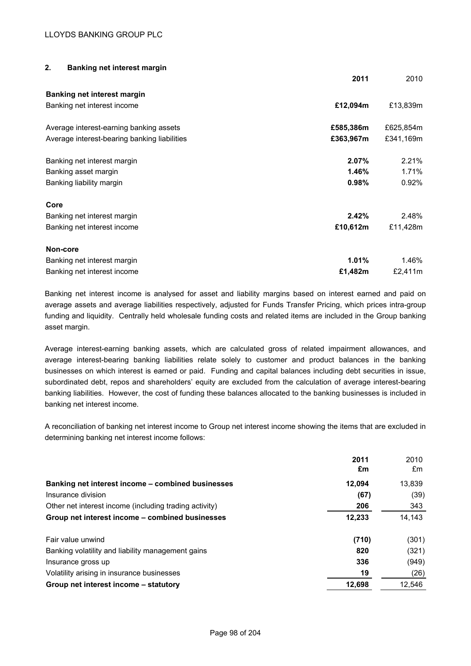# **2. Banking net interest margin**

|                                              | 2011      | 2010      |
|----------------------------------------------|-----------|-----------|
| <b>Banking net interest margin</b>           |           |           |
| Banking net interest income                  | £12,094m  | £13,839m  |
| Average interest-earning banking assets      | £585,386m | £625,854m |
| Average interest-bearing banking liabilities | £363,967m | £341,169m |
| Banking net interest margin                  | 2.07%     | 2.21%     |
| Banking asset margin                         | 1.46%     | 1.71%     |
| Banking liability margin                     | 0.98%     | 0.92%     |
| Core                                         |           |           |
| Banking net interest margin                  | 2.42%     | 2.48%     |
| Banking net interest income                  | £10,612m  | £11,428m  |
| Non-core                                     |           |           |
| Banking net interest margin                  | 1.01%     | 1.46%     |
| Banking net interest income                  | £1,482m   | £2,411m   |

Banking net interest income is analysed for asset and liability margins based on interest earned and paid on average assets and average liabilities respectively, adjusted for Funds Transfer Pricing, which prices intra-group funding and liquidity. Centrally held wholesale funding costs and related items are included in the Group banking asset margin.

Average interest-earning banking assets, which are calculated gross of related impairment allowances, and average interest-bearing banking liabilities relate solely to customer and product balances in the banking businesses on which interest is earned or paid. Funding and capital balances including debt securities in issue, subordinated debt, repos and shareholders' equity are excluded from the calculation of average interest-bearing banking liabilities. However, the cost of funding these balances allocated to the banking businesses is included in banking net interest income.

A reconciliation of banking net interest income to Group net interest income showing the items that are excluded in determining banking net interest income follows:

|                                                        | 2011   | 2010   |
|--------------------------------------------------------|--------|--------|
|                                                        | £m     | £m     |
| Banking net interest income – combined businesses      | 12.094 | 13,839 |
| Insurance division                                     | (67)   | (39)   |
| Other net interest income (including trading activity) | 206    | 343    |
| Group net interest income – combined businesses        | 12,233 | 14,143 |
| Fair value unwind                                      | (710)  | (301)  |
| Banking volatility and liability management gains      | 820    | (321)  |
| Insurance gross up                                     | 336    | (949)  |
| Volatility arising in insurance businesses             | 19     | (26)   |
| Group net interest income – statutory                  | 12,698 | 12,546 |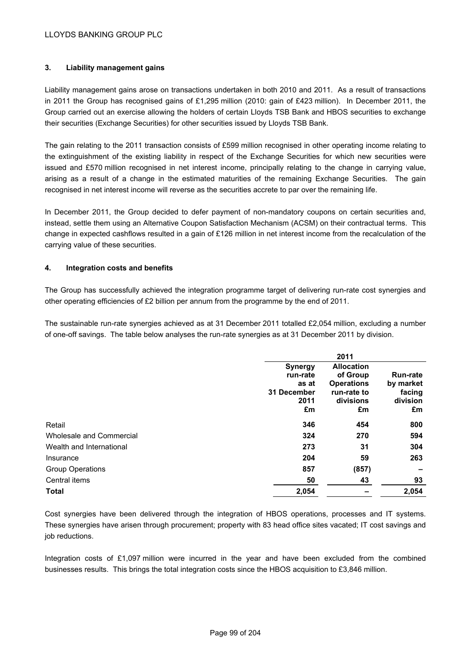# **3. Liability management gains**

Liability management gains arose on transactions undertaken in both 2010 and 2011. As a result of transactions in 2011 the Group has recognised gains of £1,295 million (2010: gain of £423 million). In December 2011, the Group carried out an exercise allowing the holders of certain Lloyds TSB Bank and HBOS securities to exchange their securities (Exchange Securities) for other securities issued by Lloyds TSB Bank.

The gain relating to the 2011 transaction consists of £599 million recognised in other operating income relating to the extinguishment of the existing liability in respect of the Exchange Securities for which new securities were issued and £570 million recognised in net interest income, principally relating to the change in carrying value, arising as a result of a change in the estimated maturities of the remaining Exchange Securities. The gain recognised in net interest income will reverse as the securities accrete to par over the remaining life.

In December 2011, the Group decided to defer payment of non-mandatory coupons on certain securities and, instead, settle them using an Alternative Coupon Satisfaction Mechanism (ACSM) on their contractual terms. This change in expected cashflows resulted in a gain of £126 million in net interest income from the recalculation of the carrying value of these securities.

# **4. Integration costs and benefits**

The Group has successfully achieved the integration programme target of delivering run-rate cost synergies and other operating efficiencies of £2 billion per annum from the programme by the end of 2011.

The sustainable run-rate synergies achieved as at 31 December 2011 totalled £2,054 million, excluding a number of one-off savings. The table below analyses the run-rate synergies as at 31 December 2011 by division.

|                          | 2011                       |                               |                 |
|--------------------------|----------------------------|-------------------------------|-----------------|
|                          | <b>Synergy</b><br>run-rate | <b>Allocation</b><br>of Group | <b>Run-rate</b> |
|                          | as at                      | <b>Operations</b>             | by market       |
|                          | 31 December                | run-rate to                   | facing          |
|                          | 2011                       | divisions                     | division        |
|                          | £m                         | £m                            | £m              |
| Retail                   | 346                        | 454                           | 800             |
| Wholesale and Commercial | 324                        | 270                           | 594             |
| Wealth and International | 273                        | 31                            | 304             |
| Insurance                | 204                        | 59                            | 263             |
| <b>Group Operations</b>  | 857                        | (857)                         | -               |
| Central items            | 50                         | 43                            | 93              |
| <b>Total</b>             | 2,054                      |                               | 2,054           |

Cost synergies have been delivered through the integration of HBOS operations, processes and IT systems. These synergies have arisen through procurement; property with 83 head office sites vacated; IT cost savings and job reductions.

Integration costs of £1,097 million were incurred in the year and have been excluded from the combined businesses results. This brings the total integration costs since the HBOS acquisition to £3,846 million.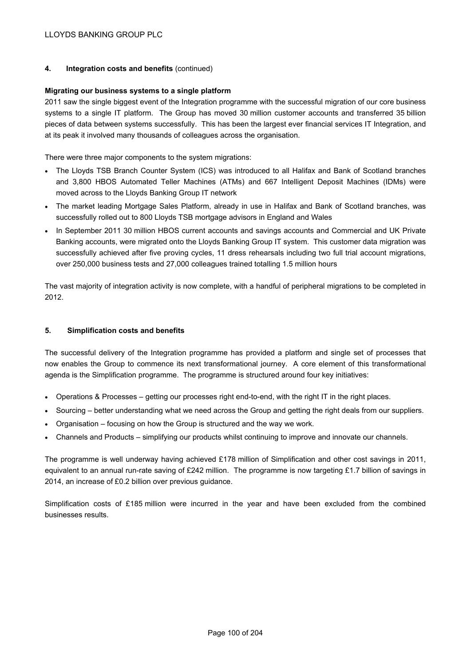# **4. Integration costs and benefits** (continued)

### **Migrating our business systems to a single platform**

2011 saw the single biggest event of the Integration programme with the successful migration of our core business systems to a single IT platform. The Group has moved 30 million customer accounts and transferred 35 billion pieces of data between systems successfully. This has been the largest ever financial services IT Integration, and at its peak it involved many thousands of colleagues across the organisation.

There were three major components to the system migrations:

- The Lloyds TSB Branch Counter System (ICS) was introduced to all Halifax and Bank of Scotland branches and 3,800 HBOS Automated Teller Machines (ATMs) and 667 Intelligent Deposit Machines (IDMs) were moved across to the Lloyds Banking Group IT network
- The market leading Mortgage Sales Platform, already in use in Halifax and Bank of Scotland branches, was successfully rolled out to 800 Lloyds TSB mortgage advisors in England and Wales
- In September 2011 30 million HBOS current accounts and savings accounts and Commercial and UK Private Banking accounts, were migrated onto the Lloyds Banking Group IT system. This customer data migration was successfully achieved after five proving cycles, 11 dress rehearsals including two full trial account migrations, over 250,000 business tests and 27,000 colleagues trained totalling 1.5 million hours

The vast majority of integration activity is now complete, with a handful of peripheral migrations to be completed in 2012.

### **5. Simplification costs and benefits**

The successful delivery of the Integration programme has provided a platform and single set of processes that now enables the Group to commence its next transformational journey. A core element of this transformational agenda is the Simplification programme. The programme is structured around four key initiatives:

- Operations & Processes getting our processes right end-to-end, with the right IT in the right places.
- Sourcing better understanding what we need across the Group and getting the right deals from our suppliers.
- Organisation focusing on how the Group is structured and the way we work.
- Channels and Products simplifying our products whilst continuing to improve and innovate our channels.

The programme is well underway having achieved £178 million of Simplification and other cost savings in 2011, equivalent to an annual run-rate saving of £242 million. The programme is now targeting £1.7 billion of savings in 2014, an increase of £0.2 billion over previous guidance.

Simplification costs of £185 million were incurred in the year and have been excluded from the combined businesses results.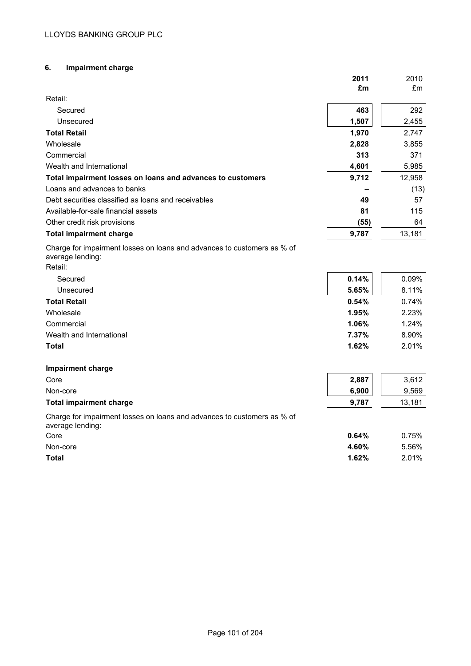# **6. Impairment charge**

|                                                                                                        | 2011  | 2010   |
|--------------------------------------------------------------------------------------------------------|-------|--------|
| Retail:                                                                                                | £m    | £m     |
| Secured                                                                                                | 463   | 292    |
| Unsecured                                                                                              | 1,507 | 2,455  |
| <b>Total Retail</b>                                                                                    | 1,970 | 2,747  |
| Wholesale                                                                                              | 2,828 | 3,855  |
| Commercial                                                                                             | 313   | 371    |
| Wealth and International                                                                               | 4,601 | 5,985  |
| Total impairment losses on loans and advances to customers                                             | 9,712 | 12,958 |
| Loans and advances to banks                                                                            |       | (13)   |
| Debt securities classified as loans and receivables                                                    | 49    | 57     |
| Available-for-sale financial assets                                                                    | 81    | 115    |
| Other credit risk provisions                                                                           | (55)  | 64     |
| <b>Total impairment charge</b>                                                                         | 9,787 | 13,181 |
| Charge for impairment losses on loans and advances to customers as % of<br>average lending:<br>Retail: |       |        |
| Secured                                                                                                | 0.14% | 0.09%  |
| Unsecured                                                                                              | 5.65% | 8.11%  |
| <b>Total Retail</b>                                                                                    | 0.54% | 0.74%  |
| Wholesale                                                                                              | 1.95% | 2.23%  |
| Commercial                                                                                             | 1.06% | 1.24%  |
| Wealth and International                                                                               | 7.37% | 8.90%  |
| <b>Total</b>                                                                                           | 1.62% | 2.01%  |
| Impairment charge                                                                                      |       |        |
| Core                                                                                                   | 2,887 | 3,612  |
| Non-core                                                                                               | 6,900 | 9,569  |
| <b>Total impairment charge</b>                                                                         | 9,787 | 13,181 |
| Charge for impairment losses on loans and advances to customers as % of<br>average lending:            |       |        |
| Core                                                                                                   | 0.64% | 0.75%  |
| Non-core                                                                                               | 4.60% | 5.56%  |
| <b>Total</b>                                                                                           | 1.62% | 2.01%  |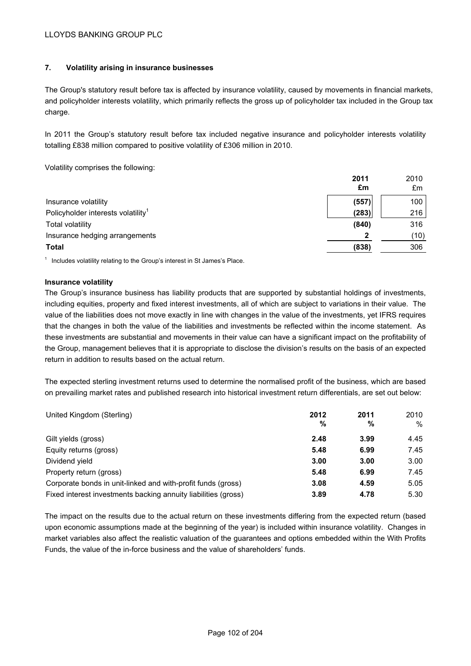# **7. Volatility arising in insurance businesses**

The Group's statutory result before tax is affected by insurance volatility, caused by movements in financial markets, and policyholder interests volatility, which primarily reflects the gross up of policyholder tax included in the Group tax charge.

In 2011 the Group's statutory result before tax included negative insurance and policyholder interests volatility totalling £838 million compared to positive volatility of £306 million in 2010.

Volatility comprises the following:

|                                                | 2011<br>£m | 2010<br>£m |
|------------------------------------------------|------------|------------|
| Insurance volatility                           | (557)      | 100        |
| Policyholder interests volatility <sup>1</sup> | (283)      | 216        |
| <b>Total volatility</b>                        | (840)      | 316        |
| Insurance hedging arrangements                 |            | (10)       |
| <b>Total</b>                                   | (838)      | 306        |

 $1$  Includes volatility relating to the Group's interest in St James's Place.

# **Insurance volatility**

The Group's insurance business has liability products that are supported by substantial holdings of investments, including equities, property and fixed interest investments, all of which are subject to variations in their value. The value of the liabilities does not move exactly in line with changes in the value of the investments, yet IFRS requires that the changes in both the value of the liabilities and investments be reflected within the income statement. As these investments are substantial and movements in their value can have a significant impact on the profitability of the Group, management believes that it is appropriate to disclose the division's results on the basis of an expected return in addition to results based on the actual return.

The expected sterling investment returns used to determine the normalised profit of the business, which are based on prevailing market rates and published research into historical investment return differentials, are set out below:

| United Kingdom (Sterling)                                      | 2012<br>% | 2011<br>% | 2010<br>% |
|----------------------------------------------------------------|-----------|-----------|-----------|
| Gilt yields (gross)                                            | 2.48      | 3.99      | 4.45      |
| Equity returns (gross)                                         | 5.48      | 6.99      | 7.45      |
| Dividend yield                                                 | 3.00      | 3.00      | 3.00      |
| Property return (gross)                                        | 5.48      | 6.99      | 7.45      |
| Corporate bonds in unit-linked and with-profit funds (gross)   | 3.08      | 4.59      | 5.05      |
| Fixed interest investments backing annuity liabilities (gross) | 3.89      | 4.78      | 5.30      |

The impact on the results due to the actual return on these investments differing from the expected return (based upon economic assumptions made at the beginning of the year) is included within insurance volatility. Changes in market variables also affect the realistic valuation of the guarantees and options embedded within the With Profits Funds, the value of the in-force business and the value of shareholders' funds.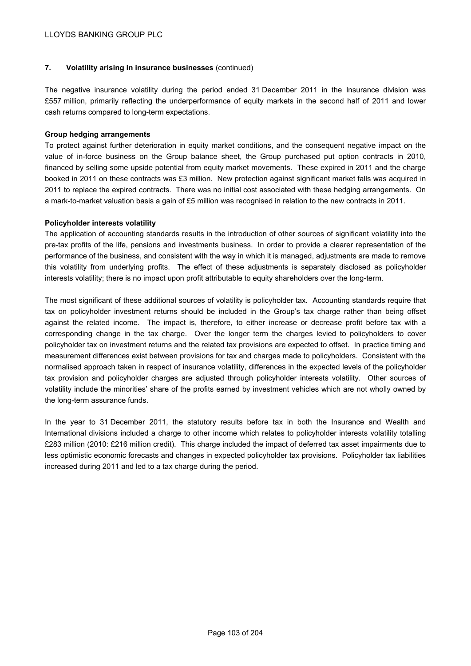# **7. Volatility arising in insurance businesses** (continued)

The negative insurance volatility during the period ended 31 December 2011 in the Insurance division was £557 million, primarily reflecting the underperformance of equity markets in the second half of 2011 and lower cash returns compared to long-term expectations.

# **Group hedging arrangements**

To protect against further deterioration in equity market conditions, and the consequent negative impact on the value of in-force business on the Group balance sheet, the Group purchased put option contracts in 2010, financed by selling some upside potential from equity market movements. These expired in 2011 and the charge booked in 2011 on these contracts was £3 million. New protection against significant market falls was acquired in 2011 to replace the expired contracts. There was no initial cost associated with these hedging arrangements. On a mark-to-market valuation basis a gain of £5 million was recognised in relation to the new contracts in 2011.

# **Policyholder interests volatility**

The application of accounting standards results in the introduction of other sources of significant volatility into the pre-tax profits of the life, pensions and investments business. In order to provide a clearer representation of the performance of the business, and consistent with the way in which it is managed, adjustments are made to remove this volatility from underlying profits. The effect of these adjustments is separately disclosed as policyholder interests volatility; there is no impact upon profit attributable to equity shareholders over the long-term.

The most significant of these additional sources of volatility is policyholder tax. Accounting standards require that tax on policyholder investment returns should be included in the Group's tax charge rather than being offset against the related income. The impact is, therefore, to either increase or decrease profit before tax with a corresponding change in the tax charge. Over the longer term the charges levied to policyholders to cover policyholder tax on investment returns and the related tax provisions are expected to offset. In practice timing and measurement differences exist between provisions for tax and charges made to policyholders. Consistent with the normalised approach taken in respect of insurance volatility, differences in the expected levels of the policyholder tax provision and policyholder charges are adjusted through policyholder interests volatility. Other sources of volatility include the minorities' share of the profits earned by investment vehicles which are not wholly owned by the long-term assurance funds.

In the year to 31 December 2011, the statutory results before tax in both the Insurance and Wealth and International divisions included a charge to other income which relates to policyholder interests volatility totalling £283 million (2010: £216 million credit). This charge included the impact of deferred tax asset impairments due to less optimistic economic forecasts and changes in expected policyholder tax provisions. Policyholder tax liabilities increased during 2011 and led to a tax charge during the period.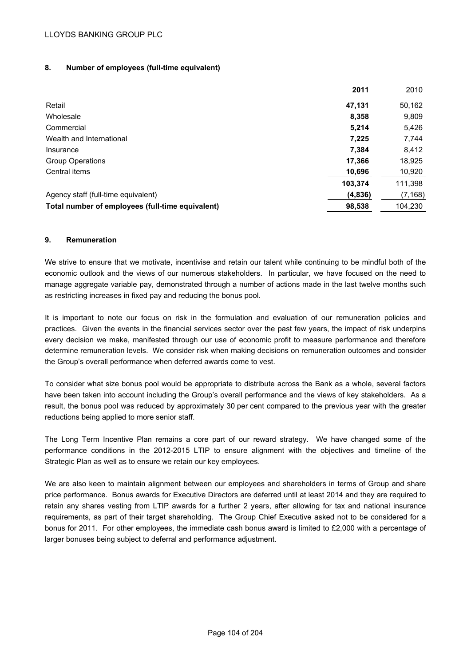# LLOYDS BANKING GROUP PLC

# **8. Number of employees (full-time equivalent)**

|                                                  | 2011    | 2010     |
|--------------------------------------------------|---------|----------|
| Retail                                           | 47,131  | 50,162   |
| Wholesale                                        | 8,358   | 9,809    |
| Commercial                                       | 5,214   | 5,426    |
| Wealth and International                         | 7,225   | 7,744    |
| Insurance                                        | 7,384   | 8,412    |
| <b>Group Operations</b>                          | 17,366  | 18,925   |
| Central items                                    | 10,696  | 10,920   |
|                                                  | 103,374 | 111,398  |
| Agency staff (full-time equivalent)              | (4,836) | (7, 168) |
| Total number of employees (full-time equivalent) | 98,538  | 104.230  |

### **9. Remuneration**

We strive to ensure that we motivate, incentivise and retain our talent while continuing to be mindful both of the economic outlook and the views of our numerous stakeholders. In particular, we have focused on the need to manage aggregate variable pay, demonstrated through a number of actions made in the last twelve months such as restricting increases in fixed pay and reducing the bonus pool.

It is important to note our focus on risk in the formulation and evaluation of our remuneration policies and practices. Given the events in the financial services sector over the past few years, the impact of risk underpins every decision we make, manifested through our use of economic profit to measure performance and therefore determine remuneration levels. We consider risk when making decisions on remuneration outcomes and consider the Group's overall performance when deferred awards come to vest.

To consider what size bonus pool would be appropriate to distribute across the Bank as a whole, several factors have been taken into account including the Group's overall performance and the views of key stakeholders. As a result, the bonus pool was reduced by approximately 30 per cent compared to the previous year with the greater reductions being applied to more senior staff.

The Long Term Incentive Plan remains a core part of our reward strategy. We have changed some of the performance conditions in the 2012-2015 LTIP to ensure alignment with the objectives and timeline of the Strategic Plan as well as to ensure we retain our key employees.

We are also keen to maintain alignment between our employees and shareholders in terms of Group and share price performance. Bonus awards for Executive Directors are deferred until at least 2014 and they are required to retain any shares vesting from LTIP awards for a further 2 years, after allowing for tax and national insurance requirements, as part of their target shareholding. The Group Chief Executive asked not to be considered for a bonus for 2011. For other employees, the immediate cash bonus award is limited to £2,000 with a percentage of larger bonuses being subject to deferral and performance adjustment.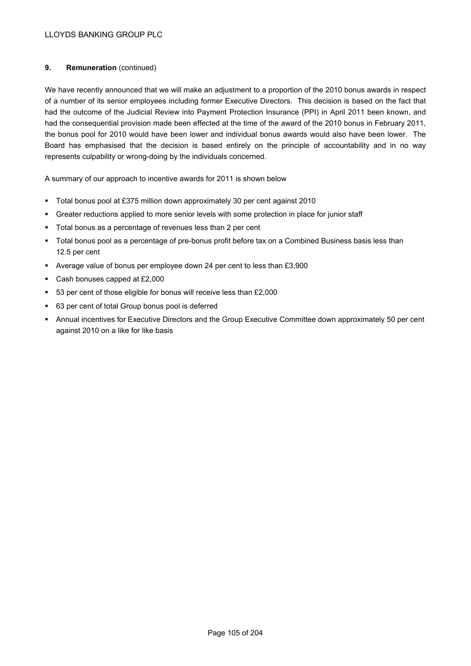# **9.** Remuneration (continued)

We have recently announced that we will make an adjustment to a proportion of the 2010 bonus awards in respect of a number of its senior employees including former Executive Directors. This decision is based on the fact that had the outcome of the Judicial Review into Payment Protection Insurance (PPI) in April 2011 been known, and had the consequential provision made been effected at the time of the award of the 2010 bonus in February 2011, the bonus pool for 2010 would have been lower and individual bonus awards would also have been lower. The Board has emphasised that the decision is based entirely on the principle of accountability and in no way represents culpability or wrong-doing by the individuals concerned.

A summary of our approach to incentive awards for 2011 is shown below

- Total bonus pool at £375 million down approximately 30 per cent against 2010
- Greater reductions applied to more senior levels with some protection in place for junior staff
- Total bonus as a percentage of revenues less than 2 per cent
- Total bonus pool as a percentage of pre-bonus profit before tax on a Combined Business basis less than 12.5 per cent
- Average value of bonus per employee down 24 per cent to less than £3,900
- Cash bonuses capped at £2,000
- 53 per cent of those eligible for bonus will receive less than £2,000
- 63 per cent of total Group bonus pool is deferred
- Annual incentives for Executive Directors and the Group Executive Committee down approximately 50 per cent against 2010 on a like for like basis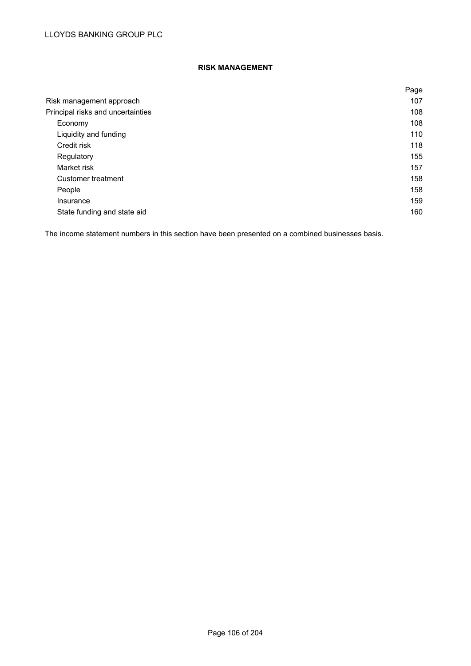## **RISK MANAGEMENT**

|                                   | Page |
|-----------------------------------|------|
| Risk management approach          | 107  |
| Principal risks and uncertainties | 108  |
| Economy                           | 108  |
| Liquidity and funding             | 110  |
| Credit risk                       | 118  |
| Regulatory                        | 155  |
| Market risk                       | 157  |
| Customer treatment                | 158  |
| People                            | 158  |
| Insurance                         | 159  |
| State funding and state aid       | 160  |

The income statement numbers in this section have been presented on a combined businesses basis.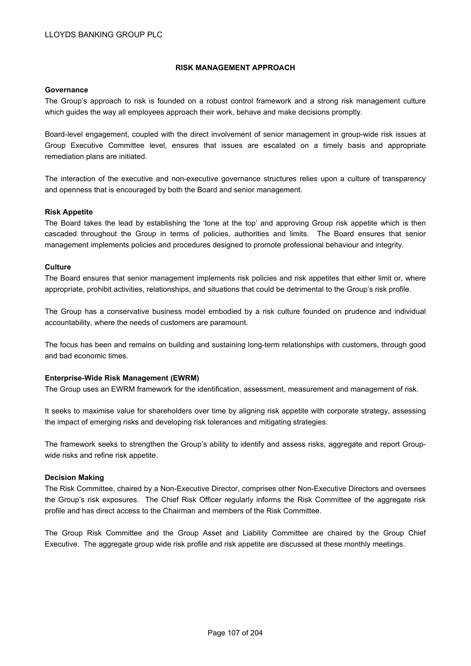### **RISK MANAGEMENT APPROACH**

### **Governance**

The Group's approach to risk is founded on a robust control framework and a strong risk management culture which guides the way all employees approach their work, behave and make decisions promptly.

Board-level engagement, coupled with the direct involvement of senior management in group-wide risk issues at Group Executive Committee level, ensures that issues are escalated on a timely basis and appropriate remediation plans are initiated.

The interaction of the executive and non-executive governance structures relies upon a culture of transparency and openness that is encouraged by both the Board and senior management.

#### **Risk Appetite**

The Board takes the lead by establishing the 'tone at the top' and approving Group risk appetite which is then cascaded throughout the Group in terms of policies, authorities and limits. The Board ensures that senior management implements policies and procedures designed to promote professional behaviour and integrity.

#### **Culture**

The Board ensures that senior management implements risk policies and risk appetites that either limit or, where appropriate, prohibit activities, relationships, and situations that could be detrimental to the Group's risk profile.

The Group has a conservative business model embodied by a risk culture founded on prudence and individual accountability, where the needs of customers are paramount.

The focus has been and remains on building and sustaining long-term relationships with customers, through good and bad economic times.

#### **Enterprise-Wide Risk Management (EWRM)**

The Group uses an EWRM framework for the identification, assessment, measurement and management of risk.

It seeks to maximise value for shareholders over time by aligning risk appetite with corporate strategy, assessing the impact of emerging risks and developing risk tolerances and mitigating strategies.

The framework seeks to strengthen the Group's ability to identify and assess risks, aggregate and report Groupwide risks and refine risk appetite.

#### **Decision Making**

The Risk Committee, chaired by a Non-Executive Director, comprises other Non-Executive Directors and oversees the Group's risk exposures. The Chief Risk Officer regularly informs the Risk Committee of the aggregate risk profile and has direct access to the Chairman and members of the Risk Committee.

The Group Risk Committee and the Group Asset and Liability Committee are chaired by the Group Chief Executive. The aggregate group wide risk profile and risk appetite are discussed at these monthly meetings.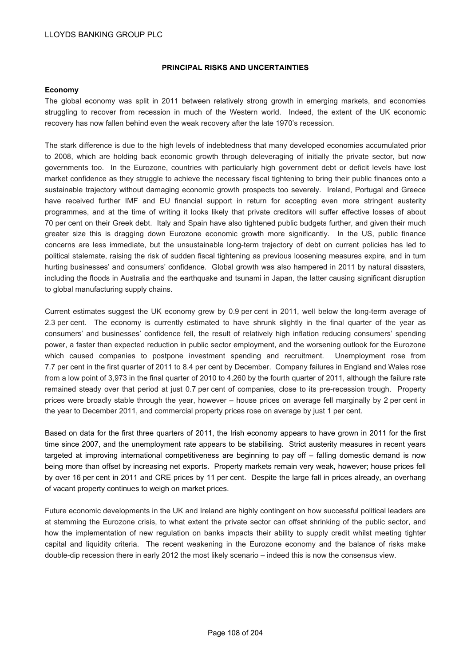### **PRINCIPAL RISKS AND UNCERTAINTIES**

### **Economy**

The global economy was split in 2011 between relatively strong growth in emerging markets, and economies struggling to recover from recession in much of the Western world. Indeed, the extent of the UK economic recovery has now fallen behind even the weak recovery after the late 1970's recession.

The stark difference is due to the high levels of indebtedness that many developed economies accumulated prior to 2008, which are holding back economic growth through deleveraging of initially the private sector, but now governments too. In the Eurozone, countries with particularly high government debt or deficit levels have lost market confidence as they struggle to achieve the necessary fiscal tightening to bring their public finances onto a sustainable trajectory without damaging economic growth prospects too severely. Ireland, Portugal and Greece have received further IMF and EU financial support in return for accepting even more stringent austerity programmes, and at the time of writing it looks likely that private creditors will suffer effective losses of about 70 per cent on their Greek debt. Italy and Spain have also tightened public budgets further, and given their much greater size this is dragging down Eurozone economic growth more significantly. In the US, public finance concerns are less immediate, but the unsustainable long-term trajectory of debt on current policies has led to political stalemate, raising the risk of sudden fiscal tightening as previous loosening measures expire, and in turn hurting businesses' and consumers' confidence. Global growth was also hampered in 2011 by natural disasters, including the floods in Australia and the earthquake and tsunami in Japan, the latter causing significant disruption to global manufacturing supply chains.

Current estimates suggest the UK economy grew by 0.9 per cent in 2011, well below the long-term average of 2.3 per cent. The economy is currently estimated to have shrunk slightly in the final quarter of the year as consumers' and businesses' confidence fell, the result of relatively high inflation reducing consumers' spending power, a faster than expected reduction in public sector employment, and the worsening outlook for the Eurozone which caused companies to postpone investment spending and recruitment. Unemployment rose from 7.7 per cent in the first quarter of 2011 to 8.4 per cent by December. Company failures in England and Wales rose from a low point of 3,973 in the final quarter of 2010 to 4,260 by the fourth quarter of 2011, although the failure rate remained steady over that period at just 0.7 per cent of companies, close to its pre-recession trough. Property prices were broadly stable through the year, however – house prices on average fell marginally by 2 per cent in the year to December 2011, and commercial property prices rose on average by just 1 per cent.

Based on data for the first three quarters of 2011, the Irish economy appears to have grown in 2011 for the first time since 2007, and the unemployment rate appears to be stabilising. Strict austerity measures in recent years targeted at improving international competitiveness are beginning to pay off – falling domestic demand is now being more than offset by increasing net exports. Property markets remain very weak, however; house prices fell by over 16 per cent in 2011 and CRE prices by 11 per cent. Despite the large fall in prices already, an overhang of vacant property continues to weigh on market prices.

Future economic developments in the UK and Ireland are highly contingent on how successful political leaders are at stemming the Eurozone crisis, to what extent the private sector can offset shrinking of the public sector, and how the implementation of new regulation on banks impacts their ability to supply credit whilst meeting tighter capital and liquidity criteria. The recent weakening in the Eurozone economy and the balance of risks make double-dip recession there in early 2012 the most likely scenario – indeed this is now the consensus view.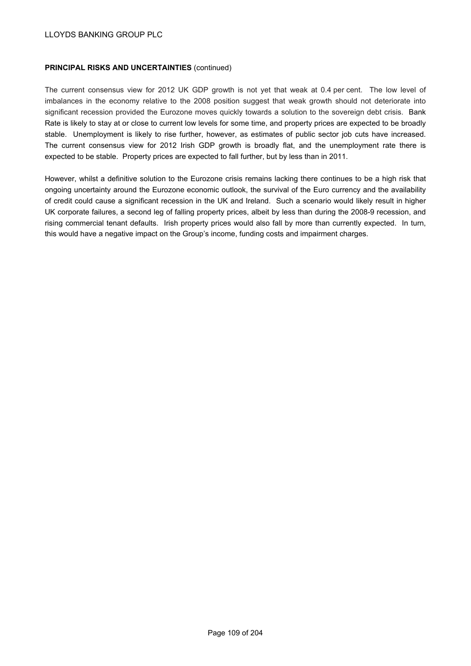## **PRINCIPAL RISKS AND UNCERTAINTIES** (continued)

The current consensus view for 2012 UK GDP growth is not yet that weak at 0.4 per cent. The low level of imbalances in the economy relative to the 2008 position suggest that weak growth should not deteriorate into significant recession provided the Eurozone moves quickly towards a solution to the sovereign debt crisis. Bank Rate is likely to stay at or close to current low levels for some time, and property prices are expected to be broadly stable. Unemployment is likely to rise further, however, as estimates of public sector job cuts have increased. The current consensus view for 2012 Irish GDP growth is broadly flat, and the unemployment rate there is expected to be stable. Property prices are expected to fall further, but by less than in 2011.

However, whilst a definitive solution to the Eurozone crisis remains lacking there continues to be a high risk that ongoing uncertainty around the Eurozone economic outlook, the survival of the Euro currency and the availability of credit could cause a significant recession in the UK and Ireland. Such a scenario would likely result in higher UK corporate failures, a second leg of falling property prices, albeit by less than during the 2008-9 recession, and rising commercial tenant defaults. Irish property prices would also fall by more than currently expected. In turn, this would have a negative impact on the Group's income, funding costs and impairment charges.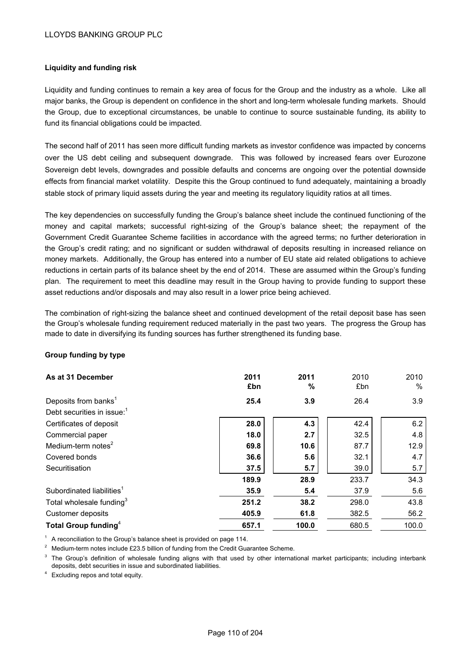## **Liquidity and funding risk**

Liquidity and funding continues to remain a key area of focus for the Group and the industry as a whole. Like all major banks, the Group is dependent on confidence in the short and long-term wholesale funding markets. Should the Group, due to exceptional circumstances, be unable to continue to source sustainable funding, its ability to fund its financial obligations could be impacted.

The second half of 2011 has seen more difficult funding markets as investor confidence was impacted by concerns over the US debt ceiling and subsequent downgrade. This was followed by increased fears over Eurozone Sovereign debt levels, downgrades and possible defaults and concerns are ongoing over the potential downside effects from financial market volatility. Despite this the Group continued to fund adequately, maintaining a broadly stable stock of primary liquid assets during the year and meeting its regulatory liquidity ratios at all times.

The key dependencies on successfully funding the Group's balance sheet include the continued functioning of the money and capital markets; successful right-sizing of the Group's balance sheet; the repayment of the Government Credit Guarantee Scheme facilities in accordance with the agreed terms; no further deterioration in the Group's credit rating; and no significant or sudden withdrawal of deposits resulting in increased reliance on money markets. Additionally, the Group has entered into a number of EU state aid related obligations to achieve reductions in certain parts of its balance sheet by the end of 2014. These are assumed within the Group's funding plan. The requirement to meet this deadline may result in the Group having to provide funding to support these asset reductions and/or disposals and may also result in a lower price being achieved.

The combination of right-sizing the balance sheet and continued development of the retail deposit base has seen the Group's wholesale funding requirement reduced materially in the past two years. The progress the Group has made to date in diversifying its funding sources has further strengthened its funding base.

| Group funding by type |
|-----------------------|
|-----------------------|

| As at 31 December                      | 2011<br>£bn | 2011<br>$\%$ | 2010<br>£bn | 2010<br>$\%$ |
|----------------------------------------|-------------|--------------|-------------|--------------|
| Deposits from banks <sup>1</sup>       | 25.4        | 3.9          | 26.4        | 3.9          |
| Debt securities in issue: <sup>1</sup> |             |              |             |              |
| Certificates of deposit                | 28.0        | 4.3          | 42.4        | 6.2          |
| Commercial paper                       | 18.0        | 2.7          | 32.5        | 4.8          |
| Medium-term notes $2$                  | 69.8        | 10.6         | 87.7        | 12.9         |
| Covered bonds                          | 36.6        | 5.6          | 32.1        | 4.7          |
| Securitisation                         | 37.5        | 5.7          | 39.0        | 5.7          |
|                                        | 189.9       | 28.9         | 233.7       | 34.3         |
| Subordinated liabilities <sup>1</sup>  | 35.9        | 5.4          | 37.9        | 5.6          |
| Total wholesale funding <sup>3</sup>   | 251.2       | 38.2         | 298.0       | 43.8         |
| Customer deposits                      | 405.9       | 61.8         | 382.5       | 56.2         |
| Total Group funding <sup>4</sup>       | 657.1       | 100.0        | 680.5       | 100.0        |

 $1$  A reconciliation to the Group's balance sheet is provided on page 114.

<sup>2</sup> Medium-term notes include £23.5 billion of funding from the Credit Guarantee Scheme.

<sup>3</sup> The Group's definition of wholesale funding aligns with that used by other international market participants; including interbank deposits, debt securities in issue and subordinated liabilities.

<sup>4</sup> Excluding repos and total equity.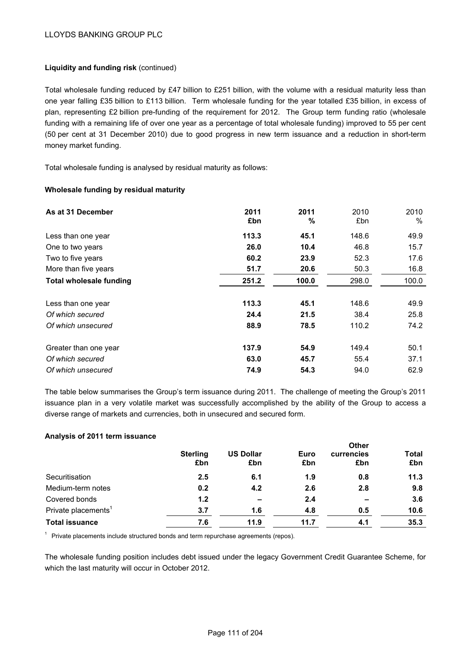Total wholesale funding reduced by £47 billion to £251 billion, with the volume with a residual maturity less than one year falling £35 billion to £113 billion. Term wholesale funding for the year totalled £35 billion, in excess of plan, representing £2 billion pre-funding of the requirement for 2012. The Group term funding ratio (wholesale funding with a remaining life of over one year as a percentage of total wholesale funding) improved to 55 per cent (50 per cent at 31 December 2010) due to good progress in new term issuance and a reduction in short-term money market funding.

Total wholesale funding is analysed by residual maturity as follows:

## **Wholesale funding by residual maturity**

| As at 31 December              | 2011<br>£bn | 2011<br>% | 2010<br>£bn | 2010<br>$\%$ |
|--------------------------------|-------------|-----------|-------------|--------------|
| Less than one year             | 113.3       | 45.1      | 148.6       | 49.9         |
| One to two years               | 26.0        | 10.4      | 46.8        | 15.7         |
| Two to five years              | 60.2        | 23.9      | 52.3        | 17.6         |
| More than five years           | 51.7        | 20.6      | 50.3        | 16.8         |
| <b>Total wholesale funding</b> | 251.2       | 100.0     | 298.0       | 100.0        |
| Less than one year             | 113.3       | 45.1      | 148.6       | 49.9         |
| Of which secured               | 24.4        | 21.5      | 38.4        | 25.8         |
| Of which unsecured             | 88.9        | 78.5      | 110.2       | 74.2         |
| Greater than one year          | 137.9       | 54.9      | 149.4       | 50.1         |
| Of which secured               | 63.0        | 45.7      | 55.4        | 37.1         |
| Of which unsecured             | 74.9        | 54.3      | 94.0        | 62.9         |

The table below summarises the Group's term issuance during 2011. The challenge of meeting the Group's 2011 issuance plan in a very volatile market was successfully accomplished by the ability of the Group to access a diverse range of markets and currencies, both in unsecured and secured form.

#### **Analysis of 2011 term issuance**

|                                 |                 |                  |      | <b>Other</b> |              |  |
|---------------------------------|-----------------|------------------|------|--------------|--------------|--|
|                                 | <b>Sterling</b> | <b>US Dollar</b> | Euro | currencies   | <b>Total</b> |  |
|                                 | £bn             | £bn              | £bn  | £bn          | £bn          |  |
| Securitisation                  | 2.5             | 6.1              | 1.9  | 0.8          | 11.3         |  |
| Medium-term notes               | 0.2             | 4.2              | 2.6  | 2.8          | 9.8          |  |
| Covered bonds                   | 1.2             | -                | 2.4  |              | 3.6          |  |
| Private placements <sup>1</sup> | 3.7             | 1.6              | 4.8  | 0.5          | 10.6         |  |
| <b>Total issuance</b>           | 7.6             | 11.9             | 11.7 | 4.1          | 35.3         |  |

 $1$  Private placements include structured bonds and term repurchase agreements (repos).

The wholesale funding position includes debt issued under the legacy Government Credit Guarantee Scheme, for which the last maturity will occur in October 2012.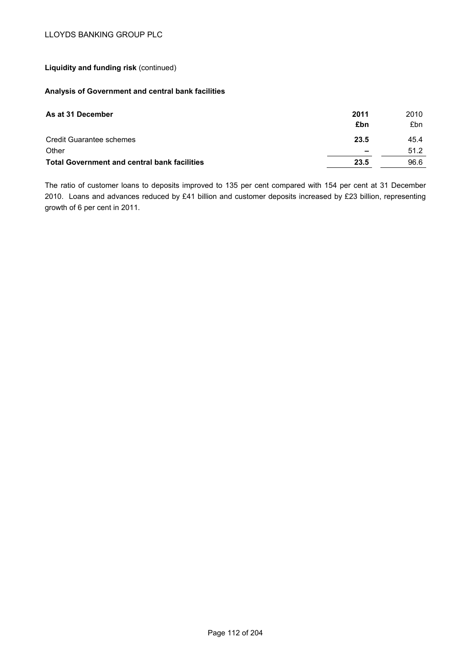## **Analysis of Government and central bank facilities**

| As at 31 December<br>2011<br>£bn                            | 2010<br>£bn |
|-------------------------------------------------------------|-------------|
| Credit Guarantee schemes<br>23.5                            | 45.4        |
| Other<br>-                                                  | 51.2        |
| <b>Total Government and central bank facilities</b><br>23.5 | 96.6        |

The ratio of customer loans to deposits improved to 135 per cent compared with 154 per cent at 31 December 2010. Loans and advances reduced by £41 billion and customer deposits increased by £23 billion, representing growth of 6 per cent in 2011.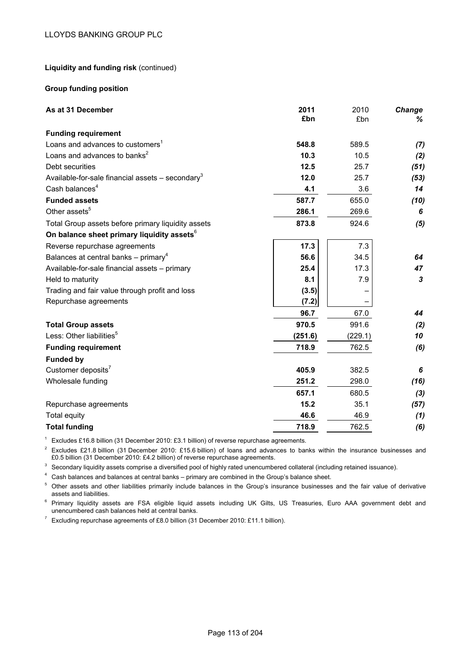#### **Group funding position**

| As at 31 December                                              | 2011<br>£bn | 2010<br>£bn | Change<br>% |
|----------------------------------------------------------------|-------------|-------------|-------------|
| <b>Funding requirement</b>                                     |             |             |             |
| Loans and advances to customers <sup>1</sup>                   | 548.8       | 589.5       | (7)         |
| Loans and advances to banks <sup>2</sup>                       | 10.3        | 10.5        | (2)         |
| Debt securities                                                | 12.5        | 25.7        | (51)        |
| Available-for-sale financial assets $-$ secondary <sup>3</sup> | 12.0        | 25.7        | (53)        |
| Cash balances <sup>4</sup>                                     | 4.1         | 3.6         | 14          |
| <b>Funded assets</b>                                           | 587.7       | 655.0       | (10)        |
| Other assets <sup>5</sup>                                      | 286.1       | 269.6       | 6           |
|                                                                |             |             |             |
| Total Group assets before primary liquidity assets             | 873.8       | 924.6       | (5)         |
| On balance sheet primary liquidity assets <sup>6</sup>         |             |             |             |
| Reverse repurchase agreements                                  | 17.3        | 7.3         |             |
| Balances at central banks – primary <sup>4</sup>               | 56.6        | 34.5        | 64          |
| Available-for-sale financial assets - primary                  | 25.4        | 17.3        | 47          |
| Held to maturity                                               | 8.1         | 7.9         | 3           |
| Trading and fair value through profit and loss                 | (3.5)       |             |             |
| Repurchase agreements                                          | (7.2)       |             |             |
|                                                                | 96.7        | 67.0        | 44          |
| <b>Total Group assets</b>                                      | 970.5       | 991.6       | (2)         |
| Less: Other liabilities <sup>5</sup>                           | (251.6)     | (229.1)     | 10          |
| <b>Funding requirement</b>                                     | 718.9       | 762.5       | (6)         |
| <b>Funded by</b>                                               |             |             |             |
| Customer deposits <sup>7</sup>                                 | 405.9       | 382.5       | 6           |
| Wholesale funding                                              | 251.2       | 298.0       | (16)        |
|                                                                | 657.1       | 680.5       | $(3)$       |
| Repurchase agreements                                          | 15.2        | 35.1        | (57)        |
| Total equity                                                   | 46.6        | 46.9        | (1)         |
| <b>Total funding</b>                                           | 718.9       | 762.5       | (6)         |

 $1$  Excludes £16.8 billion (31 December 2010: £3.1 billion) of reverse repurchase agreements.

<sup>2</sup> Excludes £21.8 billion (31 December 2010: £15.6 billion) of loans and advances to banks within the insurance businesses and £0.5 billion (31 December 2010: £4.2 billion) of reverse repurchase agreements.

<sup>3</sup> Secondary liquidity assets comprise a diversified pool of highly rated unencumbered collateral (including retained issuance).

<sup>4</sup> Cash balances and balances at central banks – primary are combined in the Group's balance sheet.

<sup>5</sup> Other assets and other liabilities primarily include balances in the Group's insurance businesses and the fair value of derivative assets and liabilities.

<sup>6</sup> Primary liquidity assets are FSA eligible liquid assets including UK Gilts, US Treasuries, Euro AAA government debt and unencumbered cash balances held at central banks.

<sup>7</sup> Excluding repurchase agreements of £8.0 billion (31 December 2010: £11.1 billion).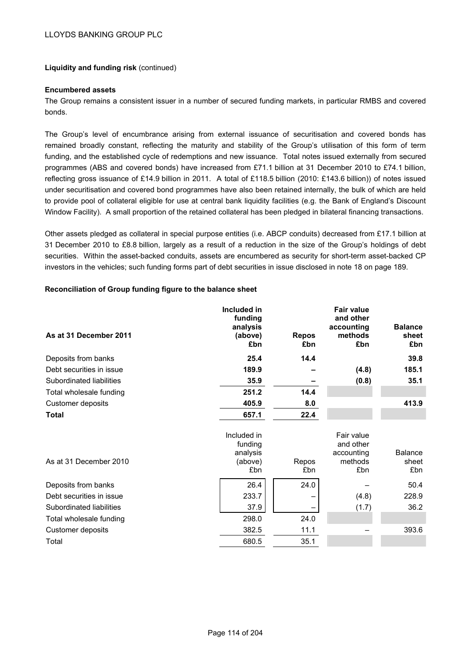### **Encumbered assets**

The Group remains a consistent issuer in a number of secured funding markets, in particular RMBS and covered bonds.

The Group's level of encumbrance arising from external issuance of securitisation and covered bonds has remained broadly constant, reflecting the maturity and stability of the Group's utilisation of this form of term funding, and the established cycle of redemptions and new issuance. Total notes issued externally from secured programmes (ABS and covered bonds) have increased from £71.1 billion at 31 December 2010 to £74.1 billion, reflecting gross issuance of £14.9 billion in 2011. A total of £118.5 billion (2010: £143.6 billion)) of notes issued under securitisation and covered bond programmes have also been retained internally, the bulk of which are held to provide pool of collateral eligible for use at central bank liquidity facilities (e.g. the Bank of England's Discount Window Facility). A small proportion of the retained collateral has been pledged in bilateral financing transactions.

Other assets pledged as collateral in special purpose entities (i.e. ABCP conduits) decreased from £17.1 billion at 31 December 2010 to £8.8 billion, largely as a result of a reduction in the size of the Group's holdings of debt securities. Within the asset-backed conduits, assets are encumbered as security for short-term asset-backed CP investors in the vehicles; such funding forms part of debt securities in issue disclosed in note 18 on page 189.

## **Reconciliation of Group funding figure to the balance sheet**

| As at 31 December 2011   | Included in<br>funding<br>analysis<br>(above)<br>£bn | <b>Repos</b><br>£bn | <b>Fair value</b><br>and other<br>accounting<br>methods<br>£bn | <b>Balance</b><br>sheet<br>£bn |
|--------------------------|------------------------------------------------------|---------------------|----------------------------------------------------------------|--------------------------------|
| Deposits from banks      | 25.4                                                 | 14.4                |                                                                | 39.8                           |
| Debt securities in issue | 189.9                                                |                     | (4.8)                                                          | 185.1                          |
| Subordinated liabilities | 35.9                                                 |                     | (0.8)                                                          | 35.1                           |
| Total wholesale funding  | 251.2                                                | 14.4                |                                                                |                                |
| Customer deposits        | 405.9                                                | 8.0                 |                                                                | 413.9                          |
| <b>Total</b>             | 657.1                                                | 22.4                |                                                                |                                |
| As at 31 December 2010   | Included in<br>funding<br>analysis<br>(above)<br>£bn | Repos<br>£bn        | Fair value<br>and other<br>accounting<br>methods<br>£bn        | Balance<br>sheet<br>£bn        |
| Deposits from banks      | 26.4                                                 | 24.0                |                                                                | 50.4                           |
| Debt securities in issue | 233.7                                                |                     | (4.8)                                                          | 228.9                          |
| Subordinated liabilities | 37.9                                                 | -                   | (1.7)                                                          | 36.2                           |
| Total wholesale funding  | 298.0                                                | 24.0                |                                                                |                                |
| Customer deposits        | 382.5                                                | 11.1                |                                                                | 393.6                          |
| Total                    | 680.5                                                | 35.1                |                                                                |                                |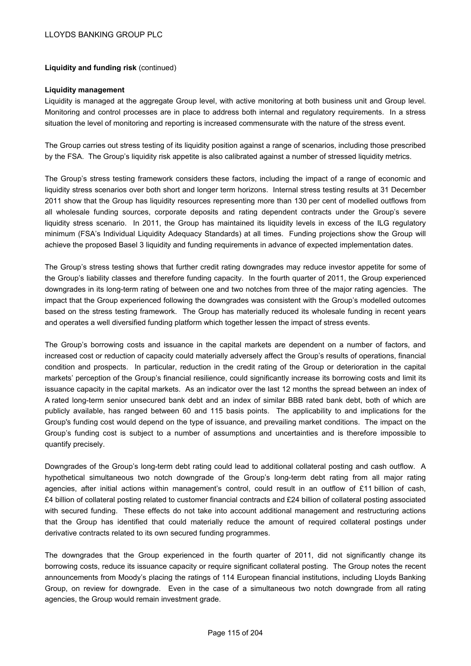## **Liquidity management**

Liquidity is managed at the aggregate Group level, with active monitoring at both business unit and Group level. Monitoring and control processes are in place to address both internal and regulatory requirements. In a stress situation the level of monitoring and reporting is increased commensurate with the nature of the stress event.

The Group carries out stress testing of its liquidity position against a range of scenarios, including those prescribed by the FSA. The Group's liquidity risk appetite is also calibrated against a number of stressed liquidity metrics.

The Group's stress testing framework considers these factors, including the impact of a range of economic and liquidity stress scenarios over both short and longer term horizons. Internal stress testing results at 31 December 2011 show that the Group has liquidity resources representing more than 130 per cent of modelled outflows from all wholesale funding sources, corporate deposits and rating dependent contracts under the Group's severe liquidity stress scenario. In 2011, the Group has maintained its liquidity levels in excess of the ILG regulatory minimum (FSA's Individual Liquidity Adequacy Standards) at all times. Funding projections show the Group will achieve the proposed Basel 3 liquidity and funding requirements in advance of expected implementation dates.

The Group's stress testing shows that further credit rating downgrades may reduce investor appetite for some of the Group's liability classes and therefore funding capacity. In the fourth quarter of 2011, the Group experienced downgrades in its long-term rating of between one and two notches from three of the major rating agencies. The impact that the Group experienced following the downgrades was consistent with the Group's modelled outcomes based on the stress testing framework. The Group has materially reduced its wholesale funding in recent years and operates a well diversified funding platform which together lessen the impact of stress events.

The Group's borrowing costs and issuance in the capital markets are dependent on a number of factors, and increased cost or reduction of capacity could materially adversely affect the Group's results of operations, financial condition and prospects. In particular, reduction in the credit rating of the Group or deterioration in the capital markets' perception of the Group's financial resilience, could significantly increase its borrowing costs and limit its issuance capacity in the capital markets. As an indicator over the last 12 months the spread between an index of A rated long-term senior unsecured bank debt and an index of similar BBB rated bank debt, both of which are publicly available, has ranged between 60 and 115 basis points. The applicability to and implications for the Group's funding cost would depend on the type of issuance, and prevailing market conditions. The impact on the Group's funding cost is subject to a number of assumptions and uncertainties and is therefore impossible to quantify precisely.

Downgrades of the Group's long-term debt rating could lead to additional collateral posting and cash outflow. A hypothetical simultaneous two notch downgrade of the Group's long-term debt rating from all major rating agencies, after initial actions within management's control, could result in an outflow of £11 billion of cash, £4 billion of collateral posting related to customer financial contracts and £24 billion of collateral posting associated with secured funding. These effects do not take into account additional management and restructuring actions that the Group has identified that could materially reduce the amount of required collateral postings under derivative contracts related to its own secured funding programmes.

The downgrades that the Group experienced in the fourth quarter of 2011, did not significantly change its borrowing costs, reduce its issuance capacity or require significant collateral posting. The Group notes the recent announcements from Moody's placing the ratings of 114 European financial institutions, including Lloyds Banking Group, on review for downgrade. Even in the case of a simultaneous two notch downgrade from all rating agencies, the Group would remain investment grade.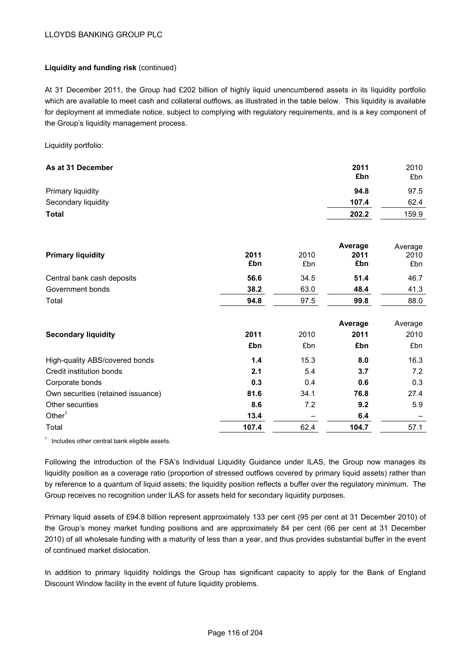At 31 December 2011, the Group had £202 billion of highly liquid unencumbered assets in its liquidity portfolio which are available to meet cash and collateral outflows, as illustrated in the table below. This liquidity is available for deployment at immediate notice, subject to complying with regulatory requirements, and is a key component of the Group's liquidity management process.

| Liquidity portfolio:               |             |             |                        |                        |
|------------------------------------|-------------|-------------|------------------------|------------------------|
| As at 31 December                  |             |             | 2011<br>£bn            | 2010<br>£bn            |
| Primary liquidity                  |             |             | 94.8                   | 97.5                   |
| Secondary liquidity                |             |             | 107.4                  | 62.4                   |
| <b>Total</b>                       |             |             | 202.2                  | 159.9                  |
| <b>Primary liquidity</b>           | 2011<br>£bn | 2010<br>£bn | Average<br>2011<br>£bn | Average<br>2010<br>£bn |
| Central bank cash deposits         | 56.6        | 34.5        | 51.4                   | 46.7                   |
| Government bonds                   | 38.2        | 63.0        | 48.4                   | 41.3                   |
| Total                              | 94.8        | 97.5        | 99.8                   | 88.0                   |
|                                    |             |             | Average                | Average                |
| <b>Secondary liquidity</b>         | 2011        | 2010        | 2011                   | 2010                   |
|                                    | £bn         | £bn         | £bn                    | £bn                    |
| High-quality ABS/covered bonds     | 1.4         | 15.3        | 8.0                    | 16.3                   |
| Credit institution bonds           | 2.1         | 5.4         | 3.7                    | 7.2                    |
| Corporate bonds                    | 0.3         | 0.4         | 0.6                    | 0.3                    |
| Own securities (retained issuance) | 81.6        | 34.1        | 76.8                   | 27.4                   |
| Other securities                   | 8.6         | 7.2         | 9.2                    | 5.9                    |
| Other $1$                          | 13.4        |             | 6.4                    |                        |
| Total                              | 107.4       | 62.4        | 104.7                  | 57.1                   |
|                                    |             |             |                        |                        |

 $1$  Includes other central bank eligible assets.

Following the introduction of the FSA's Individual Liquidity Guidance under ILAS, the Group now manages its liquidity position as a coverage ratio (proportion of stressed outflows covered by primary liquid assets) rather than by reference to a quantum of liquid assets; the liquidity position reflects a buffer over the regulatory minimum. The Group receives no recognition under ILAS for assets held for secondary liquidity purposes.

Primary liquid assets of £94.8 billion represent approximately 133 per cent (95 per cent at 31 December 2010) of the Group's money market funding positions and are approximately 84 per cent (66 per cent at 31 December 2010) of all wholesale funding with a maturity of less than a year, and thus provides substantial buffer in the event of continued market dislocation.

In addition to primary liquidity holdings the Group has significant capacity to apply for the Bank of England Discount Window facility in the event of future liquidity problems.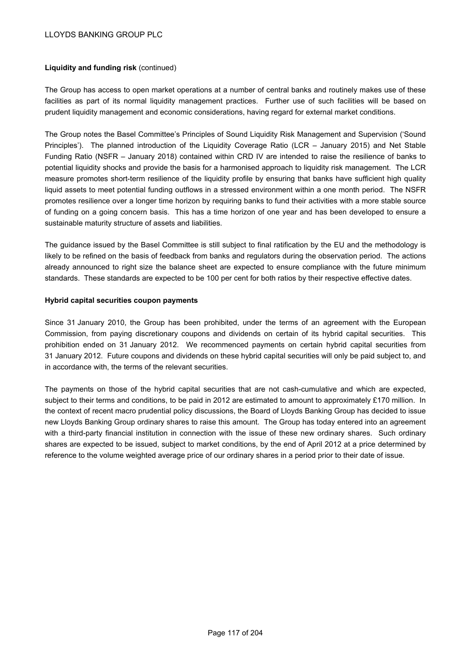The Group has access to open market operations at a number of central banks and routinely makes use of these facilities as part of its normal liquidity management practices. Further use of such facilities will be based on prudent liquidity management and economic considerations, having regard for external market conditions.

The Group notes the Basel Committee's Principles of Sound Liquidity Risk Management and Supervision ('Sound Principles'). The planned introduction of the Liquidity Coverage Ratio (LCR – January 2015) and Net Stable Funding Ratio (NSFR – January 2018) contained within CRD IV are intended to raise the resilience of banks to potential liquidity shocks and provide the basis for a harmonised approach to liquidity risk management. The LCR measure promotes short-term resilience of the liquidity profile by ensuring that banks have sufficient high quality liquid assets to meet potential funding outflows in a stressed environment within a one month period. The NSFR promotes resilience over a longer time horizon by requiring banks to fund their activities with a more stable source of funding on a going concern basis. This has a time horizon of one year and has been developed to ensure a sustainable maturity structure of assets and liabilities.

The guidance issued by the Basel Committee is still subject to final ratification by the EU and the methodology is likely to be refined on the basis of feedback from banks and regulators during the observation period. The actions already announced to right size the balance sheet are expected to ensure compliance with the future minimum standards. These standards are expected to be 100 per cent for both ratios by their respective effective dates.

## **Hybrid capital securities coupon payments**

Since 31 January 2010, the Group has been prohibited, under the terms of an agreement with the European Commission, from paying discretionary coupons and dividends on certain of its hybrid capital securities. This prohibition ended on 31 January 2012. We recommenced payments on certain hybrid capital securities from 31 January 2012. Future coupons and dividends on these hybrid capital securities will only be paid subject to, and in accordance with, the terms of the relevant securities.

The payments on those of the hybrid capital securities that are not cash-cumulative and which are expected, subject to their terms and conditions, to be paid in 2012 are estimated to amount to approximately £170 million. In the context of recent macro prudential policy discussions, the Board of Lloyds Banking Group has decided to issue new Lloyds Banking Group ordinary shares to raise this amount. The Group has today entered into an agreement with a third-party financial institution in connection with the issue of these new ordinary shares. Such ordinary shares are expected to be issued, subject to market conditions, by the end of April 2012 at a price determined by reference to the volume weighted average price of our ordinary shares in a period prior to their date of issue.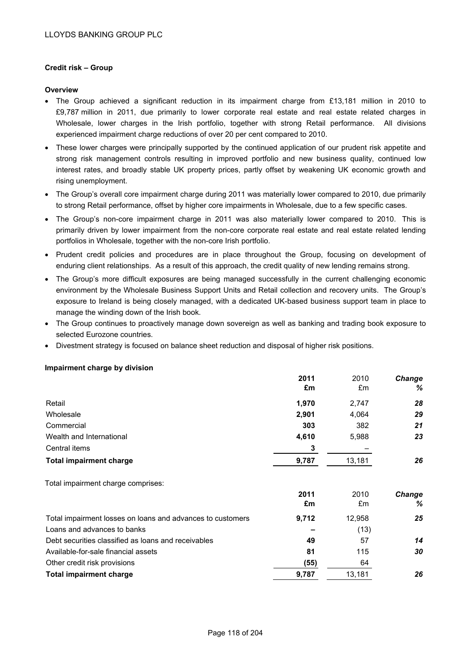## **Credit risk – Group**

### **Overview**

- The Group achieved a significant reduction in its impairment charge from £13,181 million in 2010 to £9,787 million in 2011, due primarily to lower corporate real estate and real estate related charges in Wholesale, lower charges in the Irish portfolio, together with strong Retail performance. All divisions experienced impairment charge reductions of over 20 per cent compared to 2010.
- These lower charges were principally supported by the continued application of our prudent risk appetite and strong risk management controls resulting in improved portfolio and new business quality, continued low interest rates, and broadly stable UK property prices, partly offset by weakening UK economic growth and rising unemployment.
- The Group's overall core impairment charge during 2011 was materially lower compared to 2010, due primarily to strong Retail performance, offset by higher core impairments in Wholesale, due to a few specific cases.
- The Group's non-core impairment charge in 2011 was also materially lower compared to 2010. This is primarily driven by lower impairment from the non-core corporate real estate and real estate related lending portfolios in Wholesale, together with the non-core Irish portfolio.
- Prudent credit policies and procedures are in place throughout the Group, focusing on development of enduring client relationships. As a result of this approach, the credit quality of new lending remains strong.
- The Group's more difficult exposures are being managed successfully in the current challenging economic environment by the Wholesale Business Support Units and Retail collection and recovery units. The Group's exposure to Ireland is being closely managed, with a dedicated UK-based business support team in place to manage the winding down of the Irish book.
- The Group continues to proactively manage down sovereign as well as banking and trading book exposure to selected Eurozone countries.
- Divestment strategy is focused on balance sheet reduction and disposal of higher risk positions.

#### **Impairment charge by division**

| 2011  | 2010   | <b>Change</b>      |
|-------|--------|--------------------|
| £m    | £m     | %                  |
| 1,970 | 2,747  | 28                 |
| 2,901 | 4,064  | 29                 |
| 303   | 382    | 21                 |
| 4,610 | 5,988  | 23                 |
| 3     |        |                    |
| 9,787 | 13,181 | 26                 |
|       |        |                    |
| 2011  | 2010   | <b>Change</b><br>% |
|       |        |                    |
| 9,712 | 12,958 | 25                 |
|       | (13)   |                    |
| 49    | 57     | 14                 |
| 81    | 115    | 30                 |
| (55)  | 64     |                    |
| 9,787 | 13,181 | 26                 |
|       | £m     | £m                 |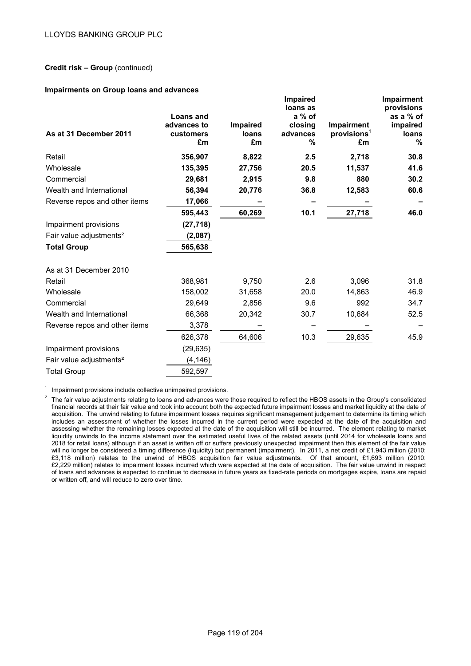#### **Impairments on Group loans and advances**

|                                     |                  |                 | <b>Impaired</b>    |                         | <b>Impairment</b>       |
|-------------------------------------|------------------|-----------------|--------------------|-------------------------|-------------------------|
|                                     | <b>Loans and</b> |                 | loans as<br>a % of |                         | provisions<br>as a % of |
|                                     | advances to      | <b>Impaired</b> | closing            | Impairment              | impaired                |
| As at 31 December 2011              | customers        | loans           | advances           | provisions <sup>1</sup> | loans                   |
|                                     | £m               | £m              | %                  | £m                      | %                       |
| Retail                              | 356,907          | 8,822           | 2.5                | 2,718                   | 30.8                    |
| Wholesale                           | 135,395          | 27,756          | 20.5               | 11,537                  | 41.6                    |
| Commercial                          | 29,681           | 2,915           | 9.8                | 880                     | 30.2                    |
| Wealth and International            | 56,394           | 20,776          | 36.8               | 12,583                  | 60.6                    |
| Reverse repos and other items       | 17,066           |                 |                    |                         |                         |
|                                     | 595,443          | 60,269          | 10.1               | 27,718                  | 46.0                    |
| Impairment provisions               | (27, 718)        |                 |                    |                         |                         |
| Fair value adjustments <sup>2</sup> | (2,087)          |                 |                    |                         |                         |
| <b>Total Group</b>                  | 565,638          |                 |                    |                         |                         |
| As at 31 December 2010              |                  |                 |                    |                         |                         |
| Retail                              | 368,981          | 9,750           | 2.6                | 3,096                   | 31.8                    |
| Wholesale                           | 158,002          | 31,658          | 20.0               | 14,863                  | 46.9                    |
| Commercial                          | 29.649           | 2,856           | 9.6                | 992                     | 34.7                    |
| Wealth and International            | 66,368           | 20,342          | 30.7               | 10,684                  | 52.5                    |
| Reverse repos and other items       | 3,378            |                 |                    |                         |                         |
|                                     | 626,378          | 64,606          | 10.3               | 29,635                  | 45.9                    |
| Impairment provisions               | (29, 635)        |                 |                    |                         |                         |
| Fair value adjustments <sup>2</sup> | (4, 146)         |                 |                    |                         |                         |
| <b>Total Group</b>                  | 592,597          |                 |                    |                         |                         |

<sup>1</sup> Impairment provisions include collective unimpaired provisions.

 $2$  The fair value adjustments relating to loans and advances were those required to reflect the HBOS assets in the Group's consolidated financial records at their fair value and took into account both the expected future impairment losses and market liquidity at the date of acquisition. The unwind relating to future impairment losses requires significant management judgement to determine its timing which includes an assessment of whether the losses incurred in the current period were expected at the date of the acquisition and assessing whether the remaining losses expected at the date of the acquisition will still be incurred. The element relating to market liquidity unwinds to the income statement over the estimated useful lives of the related assets (until 2014 for wholesale loans and 2018 for retail loans) although if an asset is written off or suffers previously unexpected impairment then this element of the fair value will no longer be considered a timing difference (liquidity) but permanent (impairment). In 2011, a net credit of £1,943 million (2010: £3,118 million) relates to the unwind of HBOS acquisition fair value adjustments. Of that amount, £1,693 million (2010: £2,229 million) relates to impairment losses incurred which were expected at the date of acquisition. The fair value unwind in respect of loans and advances is expected to continue to decrease in future years as fixed-rate periods on mortgages expire, loans are repaid or written off, and will reduce to zero over time.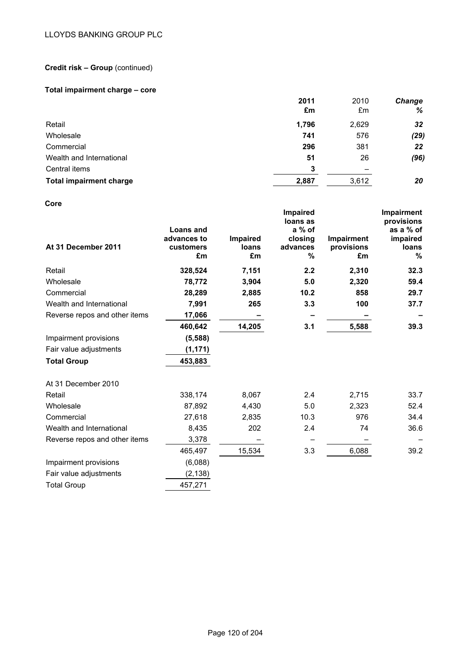## **Total impairment charge – core**

| 2011  | 2010  | <b>Change</b> |
|-------|-------|---------------|
| £m    | £m    | %             |
| 1,796 | 2,629 | 32            |
| 741   | 576   | (29)          |
| 296   | 381   | 22            |
| 51    | 26    | (96)          |
| 3     |       |               |
| 2,887 | 3,612 | 20            |
|       |       |               |

## **Core**

|          |                                             | <b>Impaired</b>         |                                                | <b>Impairment</b>                     |
|----------|---------------------------------------------|-------------------------|------------------------------------------------|---------------------------------------|
|          |                                             |                         |                                                | provisions                            |
|          |                                             |                         |                                                | as a % of                             |
|          |                                             |                         |                                                | impaired                              |
|          |                                             |                         |                                                | loans<br>%                            |
|          |                                             |                         |                                                |                                       |
| 328,524  | 7,151                                       | 2.2                     | 2,310                                          | 32.3                                  |
| 78,772   | 3,904                                       | 5.0                     | 2,320                                          | 59.4                                  |
| 28,289   | 2,885                                       | 10.2                    | 858                                            | 29.7                                  |
| 7,991    | 265                                         | 3.3                     | 100                                            | 37.7                                  |
| 17,066   |                                             |                         |                                                |                                       |
| 460,642  | 14,205                                      | 3.1                     | 5,588                                          | 39.3                                  |
| (5,588)  |                                             |                         |                                                |                                       |
| (1, 171) |                                             |                         |                                                |                                       |
| 453,883  |                                             |                         |                                                |                                       |
|          |                                             |                         |                                                |                                       |
| 338,174  | 8,067                                       | 2.4                     | 2,715                                          | 33.7                                  |
| 87,892   | 4,430                                       | 5.0                     | 2,323                                          | 52.4                                  |
| 27,618   | 2,835                                       | 10.3                    | 976                                            | 34.4                                  |
| 8,435    | 202                                         | 2.4                     | 74                                             | 36.6                                  |
| 3,378    |                                             |                         |                                                |                                       |
| 465,497  | 15,534                                      | 3.3                     | 6,088                                          | 39.2                                  |
| (6,088)  |                                             |                         |                                                |                                       |
| (2, 138) |                                             |                         |                                                |                                       |
| 457,271  |                                             |                         |                                                |                                       |
|          | Loans and<br>advances to<br>customers<br>£m | Impaired<br>loans<br>£m | loans as<br>a % of<br>closing<br>advances<br>% | <b>Impairment</b><br>provisions<br>£m |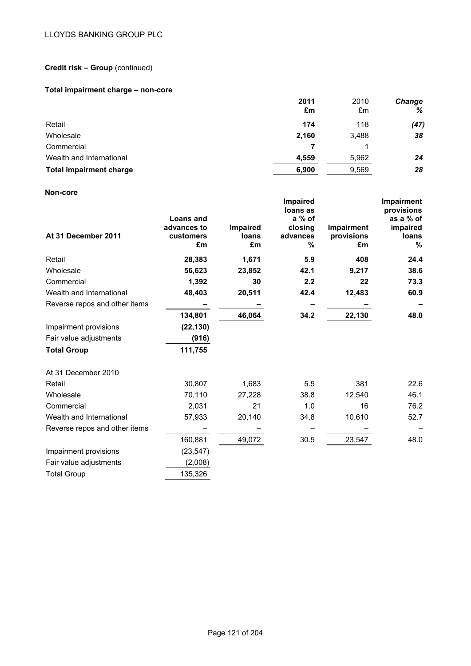## **Total impairment charge – non-core**

|                                | 2011  | 2010  | <b>Change</b> |
|--------------------------------|-------|-------|---------------|
|                                | £m    | £m    | %             |
| Retail                         | 174   | 118   | (47)          |
| Wholesale                      | 2,160 | 3,488 | 38            |
| Commercial                     |       |       |               |
| Wealth and International       | 4,559 | 5,962 | 24            |
| <b>Total impairment charge</b> | 6,900 | 9,569 | 28            |

## **Non-core**

| At 31 December 2011           | Loans and<br>advances to<br>customers<br>£m | Impaired<br>loans<br>£m | Impaired<br>loans as<br>a % of<br>closing<br>advances<br>$\frac{0}{0}$ | <b>Impairment</b><br>provisions<br>£m | Impairment<br>provisions<br>as a % of<br>impaired<br>loans<br>% |
|-------------------------------|---------------------------------------------|-------------------------|------------------------------------------------------------------------|---------------------------------------|-----------------------------------------------------------------|
| Retail                        | 28,383                                      | 1,671                   | 5.9                                                                    | 408                                   | 24.4                                                            |
| Wholesale                     | 56,623                                      | 23,852                  | 42.1                                                                   | 9,217                                 | 38.6                                                            |
| Commercial                    | 1,392                                       | 30                      | 2.2                                                                    | 22                                    | 73.3                                                            |
| Wealth and International      | 48,403                                      | 20,511                  | 42.4                                                                   | 12,483                                | 60.9                                                            |
| Reverse repos and other items |                                             |                         |                                                                        |                                       |                                                                 |
|                               | 134,801                                     | 46,064                  | 34.2                                                                   | 22,130                                | 48.0                                                            |
| Impairment provisions         | (22, 130)                                   |                         |                                                                        |                                       |                                                                 |
| Fair value adjustments        | (916)                                       |                         |                                                                        |                                       |                                                                 |
| <b>Total Group</b>            | 111,755                                     |                         |                                                                        |                                       |                                                                 |
| At 31 December 2010           |                                             |                         |                                                                        |                                       |                                                                 |
| Retail                        | 30,807                                      | 1,683                   | 5.5                                                                    | 381                                   | 22.6                                                            |
| Wholesale                     | 70,110                                      | 27,228                  | 38.8                                                                   | 12,540                                | 46.1                                                            |
| Commercial                    | 2,031                                       | 21                      | 1.0                                                                    | 16                                    | 76.2                                                            |
| Wealth and International      | 57,933                                      | 20,140                  | 34.8                                                                   | 10,610                                | 52.7                                                            |
| Reverse repos and other items |                                             |                         |                                                                        |                                       |                                                                 |
|                               | 160,881                                     | 49,072                  | 30.5                                                                   | 23,547                                | 48.0                                                            |
| Impairment provisions         | (23, 547)                                   |                         |                                                                        |                                       |                                                                 |
| Fair value adjustments        | (2,008)                                     |                         |                                                                        |                                       |                                                                 |
| <b>Total Group</b>            | 135,326                                     |                         |                                                                        |                                       |                                                                 |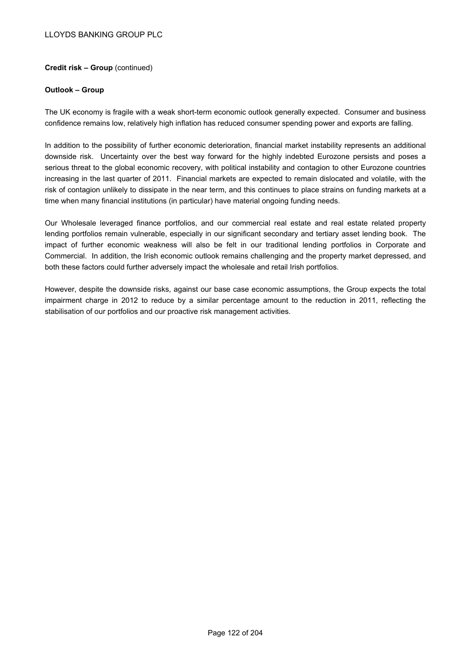### **Outlook – Group**

The UK economy is fragile with a weak short-term economic outlook generally expected. Consumer and business confidence remains low, relatively high inflation has reduced consumer spending power and exports are falling.

In addition to the possibility of further economic deterioration, financial market instability represents an additional downside risk. Uncertainty over the best way forward for the highly indebted Eurozone persists and poses a serious threat to the global economic recovery, with political instability and contagion to other Eurozone countries increasing in the last quarter of 2011. Financial markets are expected to remain dislocated and volatile, with the risk of contagion unlikely to dissipate in the near term, and this continues to place strains on funding markets at a time when many financial institutions (in particular) have material ongoing funding needs.

Our Wholesale leveraged finance portfolios, and our commercial real estate and real estate related property lending portfolios remain vulnerable, especially in our significant secondary and tertiary asset lending book. The impact of further economic weakness will also be felt in our traditional lending portfolios in Corporate and Commercial. In addition, the Irish economic outlook remains challenging and the property market depressed, and both these factors could further adversely impact the wholesale and retail Irish portfolios.

However, despite the downside risks, against our base case economic assumptions, the Group expects the total impairment charge in 2012 to reduce by a similar percentage amount to the reduction in 2011, reflecting the stabilisation of our portfolios and our proactive risk management activities.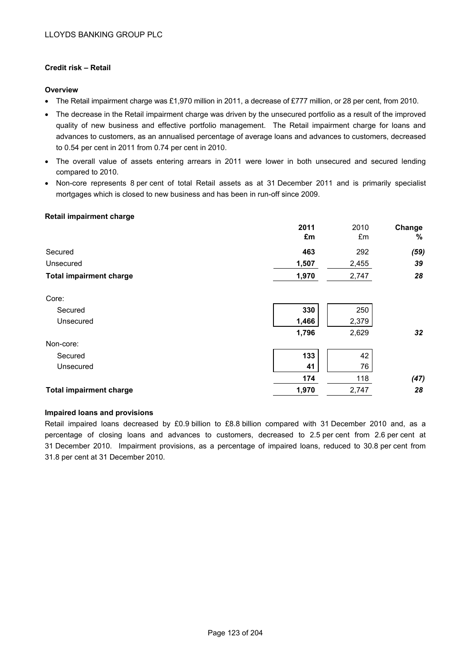## **Credit risk – Retail**

### **Overview**

- The Retail impairment charge was £1,970 million in 2011, a decrease of £777 million, or 28 per cent, from 2010.
- The decrease in the Retail impairment charge was driven by the unsecured portfolio as a result of the improved quality of new business and effective portfolio management. The Retail impairment charge for loans and advances to customers, as an annualised percentage of average loans and advances to customers, decreased to 0.54 per cent in 2011 from 0.74 per cent in 2010.
- The overall value of assets entering arrears in 2011 were lower in both unsecured and secured lending compared to 2010.
- Non-core represents 8 per cent of total Retail assets as at 31 December 2011 and is primarily specialist mortgages which is closed to new business and has been in run-off since 2009.

#### **Retail impairment charge**

|                                | 2011  | 2010  | Change |  |
|--------------------------------|-------|-------|--------|--|
|                                | £m    | £m    | %      |  |
| Secured                        | 463   | 292   | (59)   |  |
| Unsecured                      | 1,507 | 2,455 | 39     |  |
| <b>Total impairment charge</b> | 1,970 | 2,747 | 28     |  |

| Core:                          |       |       |      |
|--------------------------------|-------|-------|------|
| Secured                        | 330   | 250   |      |
| Unsecured                      | 1,466 | 2,379 |      |
|                                | 1,796 | 2,629 | 32   |
| Non-core:                      |       |       |      |
| Secured                        | 133   | 42    |      |
| Unsecured                      | 41    | 76    |      |
|                                | 174   | 118   | (47) |
| <b>Total impairment charge</b> | 1,970 | 2,747 | 28   |

### **Impaired loans and provisions**

Retail impaired loans decreased by £0.9 billion to £8.8 billion compared with 31 December 2010 and, as a percentage of closing loans and advances to customers, decreased to 2.5 per cent from 2.6 per cent at 31 December 2010. Impairment provisions, as a percentage of impaired loans, reduced to 30.8 per cent from 31.8 per cent at 31 December 2010.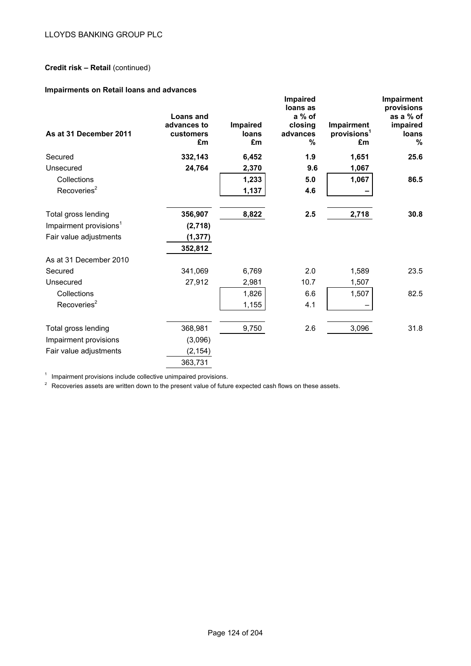## **Impairments on Retail loans and advances**

| $\frac{1}{2}$                      |                                |                         |                                |                                             |                                       |
|------------------------------------|--------------------------------|-------------------------|--------------------------------|---------------------------------------------|---------------------------------------|
|                                    | <b>Loans and</b>               |                         | Impaired<br>loans as<br>a % of |                                             | Impairment<br>provisions<br>as a % of |
| As at 31 December 2011             | advances to<br>customers<br>£m | Impaired<br>loans<br>£m | closing<br>advances<br>%       | Impairment<br>provisions <sup>1</sup><br>£m | impaired<br>loans<br>%                |
| Secured                            | 332,143                        | 6,452                   | 1.9                            | 1,651                                       | 25.6                                  |
| Unsecured                          | 24,764                         | 2,370                   | 9.6                            | 1,067                                       |                                       |
| Collections                        |                                | 1,233                   | 5.0                            | 1,067                                       | 86.5                                  |
| Recoveries $2$                     |                                | 1,137                   | 4.6                            |                                             |                                       |
| Total gross lending                | 356,907                        | 8,822                   | 2.5                            | 2,718                                       | 30.8                                  |
| Impairment provisions <sup>1</sup> | (2,718)                        |                         |                                |                                             |                                       |
| Fair value adjustments             | (1, 377)                       |                         |                                |                                             |                                       |
|                                    | 352,812                        |                         |                                |                                             |                                       |
| As at 31 December 2010             |                                |                         |                                |                                             |                                       |
| Secured                            | 341,069                        | 6,769                   | 2.0                            | 1,589                                       | 23.5                                  |
| Unsecured                          | 27,912                         | 2,981                   | 10.7                           | 1,507                                       |                                       |
| Collections                        |                                | 1,826                   | 6.6                            | 1,507                                       | 82.5                                  |
| Recoveries <sup>2</sup>            |                                | 1,155                   | 4.1                            |                                             |                                       |
| Total gross lending                | 368,981                        | 9,750                   | 2.6                            | 3,096                                       | 31.8                                  |
| Impairment provisions              | (3,096)                        |                         |                                |                                             |                                       |
| Fair value adjustments             | (2, 154)                       |                         |                                |                                             |                                       |
|                                    | 363,731                        |                         |                                |                                             |                                       |

 $1$  Impairment provisions include collective unimpaired provisions.

 $2^2$  Recoveries assets are written down to the present value of future expected cash flows on these assets.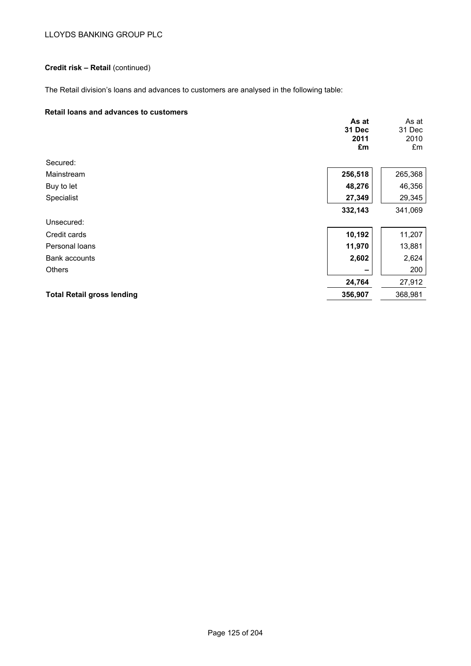## LLOYDS BANKING GROUP PLC

## **Credit risk – Retail** (continued)

The Retail division's loans and advances to customers are analysed in the following table:

## **Retail loans and advances to customers**

|                                   | As at         | As at   |
|-----------------------------------|---------------|---------|
|                                   | <b>31 Dec</b> | 31 Dec  |
|                                   | 2011          | 2010    |
|                                   | £m            | £m      |
| Secured:                          |               |         |
| Mainstream                        | 256,518       | 265,368 |
| Buy to let                        | 48,276        | 46,356  |
| Specialist                        | 27,349        | 29,345  |
|                                   | 332,143       | 341,069 |
| Unsecured:                        |               |         |
| Credit cards                      | 10,192        | 11,207  |
| Personal loans                    | 11,970        | 13,881  |
| Bank accounts                     | 2,602         | 2,624   |
| Others                            |               | 200     |
|                                   | 24,764        | 27,912  |
| <b>Total Retail gross lending</b> | 356,907       | 368,981 |
|                                   |               |         |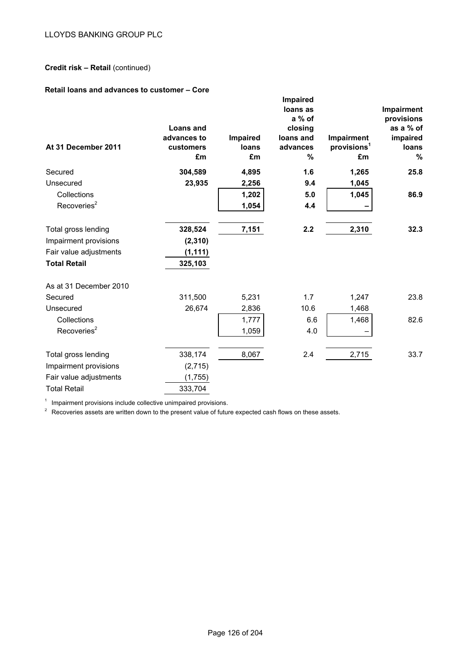#### **Retail loans and advances to customer – Core**

| At 31 December 2011     | Loans and<br>advances to<br>customers<br>£m | <b>Impaired</b><br>loans<br>£m | Impaired<br>loans as<br>$a\%$ of<br>closing<br>loans and<br>advances<br>% | <b>Impairment</b><br>provisions <sup>1</sup><br>£m | Impairment<br>provisions<br>as a % of<br>impaired<br>loans<br>% |
|-------------------------|---------------------------------------------|--------------------------------|---------------------------------------------------------------------------|----------------------------------------------------|-----------------------------------------------------------------|
| Secured                 | 304,589                                     | 4,895                          | 1.6                                                                       | 1,265                                              | 25.8                                                            |
| Unsecured               | 23,935                                      | 2,256                          | 9.4                                                                       | 1,045                                              |                                                                 |
| Collections             |                                             | 1,202                          | 5.0                                                                       | 1,045                                              | 86.9                                                            |
| Recoveries <sup>2</sup> |                                             | 1,054                          | 4.4                                                                       |                                                    |                                                                 |
| Total gross lending     | 328,524                                     | 7,151                          | 2.2                                                                       | 2,310                                              | 32.3                                                            |
| Impairment provisions   | (2, 310)                                    |                                |                                                                           |                                                    |                                                                 |
| Fair value adjustments  | (1, 111)                                    |                                |                                                                           |                                                    |                                                                 |
| <b>Total Retail</b>     | 325,103                                     |                                |                                                                           |                                                    |                                                                 |
| As at 31 December 2010  |                                             |                                |                                                                           |                                                    |                                                                 |
| Secured                 | 311,500                                     | 5,231                          | 1.7                                                                       | 1,247                                              | 23.8                                                            |
| Unsecured               | 26,674                                      | 2,836                          | 10.6                                                                      | 1,468                                              |                                                                 |
| Collections             |                                             | 1,777                          | 6.6                                                                       | 1,468                                              | 82.6                                                            |
| Recoveries <sup>2</sup> |                                             | 1,059                          | 4.0                                                                       |                                                    |                                                                 |
| Total gross lending     | 338,174                                     | 8,067                          | 2.4                                                                       | 2,715                                              | 33.7                                                            |
| Impairment provisions   | (2,715)                                     |                                |                                                                           |                                                    |                                                                 |
| Fair value adjustments  | (1,755)                                     |                                |                                                                           |                                                    |                                                                 |
| <b>Total Retail</b>     | 333,704                                     |                                |                                                                           |                                                    |                                                                 |

 $1$  Impairment provisions include collective unimpaired provisions.

 $2^2$  Recoveries assets are written down to the present value of future expected cash flows on these assets.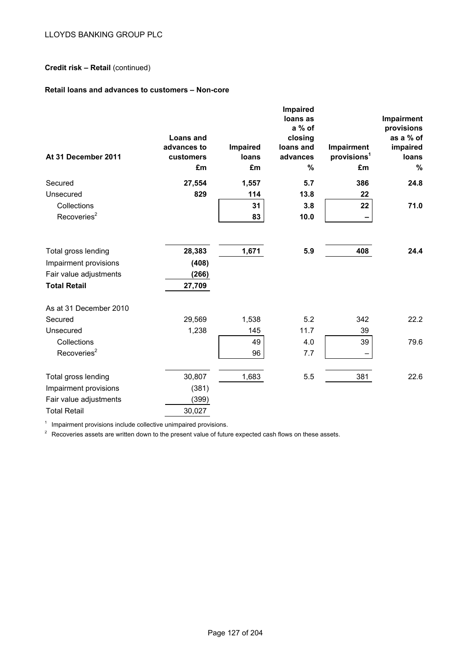## **Retail loans and advances to customers – Non-core**

| At 31 December 2011     | <b>Loans and</b><br>advances to<br>customers<br>£m | Impaired<br>loans<br>£m | Impaired<br>loans as<br>$a\%$ of<br>closing<br>loans and<br>advances<br>% | Impairment<br>provisions <sup>1</sup><br>£m | Impairment<br>provisions<br>as a % of<br>impaired<br>loans<br>% |
|-------------------------|----------------------------------------------------|-------------------------|---------------------------------------------------------------------------|---------------------------------------------|-----------------------------------------------------------------|
| Secured                 | 27,554                                             | 1,557                   | 5.7                                                                       | 386                                         | 24.8                                                            |
| Unsecured               | 829                                                | 114                     | 13.8                                                                      | 22                                          |                                                                 |
| Collections             |                                                    | 31                      | 3.8                                                                       | 22                                          | 71.0                                                            |
| Recoveries <sup>2</sup> |                                                    | 83                      | 10.0                                                                      |                                             |                                                                 |
| Total gross lending     | 28,383                                             | 1,671                   | 5.9                                                                       | 408                                         | 24.4                                                            |
| Impairment provisions   | (408)                                              |                         |                                                                           |                                             |                                                                 |
| Fair value adjustments  | (266)                                              |                         |                                                                           |                                             |                                                                 |
| <b>Total Retail</b>     | 27,709                                             |                         |                                                                           |                                             |                                                                 |
| As at 31 December 2010  |                                                    |                         |                                                                           |                                             |                                                                 |
| Secured                 | 29,569                                             | 1,538                   | 5.2                                                                       | 342                                         | 22.2                                                            |
| Unsecured               | 1,238                                              | 145                     | 11.7                                                                      | 39                                          |                                                                 |
| Collections             |                                                    | 49                      | 4.0                                                                       | 39                                          | 79.6                                                            |
| Recoveries <sup>2</sup> |                                                    | 96                      | 7.7                                                                       |                                             |                                                                 |
| Total gross lending     | 30,807                                             | 1,683                   | 5.5                                                                       | 381                                         | 22.6                                                            |
| Impairment provisions   | (381)                                              |                         |                                                                           |                                             |                                                                 |
| Fair value adjustments  | (399)                                              |                         |                                                                           |                                             |                                                                 |
| <b>Total Retail</b>     | 30,027                                             |                         |                                                                           |                                             |                                                                 |

 $1$  Impairment provisions include collective unimpaired provisions.

<sup>2</sup> Recoveries assets are written down to the present value of future expected cash flows on these assets.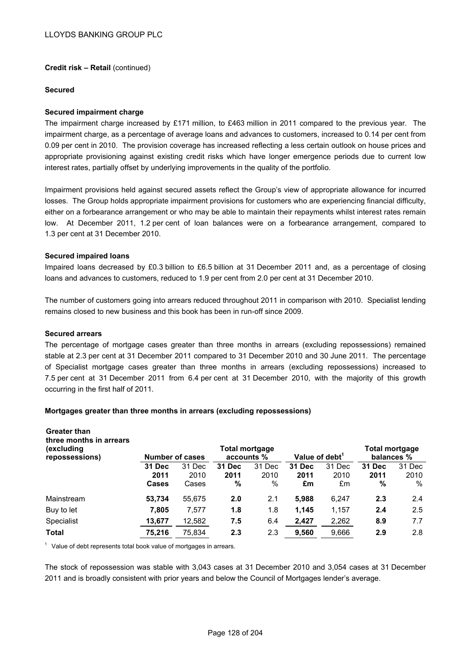## **Secured**

## **Secured impairment charge**

The impairment charge increased by £171 million, to £463 million in 2011 compared to the previous year. The impairment charge, as a percentage of average loans and advances to customers, increased to 0.14 per cent from 0.09 per cent in 2010. The provision coverage has increased reflecting a less certain outlook on house prices and appropriate provisioning against existing credit risks which have longer emergence periods due to current low interest rates, partially offset by underlying improvements in the quality of the portfolio.

Impairment provisions held against secured assets reflect the Group's view of appropriate allowance for incurred losses. The Group holds appropriate impairment provisions for customers who are experiencing financial difficulty, either on a forbearance arrangement or who may be able to maintain their repayments whilst interest rates remain low. At December 2011, 1.2 per cent of loan balances were on a forbearance arrangement, compared to 1.3 per cent at 31 December 2010.

## **Secured impaired loans**

Impaired loans decreased by £0.3 billion to £6.5 billion at 31 December 2011 and, as a percentage of closing loans and advances to customers, reduced to 1.9 per cent from 2.0 per cent at 31 December 2010.

The number of customers going into arrears reduced throughout 2011 in comparison with 2010. Specialist lending remains closed to new business and this book has been in run-off since 2009.

#### **Secured arrears**

The percentage of mortgage cases greater than three months in arrears (excluding repossessions) remained stable at 2.3 per cent at 31 December 2011 compared to 31 December 2010 and 30 June 2011. The percentage of Specialist mortgage cases greater than three months in arrears (excluding repossessions) increased to 7.5 per cent at 31 December 2011 from 6.4 per cent at 31 December 2010, with the majority of this growth occurring in the first half of 2011.

#### **Mortgages greater than three months in arrears (excluding repossessions)**

| <b>Greater than</b><br>three months in arrears<br><i>(excluding)</i><br>repossessions) | Number of cases                |                         | <b>Total mortgage</b><br>accounts % |                     | Value of debt <sup>1</sup>  |                      | <b>Total mortgage</b><br>balances % |                                 |
|----------------------------------------------------------------------------------------|--------------------------------|-------------------------|-------------------------------------|---------------------|-----------------------------|----------------------|-------------------------------------|---------------------------------|
|                                                                                        | <b>31 Dec</b><br>2011<br>Cases | 31 Dec<br>2010<br>Cases | 31 Dec<br>2011<br>%                 | 31 Dec<br>2010<br>% | <b>31 Dec</b><br>2011<br>£m | 31 Dec<br>2010<br>£m | 31 Dec<br>2011<br>%                 | 31 Dec<br>2010<br>$\frac{0}{0}$ |
| Mainstream                                                                             | 53,734                         | 55,675                  | 2.0                                 | 2.1                 | 5,988                       | 6,247                | 2.3                                 | 2.4                             |
| Buy to let                                                                             | 7,805                          | 7,577                   | 1.8                                 | 1.8                 | 1,145                       | 1,157                | 2.4                                 | 2.5                             |
| Specialist                                                                             | 13,677                         | 12,582                  | 7.5                                 | 6.4                 | 2,427                       | 2,262                | 8.9                                 | 7.7                             |
| <b>Total</b>                                                                           | 75.216                         | 75.834                  | 2.3                                 | 2.3                 | 9.560                       | 9.666                | 2.9                                 | 2.8                             |

 $1$  Value of debt represents total book value of mortgages in arrears.

The stock of repossession was stable with 3,043 cases at 31 December 2010 and 3,054 cases at 31 December 2011 and is broadly consistent with prior years and below the Council of Mortgages lender's average.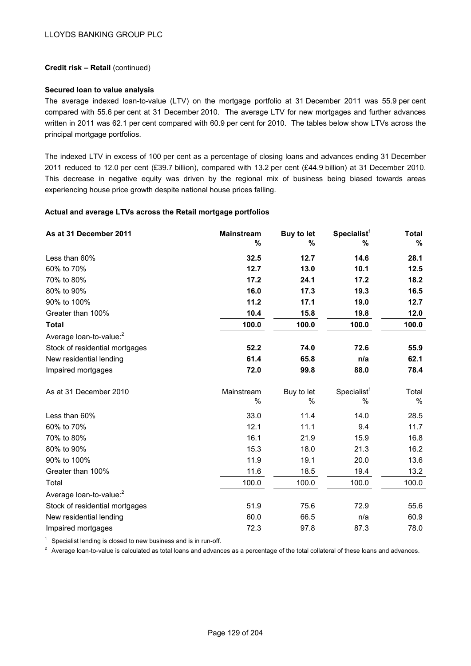### **Secured loan to value analysis**

The average indexed loan-to-value (LTV) on the mortgage portfolio at 31 December 2011 was 55.9 per cent compared with 55.6 per cent at 31 December 2010. The average LTV for new mortgages and further advances written in 2011 was 62.1 per cent compared with 60.9 per cent for 2010. The tables below show LTVs across the principal mortgage portfolios.

The indexed LTV in excess of 100 per cent as a percentage of closing loans and advances ending 31 December 2011 reduced to 12.0 per cent (£39.7 billion), compared with 13.2 per cent (£44.9 billion) at 31 December 2010. This decrease in negative equity was driven by the regional mix of business being biased towards areas experiencing house price growth despite national house prices falling.

## **Actual and average LTVs across the Retail mortgage portfolios**

| As at 31 December 2011              | <b>Mainstream</b><br>% | <b>Buy to let</b><br>% | Specialist <sup>1</sup><br>% | Total<br>% |
|-------------------------------------|------------------------|------------------------|------------------------------|------------|
| Less than 60%                       | 32.5                   | 12.7                   | 14.6                         | 28.1       |
| 60% to 70%                          | 12.7                   | 13.0                   | 10.1                         | 12.5       |
| 70% to 80%                          | 17.2                   | 24.1                   | 17.2                         | 18.2       |
| 80% to 90%                          | 16.0                   | 17.3                   | 19.3                         | 16.5       |
| 90% to 100%                         | 11.2                   | 17.1                   | 19.0                         | 12.7       |
| Greater than 100%                   | 10.4                   | 15.8                   | 19.8                         | 12.0       |
| <b>Total</b>                        | 100.0                  | 100.0                  | 100.0                        | 100.0      |
| Average loan-to-value: <sup>2</sup> |                        |                        |                              |            |
| Stock of residential mortgages      | 52.2                   | 74.0                   | 72.6                         | 55.9       |
| New residential lending             | 61.4                   | 65.8                   | n/a                          | 62.1       |
| Impaired mortgages                  | 72.0                   | 99.8                   | 88.0                         | 78.4       |
| As at 31 December 2010              | Mainstream             | Buy to let             | Specialist <sup>1</sup>      | Total      |
|                                     | %                      | %                      | %                            | $\%$       |
| Less than 60%                       | 33.0                   | 11.4                   | 14.0                         | 28.5       |
| 60% to 70%                          | 12.1                   | 11.1                   | 9.4                          | 11.7       |
| 70% to 80%                          | 16.1                   | 21.9                   | 15.9                         | 16.8       |
| 80% to 90%                          | 15.3                   | 18.0                   | 21.3                         | 16.2       |
| 90% to 100%                         | 11.9                   | 19.1                   | 20.0                         | 13.6       |
| Greater than 100%                   | 11.6                   | 18.5                   | 19.4                         | 13.2       |
| Total                               | 100.0                  | 100.0                  | 100.0                        | 100.0      |
| Average loan-to-value: <sup>2</sup> |                        |                        |                              |            |
| Stock of residential mortgages      | 51.9                   | 75.6                   | 72.9                         | 55.6       |
| New residential lending             | 60.0                   | 66.5                   | n/a                          | 60.9       |
| Impaired mortgages                  | 72.3                   | 97.8                   | 87.3                         | 78.0       |

 $1$  Specialist lending is closed to new business and is in run-off.

 $2\,$  Average loan-to-value is calculated as total loans and advances as a percentage of the total collateral of these loans and advances.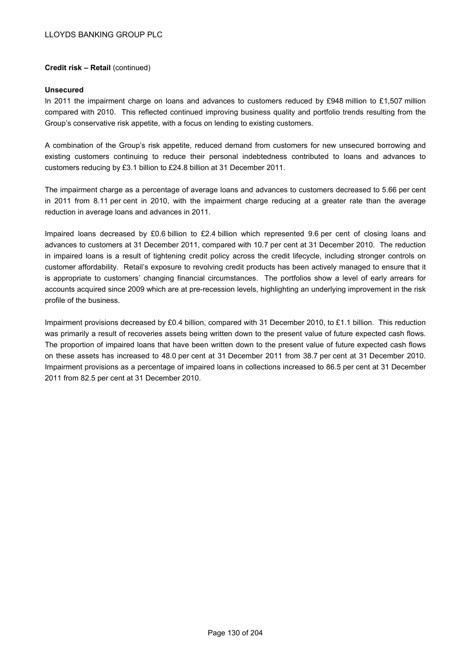### **Unsecured**

In 2011 the impairment charge on loans and advances to customers reduced by £948 million to £1,507 million compared with 2010. This reflected continued improving business quality and portfolio trends resulting from the Group's conservative risk appetite, with a focus on lending to existing customers.

A combination of the Group's risk appetite, reduced demand from customers for new unsecured borrowing and existing customers continuing to reduce their personal indebtedness contributed to loans and advances to customers reducing by £3.1 billion to £24.8 billion at 31 December 2011.

The impairment charge as a percentage of average loans and advances to customers decreased to 5.66 per cent in 2011 from 8.11 per cent in 2010, with the impairment charge reducing at a greater rate than the average reduction in average loans and advances in 2011.

Impaired loans decreased by £0.6 billion to £2.4 billion which represented 9.6 per cent of closing loans and advances to customers at 31 December 2011, compared with 10.7 per cent at 31 December 2010. The reduction in impaired loans is a result of tightening credit policy across the credit lifecycle, including stronger controls on customer affordability. Retail's exposure to revolving credit products has been actively managed to ensure that it is appropriate to customers' changing financial circumstances. The portfolios show a level of early arrears for accounts acquired since 2009 which are at pre-recession levels, highlighting an underlying improvement in the risk profile of the business.

Impairment provisions decreased by £0.4 billion, compared with 31 December 2010, to £1.1 billion. This reduction was primarily a result of recoveries assets being written down to the present value of future expected cash flows. The proportion of impaired loans that have been written down to the present value of future expected cash flows on these assets has increased to 48.0 per cent at 31 December 2011 from 38.7 per cent at 31 December 2010. Impairment provisions as a percentage of impaired loans in collections increased to 86.5 per cent at 31 December 2011 from 82.5 per cent at 31 December 2010.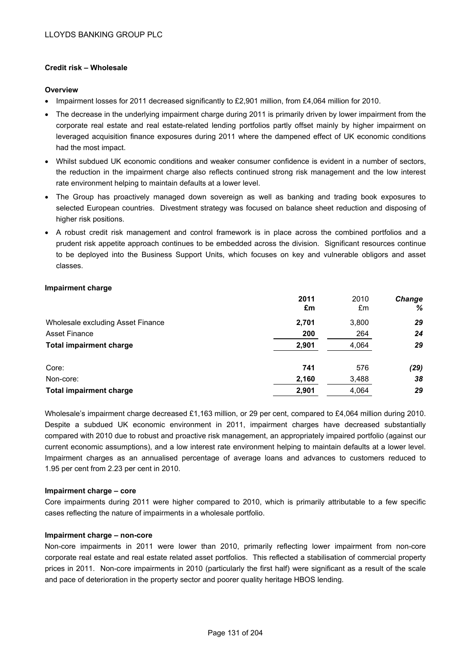## **Credit risk – Wholesale**

### **Overview**

- Impairment losses for 2011 decreased significantly to £2,901 million, from £4,064 million for 2010.
- The decrease in the underlying impairment charge during 2011 is primarily driven by lower impairment from the corporate real estate and real estate-related lending portfolios partly offset mainly by higher impairment on leveraged acquisition finance exposures during 2011 where the dampened effect of UK economic conditions had the most impact.
- Whilst subdued UK economic conditions and weaker consumer confidence is evident in a number of sectors, the reduction in the impairment charge also reflects continued strong risk management and the low interest rate environment helping to maintain defaults at a lower level.
- The Group has proactively managed down sovereign as well as banking and trading book exposures to selected European countries. Divestment strategy was focused on balance sheet reduction and disposing of higher risk positions.
- A robust credit risk management and control framework is in place across the combined portfolios and a prudent risk appetite approach continues to be embedded across the division. Significant resources continue to be deployed into the Business Support Units, which focuses on key and vulnerable obligors and asset classes.

#### **Impairment charge**

| 2011  | 2010  | <b>Change</b> |
|-------|-------|---------------|
| £m    | £m    | %             |
| 2,701 | 3,800 | 29            |
| 200   | 264   | 24            |
| 2,901 | 4,064 | 29            |
| 741   | 576   | (29)          |
| 2,160 | 3,488 | 38            |
| 2,901 | 4,064 | 29            |
|       |       |               |

Wholesale's impairment charge decreased £1,163 million, or 29 per cent, compared to £4,064 million during 2010. Despite a subdued UK economic environment in 2011, impairment charges have decreased substantially compared with 2010 due to robust and proactive risk management, an appropriately impaired portfolio (against our current economic assumptions), and a low interest rate environment helping to maintain defaults at a lower level. Impairment charges as an annualised percentage of average loans and advances to customers reduced to 1.95 per cent from 2.23 per cent in 2010.

#### **Impairment charge – core**

Core impairments during 2011 were higher compared to 2010, which is primarily attributable to a few specific cases reflecting the nature of impairments in a wholesale portfolio.

#### **Impairment charge – non-core**

Non-core impairments in 2011 were lower than 2010, primarily reflecting lower impairment from non-core corporate real estate and real estate related asset portfolios. This reflected a stabilisation of commercial property prices in 2011. Non-core impairments in 2010 (particularly the first half) were significant as a result of the scale and pace of deterioration in the property sector and poorer quality heritage HBOS lending.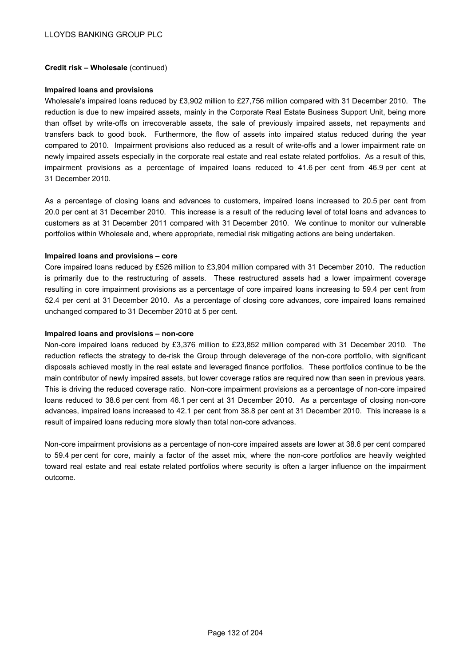### **Impaired loans and provisions**

Wholesale's impaired loans reduced by £3,902 million to £27,756 million compared with 31 December 2010. The reduction is due to new impaired assets, mainly in the Corporate Real Estate Business Support Unit, being more than offset by write-offs on irrecoverable assets, the sale of previously impaired assets, net repayments and transfers back to good book. Furthermore, the flow of assets into impaired status reduced during the year compared to 2010. Impairment provisions also reduced as a result of write-offs and a lower impairment rate on newly impaired assets especially in the corporate real estate and real estate related portfolios. As a result of this, impairment provisions as a percentage of impaired loans reduced to 41.6 per cent from 46.9 per cent at 31 December 2010.

As a percentage of closing loans and advances to customers, impaired loans increased to 20.5 per cent from 20.0 per cent at 31 December 2010. This increase is a result of the reducing level of total loans and advances to customers as at 31 December 2011 compared with 31 December 2010. We continue to monitor our vulnerable portfolios within Wholesale and, where appropriate, remedial risk mitigating actions are being undertaken.

## **Impaired loans and provisions – core**

Core impaired loans reduced by £526 million to £3,904 million compared with 31 December 2010. The reduction is primarily due to the restructuring of assets. These restructured assets had a lower impairment coverage resulting in core impairment provisions as a percentage of core impaired loans increasing to 59.4 per cent from 52.4 per cent at 31 December 2010. As a percentage of closing core advances, core impaired loans remained unchanged compared to 31 December 2010 at 5 per cent.

#### **Impaired loans and provisions – non-core**

Non-core impaired loans reduced by £3,376 million to £23,852 million compared with 31 December 2010. The reduction reflects the strategy to de-risk the Group through deleverage of the non-core portfolio, with significant disposals achieved mostly in the real estate and leveraged finance portfolios. These portfolios continue to be the main contributor of newly impaired assets, but lower coverage ratios are required now than seen in previous years. This is driving the reduced coverage ratio. Non-core impairment provisions as a percentage of non-core impaired loans reduced to 38.6 per cent from 46.1 per cent at 31 December 2010. As a percentage of closing non-core advances, impaired loans increased to 42.1 per cent from 38.8 per cent at 31 December 2010. This increase is a result of impaired loans reducing more slowly than total non-core advances.

Non-core impairment provisions as a percentage of non-core impaired assets are lower at 38.6 per cent compared to 59.4 per cent for core, mainly a factor of the asset mix, where the non-core portfolios are heavily weighted toward real estate and real estate related portfolios where security is often a larger influence on the impairment outcome.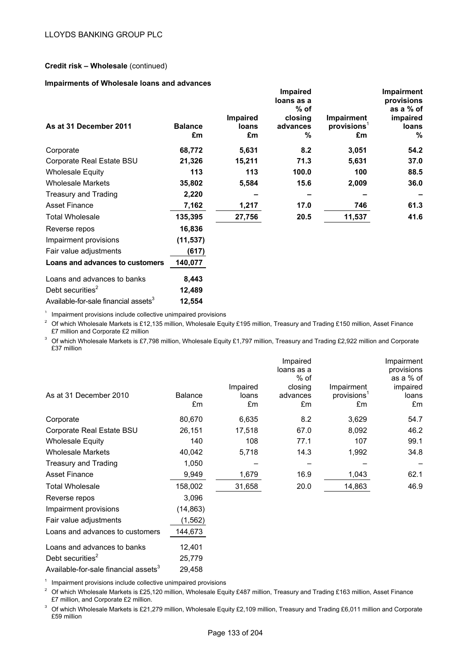#### **Impairments of Wholesale loans and advances**

| As at 31 December 2011          | <b>Balance</b><br>£m | <b>Impaired</b><br>loans<br>£m | Impaired<br>loans as a<br>$%$ of<br>closing<br>advances<br>% | Impairment<br>proxisions <sup>1</sup><br>£m | Impairment<br>provisions<br>as a % of<br>impaired<br>loans<br>% |
|---------------------------------|----------------------|--------------------------------|--------------------------------------------------------------|---------------------------------------------|-----------------------------------------------------------------|
| Corporate                       | 68,772               | 5,631                          | 8.2                                                          | 3,051                                       | 54.2                                                            |
| Corporate Real Estate BSU       | 21,326               | 15,211                         | 71.3                                                         | 5,631                                       | 37.0                                                            |
| <b>Wholesale Equity</b>         | 113                  | 113                            | 100.0                                                        | 100                                         | 88.5                                                            |
| <b>Wholesale Markets</b>        | 35,802               | 5,584                          | 15.6                                                         | 2,009                                       | 36.0                                                            |
| Treasury and Trading            | 2,220                |                                |                                                              |                                             |                                                                 |
| <b>Asset Finance</b>            | 7,162                | 1,217                          | 17.0                                                         | 746                                         | 61.3                                                            |
| <b>Total Wholesale</b>          | 135,395              | 27,756                         | 20.5                                                         | 11,537                                      | 41.6                                                            |
| Reverse repos                   | 16,836               |                                |                                                              |                                             |                                                                 |
| Impairment provisions           | (11, 537)            |                                |                                                              |                                             |                                                                 |
| Fair value adjustments          | (617)                |                                |                                                              |                                             |                                                                 |
| Loans and advances to customers | 140,077              |                                |                                                              |                                             |                                                                 |
| Loans and advances to banks     | 8,443                |                                |                                                              |                                             |                                                                 |
| Debt securities <sup>2</sup>    | 12,489               |                                |                                                              |                                             |                                                                 |

<sup>1</sup> Impairment provisions include collective unimpaired provisions

Available-for-sale financial assets<sup>3</sup> 12.554

<sup>2</sup> Of which Wholesale Markets is £12,135 million, Wholesale Equity £195 million, Treasury and Trading £150 million, Asset Finance £7 million and Corporate £2 million

<sup>3</sup> Of which Wholesale Markets is £7,798 million, Wholesale Equity £1,797 million, Treasury and Trading £2,922 million and Corporate £37 million

|                                 |                      |                         | Impaired<br>loans as a              |                                             | Impairment<br>provisions             |  |  |
|---------------------------------|----------------------|-------------------------|-------------------------------------|---------------------------------------------|--------------------------------------|--|--|
| As at 31 December 2010          | <b>Balance</b><br>£m | Impaired<br>loans<br>£m | $%$ of<br>closing<br>advances<br>£m | Impairment<br>provisions <sup>1</sup><br>£m | as a % of<br>impaired<br>loans<br>£m |  |  |
| Corporate                       | 80,670               | 6,635                   | 8.2                                 | 3,629                                       | 54.7                                 |  |  |
| Corporate Real Estate BSU       | 26,151               | 17,518                  | 67.0                                | 8,092                                       | 46.2                                 |  |  |
| <b>Wholesale Equity</b>         | 140                  | 108                     | 77.1                                | 107                                         | 99.1                                 |  |  |
| <b>Wholesale Markets</b>        | 40,042               | 5,718                   | 14.3                                | 1,992                                       | 34.8                                 |  |  |
| <b>Treasury and Trading</b>     | 1,050                |                         |                                     |                                             |                                      |  |  |
| <b>Asset Finance</b>            | 9,949                | 1,679                   | 16.9                                | 1,043                                       | 62.1                                 |  |  |
| <b>Total Wholesale</b>          | 158,002              | 31,658                  | 20.0                                | 14,863                                      | 46.9                                 |  |  |
| Reverse repos                   | 3,096                |                         |                                     |                                             |                                      |  |  |
| Impairment provisions           | (14, 863)            |                         |                                     |                                             |                                      |  |  |
| Fair value adjustments          | (1, 562)             |                         |                                     |                                             |                                      |  |  |
| Loans and advances to customers | 144,673              |                         |                                     |                                             |                                      |  |  |
| Loans and advances to banks     | 12,401               |                         |                                     |                                             |                                      |  |  |
| Debt securities <sup>2</sup>    | 25,779               |                         |                                     |                                             |                                      |  |  |

Available-for-sale financial assets $3$  29,458

<sup>1</sup> Impairment provisions include collective unimpaired provisions

<sup>2</sup> Of which Wholesale Markets is £25,120 million, Wholesale Equity £487 million, Treasury and Trading £163 million, Asset Finance £7 million, and Corporate £2 million.

<sup>3</sup> Of which Wholesale Markets is £21,279 million, Wholesale Equity £2,109 million, Treasury and Trading £6,011 million and Corporate £59 million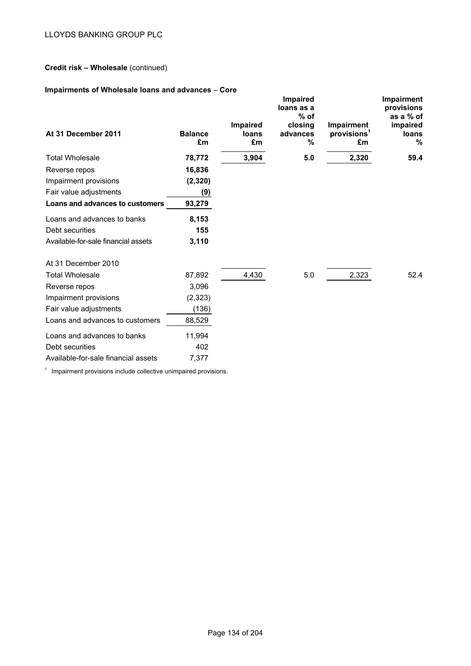## **Impairments of Wholesale loans and advances** – **Core**

| an monto or wholesale loans<br>At 31 December 2011 | <b>Balance</b><br>£m | Impaired<br>loans<br>£m | <b>Impaired</b><br>loans as a<br>$%$ of<br>closing<br>advances<br>% | Impairment<br>provisions <sup>1</sup><br>£m | <b>Impairment</b><br>provisions<br>as a % of<br>impaired<br>loans<br>$\frac{0}{0}$ |
|----------------------------------------------------|----------------------|-------------------------|---------------------------------------------------------------------|---------------------------------------------|------------------------------------------------------------------------------------|
| <b>Total Wholesale</b>                             | 78,772               | 3,904                   | 5.0                                                                 | 2,320                                       | 59.4                                                                               |
| Reverse repos                                      | 16,836               |                         |                                                                     |                                             |                                                                                    |
| Impairment provisions                              | (2, 320)             |                         |                                                                     |                                             |                                                                                    |
| Fair value adjustments                             | (9)                  |                         |                                                                     |                                             |                                                                                    |
| Loans and advances to customers                    | 93,279               |                         |                                                                     |                                             |                                                                                    |
| Loans and advances to banks                        | 8,153                |                         |                                                                     |                                             |                                                                                    |
| Debt securities                                    | 155                  |                         |                                                                     |                                             |                                                                                    |
| Available-for-sale financial assets                | 3,110                |                         |                                                                     |                                             |                                                                                    |
| At 31 December 2010                                |                      |                         |                                                                     |                                             |                                                                                    |
| <b>Total Wholesale</b>                             | 87,892               | 4,430                   | $5.0$                                                               | 2,323                                       | 52.4                                                                               |
| Reverse repos                                      | 3,096                |                         |                                                                     |                                             |                                                                                    |
| Impairment provisions                              | (2,323)              |                         |                                                                     |                                             |                                                                                    |
| Fair value adjustments                             | (136)                |                         |                                                                     |                                             |                                                                                    |
| Loans and advances to customers                    | 88,529               |                         |                                                                     |                                             |                                                                                    |
| Loans and advances to banks                        | 11,994               |                         |                                                                     |                                             |                                                                                    |
| Debt securities                                    | 402                  |                         |                                                                     |                                             |                                                                                    |
| Available-for-sale financial assets                | 7,377                |                         |                                                                     |                                             |                                                                                    |

<sup>1</sup> Impairment provisions include collective unimpaired provisions.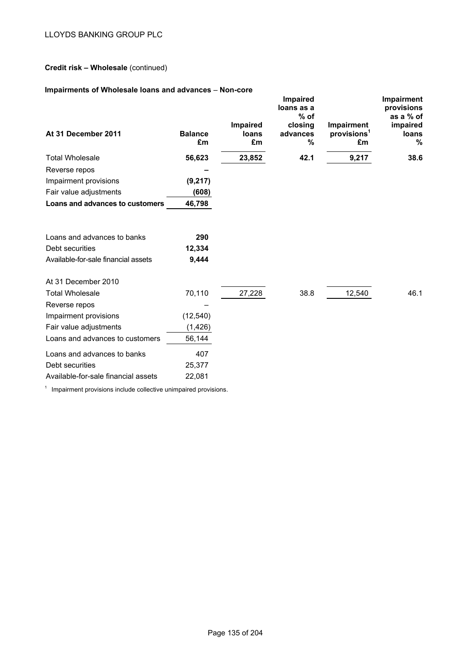## **Impairments of Wholesale loans and advances** – **Non-core**

| At 31 December 2011                 | <b>Balance</b><br>£m | <b>Impaired</b><br>loans<br>£m | <b>Impaired</b><br>loans as a<br>$%$ of<br>closing<br>advances<br>% | Impairment<br>provisions <sup>1</sup><br>£m | Impairment<br>provisions<br>as a % of<br>impaired<br>loans<br>% |
|-------------------------------------|----------------------|--------------------------------|---------------------------------------------------------------------|---------------------------------------------|-----------------------------------------------------------------|
| <b>Total Wholesale</b>              | 56,623               | 23,852                         | 42.1                                                                | 9,217                                       | 38.6                                                            |
| Reverse repos                       |                      |                                |                                                                     |                                             |                                                                 |
| Impairment provisions               | (9, 217)             |                                |                                                                     |                                             |                                                                 |
| Fair value adjustments              | (608)                |                                |                                                                     |                                             |                                                                 |
| Loans and advances to customers     | 46,798               |                                |                                                                     |                                             |                                                                 |
| Loans and advances to banks         | 290                  |                                |                                                                     |                                             |                                                                 |
| Debt securities                     | 12,334               |                                |                                                                     |                                             |                                                                 |
| Available-for-sale financial assets | 9,444                |                                |                                                                     |                                             |                                                                 |
| At 31 December 2010                 |                      |                                |                                                                     |                                             |                                                                 |
| <b>Total Wholesale</b>              | 70,110               | 27,228                         | 38.8                                                                | 12,540                                      | 46.1                                                            |
| Reverse repos                       |                      |                                |                                                                     |                                             |                                                                 |
| Impairment provisions               | (12, 540)            |                                |                                                                     |                                             |                                                                 |
| Fair value adjustments              | (1, 426)             |                                |                                                                     |                                             |                                                                 |
| Loans and advances to customers     | 56,144               |                                |                                                                     |                                             |                                                                 |
| Loans and advances to banks         | 407                  |                                |                                                                     |                                             |                                                                 |
| Debt securities                     | 25,377               |                                |                                                                     |                                             |                                                                 |
| Available-for-sale financial assets | 22,081               |                                |                                                                     |                                             |                                                                 |

<sup>1</sup> Impairment provisions include collective unimpaired provisions.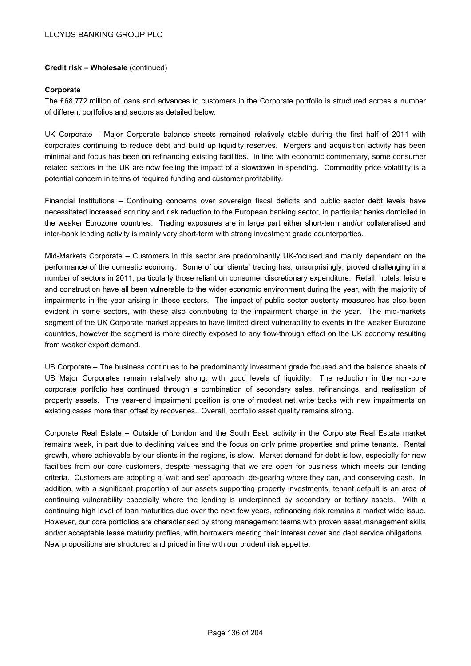## **Corporate**

The £68,772 million of loans and advances to customers in the Corporate portfolio is structured across a number of different portfolios and sectors as detailed below:

UK Corporate – Major Corporate balance sheets remained relatively stable during the first half of 2011 with corporates continuing to reduce debt and build up liquidity reserves. Mergers and acquisition activity has been minimal and focus has been on refinancing existing facilities. In line with economic commentary, some consumer related sectors in the UK are now feeling the impact of a slowdown in spending. Commodity price volatility is a potential concern in terms of required funding and customer profitability.

Financial Institutions – Continuing concerns over sovereign fiscal deficits and public sector debt levels have necessitated increased scrutiny and risk reduction to the European banking sector, in particular banks domiciled in the weaker Eurozone countries. Trading exposures are in large part either short-term and/or collateralised and inter-bank lending activity is mainly very short-term with strong investment grade counterparties.

Mid-Markets Corporate – Customers in this sector are predominantly UK-focused and mainly dependent on the performance of the domestic economy. Some of our clients' trading has, unsurprisingly, proved challenging in a number of sectors in 2011, particularly those reliant on consumer discretionary expenditure. Retail, hotels, leisure and construction have all been vulnerable to the wider economic environment during the year, with the majority of impairments in the year arising in these sectors. The impact of public sector austerity measures has also been evident in some sectors, with these also contributing to the impairment charge in the year. The mid-markets segment of the UK Corporate market appears to have limited direct vulnerability to events in the weaker Eurozone countries, however the segment is more directly exposed to any flow-through effect on the UK economy resulting from weaker export demand.

US Corporate *–* The business continues to be predominantly investment grade focused and the balance sheets of US Major Corporates remain relatively strong, with good levels of liquidity. The reduction in the non-core corporate portfolio has continued through a combination of secondary sales, refinancings, and realisation of property assets. The year-end impairment position is one of modest net write backs with new impairments on existing cases more than offset by recoveries. Overall, portfolio asset quality remains strong.

Corporate Real Estate – Outside of London and the South East, activity in the Corporate Real Estate market remains weak, in part due to declining values and the focus on only prime properties and prime tenants. Rental growth, where achievable by our clients in the regions, is slow. Market demand for debt is low, especially for new facilities from our core customers, despite messaging that we are open for business which meets our lending criteria. Customers are adopting a 'wait and see' approach, de-gearing where they can, and conserving cash. In addition, with a significant proportion of our assets supporting property investments, tenant default is an area of continuing vulnerability especially where the lending is underpinned by secondary or tertiary assets. With a continuing high level of loan maturities due over the next few years, refinancing risk remains a market wide issue. However, our core portfolios are characterised by strong management teams with proven asset management skills and/or acceptable lease maturity profiles, with borrowers meeting their interest cover and debt service obligations. New propositions are structured and priced in line with our prudent risk appetite.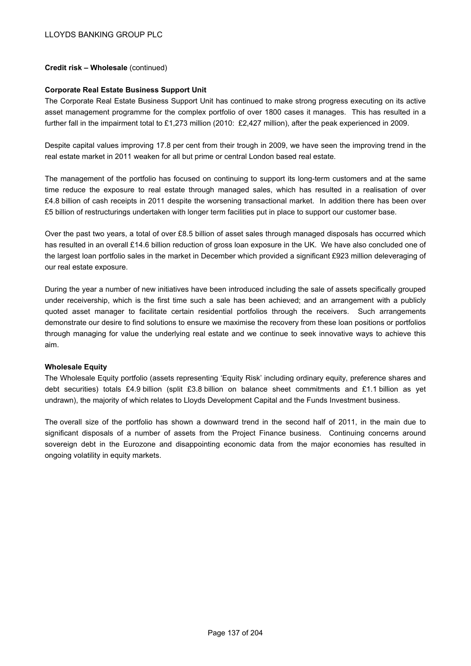## **Corporate Real Estate Business Support Unit**

The Corporate Real Estate Business Support Unit has continued to make strong progress executing on its active asset management programme for the complex portfolio of over 1800 cases it manages. This has resulted in a further fall in the impairment total to £1,273 million (2010: £2,427 million), after the peak experienced in 2009.

Despite capital values improving 17.8 per cent from their trough in 2009, we have seen the improving trend in the real estate market in 2011 weaken for all but prime or central London based real estate.

The management of the portfolio has focused on continuing to support its long-term customers and at the same time reduce the exposure to real estate through managed sales, which has resulted in a realisation of over £4.8 billion of cash receipts in 2011 despite the worsening transactional market. In addition there has been over £5 billion of restructurings undertaken with longer term facilities put in place to support our customer base.

Over the past two years, a total of over £8.5 billion of asset sales through managed disposals has occurred which has resulted in an overall £14.6 billion reduction of gross loan exposure in the UK. We have also concluded one of the largest loan portfolio sales in the market in December which provided a significant £923 million deleveraging of our real estate exposure.

During the year a number of new initiatives have been introduced including the sale of assets specifically grouped under receivership, which is the first time such a sale has been achieved; and an arrangement with a publicly quoted asset manager to facilitate certain residential portfolios through the receivers. Such arrangements demonstrate our desire to find solutions to ensure we maximise the recovery from these loan positions or portfolios through managing for value the underlying real estate and we continue to seek innovative ways to achieve this aim.

#### **Wholesale Equity**

The Wholesale Equity portfolio (assets representing 'Equity Risk' including ordinary equity, preference shares and debt securities) totals £4.9 billion (split £3.8 billion on balance sheet commitments and £1.1 billion as yet undrawn), the majority of which relates to Lloyds Development Capital and the Funds Investment business.

The overall size of the portfolio has shown a downward trend in the second half of 2011, in the main due to significant disposals of a number of assets from the Project Finance business. Continuing concerns around sovereign debt in the Eurozone and disappointing economic data from the major economies has resulted in ongoing volatility in equity markets.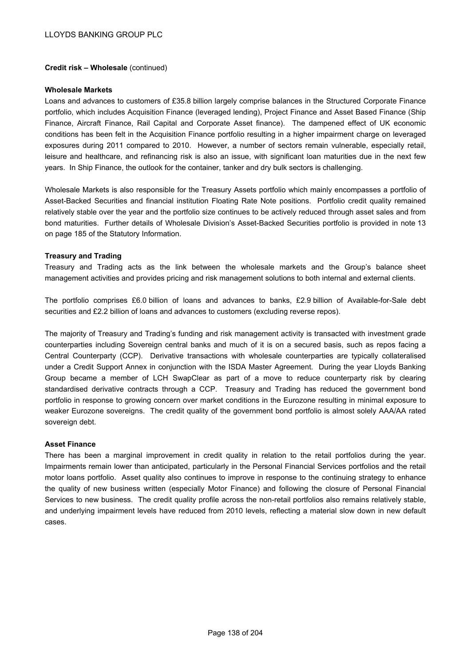### **Wholesale Markets**

Loans and advances to customers of £35.8 billion largely comprise balances in the Structured Corporate Finance portfolio, which includes Acquisition Finance (leveraged lending), Project Finance and Asset Based Finance (Ship Finance, Aircraft Finance, Rail Capital and Corporate Asset finance). The dampened effect of UK economic conditions has been felt in the Acquisition Finance portfolio resulting in a higher impairment charge on leveraged exposures during 2011 compared to 2010. However, a number of sectors remain vulnerable, especially retail, leisure and healthcare, and refinancing risk is also an issue, with significant loan maturities due in the next few years. In Ship Finance, the outlook for the container, tanker and dry bulk sectors is challenging.

Wholesale Markets is also responsible for the Treasury Assets portfolio which mainly encompasses a portfolio of Asset-Backed Securities and financial institution Floating Rate Note positions. Portfolio credit quality remained relatively stable over the year and the portfolio size continues to be actively reduced through asset sales and from bond maturities. Further details of Wholesale Division's Asset-Backed Securities portfolio is provided in note 13 on page 185 of the Statutory Information.

## **Treasury and Trading**

Treasury and Trading acts as the link between the wholesale markets and the Group's balance sheet management activities and provides pricing and risk management solutions to both internal and external clients.

The portfolio comprises £6.0 billion of loans and advances to banks, £2.9 billion of Available-for-Sale debt securities and £2.2 billion of loans and advances to customers (excluding reverse repos).

The majority of Treasury and Trading's funding and risk management activity is transacted with investment grade counterparties including Sovereign central banks and much of it is on a secured basis, such as repos facing a Central Counterparty (CCP). Derivative transactions with wholesale counterparties are typically collateralised under a Credit Support Annex in conjunction with the ISDA Master Agreement. During the year Lloyds Banking Group became a member of LCH SwapClear as part of a move to reduce counterparty risk by clearing standardised derivative contracts through a CCP. Treasury and Trading has reduced the government bond portfolio in response to growing concern over market conditions in the Eurozone resulting in minimal exposure to weaker Eurozone sovereigns. The credit quality of the government bond portfolio is almost solely AAA/AA rated sovereign debt.

#### **Asset Finance**

There has been a marginal improvement in credit quality in relation to the retail portfolios during the year. Impairments remain lower than anticipated, particularly in the Personal Financial Services portfolios and the retail motor loans portfolio. Asset quality also continues to improve in response to the continuing strategy to enhance the quality of new business written (especially Motor Finance) and following the closure of Personal Financial Services to new business. The credit quality profile across the non-retail portfolios also remains relatively stable, and underlying impairment levels have reduced from 2010 levels, reflecting a material slow down in new default cases.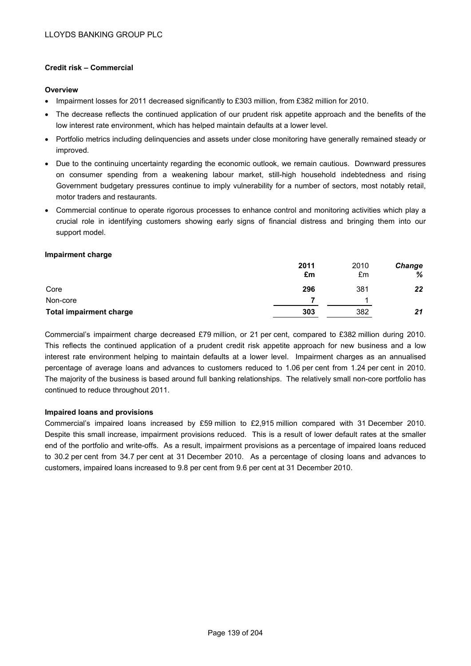## **Credit risk – Commercial**

### **Overview**

- Impairment losses for 2011 decreased significantly to £303 million, from £382 million for 2010.
- The decrease reflects the continued application of our prudent risk appetite approach and the benefits of the low interest rate environment, which has helped maintain defaults at a lower level.
- Portfolio metrics including delinquencies and assets under close monitoring have generally remained steady or improved.
- Due to the continuing uncertainty regarding the economic outlook, we remain cautious. Downward pressures on consumer spending from a weakening labour market, still-high household indebtedness and rising Government budgetary pressures continue to imply vulnerability for a number of sectors, most notably retail, motor traders and restaurants.
- Commercial continue to operate rigorous processes to enhance control and monitoring activities which play a crucial role in identifying customers showing early signs of financial distress and bringing them into our support model.

#### **Impairment charge**

|                                | 2011 | 2010 | Change |
|--------------------------------|------|------|--------|
|                                | £m   | £m   | %      |
| Core                           | 296  | 381  | 22     |
| Non-core                       |      |      |        |
| <b>Total impairment charge</b> | 303  | 382  | 21     |

Commercial's impairment charge decreased £79 million, or 21 per cent, compared to £382 million during 2010. This reflects the continued application of a prudent credit risk appetite approach for new business and a low interest rate environment helping to maintain defaults at a lower level. Impairment charges as an annualised percentage of average loans and advances to customers reduced to 1.06 per cent from 1.24 per cent in 2010. The majority of the business is based around full banking relationships. The relatively small non-core portfolio has continued to reduce throughout 2011.

#### **Impaired loans and provisions**

Commercial's impaired loans increased by £59 million to £2,915 million compared with 31 December 2010. Despite this small increase, impairment provisions reduced. This is a result of lower default rates at the smaller end of the portfolio and write-offs. As a result, impairment provisions as a percentage of impaired loans reduced to 30.2 per cent from 34.7 per cent at 31 December 2010. As a percentage of closing loans and advances to customers, impaired loans increased to 9.8 per cent from 9.6 per cent at 31 December 2010.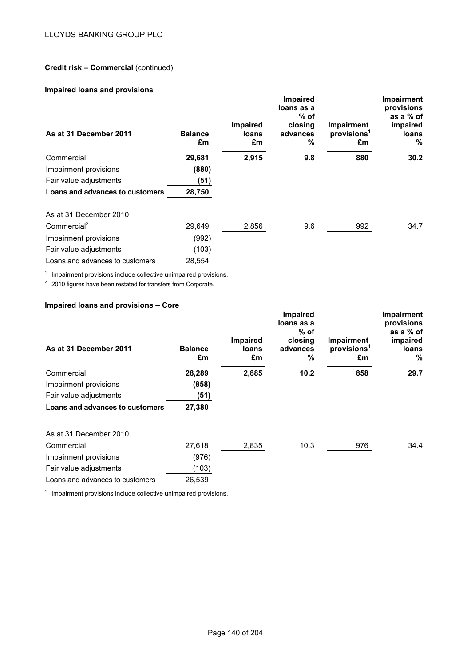## **Credit risk – Commercial** (continued)

## **Impaired loans and provisions**

| As at 31 December 2011          | <b>Balance</b><br>£m | <b>Impaired</b><br>loans<br>£m | <b>Impaired</b><br>loans as a<br>$%$ of<br>closing<br>advances<br>% | Impairment<br>provisions <sup>1</sup><br>£m | <b>Impairment</b><br>provisions<br>as a % of<br>impaired<br>loans<br>% |
|---------------------------------|----------------------|--------------------------------|---------------------------------------------------------------------|---------------------------------------------|------------------------------------------------------------------------|
| Commercial                      | 29,681               | 2,915                          | 9.8                                                                 | 880                                         | 30.2                                                                   |
| Impairment provisions           | (880)                |                                |                                                                     |                                             |                                                                        |
| Fair value adjustments          | (51)                 |                                |                                                                     |                                             |                                                                        |
| Loans and advances to customers | 28,750               |                                |                                                                     |                                             |                                                                        |
| As at 31 December 2010          |                      |                                |                                                                     |                                             |                                                                        |
| Commercial <sup>2</sup>         | 29,649               | 2,856                          | 9.6                                                                 | 992                                         | 34.7                                                                   |
| Impairment provisions           | (992)                |                                |                                                                     |                                             |                                                                        |
| Fair value adjustments          | (103)                |                                |                                                                     |                                             |                                                                        |
| Loans and advances to customers | 28,554               |                                |                                                                     |                                             |                                                                        |

 $1$  Impairment provisions include collective unimpaired provisions.

 $2$  2010 figures have been restated for transfers from Corporate.

## **Impaired loans and provisions – Core**

| $m$ $\mu$ an cu ioano anu provisiono – Oorc |                      | <b>Impaired</b> | Impaired<br>loans as a<br>$%$ of<br>closing | <b>Impairment</b>             | <b>Impairment</b><br>provisions<br>as a % of<br>impaired |
|---------------------------------------------|----------------------|-----------------|---------------------------------------------|-------------------------------|----------------------------------------------------------|
| As at 31 December 2011                      | <b>Balance</b><br>£m | loans<br>£m     | advances<br>%                               | provisions <sup>1</sup><br>£m | loans<br>%                                               |
| Commercial                                  | 28,289               | 2,885           | 10.2                                        | 858                           | 29.7                                                     |
| Impairment provisions                       | (858)                |                 |                                             |                               |                                                          |
| Fair value adjustments                      | (51)                 |                 |                                             |                               |                                                          |
| Loans and advances to customers             | 27,380               |                 |                                             |                               |                                                          |
| As at 31 December 2010                      |                      |                 |                                             |                               |                                                          |
| Commercial                                  | 27,618               | 2,835           | 10.3                                        | 976                           | 34.4                                                     |
| Impairment provisions                       | (976)                |                 |                                             |                               |                                                          |
| Fair value adjustments                      | (103)                |                 |                                             |                               |                                                          |
| Loans and advances to customers             | 26,539               |                 |                                             |                               |                                                          |

<sup>1</sup> Impairment provisions include collective unimpaired provisions.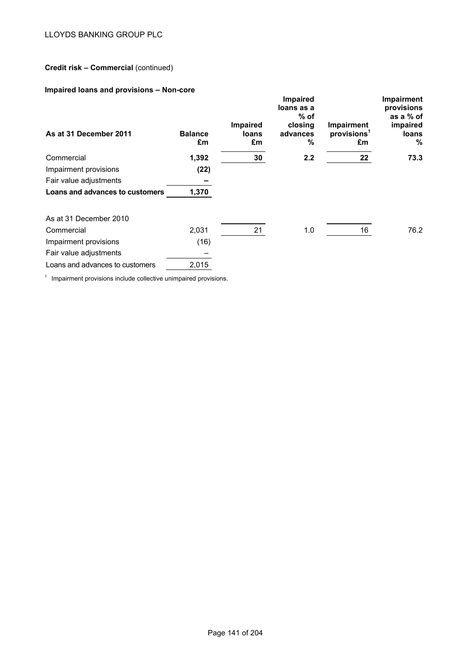## **Credit risk – Commercial** (continued)

# **Impaired loans and provisions – Non-core**

| As at 31 December 2011          | <b>Balance</b><br>£m | <b>Impaired</b><br>loans<br>£m | Impaired<br>loans as a<br>$%$ of<br>closing<br>advances<br>% | Impairment<br>provisions <sup>1</sup><br>£m | Impairment<br>provisions<br>as a % of<br>impaired<br>loans<br>% |
|---------------------------------|----------------------|--------------------------------|--------------------------------------------------------------|---------------------------------------------|-----------------------------------------------------------------|
| Commercial                      | 1,392                | 30                             | 2.2                                                          | 22                                          | 73.3                                                            |
| Impairment provisions           | (22)                 |                                |                                                              |                                             |                                                                 |
| Fair value adjustments          |                      |                                |                                                              |                                             |                                                                 |
| Loans and advances to customers | 1,370                |                                |                                                              |                                             |                                                                 |
| As at 31 December 2010          |                      |                                |                                                              |                                             |                                                                 |
| Commercial                      | 2,031                | 21                             | 1.0                                                          | 16                                          | 76.2                                                            |
| Impairment provisions           | (16)                 |                                |                                                              |                                             |                                                                 |
| Fair value adjustments          |                      |                                |                                                              |                                             |                                                                 |
| Loans and advances to customers | 2,015                |                                |                                                              |                                             |                                                                 |

 $1$  Impairment provisions include collective unimpaired provisions.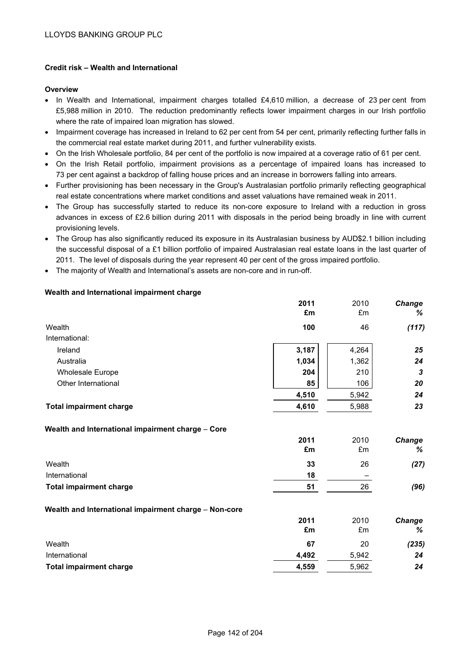# **Credit risk – Wealth and International**

## **Overview**

- In Wealth and International, impairment charges totalled £4,610 million, a decrease of 23 per cent from £5,988 million in 2010. The reduction predominantly reflects lower impairment charges in our Irish portfolio where the rate of impaired loan migration has slowed.
- Impairment coverage has increased in Ireland to 62 per cent from 54 per cent, primarily reflecting further falls in the commercial real estate market during 2011, and further vulnerability exists.
- On the Irish Wholesale portfolio, 84 per cent of the portfolio is now impaired at a coverage ratio of 61 per cent.
- On the Irish Retail portfolio, impairment provisions as a percentage of impaired loans has increased to 73 per cent against a backdrop of falling house prices and an increase in borrowers falling into arrears.
- Further provisioning has been necessary in the Group's Australasian portfolio primarily reflecting geographical real estate concentrations where market conditions and asset valuations have remained weak in 2011.
- The Group has successfully started to reduce its non-core exposure to Ireland with a reduction in gross advances in excess of £2.6 billion during 2011 with disposals in the period being broadly in line with current provisioning levels.
- The Group has also significantly reduced its exposure in its Australasian business by AUD\$2.1 billion including the successful disposal of a £1 billion portfolio of impaired Australasian real estate loans in the last quarter of 2011. The level of disposals during the year represent 40 per cent of the gross impaired portfolio.
- The majority of Wealth and International's assets are non-core and in run-off.

# **Wealth and International impairment charge**

|                                                       | 2011  | 2010  | <b>Change</b> |
|-------------------------------------------------------|-------|-------|---------------|
|                                                       | £m    | £m    | ℅             |
| Wealth                                                | 100   | 46    | (117)         |
| International:                                        |       |       |               |
| Ireland                                               | 3,187 | 4,264 | 25            |
| Australia                                             | 1,034 | 1,362 | 24            |
| <b>Wholesale Europe</b>                               | 204   | 210   | 3             |
| Other International                                   | 85    | 106   | 20            |
|                                                       | 4,510 | 5,942 | 24            |
| <b>Total impairment charge</b>                        | 4,610 | 5,988 | 23            |
| Wealth and International impairment charge - Core     |       |       |               |
|                                                       | 2011  | 2010  | <b>Change</b> |
|                                                       | £m    | £m    | %             |
| Wealth                                                | 33    | 26    | (27)          |
| International                                         | 18    |       |               |
| <b>Total impairment charge</b>                        | 51    | 26    | (96)          |
| Wealth and International impairment charge - Non-core |       |       |               |
|                                                       | 2011  | 2010  | <b>Change</b> |
|                                                       | £m    | £m    | ℅             |
| Wealth                                                | 67    | 20    | (235)         |
| International                                         | 4,492 | 5,942 | 24            |
| <b>Total impairment charge</b>                        | 4,559 | 5,962 | 24            |
|                                                       |       |       |               |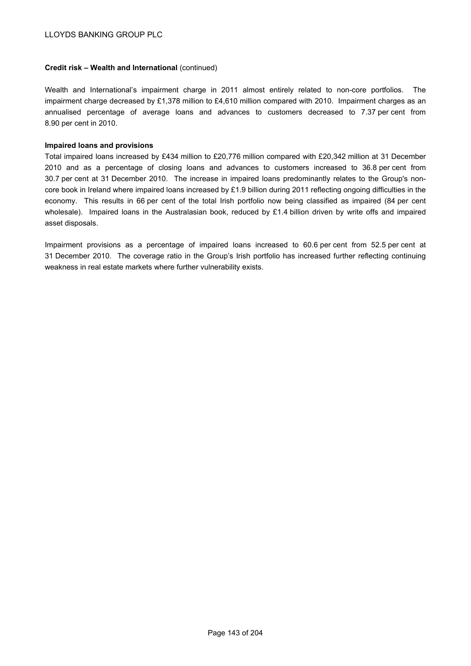Wealth and International's impairment charge in 2011 almost entirely related to non-core portfolios. The impairment charge decreased by £1,378 million to £4,610 million compared with 2010. Impairment charges as an annualised percentage of average loans and advances to customers decreased to 7.37 per cent from 8.90 per cent in 2010.

## **Impaired loans and provisions**

Total impaired loans increased by £434 million to £20,776 million compared with £20,342 million at 31 December 2010 and as a percentage of closing loans and advances to customers increased to 36.8 per cent from 30.7 per cent at 31 December 2010. The increase in impaired loans predominantly relates to the Group's noncore book in Ireland where impaired loans increased by £1.9 billion during 2011 reflecting ongoing difficulties in the economy. This results in 66 per cent of the total Irish portfolio now being classified as impaired (84 per cent wholesale). Impaired loans in the Australasian book, reduced by £1.4 billion driven by write offs and impaired asset disposals.

Impairment provisions as a percentage of impaired loans increased to 60.6 per cent from 52.5 per cent at 31 December 2010. The coverage ratio in the Group's Irish portfolio has increased further reflecting continuing weakness in real estate markets where further vulnerability exists.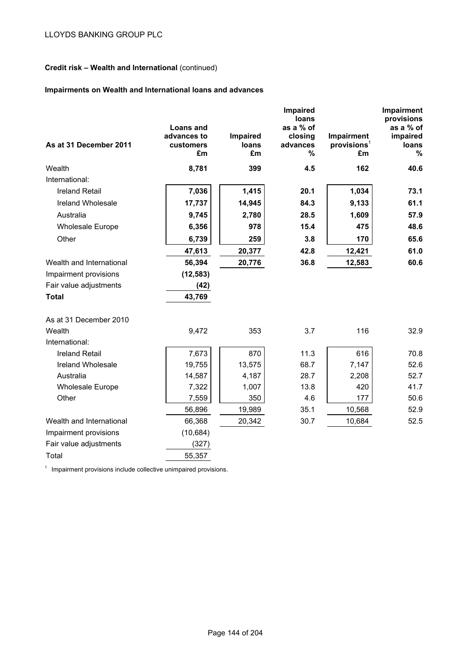# **Impairments on Wealth and International loans and advances**

|                          |                 |             | Impaired<br><b>loans</b> |                               | Impairment<br>provisions |
|--------------------------|-----------------|-------------|--------------------------|-------------------------------|--------------------------|
|                          | Loans and       |             | as a % of                |                               | as a % of                |
|                          | advances to     | Impaired    | closing                  | Impairment                    | impaired                 |
| As at 31 December 2011   | customers<br>£m | loans<br>£m | advances<br>%            | proxisions <sup>1</sup><br>£m | loans<br>%               |
|                          |                 |             |                          |                               |                          |
| Wealth                   | 8,781           | 399         | 4.5                      | 162                           | 40.6                     |
| International:           |                 |             |                          |                               |                          |
| <b>Ireland Retail</b>    | 7,036           | 1,415       | 20.1                     | 1,034                         | 73.1                     |
| Ireland Wholesale        | 17,737          | 14,945      | 84.3                     | 9,133                         | 61.1                     |
| Australia                | 9,745           | 2,780       | 28.5                     | 1,609                         | 57.9                     |
| <b>Wholesale Europe</b>  | 6,356           | 978         | 15.4                     | 475                           | 48.6                     |
| Other                    | 6,739           | 259         | 3.8                      | 170                           | 65.6                     |
|                          | 47,613          | 20,377      | 42.8                     | 12,421                        | 61.0                     |
| Wealth and International | 56,394          | 20,776      | 36.8                     | 12,583                        | 60.6                     |
| Impairment provisions    | (12, 583)       |             |                          |                               |                          |
| Fair value adjustments   | (42)            |             |                          |                               |                          |
| <b>Total</b>             | 43,769          |             |                          |                               |                          |
| As at 31 December 2010   |                 |             |                          |                               |                          |
| Wealth                   | 9,472           | 353         | 3.7                      | 116                           | 32.9                     |
| International:           |                 |             |                          |                               |                          |
| <b>Ireland Retail</b>    | 7,673           | 870         | 11.3                     | 616                           | 70.8                     |
| Ireland Wholesale        | 19,755          | 13,575      | 68.7                     | 7,147                         | 52.6                     |
| Australia                | 14,587          | 4,187       | 28.7                     | 2,208                         | 52.7                     |
| <b>Wholesale Europe</b>  | 7,322           | 1,007       | 13.8                     | 420                           | 41.7                     |
| Other                    | 7,559           | 350         | 4.6                      | 177                           | 50.6                     |
|                          | 56,896          | 19,989      | 35.1                     | 10,568                        | 52.9                     |
| Wealth and International | 66,368          | 20,342      | 30.7                     | 10,684                        | 52.5                     |
| Impairment provisions    | (10, 684)       |             |                          |                               |                          |
| Fair value adjustments   | (327)           |             |                          |                               |                          |
| Total                    | 55,357          |             |                          |                               |                          |

 $1$  Impairment provisions include collective unimpaired provisions.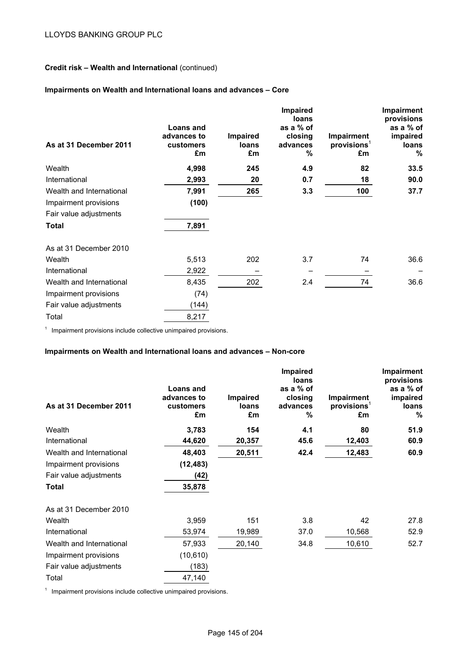# **Impairments on Wealth and International loans and advances – Core**

| As at 31 December 2011   | <b>Loans and</b><br>advances to<br>customers<br>£m | <b>Impaired</b><br>loans<br>£m | Impaired<br>loans<br>as a % of<br>closing<br>advances<br>% | <b>Impairment</b><br>prox <sup>1</sup><br>£m | Impairment<br>provisions<br>as a % of<br>impaired<br>loans<br>% |
|--------------------------|----------------------------------------------------|--------------------------------|------------------------------------------------------------|----------------------------------------------|-----------------------------------------------------------------|
| Wealth                   | 4,998                                              | 245                            | 4.9                                                        | 82                                           | 33.5                                                            |
| International            | 2,993                                              | 20                             | 0.7                                                        | 18                                           | 90.0                                                            |
| Wealth and International | 7,991                                              | 265                            | 3.3                                                        | 100                                          | 37.7                                                            |
| Impairment provisions    | (100)                                              |                                |                                                            |                                              |                                                                 |
| Fair value adjustments   |                                                    |                                |                                                            |                                              |                                                                 |
| <b>Total</b>             | 7,891                                              |                                |                                                            |                                              |                                                                 |
| As at 31 December 2010   |                                                    |                                |                                                            |                                              |                                                                 |
| Wealth                   | 5,513                                              | 202                            | 3.7                                                        | 74                                           | 36.6                                                            |
| International            | 2,922                                              |                                |                                                            |                                              |                                                                 |
| Wealth and International | 8,435                                              | 202                            | 2.4                                                        | 74                                           | 36.6                                                            |
| Impairment provisions    | (74)                                               |                                |                                                            |                                              |                                                                 |
| Fair value adjustments   | (144)                                              |                                |                                                            |                                              |                                                                 |
| Total                    | 8,217                                              |                                |                                                            |                                              |                                                                 |

<sup>1</sup> Impairment provisions include collective unimpaired provisions.

# **Impairments on Wealth and International loans and advances – Non-core**

| As at 31 December 2011   | <b>Loans and</b><br>advances to<br><b>customers</b><br>£m | <b>Impaired</b><br>loans<br>£m | <b>Impaired</b><br>loans<br>as a % of<br>closing<br>advances<br>% | Impairment<br>provisions <sup>1</sup><br>£m | Impairment<br>provisions<br>as a % of<br>impaired<br>loans<br>% |
|--------------------------|-----------------------------------------------------------|--------------------------------|-------------------------------------------------------------------|---------------------------------------------|-----------------------------------------------------------------|
| Wealth                   | 3,783                                                     | 154                            | 4.1                                                               | 80                                          | 51.9                                                            |
| International            | 44,620                                                    | 20,357                         | 45.6                                                              | 12,403                                      | 60.9                                                            |
| Wealth and International | 48,403                                                    | 20,511                         | 42.4                                                              | 12,483                                      | 60.9                                                            |
| Impairment provisions    | (12, 483)                                                 |                                |                                                                   |                                             |                                                                 |
| Fair value adjustments   | (42)                                                      |                                |                                                                   |                                             |                                                                 |
| <b>Total</b>             | 35,878                                                    |                                |                                                                   |                                             |                                                                 |
| As at 31 December 2010   |                                                           |                                |                                                                   |                                             |                                                                 |
| Wealth                   | 3,959                                                     | 151                            | 3.8                                                               | 42                                          | 27.8                                                            |
| International            | 53,974                                                    | 19,989                         | 37.0                                                              | 10,568                                      | 52.9                                                            |
| Wealth and International | 57,933                                                    | 20,140                         | 34.8                                                              | 10,610                                      | 52.7                                                            |
| Impairment provisions    | (10, 610)                                                 |                                |                                                                   |                                             |                                                                 |
| Fair value adjustments   | (183)                                                     |                                |                                                                   |                                             |                                                                 |
| Total                    | 47,140                                                    |                                |                                                                   |                                             |                                                                 |

<sup>1</sup> Impairment provisions include collective unimpaired provisions.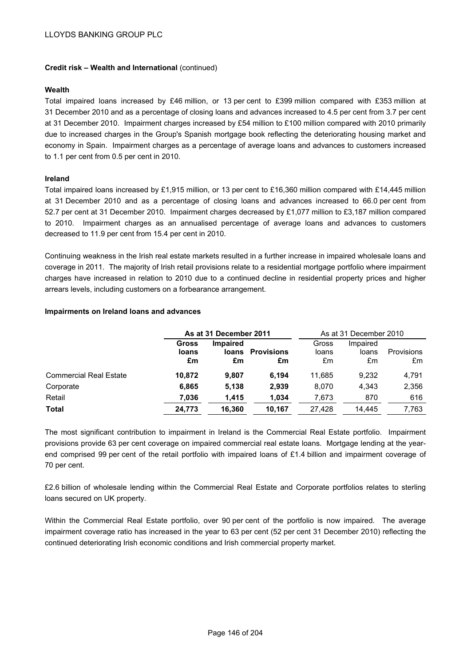# **Wealth**

Total impaired loans increased by £46 million, or 13 per cent to £399 million compared with £353 million at 31 December 2010 and as a percentage of closing loans and advances increased to 4.5 per cent from 3.7 per cent at 31 December 2010. Impairment charges increased by £54 million to £100 million compared with 2010 primarily due to increased charges in the Group's Spanish mortgage book reflecting the deteriorating housing market and economy in Spain. Impairment charges as a percentage of average loans and advances to customers increased to 1.1 per cent from 0.5 per cent in 2010.

# **Ireland**

Total impaired loans increased by £1,915 million, or 13 per cent to £16,360 million compared with £14,445 million at 31 December 2010 and as a percentage of closing loans and advances increased to 66.0 per cent from 52.7 per cent at 31 December 2010. Impairment charges decreased by £1,077 million to £3,187 million compared to 2010. Impairment charges as an annualised percentage of average loans and advances to customers decreased to 11.9 per cent from 15.4 per cent in 2010.

Continuing weakness in the Irish real estate markets resulted in a further increase in impaired wholesale loans and coverage in 2011. The majority of Irish retail provisions relate to a residential mortgage portfolio where impairment charges have increased in relation to 2010 due to a continued decline in residential property prices and higher arrears levels, including customers on a forbearance arrangement.

#### **Impairments on Ireland loans and advances**

|                               |                             | As at 31 December 2011                |                         |                      | As at 31 December 2010  |                  |  |
|-------------------------------|-----------------------------|---------------------------------------|-------------------------|----------------------|-------------------------|------------------|--|
|                               | <b>Gross</b><br>loans<br>£m | <b>Impaired</b><br><b>loans</b><br>£m | <b>Provisions</b><br>£m | Gross<br>loans<br>£m | Impaired<br>loans<br>£m | Provisions<br>£m |  |
| <b>Commercial Real Estate</b> | 10,872                      | 9,807                                 | 6.194                   | 11.685               | 9,232                   | 4,791            |  |
| Corporate                     | 6.865                       | 5.138                                 | 2.939                   | 8.070                | 4.343                   | 2,356            |  |
| Retail                        | 7,036                       | 1,415                                 | 1,034                   | 7.673                | 870                     | 616              |  |
| <b>Total</b>                  | 24,773                      | 16,360                                | 10.167                  | 27.428               | 14.445                  | 7,763            |  |

The most significant contribution to impairment in Ireland is the Commercial Real Estate portfolio. Impairment provisions provide 63 per cent coverage on impaired commercial real estate loans. Mortgage lending at the yearend comprised 99 per cent of the retail portfolio with impaired loans of £1.4 billion and impairment coverage of 70 per cent.

£2.6 billion of wholesale lending within the Commercial Real Estate and Corporate portfolios relates to sterling loans secured on UK property.

Within the Commercial Real Estate portfolio, over 90 per cent of the portfolio is now impaired. The average impairment coverage ratio has increased in the year to 63 per cent (52 per cent 31 December 2010) reflecting the continued deteriorating Irish economic conditions and Irish commercial property market.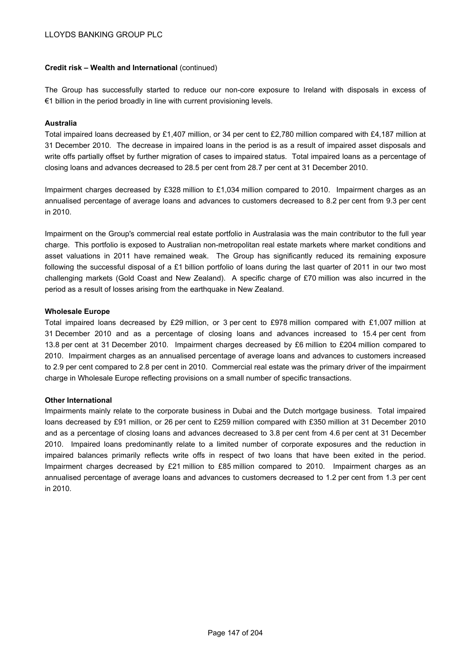The Group has successfully started to reduce our non-core exposure to Ireland with disposals in excess of €1 billion in the period broadly in line with current provisioning levels.

# **Australia**

Total impaired loans decreased by £1,407 million, or 34 per cent to £2,780 million compared with £4,187 million at 31 December 2010. The decrease in impaired loans in the period is as a result of impaired asset disposals and write offs partially offset by further migration of cases to impaired status. Total impaired loans as a percentage of closing loans and advances decreased to 28.5 per cent from 28.7 per cent at 31 December 2010.

Impairment charges decreased by £328 million to £1,034 million compared to 2010. Impairment charges as an annualised percentage of average loans and advances to customers decreased to 8.2 per cent from 9.3 per cent in 2010.

Impairment on the Group's commercial real estate portfolio in Australasia was the main contributor to the full year charge. This portfolio is exposed to Australian non-metropolitan real estate markets where market conditions and asset valuations in 2011 have remained weak. The Group has significantly reduced its remaining exposure following the successful disposal of a £1 billion portfolio of loans during the last quarter of 2011 in our two most challenging markets (Gold Coast and New Zealand). A specific charge of £70 million was also incurred in the period as a result of losses arising from the earthquake in New Zealand.

#### **Wholesale Europe**

Total impaired loans decreased by £29 million, or 3 per cent to £978 million compared with £1,007 million at 31 December 2010 and as a percentage of closing loans and advances increased to 15.4 per cent from 13.8 per cent at 31 December 2010. Impairment charges decreased by £6 million to £204 million compared to 2010. Impairment charges as an annualised percentage of average loans and advances to customers increased to 2.9 per cent compared to 2.8 per cent in 2010. Commercial real estate was the primary driver of the impairment charge in Wholesale Europe reflecting provisions on a small number of specific transactions.

# **Other International**

Impairments mainly relate to the corporate business in Dubai and the Dutch mortgage business. Total impaired loans decreased by £91 million, or 26 per cent to £259 million compared with £350 million at 31 December 2010 and as a percentage of closing loans and advances decreased to 3.8 per cent from 4.6 per cent at 31 December 2010. Impaired loans predominantly relate to a limited number of corporate exposures and the reduction in impaired balances primarily reflects write offs in respect of two loans that have been exited in the period. Impairment charges decreased by £21 million to £85 million compared to 2010. Impairment charges as an annualised percentage of average loans and advances to customers decreased to 1.2 per cent from 1.3 per cent in 2010.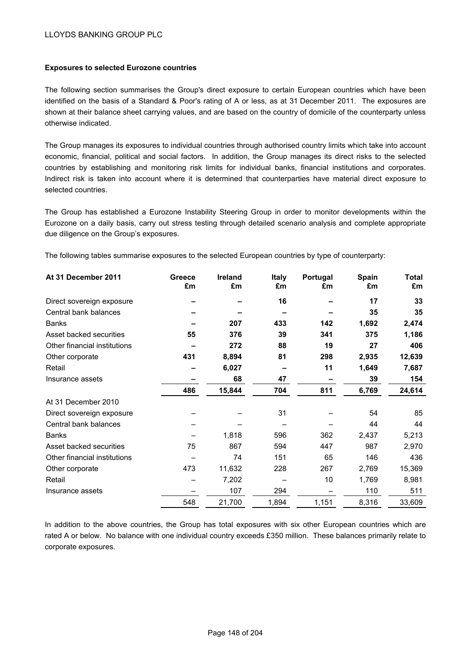# **Exposures to selected Eurozone countries**

The following section summarises the Group's direct exposure to certain European countries which have been identified on the basis of a Standard & Poor's rating of A or less, as at 31 December 2011. The exposures are shown at their balance sheet carrying values, and are based on the country of domicile of the counterparty unless otherwise indicated.

The Group manages its exposures to individual countries through authorised country limits which take into account economic, financial, political and social factors. In addition, the Group manages its direct risks to the selected countries by establishing and monitoring risk limits for individual banks, financial institutions and corporates. Indirect risk is taken into account where it is determined that counterparties have material direct exposure to selected countries.

The Group has established a Eurozone Instability Steering Group in order to monitor developments within the Eurozone on a daily basis, carry out stress testing through detailed scenario analysis and complete appropriate due diligence on the Group's exposures.

The following tables summarise exposures to the selected European countries by type of counterparty:

| At 31 December 2011          | Greece<br>£m | <b>Ireland</b><br>£m | <b>Italy</b><br>£m | Portugal<br>£m | <b>Spain</b><br>£m | Total<br>£m |
|------------------------------|--------------|----------------------|--------------------|----------------|--------------------|-------------|
| Direct sovereign exposure    |              |                      | 16                 |                | 17                 | 33          |
| Central bank balances        |              |                      |                    |                | 35                 | 35          |
| <b>Banks</b>                 |              | 207                  | 433                | 142            | 1,692              | 2,474       |
| Asset backed securities      | 55           | 376                  | 39                 | 341            | 375                | 1,186       |
| Other financial institutions |              | 272                  | 88                 | 19             | 27                 | 406         |
| Other corporate              | 431          | 8,894                | 81                 | 298            | 2,935              | 12,639      |
| Retail                       |              | 6,027                |                    | 11             | 1,649              | 7,687       |
| Insurance assets             |              | 68                   | 47                 |                | 39                 | 154         |
|                              | 486          | 15,844               | 704                | 811            | 6,769              | 24,614      |
| At 31 December 2010          |              |                      |                    |                |                    |             |
| Direct sovereign exposure    |              |                      | 31                 |                | 54                 | 85          |
| Central bank balances        |              |                      |                    |                | 44                 | 44          |
| <b>Banks</b>                 |              | 1,818                | 596                | 362            | 2,437              | 5,213       |
| Asset backed securities      | 75           | 867                  | 594                | 447            | 987                | 2,970       |
| Other financial institutions |              | 74                   | 151                | 65             | 146                | 436         |
| Other corporate              | 473          | 11,632               | 228                | 267            | 2,769              | 15,369      |
| Retail                       |              | 7,202                |                    | 10             | 1,769              | 8,981       |
| Insurance assets             |              | 107                  | 294                |                | 110                | 511         |
|                              | 548          | 21,700               | 1,894              | 1,151          | 8,316              | 33,609      |

In addition to the above countries, the Group has total exposures with six other European countries which are rated A or below. No balance with one individual country exceeds £350 million. These balances primarily relate to corporate exposures.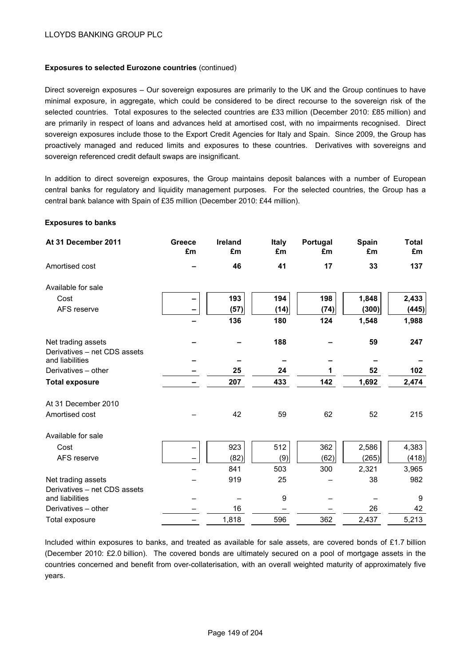Direct sovereign exposures – Our sovereign exposures are primarily to the UK and the Group continues to have minimal exposure, in aggregate, which could be considered to be direct recourse to the sovereign risk of the selected countries. Total exposures to the selected countries are £33 million (December 2010: £85 million) and are primarily in respect of loans and advances held at amortised cost, with no impairments recognised. Direct sovereign exposures include those to the Export Credit Agencies for Italy and Spain. Since 2009, the Group has proactively managed and reduced limits and exposures to these countries. Derivatives with sovereigns and sovereign referenced credit default swaps are insignificant.

In addition to direct sovereign exposures, the Group maintains deposit balances with a number of European central banks for regulatory and liquidity management purposes. For the selected countries, the Group has a central bank balance with Spain of £35 million (December 2010: £44 million).

### **Exposures to banks**

| At 31 December 2011                             | <b>Greece</b><br>£m | Ireland<br>£m | <b>Italy</b><br>£m | Portugal<br>£m | Spain<br>£m | <b>Total</b><br>£m |
|-------------------------------------------------|---------------------|---------------|--------------------|----------------|-------------|--------------------|
| Amortised cost                                  |                     | 46            | 41                 | 17             | 33          | 137                |
| Available for sale                              |                     |               |                    |                |             |                    |
| Cost                                            |                     | 193           | 194                | 198            | 1,848       | 2,433              |
| AFS reserve                                     |                     | (57)          | (14)               | (74)           | (300)       | (445)              |
|                                                 |                     | 136           | 180                | 124            | 1,548       | 1,988              |
| Net trading assets                              |                     |               | 188                |                | 59          | 247                |
| Derivatives - net CDS assets<br>and liabilities |                     |               |                    |                |             |                    |
| Derivatives - other                             |                     | 25            | 24                 | 1              | 52          | 102                |
| <b>Total exposure</b>                           |                     | 207           | 433                | 142            | 1,692       | 2,474              |
| At 31 December 2010                             |                     |               |                    |                |             |                    |
| Amortised cost                                  |                     | 42            | 59                 | 62             | 52          | 215                |
| Available for sale                              |                     |               |                    |                |             |                    |
| Cost                                            |                     | 923           | 512                | 362            | 2,586       | 4,383              |
| AFS reserve                                     |                     | (82)          | (9)                | (62)           | (265)       | (418)              |
|                                                 |                     | 841           | 503                | 300            | 2,321       | 3,965              |
| Net trading assets                              |                     | 919           | 25                 |                | 38          | 982                |
| Derivatives - net CDS assets<br>and liabilities |                     |               | 9                  |                |             | 9                  |
| Derivatives - other                             |                     | 16            |                    |                | 26          | 42                 |
| Total exposure                                  |                     | 1,818         | 596                | 362            | 2,437       | 5,213              |

Included within exposures to banks, and treated as available for sale assets, are covered bonds of £1.7 billion (December 2010: £2.0 billion). The covered bonds are ultimately secured on a pool of mortgage assets in the countries concerned and benefit from over-collaterisation, with an overall weighted maturity of approximately five years.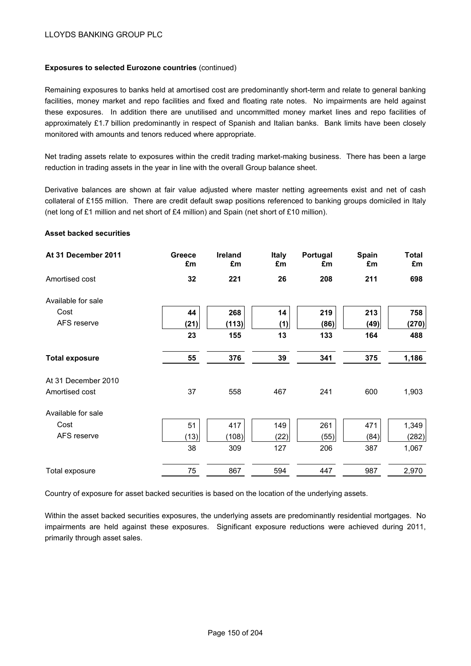Remaining exposures to banks held at amortised cost are predominantly short-term and relate to general banking facilities, money market and repo facilities and fixed and floating rate notes. No impairments are held against these exposures. In addition there are unutilised and uncommitted money market lines and repo facilities of approximately £1.7 billion predominantly in respect of Spanish and Italian banks. Bank limits have been closely monitored with amounts and tenors reduced where appropriate.

Net trading assets relate to exposures within the credit trading market-making business. There has been a large reduction in trading assets in the year in line with the overall Group balance sheet.

Derivative balances are shown at fair value adjusted where master netting agreements exist and net of cash collateral of £155 million. There are credit default swap positions referenced to banking groups domiciled in Italy (net long of £1 million and net short of £4 million) and Spain (net short of £10 million).

#### **Asset backed securities**

| At 31 December 2011   | <b>Greece</b><br>£m | Ireland<br>£m | <b>Italy</b><br>£m | Portugal<br>£m | Spain<br>£m | <b>Total</b><br>£m |
|-----------------------|---------------------|---------------|--------------------|----------------|-------------|--------------------|
| Amortised cost        | 32                  | 221           | 26                 | 208            | 211         | 698                |
| Available for sale    |                     |               |                    |                |             |                    |
| Cost                  | 44                  | 268           | 14                 | 219            | 213         | 758                |
| AFS reserve           | (21)                | (113)         | (1)                | (86)           | (49)        | (270)              |
|                       | 23                  | 155           | 13                 | 133            | 164         | 488                |
| <b>Total exposure</b> | 55                  | 376           | 39                 | 341            | 375         | 1,186              |
| At 31 December 2010   |                     |               |                    |                |             |                    |
| Amortised cost        | 37                  | 558           | 467                | 241            | 600         | 1,903              |
| Available for sale    |                     |               |                    |                |             |                    |
| Cost                  | 51                  | 417           | 149                | 261            | 471         | 1,349              |
| AFS reserve           | (13)                | (108)         | (22)               | (55)           | (84)        | (282)              |
|                       | 38                  | 309           | 127                | 206            | 387         | 1,067              |
| Total exposure        | 75                  | 867           | 594                | 447            | 987         | 2,970              |

Country of exposure for asset backed securities is based on the location of the underlying assets.

Within the asset backed securities exposures, the underlying assets are predominantly residential mortgages. No impairments are held against these exposures. Significant exposure reductions were achieved during 2011, primarily through asset sales.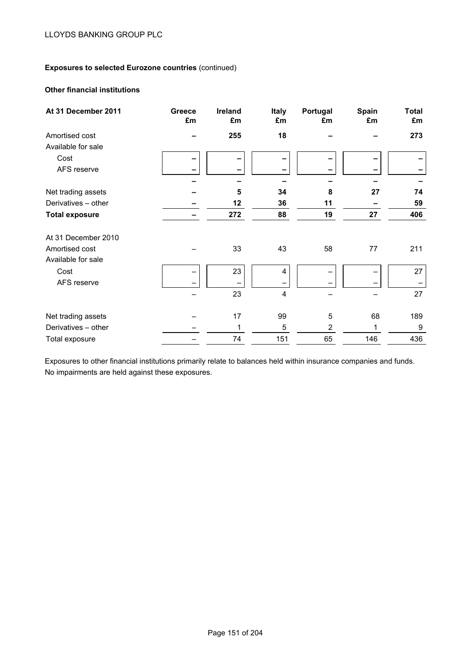# **Other financial institutions**

| At 31 December 2011   | Greece<br>£m | Ireland<br>£m | <b>Italy</b><br>£m | Portugal<br>£m | Spain<br>£m | <b>Total</b><br>£m |
|-----------------------|--------------|---------------|--------------------|----------------|-------------|--------------------|
| Amortised cost        |              | 255           | 18                 |                |             | 273                |
| Available for sale    |              |               |                    |                |             |                    |
| Cost                  | -            | -             |                    |                |             |                    |
| AFS reserve           |              |               |                    |                |             |                    |
|                       |              |               |                    |                |             |                    |
| Net trading assets    |              | 5             | 34                 | 8              | 27          | 74                 |
| Derivatives - other   |              | 12            | 36                 | 11             |             | 59                 |
| <b>Total exposure</b> |              | 272           | 88                 | 19             | 27          | 406                |
| At 31 December 2010   |              |               |                    |                |             |                    |
| Amortised cost        |              | 33            | 43                 | 58             | 77          | 211                |
| Available for sale    |              |               |                    |                |             |                    |
| Cost                  |              | 23            | 4                  |                |             | 27                 |
| AFS reserve           |              |               |                    |                |             |                    |
|                       |              | 23            | $\overline{4}$     |                |             | 27                 |
| Net trading assets    |              | 17            | 99                 | 5              | 68          | 189                |
| Derivatives - other   |              | 1             | 5                  | $\mathbf{2}$   | 1           | 9                  |
| Total exposure        |              | 74            | 151                | 65             | 146         | 436                |

Exposures to other financial institutions primarily relate to balances held within insurance companies and funds. No impairments are held against these exposures.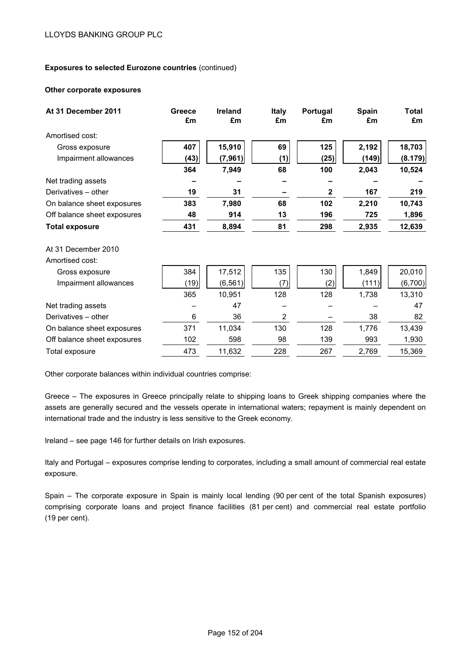# **Other corporate exposures**

| At 31 December 2011         | Greece<br>£m | <b>Ireland</b><br>£m | <b>Italy</b><br>£m | Portugal<br>£m | Spain<br>£m | <b>Total</b><br>£m |
|-----------------------------|--------------|----------------------|--------------------|----------------|-------------|--------------------|
| Amortised cost:             |              |                      |                    |                |             |                    |
| Gross exposure              | 407          | 15,910               | 69                 | 125            | 2,192       | 18,703             |
| Impairment allowances       | (43)         | (7, 961)             | (1)                | (25)           | (149)       | (8.179)            |
|                             | 364          | 7,949                | 68                 | 100            | 2,043       | 10,524             |
| Net trading assets          |              |                      |                    |                |             |                    |
| Derivatives - other         | 19           | 31                   |                    | $\mathbf{2}$   | 167         | 219                |
| On balance sheet exposures  | 383          | 7,980                | 68                 | 102            | 2,210       | 10,743             |
| Off balance sheet exposures | 48           | 914                  | 13                 | 196            | 725         | 1,896              |
| <b>Total exposure</b>       | 431          | 8,894                | 81                 | 298            | 2,935       | 12,639             |
| At 31 December 2010         |              |                      |                    |                |             |                    |
| Amortised cost:             |              |                      |                    |                |             |                    |
| Gross exposure              | 384          | 17,512               | 135                | 130            | 1,849       | 20,010             |
| Impairment allowances       | (19)         | (6, 561)             | (7)                | (2)            | (111)       | (6,700)            |
|                             | 365          | 10,951               | 128                | 128            | 1,738       | 13,310             |
| Net trading assets          |              | 47                   |                    |                |             | 47                 |
| Derivatives - other         | 6            | 36                   | $\overline{2}$     |                | 38          | 82                 |
| On balance sheet exposures  | 371          | 11,034               | 130                | 128            | 1,776       | 13,439             |
| Off balance sheet exposures | 102          | 598                  | 98                 | 139            | 993         | 1,930              |
| Total exposure              | 473          | 11,632               | 228                | 267            | 2,769       | 15,369             |

Other corporate balances within individual countries comprise:

Greece *–* The exposures in Greece principally relate to shipping loans to Greek shipping companies where the assets are generally secured and the vessels operate in international waters; repayment is mainly dependent on international trade and the industry is less sensitive to the Greek economy.

Ireland – see page 146 for further details on Irish exposures.

Italy and Portugal *–* exposures comprise lending to corporates, including a small amount of commercial real estate exposure.

Spain – The corporate exposure in Spain is mainly local lending (90 per cent of the total Spanish exposures) comprising corporate loans and project finance facilities (81 per cent) and commercial real estate portfolio (19 per cent).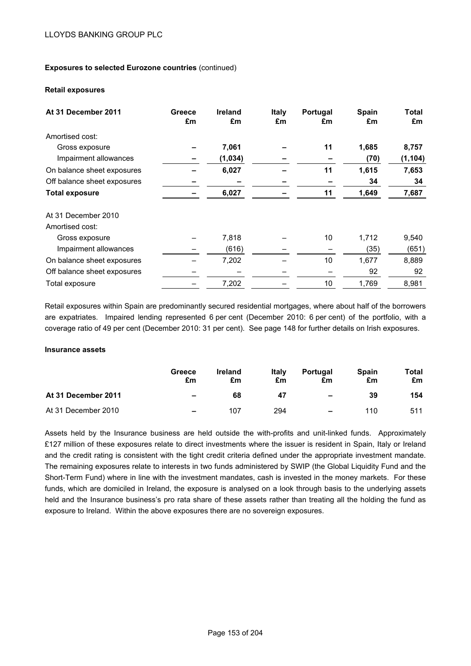#### **Retail exposures**

| At 31 December 2011         | Greece<br>£m | Ireland<br>£m | <b>Italy</b><br>£m | Portugal<br>£m | <b>Spain</b><br>£m | Total<br>£m |
|-----------------------------|--------------|---------------|--------------------|----------------|--------------------|-------------|
| Amortised cost:             |              |               |                    |                |                    |             |
| Gross exposure              |              | 7,061         |                    | 11             | 1,685              | 8,757       |
| Impairment allowances       |              | (1, 034)      |                    |                | (70)               | (1, 104)    |
| On balance sheet exposures  |              | 6,027         |                    | 11             | 1,615              | 7,653       |
| Off balance sheet exposures |              |               |                    |                | 34                 | 34          |
| <b>Total exposure</b>       |              | 6,027         |                    | 11             | 1,649              | 7,687       |
| At 31 December 2010         |              |               |                    |                |                    |             |
| Amortised cost:             |              |               |                    |                |                    |             |
| Gross exposure              |              | 7,818         |                    | 10             | 1,712              | 9,540       |
| Impairment allowances       |              | (616)         |                    |                | (35)               | (651)       |
| On balance sheet exposures  |              | 7,202         |                    | 10             | 1,677              | 8,889       |
| Off balance sheet exposures |              |               |                    |                | 92                 | 92          |
| Total exposure              |              | 7,202         |                    | 10             | 1,769              | 8,981       |

Retail exposures within Spain are predominantly secured residential mortgages, where about half of the borrowers are expatriates. Impaired lending represented 6 per cent (December 2010: 6 per cent) of the portfolio, with a coverage ratio of 49 per cent (December 2010: 31 per cent). See page 148 for further details on Irish exposures.

#### **Insurance assets**

|                     | Greece<br>£m             | <b>Ireland</b><br>£m | Italv<br>£m | <b>Portugal</b><br>£m    | <b>Spain</b><br>£m | <b>Total</b><br>£m |
|---------------------|--------------------------|----------------------|-------------|--------------------------|--------------------|--------------------|
| At 31 December 2011 | $\overline{\phantom{a}}$ | 68                   | 47          | $\overline{\phantom{0}}$ | 39                 | 154                |
| At 31 December 2010 | $\overline{\phantom{a}}$ | 107                  | 294         | $\overline{\phantom{a}}$ | 110                | 511                |

Assets held by the Insurance business are held outside the with-profits and unit-linked funds. Approximately £127 million of these exposures relate to direct investments where the issuer is resident in Spain, Italy or Ireland and the credit rating is consistent with the tight credit criteria defined under the appropriate investment mandate. The remaining exposures relate to interests in two funds administered by SWIP (the Global Liquidity Fund and the Short-Term Fund) where in line with the investment mandates, cash is invested in the money markets. For these funds, which are domiciled in Ireland, the exposure is analysed on a look through basis to the underlying assets held and the Insurance business's pro rata share of these assets rather than treating all the holding the fund as exposure to Ireland. Within the above exposures there are no sovereign exposures.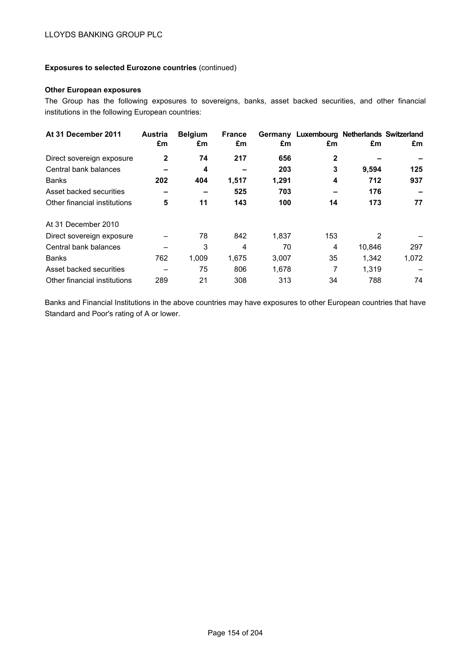# **Other European exposures**

The Group has the following exposures to sovereigns, banks, asset backed securities, and other financial institutions in the following European countries:

| At 31 December 2011          | <b>Austria</b><br>£m | <b>Belgium</b><br>£m | <b>France</b><br>£m | £m    | Germany Luxembourg Netherlands Switzerland<br>£m | £m     | £m    |
|------------------------------|----------------------|----------------------|---------------------|-------|--------------------------------------------------|--------|-------|
| Direct sovereign exposure    | $\mathbf{2}$         | 74                   | 217                 | 656   | 2                                                |        |       |
| Central bank balances        |                      | 4                    |                     | 203   | 3                                                | 9,594  | 125   |
| <b>Banks</b>                 | 202                  | 404                  | 1,517               | 1,291 | 4                                                | 712    | 937   |
| Asset backed securities      |                      |                      | 525                 | 703   | -                                                | 176    |       |
| Other financial institutions | 5                    | 11                   | 143                 | 100   | 14                                               | 173    | 77    |
| At 31 December 2010          |                      |                      |                     |       |                                                  |        |       |
| Direct sovereign exposure    |                      | 78                   | 842                 | 1,837 | 153                                              | 2      |       |
| Central bank balances        |                      | 3                    | 4                   | 70    | 4                                                | 10,846 | 297   |
| <b>Banks</b>                 | 762                  | 1.009                | 1.675               | 3,007 | 35                                               | 1.342  | 1.072 |
| Asset backed securities      |                      | 75                   | 806                 | 1,678 | 7                                                | 1,319  |       |
| Other financial institutions | 289                  | 21                   | 308                 | 313   | 34                                               | 788    | 74    |

Banks and Financial Institutions in the above countries may have exposures to other European countries that have Standard and Poor's rating of A or lower.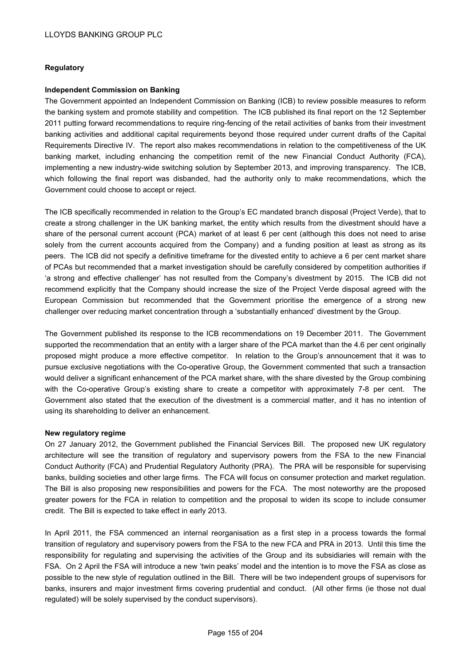# **Regulatory**

## **Independent Commission on Banking**

The Government appointed an Independent Commission on Banking (ICB) to review possible measures to reform the banking system and promote stability and competition. The ICB published its final report on the 12 September 2011 putting forward recommendations to require ring-fencing of the retail activities of banks from their investment banking activities and additional capital requirements beyond those required under current drafts of the Capital Requirements Directive IV. The report also makes recommendations in relation to the competitiveness of the UK banking market, including enhancing the competition remit of the new Financial Conduct Authority (FCA), implementing a new industry-wide switching solution by September 2013, and improving transparency. The ICB, which following the final report was disbanded, had the authority only to make recommendations, which the Government could choose to accept or reject.

The ICB specifically recommended in relation to the Group's EC mandated branch disposal (Project Verde), that to create a strong challenger in the UK banking market, the entity which results from the divestment should have a share of the personal current account (PCA) market of at least 6 per cent (although this does not need to arise solely from the current accounts acquired from the Company) and a funding position at least as strong as its peers. The ICB did not specify a definitive timeframe for the divested entity to achieve a 6 per cent market share of PCAs but recommended that a market investigation should be carefully considered by competition authorities if 'a strong and effective challenger' has not resulted from the Company's divestment by 2015. The ICB did not recommend explicitly that the Company should increase the size of the Project Verde disposal agreed with the European Commission but recommended that the Government prioritise the emergence of a strong new challenger over reducing market concentration through a 'substantially enhanced' divestment by the Group.

The Government published its response to the ICB recommendations on 19 December 2011. The Government supported the recommendation that an entity with a larger share of the PCA market than the 4.6 per cent originally proposed might produce a more effective competitor. In relation to the Group's announcement that it was to pursue exclusive negotiations with the Co-operative Group, the Government commented that such a transaction would deliver a significant enhancement of the PCA market share, with the share divested by the Group combining with the Co-operative Group's existing share to create a competitor with approximately 7-8 per cent. The Government also stated that the execution of the divestment is a commercial matter, and it has no intention of using its shareholding to deliver an enhancement.

#### **New regulatory regime**

On 27 January 2012, the Government published the Financial Services Bill. The proposed new UK regulatory architecture will see the transition of regulatory and supervisory powers from the FSA to the new Financial Conduct Authority (FCA) and Prudential Regulatory Authority (PRA). The PRA will be responsible for supervising banks, building societies and other large firms. The FCA will focus on consumer protection and market regulation. The Bill is also proposing new responsibilities and powers for the FCA. The most noteworthy are the proposed greater powers for the FCA in relation to competition and the proposal to widen its scope to include consumer credit. The Bill is expected to take effect in early 2013.

In April 2011, the FSA commenced an internal reorganisation as a first step in a process towards the formal transition of regulatory and supervisory powers from the FSA to the new FCA and PRA in 2013. Until this time the responsibility for regulating and supervising the activities of the Group and its subsidiaries will remain with the FSA. On 2 April the FSA will introduce a new 'twin peaks' model and the intention is to move the FSA as close as possible to the new style of regulation outlined in the Bill. There will be two independent groups of supervisors for banks, insurers and major investment firms covering prudential and conduct. (All other firms (ie those not dual regulated) will be solely supervised by the conduct supervisors).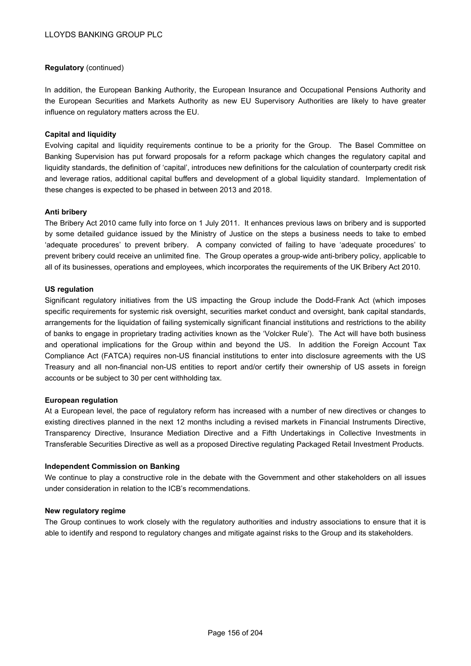# **Regulatory** (continued)

In addition, the European Banking Authority, the European Insurance and Occupational Pensions Authority and the European Securities and Markets Authority as new EU Supervisory Authorities are likely to have greater influence on regulatory matters across the EU.

## **Capital and liquidity**

Evolving capital and liquidity requirements continue to be a priority for the Group. The Basel Committee on Banking Supervision has put forward proposals for a reform package which changes the regulatory capital and liquidity standards, the definition of 'capital', introduces new definitions for the calculation of counterparty credit risk and leverage ratios, additional capital buffers and development of a global liquidity standard. Implementation of these changes is expected to be phased in between 2013 and 2018.

# **Anti bribery**

The Bribery Act 2010 came fully into force on 1 July 2011. It enhances previous laws on bribery and is supported by some detailed guidance issued by the Ministry of Justice on the steps a business needs to take to embed 'adequate procedures' to prevent bribery. A company convicted of failing to have 'adequate procedures' to prevent bribery could receive an unlimited fine. The Group operates a group-wide anti-bribery policy, applicable to all of its businesses, operations and employees, which incorporates the requirements of the UK Bribery Act 2010.

# **US regulation**

Significant regulatory initiatives from the US impacting the Group include the Dodd-Frank Act (which imposes specific requirements for systemic risk oversight, securities market conduct and oversight, bank capital standards, arrangements for the liquidation of failing systemically significant financial institutions and restrictions to the ability of banks to engage in proprietary trading activities known as the 'Volcker Rule'). The Act will have both business and operational implications for the Group within and beyond the US. In addition the Foreign Account Tax Compliance Act (FATCA) requires non-US financial institutions to enter into disclosure agreements with the US Treasury and all non-financial non-US entities to report and/or certify their ownership of US assets in foreign accounts or be subject to 30 per cent withholding tax.

#### **European regulation**

At a European level, the pace of regulatory reform has increased with a number of new directives or changes to existing directives planned in the next 12 months including a revised markets in Financial Instruments Directive, Transparency Directive, Insurance Mediation Directive and a Fifth Undertakings in Collective Investments in Transferable Securities Directive as well as a proposed Directive regulating Packaged Retail Investment Products.

#### **Independent Commission on Banking**

We continue to play a constructive role in the debate with the Government and other stakeholders on all issues under consideration in relation to the ICB's recommendations.

#### **New regulatory regime**

The Group continues to work closely with the regulatory authorities and industry associations to ensure that it is able to identify and respond to regulatory changes and mitigate against risks to the Group and its stakeholders.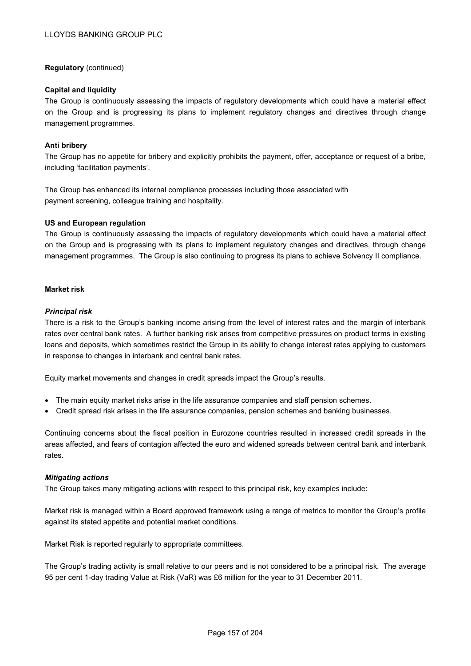# **Regulatory** (continued)

## **Capital and liquidity**

The Group is continuously assessing the impacts of regulatory developments which could have a material effect on the Group and is progressing its plans to implement regulatory changes and directives through change management programmes.

## **Anti bribery**

The Group has no appetite for bribery and explicitly prohibits the payment, offer, acceptance or request of a bribe, including 'facilitation payments'.

The Group has enhanced its internal compliance processes including those associated with payment screening, colleague training and hospitality.

#### **US and European regulation**

The Group is continuously assessing the impacts of regulatory developments which could have a material effect on the Group and is progressing with its plans to implement regulatory changes and directives, through change management programmes. The Group is also continuing to progress its plans to achieve Solvency II compliance.

#### **Market risk**

#### *Principal risk*

There is a risk to the Group's banking income arising from the level of interest rates and the margin of interbank rates over central bank rates. A further banking risk arises from competitive pressures on product terms in existing loans and deposits, which sometimes restrict the Group in its ability to change interest rates applying to customers in response to changes in interbank and central bank rates.

Equity market movements and changes in credit spreads impact the Group's results.

- The main equity market risks arise in the life assurance companies and staff pension schemes.
- Credit spread risk arises in the life assurance companies, pension schemes and banking businesses.

Continuing concerns about the fiscal position in Eurozone countries resulted in increased credit spreads in the areas affected, and fears of contagion affected the euro and widened spreads between central bank and interbank rates.

#### *Mitigating actions*

The Group takes many mitigating actions with respect to this principal risk, key examples include:

Market risk is managed within a Board approved framework using a range of metrics to monitor the Group's profile against its stated appetite and potential market conditions.

Market Risk is reported regularly to appropriate committees.

The Group's trading activity is small relative to our peers and is not considered to be a principal risk. The average 95 per cent 1-day trading Value at Risk (VaR) was £6 million for the year to 31 December 2011.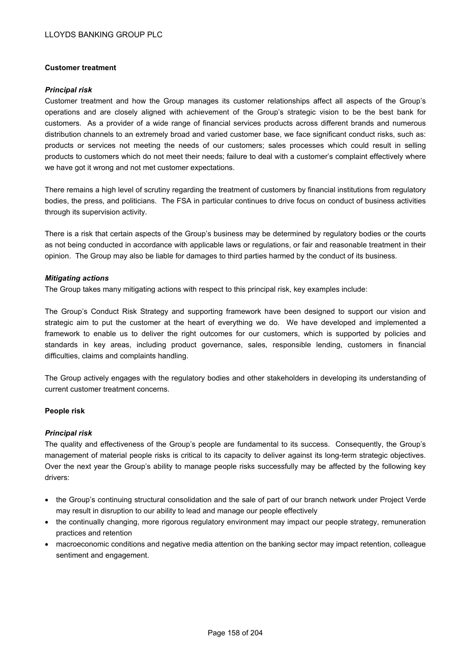#### **Customer treatment**

# *Principal risk*

Customer treatment and how the Group manages its customer relationships affect all aspects of the Group's operations and are closely aligned with achievement of the Group's strategic vision to be the best bank for customers. As a provider of a wide range of financial services products across different brands and numerous distribution channels to an extremely broad and varied customer base, we face significant conduct risks, such as: products or services not meeting the needs of our customers; sales processes which could result in selling products to customers which do not meet their needs; failure to deal with a customer's complaint effectively where we have got it wrong and not met customer expectations.

There remains a high level of scrutiny regarding the treatment of customers by financial institutions from regulatory bodies, the press, and politicians. The FSA in particular continues to drive focus on conduct of business activities through its supervision activity.

There is a risk that certain aspects of the Group's business may be determined by regulatory bodies or the courts as not being conducted in accordance with applicable laws or regulations, or fair and reasonable treatment in their opinion. The Group may also be liable for damages to third parties harmed by the conduct of its business.

#### *Mitigating actions*

The Group takes many mitigating actions with respect to this principal risk, key examples include:

The Group's Conduct Risk Strategy and supporting framework have been designed to support our vision and strategic aim to put the customer at the heart of everything we do. We have developed and implemented a framework to enable us to deliver the right outcomes for our customers, which is supported by policies and standards in key areas, including product governance, sales, responsible lending, customers in financial difficulties, claims and complaints handling.

The Group actively engages with the regulatory bodies and other stakeholders in developing its understanding of current customer treatment concerns.

#### **People risk**

#### *Principal risk*

The quality and effectiveness of the Group's people are fundamental to its success. Consequently, the Group's management of material people risks is critical to its capacity to deliver against its long-term strategic objectives. Over the next year the Group's ability to manage people risks successfully may be affected by the following key drivers:

- the Group's continuing structural consolidation and the sale of part of our branch network under Project Verde may result in disruption to our ability to lead and manage our people effectively
- the continually changing, more rigorous regulatory environment may impact our people strategy, remuneration practices and retention
- macroeconomic conditions and negative media attention on the banking sector may impact retention, colleague sentiment and engagement.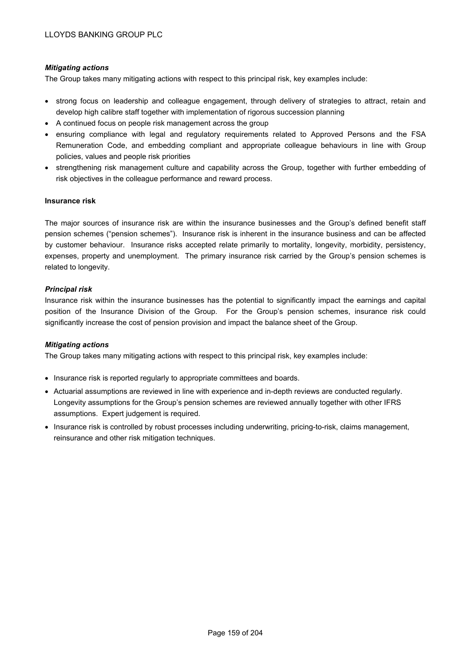# *Mitigating actions*

The Group takes many mitigating actions with respect to this principal risk, key examples include:

- strong focus on leadership and colleague engagement, through delivery of strategies to attract, retain and develop high calibre staff together with implementation of rigorous succession planning
- A continued focus on people risk management across the group
- ensuring compliance with legal and regulatory requirements related to Approved Persons and the FSA Remuneration Code, and embedding compliant and appropriate colleague behaviours in line with Group policies, values and people risk priorities
- strengthening risk management culture and capability across the Group, together with further embedding of risk objectives in the colleague performance and reward process.

#### **Insurance risk**

The major sources of insurance risk are within the insurance businesses and the Group's defined benefit staff pension schemes ("pension schemes"). Insurance risk is inherent in the insurance business and can be affected by customer behaviour. Insurance risks accepted relate primarily to mortality, longevity, morbidity, persistency, expenses, property and unemployment. The primary insurance risk carried by the Group's pension schemes is related to longevity.

# *Principal risk*

Insurance risk within the insurance businesses has the potential to significantly impact the earnings and capital position of the Insurance Division of the Group. For the Group's pension schemes, insurance risk could significantly increase the cost of pension provision and impact the balance sheet of the Group.

#### *Mitigating actions*

The Group takes many mitigating actions with respect to this principal risk, key examples include:

- Insurance risk is reported regularly to appropriate committees and boards.
- Actuarial assumptions are reviewed in line with experience and in-depth reviews are conducted regularly. Longevity assumptions for the Group's pension schemes are reviewed annually together with other IFRS assumptions. Expert judgement is required.
- Insurance risk is controlled by robust processes including underwriting, pricing-to-risk, claims management, reinsurance and other risk mitigation techniques.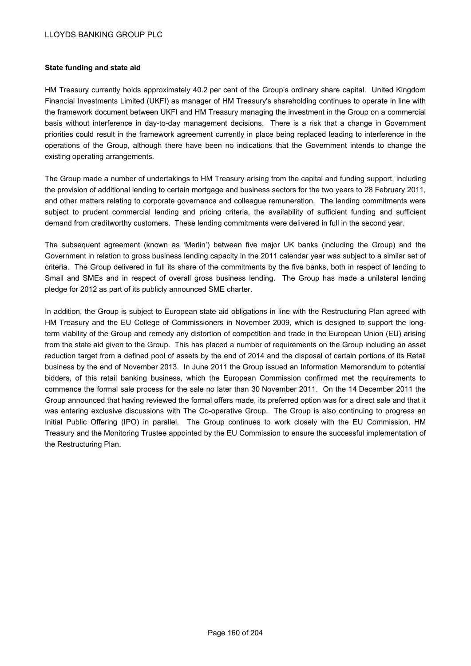# **State funding and state aid**

HM Treasury currently holds approximately 40.2 per cent of the Group's ordinary share capital. United Kingdom Financial Investments Limited (UKFI) as manager of HM Treasury's shareholding continues to operate in line with the framework document between UKFI and HM Treasury managing the investment in the Group on a commercial basis without interference in day-to-day management decisions. There is a risk that a change in Government priorities could result in the framework agreement currently in place being replaced leading to interference in the operations of the Group, although there have been no indications that the Government intends to change the existing operating arrangements.

The Group made a number of undertakings to HM Treasury arising from the capital and funding support, including the provision of additional lending to certain mortgage and business sectors for the two years to 28 February 2011, and other matters relating to corporate governance and colleague remuneration. The lending commitments were subject to prudent commercial lending and pricing criteria, the availability of sufficient funding and sufficient demand from creditworthy customers. These lending commitments were delivered in full in the second year.

The subsequent agreement (known as 'Merlin') between five major UK banks (including the Group) and the Government in relation to gross business lending capacity in the 2011 calendar year was subject to a similar set of criteria. The Group delivered in full its share of the commitments by the five banks, both in respect of lending to Small and SMEs and in respect of overall gross business lending. The Group has made a unilateral lending pledge for 2012 as part of its publicly announced SME charter.

In addition, the Group is subject to European state aid obligations in line with the Restructuring Plan agreed with HM Treasury and the EU College of Commissioners in November 2009, which is designed to support the longterm viability of the Group and remedy any distortion of competition and trade in the European Union (EU) arising from the state aid given to the Group. This has placed a number of requirements on the Group including an asset reduction target from a defined pool of assets by the end of 2014 and the disposal of certain portions of its Retail business by the end of November 2013. In June 2011 the Group issued an Information Memorandum to potential bidders, of this retail banking business, which the European Commission confirmed met the requirements to commence the formal sale process for the sale no later than 30 November 2011. On the 14 December 2011 the Group announced that having reviewed the formal offers made, its preferred option was for a direct sale and that it was entering exclusive discussions with The Co-operative Group. The Group is also continuing to progress an Initial Public Offering (IPO) in parallel. The Group continues to work closely with the EU Commission, HM Treasury and the Monitoring Trustee appointed by the EU Commission to ensure the successful implementation of the Restructuring Plan.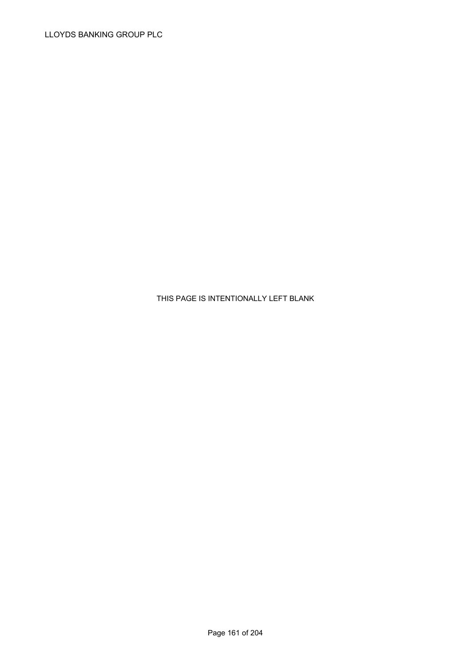THIS PAGE IS INTENTIONALLY LEFT BLANK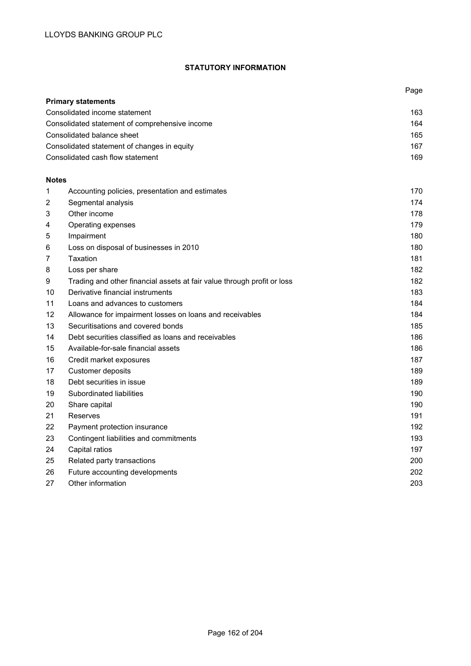# **STATUTORY INFORMATION**

|              |                                                                         | Page |
|--------------|-------------------------------------------------------------------------|------|
|              | <b>Primary statements</b>                                               |      |
|              | Consolidated income statement                                           | 163  |
|              | Consolidated statement of comprehensive income                          | 164  |
|              | Consolidated balance sheet                                              | 165  |
|              | Consolidated statement of changes in equity                             | 167  |
|              | Consolidated cash flow statement                                        | 169  |
| <b>Notes</b> |                                                                         |      |
| 1            | Accounting policies, presentation and estimates                         | 170  |
| 2            | Segmental analysis                                                      | 174  |
| 3            | Other income                                                            | 178  |
| 4            | Operating expenses                                                      | 179  |
| 5            | Impairment                                                              | 180  |
| 6            | Loss on disposal of businesses in 2010                                  | 180  |
| 7            | Taxation                                                                | 181  |
| 8            | Loss per share                                                          | 182  |
| 9            | Trading and other financial assets at fair value through profit or loss | 182  |
| 10           | Derivative financial instruments                                        | 183  |
| 11           | Loans and advances to customers                                         | 184  |
| 12           | Allowance for impairment losses on loans and receivables                | 184  |
| 13           | Securitisations and covered bonds                                       | 185  |
| 14           | Debt securities classified as loans and receivables                     | 186  |
| 15           | Available-for-sale financial assets                                     | 186  |
| 16           | Credit market exposures                                                 | 187  |
| 17           | <b>Customer deposits</b>                                                | 189  |
| 18           | Debt securities in issue                                                | 189  |
| 19           | Subordinated liabilities                                                | 190  |
| 20           | Share capital                                                           | 190  |
| 21           | Reserves                                                                | 191  |
| 22           | Payment protection insurance                                            | 192  |
| 23           | Contingent liabilities and commitments                                  | 193  |
| 24           | Capital ratios                                                          | 197  |
| 25           | Related party transactions                                              | 200  |
| 26           | Future accounting developments                                          | 202  |
| 27           | Other information                                                       | 203  |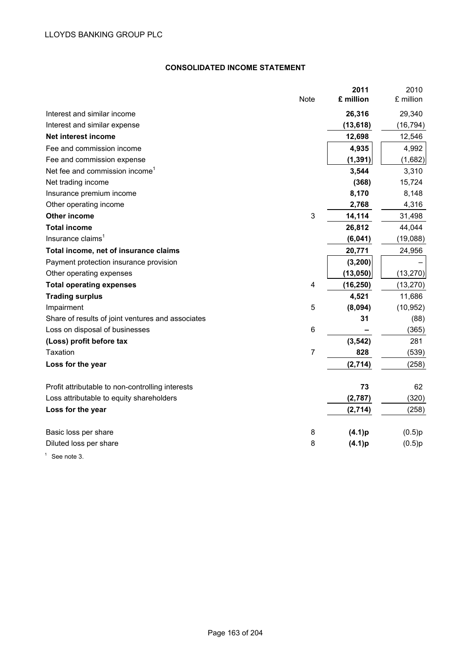# **CONSOLIDATED INCOME STATEMENT**

|                                                   |             | 2011      | 2010      |
|---------------------------------------------------|-------------|-----------|-----------|
|                                                   | <b>Note</b> | £ million | £ million |
| Interest and similar income                       |             | 26,316    | 29,340    |
| Interest and similar expense                      |             | (13, 618) | (16, 794) |
| Net interest income                               |             | 12,698    | 12,546    |
| Fee and commission income                         |             | 4,935     | 4,992     |
| Fee and commission expense                        |             | (1, 391)  | (1,682)   |
| Net fee and commission income <sup>1</sup>        |             | 3,544     | 3,310     |
| Net trading income                                |             | (368)     | 15,724    |
| Insurance premium income                          |             | 8,170     | 8,148     |
| Other operating income                            |             | 2,768     | 4,316     |
| <b>Other income</b>                               | 3           | 14,114    | 31,498    |
| <b>Total income</b>                               |             | 26,812    | 44,044    |
| Insurance claims <sup>1</sup>                     |             | (6,041)   | (19,088)  |
| Total income, net of insurance claims             |             | 20,771    | 24,956    |
| Payment protection insurance provision            |             | (3, 200)  |           |
| Other operating expenses                          |             | (13,050)  | (13, 270) |
| <b>Total operating expenses</b>                   | 4           | (16, 250) | (13, 270) |
| <b>Trading surplus</b>                            |             | 4,521     | 11,686    |
| Impairment                                        | 5           | (8,094)   | (10, 952) |
| Share of results of joint ventures and associates |             | 31        | (88)      |
| Loss on disposal of businesses                    | 6           |           | (365)     |
| (Loss) profit before tax                          |             | (3, 542)  | 281       |
| Taxation                                          | 7           | 828       | (539)     |
| Loss for the year                                 |             | (2,714)   | (258)     |
|                                                   |             |           |           |
| Profit attributable to non-controlling interests  |             | 73        | 62        |
| Loss attributable to equity shareholders          |             | (2,787)   | (320)     |
| Loss for the year                                 |             | (2,714)   | (258)     |
| Basic loss per share                              | 8           | (4.1)p    | (0.5)p    |
| Diluted loss per share                            | 8           | (4.1)p    | (0.5)p    |
|                                                   |             |           |           |

 $1$  See note 3.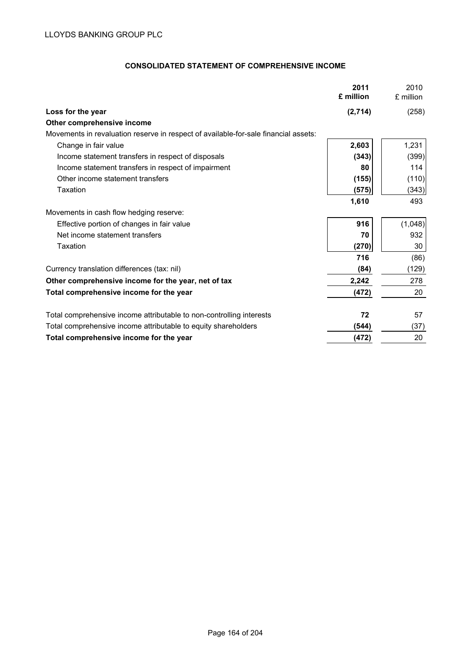| <b>CONSOLIDATED STATEMENT OF COMPREHENSIVE INCOME</b> |  |
|-------------------------------------------------------|--|
|-------------------------------------------------------|--|

|                                                                                     | 2011<br>£ million | 2010<br>£ million |
|-------------------------------------------------------------------------------------|-------------------|-------------------|
| Loss for the year                                                                   | (2,714)           | (258)             |
| Other comprehensive income                                                          |                   |                   |
| Movements in revaluation reserve in respect of available-for-sale financial assets: |                   |                   |
| Change in fair value                                                                | 2,603             | 1,231             |
| Income statement transfers in respect of disposals                                  | (343)             | (399)             |
| Income statement transfers in respect of impairment                                 | 80                | 114               |
| Other income statement transfers                                                    | (155)             | (110)             |
| Taxation                                                                            | (575)             | (343)             |
|                                                                                     | 1,610             | 493               |
| Movements in cash flow hedging reserve:                                             |                   |                   |
| Effective portion of changes in fair value                                          | 916               | (1,048)           |
| Net income statement transfers                                                      | 70                | 932               |
| Taxation                                                                            | (270)             | 30                |
|                                                                                     | 716               | (86)              |
| Currency translation differences (tax: nil)                                         | (84)              | (129)             |
| Other comprehensive income for the year, net of tax                                 | 2,242             | 278               |
| Total comprehensive income for the year                                             | (472)             | 20                |
| Total comprehensive income attributable to non-controlling interests                | 72                | 57                |
| Total comprehensive income attributable to equity shareholders                      | (544)             | (37)              |
| Total comprehensive income for the year                                             | (472)             | 20                |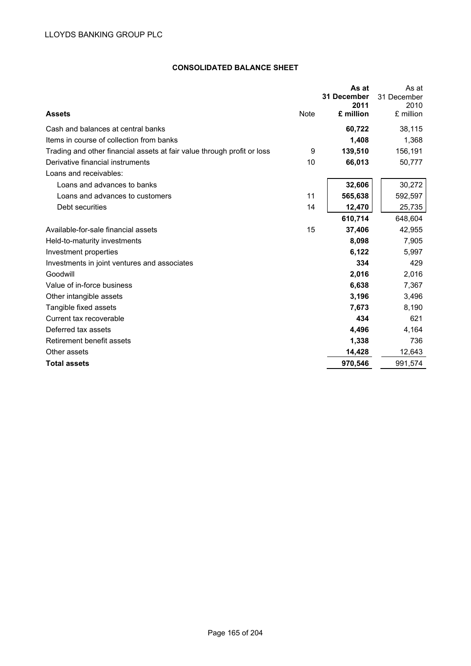# **CONSOLIDATED BALANCE SHEET**

|                                                                         |             | As at<br>31 December | As at<br>31 December |
|-------------------------------------------------------------------------|-------------|----------------------|----------------------|
| <b>Assets</b>                                                           | <b>Note</b> | 2011<br>£ million    | 2010<br>£ million    |
|                                                                         |             |                      |                      |
| Cash and balances at central banks                                      |             | 60,722               | 38,115               |
| Items in course of collection from banks                                |             | 1,408                | 1,368                |
| Trading and other financial assets at fair value through profit or loss | 9           | 139,510              | 156,191              |
| Derivative financial instruments                                        | 10          | 66,013               | 50,777               |
| Loans and receivables:                                                  |             |                      |                      |
| Loans and advances to banks                                             |             | 32,606               | 30,272               |
| Loans and advances to customers                                         | 11          | 565,638              | 592,597              |
| Debt securities                                                         | 14          | 12,470               | 25,735               |
|                                                                         |             | 610,714              | 648,604              |
| Available-for-sale financial assets                                     | 15          | 37,406               | 42,955               |
| Held-to-maturity investments                                            |             | 8,098                | 7,905                |
| Investment properties                                                   |             | 6,122                | 5,997                |
| Investments in joint ventures and associates                            |             | 334                  | 429                  |
| Goodwill                                                                |             | 2,016                | 2,016                |
| Value of in-force business                                              |             | 6,638                | 7,367                |
| Other intangible assets                                                 |             | 3,196                | 3,496                |
| Tangible fixed assets                                                   |             | 7,673                | 8,190                |
| Current tax recoverable                                                 |             | 434                  | 621                  |
| Deferred tax assets                                                     |             | 4,496                | 4,164                |
| Retirement benefit assets                                               |             | 1,338                | 736                  |
| Other assets                                                            |             | 14,428               | 12,643               |
| <b>Total assets</b>                                                     |             | 970,546              | 991,574              |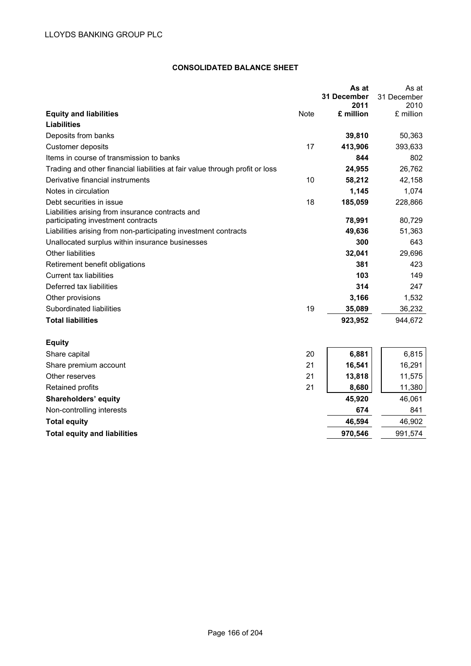# **CONSOLIDATED BALANCE SHEET**

|                                                                              |      | As at               | As at               |
|------------------------------------------------------------------------------|------|---------------------|---------------------|
|                                                                              |      | 31 December<br>2011 | 31 December<br>2010 |
| <b>Equity and liabilities</b>                                                | Note | £ million           | £ million           |
| <b>Liabilities</b>                                                           |      |                     |                     |
| Deposits from banks                                                          |      | 39,810              | 50,363              |
| <b>Customer deposits</b>                                                     | 17   | 413,906             | 393,633             |
| Items in course of transmission to banks                                     |      | 844                 | 802                 |
| Trading and other financial liabilities at fair value through profit or loss |      | 24,955              | 26,762              |
| Derivative financial instruments                                             | 10   | 58,212              | 42,158              |
| Notes in circulation                                                         |      | 1,145               | 1,074               |
| Debt securities in issue                                                     | 18   | 185,059             | 228,866             |
| Liabilities arising from insurance contracts and                             |      |                     |                     |
| participating investment contracts                                           |      | 78,991              | 80,729              |
| Liabilities arising from non-participating investment contracts              |      | 49,636              | 51,363              |
| Unallocated surplus within insurance businesses                              |      | 300                 | 643                 |
| <b>Other liabilities</b>                                                     |      | 32,041              | 29,696              |
| Retirement benefit obligations                                               |      | 381                 | 423                 |
| <b>Current tax liabilities</b>                                               |      | 103                 | 149                 |
| Deferred tax liabilities                                                     |      | 314                 | 247                 |
| Other provisions                                                             |      | 3,166               | 1,532               |
| Subordinated liabilities                                                     | 19   | 35,089              | 36,232              |
| <b>Total liabilities</b>                                                     |      | 923,952             | 944,672             |
| <b>Equity</b>                                                                |      |                     |                     |
| Share capital                                                                | 20   | 6,881               | 6,815               |
| Share premium account                                                        | 21   | 16,541              | 16,291              |
| Other reserves                                                               | 21   | 13,818              | 11,575              |
| Retained profits                                                             | 21   | 8,680               | 11,380              |
| <b>Shareholders' equity</b>                                                  |      | 45,920              | 46,061              |
| Non-controlling interests                                                    |      | 674                 | 841                 |
| <b>Total equity</b>                                                          |      | 46,594              | 46,902              |
| <b>Total equity and liabilities</b>                                          |      | 970,546             | 991,574             |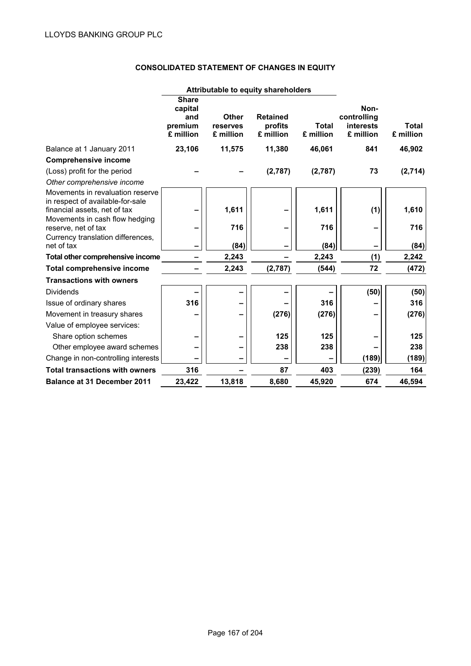# **CONSOLIDATED STATEMENT OF CHANGES IN EQUITY**

|                                                                                                                                                               |                                                        | Attributable to equity shareholders |                                         |                           |                                               |                           |
|---------------------------------------------------------------------------------------------------------------------------------------------------------------|--------------------------------------------------------|-------------------------------------|-----------------------------------------|---------------------------|-----------------------------------------------|---------------------------|
|                                                                                                                                                               | <b>Share</b><br>capital<br>and<br>premium<br>£ million | Other<br>reserves<br>£ million      | <b>Retained</b><br>profits<br>£ million | <b>Total</b><br>£ million | Non-<br>controlling<br>interests<br>£ million | <b>Total</b><br>£ million |
| Balance at 1 January 2011                                                                                                                                     | 23,106                                                 | 11,575                              | 11,380                                  | 46,061                    | 841                                           | 46,902                    |
| <b>Comprehensive income</b>                                                                                                                                   |                                                        |                                     |                                         |                           |                                               |                           |
| (Loss) profit for the period<br>Other comprehensive income                                                                                                    |                                                        |                                     | (2,787)                                 | (2,787)                   | 73                                            | (2,714)                   |
| Movements in revaluation reserve<br>in respect of available-for-sale<br>financial assets, net of tax<br>Movements in cash flow hedging<br>reserve, net of tax |                                                        | 1,611<br>716                        |                                         | 1,611<br>716              | (1)                                           | 1,610<br>716              |
| Currency translation differences,<br>net of tax                                                                                                               |                                                        | (84)                                |                                         | (84)                      |                                               | (84)                      |
| Total other comprehensive income                                                                                                                              |                                                        | 2,243                               |                                         | 2,243                     | (1)                                           | 2,242                     |
| <b>Total comprehensive income</b>                                                                                                                             |                                                        | 2,243                               | (2,787)                                 | (544)                     | 72                                            | (472)                     |
| <b>Transactions with owners</b>                                                                                                                               |                                                        |                                     |                                         |                           |                                               |                           |
| <b>Dividends</b>                                                                                                                                              |                                                        |                                     |                                         |                           | (50)                                          | (50)                      |
| Issue of ordinary shares                                                                                                                                      | 316                                                    |                                     |                                         | 316                       |                                               | 316                       |
| Movement in treasury shares                                                                                                                                   |                                                        |                                     | (276)                                   | (276)                     |                                               | (276)                     |
| Value of employee services:                                                                                                                                   |                                                        |                                     |                                         |                           |                                               |                           |
| Share option schemes                                                                                                                                          |                                                        |                                     | 125                                     | 125                       |                                               | 125                       |
| Other employee award schemes                                                                                                                                  |                                                        |                                     | 238                                     | 238                       |                                               | 238                       |
| Change in non-controlling interests                                                                                                                           |                                                        |                                     |                                         |                           | (189)                                         | (189)                     |
| <b>Total transactions with owners</b>                                                                                                                         | 316                                                    |                                     | 87                                      | 403                       | (239)                                         | 164                       |
| <b>Balance at 31 December 2011</b>                                                                                                                            | 23,422                                                 | 13,818                              | 8,680                                   | 45,920                    | 674                                           | 46,594                    |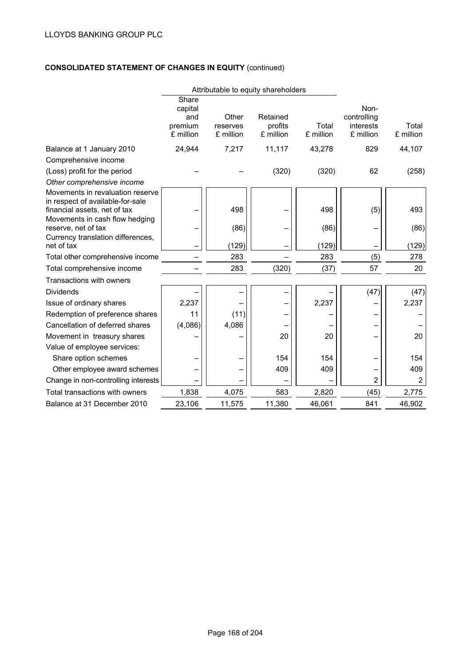# **CONSOLIDATED STATEMENT OF CHANGES IN EQUITY** (continued)

|                                                                  |                                                 | Attributable to equity shareholders |                                  |                    |                                               |                    |
|------------------------------------------------------------------|-------------------------------------------------|-------------------------------------|----------------------------------|--------------------|-----------------------------------------------|--------------------|
|                                                                  | Share<br>capital<br>and<br>premium<br>£ million | Other<br>reserves<br>£ million      | Retained<br>profits<br>£ million | Total<br>£ million | Non-<br>controlling<br>interests<br>£ million | Total<br>£ million |
| Balance at 1 January 2010                                        | 24,944                                          | 7,217                               | 11,117                           | 43,278             | 829                                           | 44,107             |
| Comprehensive income                                             |                                                 |                                     |                                  |                    |                                               |                    |
| (Loss) profit for the period                                     |                                                 |                                     | (320)                            | (320)              | 62                                            | (258)              |
| Other comprehensive income                                       |                                                 |                                     |                                  |                    |                                               |                    |
| Movements in revaluation reserve                                 |                                                 |                                     |                                  |                    |                                               |                    |
| in respect of available-for-sale<br>financial assets, net of tax |                                                 | 498                                 |                                  | 498                | (5)                                           | 493                |
| Movements in cash flow hedging                                   |                                                 |                                     |                                  |                    |                                               |                    |
| reserve, net of tax                                              |                                                 | (86)                                |                                  | (86)               |                                               | (86)               |
| Currency translation differences,<br>net of tax                  |                                                 | (129)                               |                                  | (129)              |                                               | (129)              |
| Total other comprehensive income                                 |                                                 | 283                                 |                                  | 283                | (5)                                           | 278                |
| Total comprehensive income                                       |                                                 | 283                                 | (320)                            | (37)               | 57                                            | 20                 |
| Transactions with owners                                         |                                                 |                                     |                                  |                    |                                               |                    |
| <b>Dividends</b>                                                 |                                                 |                                     |                                  |                    | (47)                                          | (47)               |
| Issue of ordinary shares                                         | 2,237                                           |                                     |                                  | 2,237              |                                               | 2,237              |
| Redemption of preference shares                                  | 11                                              | (11)                                |                                  |                    |                                               |                    |
| Cancellation of deferred shares                                  | (4,086)                                         | 4,086                               |                                  |                    |                                               |                    |
| Movement in treasury shares                                      |                                                 |                                     | 20                               | 20                 |                                               | 20                 |
| Value of employee services:                                      |                                                 |                                     |                                  |                    |                                               |                    |
| Share option schemes                                             |                                                 |                                     | 154                              | 154                |                                               | 154                |
| Other employee award schemes                                     |                                                 |                                     | 409                              | 409                |                                               | 409                |
| Change in non-controlling interests                              |                                                 |                                     |                                  |                    | 2                                             | $\overline{2}$     |
| Total transactions with owners                                   | 1,838                                           | 4,075                               | 583                              | 2,820              | (45)                                          | 2,775              |
| Balance at 31 December 2010                                      | 23,106                                          | 11,575                              | 11,380                           | 46,061             | 841                                           | 46,902             |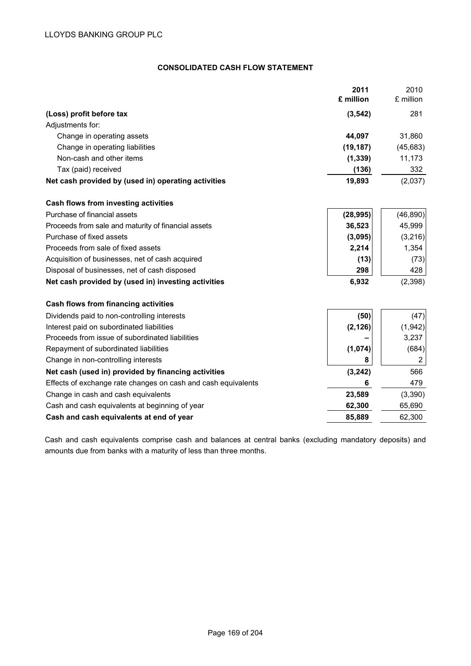# **CONSOLIDATED CASH FLOW STATEMENT**

|                                                               | 2011      | 2010      |
|---------------------------------------------------------------|-----------|-----------|
|                                                               | £ million | £ million |
| (Loss) profit before tax                                      | (3, 542)  | 281       |
| Adjustments for:                                              |           |           |
| Change in operating assets                                    | 44,097    | 31,860    |
| Change in operating liabilities                               | (19, 187) | (45, 683) |
| Non-cash and other items                                      | (1, 339)  | 11,173    |
| Tax (paid) received                                           | (136)     | 332       |
| Net cash provided by (used in) operating activities           | 19,893    | (2,037)   |
| Cash flows from investing activities                          |           |           |
| Purchase of financial assets                                  | (28, 995) | (46, 890) |
| Proceeds from sale and maturity of financial assets           | 36,523    | 45,999    |
| Purchase of fixed assets                                      | (3,095)   | (3,216)   |
| Proceeds from sale of fixed assets                            | 2,214     | 1,354     |
| Acquisition of businesses, net of cash acquired               | (13)      | (73)      |
| Disposal of businesses, net of cash disposed                  | 298       | 428       |
| Net cash provided by (used in) investing activities           | 6,932     | (2,398)   |
| <b>Cash flows from financing activities</b>                   |           |           |
| Dividends paid to non-controlling interests                   | (50)      | (47)      |
| Interest paid on subordinated liabilities                     | (2, 126)  | (1,942)   |
| Proceeds from issue of subordinated liabilities               |           | 3,237     |
| Repayment of subordinated liabilities                         | (1,074)   | (684)     |
| Change in non-controlling interests                           | 8         | 2         |
| Net cash (used in) provided by financing activities           | (3, 242)  | 566       |
| Effects of exchange rate changes on cash and cash equivalents | 6         | 479       |
| Change in cash and cash equivalents                           | 23,589    | (3,390)   |
| Cash and cash equivalents at beginning of year                | 62,300    | 65,690    |
| Cash and cash equivalents at end of year                      | 85,889    | 62,300    |

Cash and cash equivalents comprise cash and balances at central banks (excluding mandatory deposits) and amounts due from banks with a maturity of less than three months.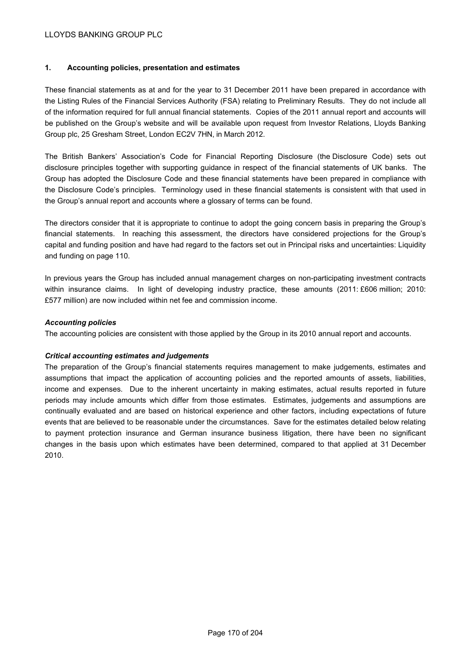# LLOYDS BANKING GROUP PLC

#### **1. Accounting policies, presentation and estimates**

These financial statements as at and for the year to 31 December 2011 have been prepared in accordance with the Listing Rules of the Financial Services Authority (FSA) relating to Preliminary Results. They do not include all of the information required for full annual financial statements. Copies of the 2011 annual report and accounts will be published on the Group's website and will be available upon request from Investor Relations, Lloyds Banking Group plc, 25 Gresham Street, London EC2V 7HN, in March 2012.

The British Bankers' Association's Code for Financial Reporting Disclosure (the Disclosure Code) sets out disclosure principles together with supporting guidance in respect of the financial statements of UK banks. The Group has adopted the Disclosure Code and these financial statements have been prepared in compliance with the Disclosure Code's principles. Terminology used in these financial statements is consistent with that used in the Group's annual report and accounts where a glossary of terms can be found.

The directors consider that it is appropriate to continue to adopt the going concern basis in preparing the Group's financial statements. In reaching this assessment, the directors have considered projections for the Group's capital and funding position and have had regard to the factors set out in Principal risks and uncertainties: Liquidity and funding on page 110.

In previous years the Group has included annual management charges on non-participating investment contracts within insurance claims. In light of developing industry practice, these amounts (2011: £606 million; 2010: £577 million) are now included within net fee and commission income.

# *Accounting policies*

The accounting policies are consistent with those applied by the Group in its 2010 annual report and accounts.

#### *Critical accounting estimates and judgements*

The preparation of the Group's financial statements requires management to make judgements, estimates and assumptions that impact the application of accounting policies and the reported amounts of assets, liabilities, income and expenses. Due to the inherent uncertainty in making estimates, actual results reported in future periods may include amounts which differ from those estimates. Estimates, judgements and assumptions are continually evaluated and are based on historical experience and other factors, including expectations of future events that are believed to be reasonable under the circumstances. Save for the estimates detailed below relating to payment protection insurance and German insurance business litigation, there have been no significant changes in the basis upon which estimates have been determined, compared to that applied at 31 December 2010.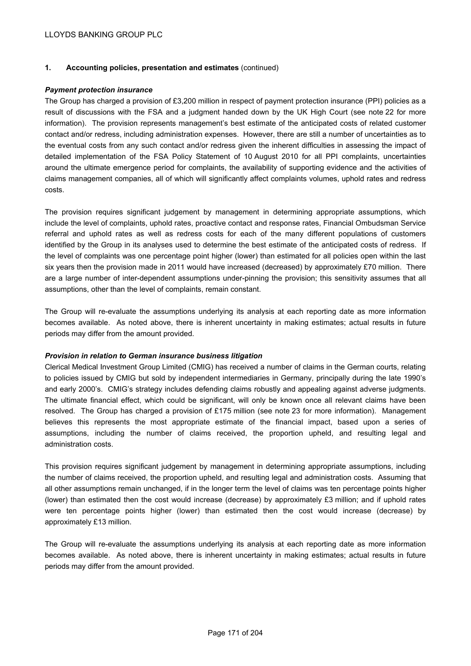# **1. Accounting policies, presentation and estimates** (continued)

# *Payment protection insurance*

The Group has charged a provision of £3,200 million in respect of payment protection insurance (PPI) policies as a result of discussions with the FSA and a judgment handed down by the UK High Court (see note 22 for more information). The provision represents management's best estimate of the anticipated costs of related customer contact and/or redress, including administration expenses. However, there are still a number of uncertainties as to the eventual costs from any such contact and/or redress given the inherent difficulties in assessing the impact of detailed implementation of the FSA Policy Statement of 10 August 2010 for all PPI complaints, uncertainties around the ultimate emergence period for complaints, the availability of supporting evidence and the activities of claims management companies, all of which will significantly affect complaints volumes, uphold rates and redress costs.

The provision requires significant judgement by management in determining appropriate assumptions, which include the level of complaints, uphold rates, proactive contact and response rates, Financial Ombudsman Service referral and uphold rates as well as redress costs for each of the many different populations of customers identified by the Group in its analyses used to determine the best estimate of the anticipated costs of redress. If the level of complaints was one percentage point higher (lower) than estimated for all policies open within the last six years then the provision made in 2011 would have increased (decreased) by approximately £70 million. There are a large number of inter-dependent assumptions under-pinning the provision; this sensitivity assumes that all assumptions, other than the level of complaints, remain constant.

The Group will re-evaluate the assumptions underlying its analysis at each reporting date as more information becomes available. As noted above, there is inherent uncertainty in making estimates; actual results in future periods may differ from the amount provided.

#### *Provision in relation to German insurance business litigation*

Clerical Medical Investment Group Limited (CMIG) has received a number of claims in the German courts, relating to policies issued by CMIG but sold by independent intermediaries in Germany, principally during the late 1990's and early 2000's. CMIG's strategy includes defending claims robustly and appealing against adverse judgments. The ultimate financial effect, which could be significant, will only be known once all relevant claims have been resolved. The Group has charged a provision of £175 million (see note 23 for more information). Management believes this represents the most appropriate estimate of the financial impact, based upon a series of assumptions, including the number of claims received, the proportion upheld, and resulting legal and administration costs.

This provision requires significant judgement by management in determining appropriate assumptions, including the number of claims received, the proportion upheld, and resulting legal and administration costs. Assuming that all other assumptions remain unchanged, if in the longer term the level of claims was ten percentage points higher (lower) than estimated then the cost would increase (decrease) by approximately £3 million; and if uphold rates were ten percentage points higher (lower) than estimated then the cost would increase (decrease) by approximately £13 million.

The Group will re-evaluate the assumptions underlying its analysis at each reporting date as more information becomes available. As noted above, there is inherent uncertainty in making estimates; actual results in future periods may differ from the amount provided.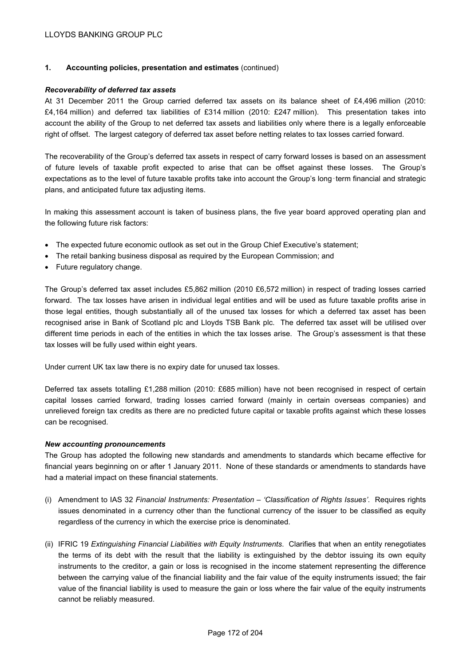# **1. Accounting policies, presentation and estimates** (continued)

# *Recoverability of deferred tax assets*

At 31 December 2011 the Group carried deferred tax assets on its balance sheet of £4,496 million (2010: £4,164 million) and deferred tax liabilities of £314 million (2010: £247 million). This presentation takes into account the ability of the Group to net deferred tax assets and liabilities only where there is a legally enforceable right of offset. The largest category of deferred tax asset before netting relates to tax losses carried forward.

The recoverability of the Group's deferred tax assets in respect of carry forward losses is based on an assessment of future levels of taxable profit expected to arise that can be offset against these losses. The Group's expectations as to the level of future taxable profits take into account the Group's long-term financial and strategic plans, and anticipated future tax adjusting items.

In making this assessment account is taken of business plans, the five year board approved operating plan and the following future risk factors:

- The expected future economic outlook as set out in the Group Chief Executive's statement;
- The retail banking business disposal as required by the European Commission; and
- Future regulatory change.

The Group's deferred tax asset includes £5,862 million (2010 £6,572 million) in respect of trading losses carried forward. The tax losses have arisen in individual legal entities and will be used as future taxable profits arise in those legal entities, though substantially all of the unused tax losses for which a deferred tax asset has been recognised arise in Bank of Scotland plc and Lloyds TSB Bank plc. The deferred tax asset will be utilised over different time periods in each of the entities in which the tax losses arise. The Group's assessment is that these tax losses will be fully used within eight years.

Under current UK tax law there is no expiry date for unused tax losses.

Deferred tax assets totalling £1,288 million (2010: £685 million) have not been recognised in respect of certain capital losses carried forward, trading losses carried forward (mainly in certain overseas companies) and unrelieved foreign tax credits as there are no predicted future capital or taxable profits against which these losses can be recognised.

#### *New accounting pronouncements*

The Group has adopted the following new standards and amendments to standards which became effective for financial years beginning on or after 1 January 2011. None of these standards or amendments to standards have had a material impact on these financial statements.

- (i) Amendment to IAS 32 *Financial Instruments: Presentation 'Classification of Rights Issues'*. Requires rights issues denominated in a currency other than the functional currency of the issuer to be classified as equity regardless of the currency in which the exercise price is denominated.
- (ii) IFRIC 19 *Extinguishing Financial Liabilities with Equity Instruments*. Clarifies that when an entity renegotiates the terms of its debt with the result that the liability is extinguished by the debtor issuing its own equity instruments to the creditor, a gain or loss is recognised in the income statement representing the difference between the carrying value of the financial liability and the fair value of the equity instruments issued; the fair value of the financial liability is used to measure the gain or loss where the fair value of the equity instruments cannot be reliably measured.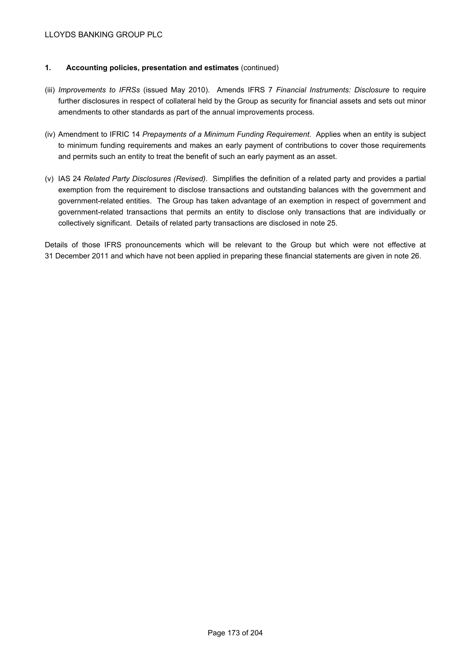# **1. Accounting policies, presentation and estimates** (continued)

- (iii) *Improvements to IFRSs* (issued May 2010). Amends IFRS 7 *Financial Instruments: Disclosure* to require further disclosures in respect of collateral held by the Group as security for financial assets and sets out minor amendments to other standards as part of the annual improvements process.
- (iv) Amendment to IFRIC 14 *Prepayments of a Minimum Funding Requirement*. Applies when an entity is subject to minimum funding requirements and makes an early payment of contributions to cover those requirements and permits such an entity to treat the benefit of such an early payment as an asset.
- (v) IAS 24 *Related Party Disclosures (Revised)*. Simplifies the definition of a related party and provides a partial exemption from the requirement to disclose transactions and outstanding balances with the government and government-related entities. The Group has taken advantage of an exemption in respect of government and government-related transactions that permits an entity to disclose only transactions that are individually or collectively significant. Details of related party transactions are disclosed in note 25.

Details of those IFRS pronouncements which will be relevant to the Group but which were not effective at 31 December 2011 and which have not been applied in preparing these financial statements are given in note 26.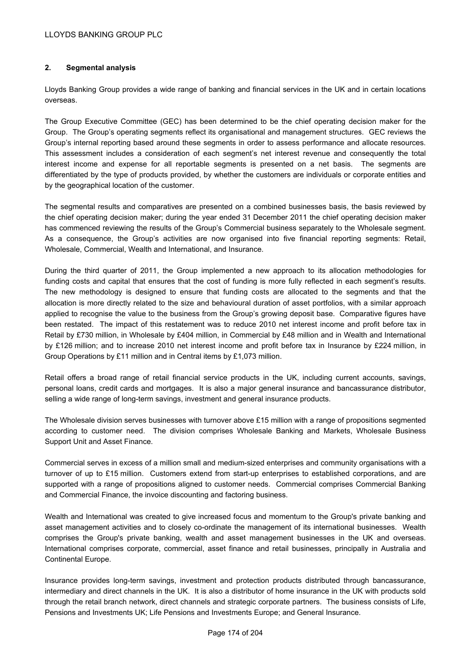# **2. Segmental analysis**

Lloyds Banking Group provides a wide range of banking and financial services in the UK and in certain locations overseas.

The Group Executive Committee (GEC) has been determined to be the chief operating decision maker for the Group. The Group's operating segments reflect its organisational and management structures. GEC reviews the Group's internal reporting based around these segments in order to assess performance and allocate resources. This assessment includes a consideration of each segment's net interest revenue and consequently the total interest income and expense for all reportable segments is presented on a net basis. The segments are differentiated by the type of products provided, by whether the customers are individuals or corporate entities and by the geographical location of the customer.

The segmental results and comparatives are presented on a combined businesses basis, the basis reviewed by the chief operating decision maker; during the year ended 31 December 2011 the chief operating decision maker has commenced reviewing the results of the Group's Commercial business separately to the Wholesale segment. As a consequence, the Group's activities are now organised into five financial reporting segments: Retail, Wholesale, Commercial, Wealth and International, and Insurance.

During the third quarter of 2011, the Group implemented a new approach to its allocation methodologies for funding costs and capital that ensures that the cost of funding is more fully reflected in each segment's results. The new methodology is designed to ensure that funding costs are allocated to the segments and that the allocation is more directly related to the size and behavioural duration of asset portfolios, with a similar approach applied to recognise the value to the business from the Group's growing deposit base. Comparative figures have been restated. The impact of this restatement was to reduce 2010 net interest income and profit before tax in Retail by £730 million, in Wholesale by £404 million, in Commercial by £48 million and in Wealth and International by £126 million; and to increase 2010 net interest income and profit before tax in Insurance by £224 million, in Group Operations by £11 million and in Central items by £1,073 million.

Retail offers a broad range of retail financial service products in the UK, including current accounts, savings, personal loans, credit cards and mortgages. It is also a major general insurance and bancassurance distributor, selling a wide range of long-term savings, investment and general insurance products.

The Wholesale division serves businesses with turnover above £15 million with a range of propositions segmented according to customer need. The division comprises Wholesale Banking and Markets, Wholesale Business Support Unit and Asset Finance.

Commercial serves in excess of a million small and medium-sized enterprises and community organisations with a turnover of up to £15 million. Customers extend from start-up enterprises to established corporations, and are supported with a range of propositions aligned to customer needs. Commercial comprises Commercial Banking and Commercial Finance, the invoice discounting and factoring business.

Wealth and International was created to give increased focus and momentum to the Group's private banking and asset management activities and to closely co-ordinate the management of its international businesses. Wealth comprises the Group's private banking, wealth and asset management businesses in the UK and overseas. International comprises corporate, commercial, asset finance and retail businesses, principally in Australia and Continental Europe.

Insurance provides long-term savings, investment and protection products distributed through bancassurance, intermediary and direct channels in the UK. It is also a distributor of home insurance in the UK with products sold through the retail branch network, direct channels and strategic corporate partners. The business consists of Life, Pensions and Investments UK; Life Pensions and Investments Europe; and General Insurance.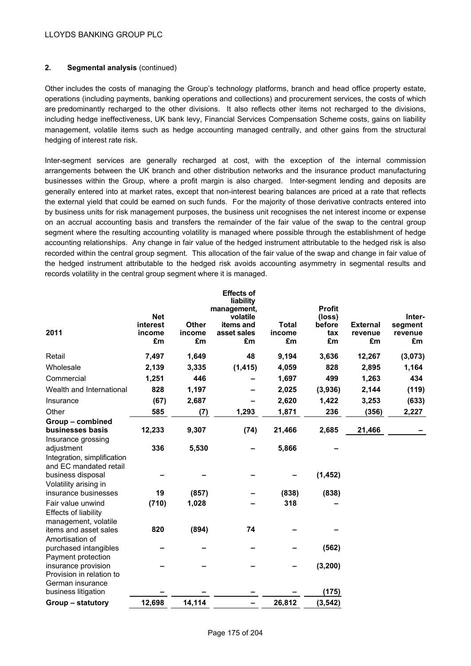# **2. Segmental analysis** (continued)

Other includes the costs of managing the Group's technology platforms, branch and head office property estate, operations (including payments, banking operations and collections) and procurement services, the costs of which are predominantly recharged to the other divisions. It also reflects other items not recharged to the divisions, including hedge ineffectiveness, UK bank levy, Financial Services Compensation Scheme costs, gains on liability management, volatile items such as hedge accounting managed centrally, and other gains from the structural hedging of interest rate risk.

Inter-segment services are generally recharged at cost, with the exception of the internal commission arrangements between the UK branch and other distribution networks and the insurance product manufacturing businesses within the Group, where a profit margin is also charged. Inter-segment lending and deposits are generally entered into at market rates, except that non-interest bearing balances are priced at a rate that reflects the external yield that could be earned on such funds. For the majority of those derivative contracts entered into by business units for risk management purposes, the business unit recognises the net interest income or expense on an accrual accounting basis and transfers the remainder of the fair value of the swap to the central group segment where the resulting accounting volatility is managed where possible through the establishment of hedge accounting relationships. Any change in fair value of the hedged instrument attributable to the hedged risk is also recorded within the central group segment. This allocation of the fair value of the swap and change in fair value of the hedged instrument attributable to the hedged risk avoids accounting asymmetry in segmental results and records volatility in the central group segment where it is managed.

|                                                                          | <b>Net</b>               |                              | <b>Effects of</b><br>liability<br>management,<br>volatile |                              | <b>Profit</b>                 |                                  | Inter-                   |
|--------------------------------------------------------------------------|--------------------------|------------------------------|-----------------------------------------------------------|------------------------------|-------------------------------|----------------------------------|--------------------------|
| 2011                                                                     | interest<br>income<br>£m | <b>Other</b><br>income<br>£m | items and<br>asset sales<br>£m                            | <b>Total</b><br>income<br>£m | (loss)<br>before<br>tax<br>£m | <b>External</b><br>revenue<br>£m | segment<br>revenue<br>£m |
| Retail                                                                   | 7,497                    | 1,649                        | 48                                                        | 9,194                        | 3,636                         | 12,267                           | (3,073)                  |
| Wholesale                                                                | 2,139                    | 3,335                        | (1, 415)                                                  | 4,059                        | 828                           | 2,895                            | 1,164                    |
| Commercial                                                               | 1,251                    | 446                          |                                                           | 1,697                        | 499                           | 1,263                            | 434                      |
| Wealth and International                                                 | 828                      | 1,197                        |                                                           | 2,025                        | (3,936)                       | 2,144                            | (119)                    |
| Insurance                                                                | (67)                     | 2,687                        |                                                           | 2,620                        | 1,422                         | 3,253                            | (633)                    |
| Other                                                                    | 585                      | (7)                          | 1,293                                                     | 1,871                        | 236                           | (356)                            | 2,227                    |
| Group – combined<br>businesses basis<br>Insurance grossing               | 12,233                   | 9,307                        | (74)                                                      | 21,466                       | 2,685                         | 21,466                           |                          |
| adjustment<br>Integration, simplification<br>and EC mandated retail      | 336                      | 5,530                        |                                                           | 5,866                        |                               |                                  |                          |
| business disposal<br>Volatility arising in                               |                          |                              |                                                           |                              | (1, 452)                      |                                  |                          |
| insurance businesses                                                     | 19                       | (857)                        |                                                           | (838)                        | (838)                         |                                  |                          |
| Fair value unwind<br><b>Effects of liability</b><br>management, volatile | (710)                    | 1,028                        |                                                           | 318                          |                               |                                  |                          |
| items and asset sales<br>Amortisation of                                 | 820                      | (894)                        | 74                                                        |                              |                               |                                  |                          |
| purchased intangibles<br>Payment protection                              |                          |                              |                                                           |                              | (562)                         |                                  |                          |
| insurance provision<br>Provision in relation to<br>German insurance      |                          |                              |                                                           |                              | (3, 200)                      |                                  |                          |
| business litigation                                                      |                          |                              |                                                           |                              | (175)                         |                                  |                          |
| Group - statutory                                                        | 12,698                   | 14,114                       |                                                           | 26,812                       | (3, 542)                      |                                  |                          |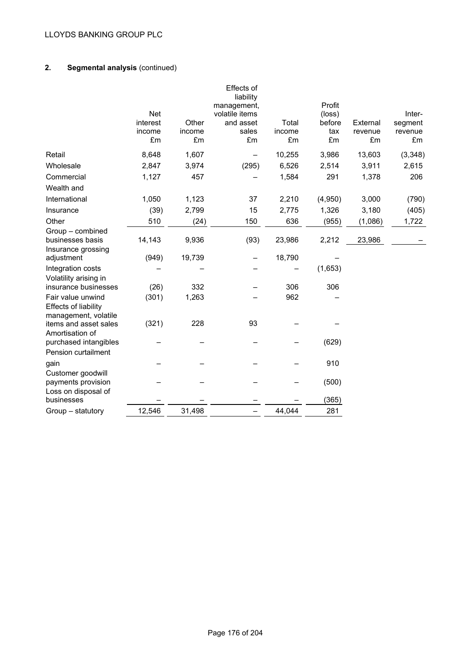# **2. Segmental analysis** (continued)

|                                                                   |              |              | Effects of<br>liability<br>management, |              | Profit    |               |               |
|-------------------------------------------------------------------|--------------|--------------|----------------------------------------|--------------|-----------|---------------|---------------|
|                                                                   | <b>Net</b>   |              | volatile items                         |              | (loss)    |               | Inter-        |
|                                                                   | interest     | Other        | and asset                              | Total        | before    | External      | segment       |
|                                                                   | income<br>£m | income<br>£m | sales<br>£m                            | income<br>£m | tax<br>£m | revenue<br>£m | revenue<br>£m |
| Retail                                                            | 8,648        | 1,607        |                                        | 10,255       | 3,986     | 13,603        | (3,348)       |
| Wholesale                                                         | 2,847        | 3,974        | (295)                                  | 6,526        | 2,514     | 3,911         | 2,615         |
| Commercial                                                        | 1,127        | 457          |                                        | 1,584        | 291       | 1,378         | 206           |
| Wealth and                                                        |              |              |                                        |              |           |               |               |
| International                                                     | 1,050        | 1,123        | 37                                     | 2,210        | (4,950)   | 3,000         | (790)         |
| Insurance                                                         | (39)         | 2,799        | 15                                     | 2,775        | 1,326     | 3,180         | (405)         |
| Other                                                             | 510          | (24)         | 150                                    | 636          | (955)     | (1,086)       | 1,722         |
| Group - combined                                                  |              |              |                                        |              |           |               |               |
| businesses basis                                                  | 14,143       | 9,936        | (93)                                   | 23,986       | 2,212     | 23,986        |               |
| Insurance grossing<br>adjustment                                  | (949)        | 19,739       |                                        | 18,790       |           |               |               |
| Integration costs                                                 |              |              |                                        |              | (1,653)   |               |               |
| Volatility arising in                                             |              |              |                                        |              |           |               |               |
| insurance businesses                                              | (26)         | 332          |                                        | 306          | 306       |               |               |
| Fair value unwind<br>Effects of liability<br>management, volatile | (301)        | 1,263        |                                        | 962          |           |               |               |
| items and asset sales<br>Amortisation of                          | (321)        | 228          | 93                                     |              |           |               |               |
| purchased intangibles                                             |              |              |                                        |              | (629)     |               |               |
| Pension curtailment                                               |              |              |                                        |              |           |               |               |
| gain<br>Customer goodwill                                         |              |              |                                        |              | 910       |               |               |
| payments provision<br>Loss on disposal of                         |              |              |                                        |              | (500)     |               |               |
| businesses                                                        |              |              |                                        |              | (365)     |               |               |
| Group - statutory                                                 | 12,546       | 31,498       |                                        | 44,044       | 281       |               |               |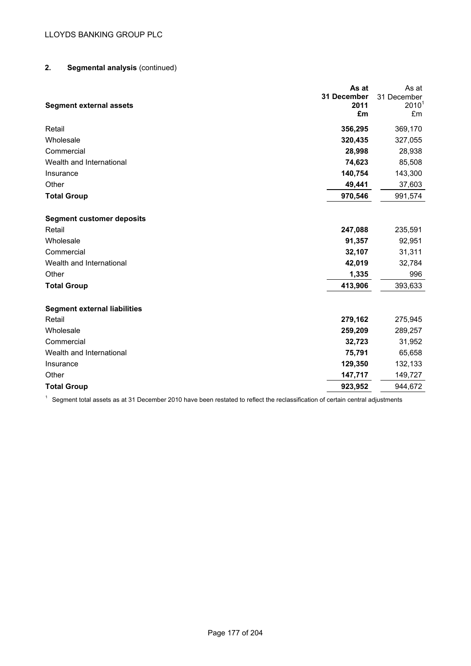# **2. Segmental analysis** (continued)

| <b>Segment external assets</b>      | As at<br>31 December<br>2011 | As at<br>31 December<br>$2010^1$ |
|-------------------------------------|------------------------------|----------------------------------|
|                                     | £m                           | £m                               |
| Retail                              | 356,295                      | 369,170                          |
| Wholesale                           | 320,435                      | 327,055                          |
| Commercial                          | 28,998                       | 28,938                           |
| Wealth and International            | 74,623                       | 85,508                           |
| Insurance                           | 140,754                      | 143,300                          |
| Other                               | 49,441                       | 37,603                           |
| <b>Total Group</b>                  | 970,546                      | 991,574                          |
|                                     |                              |                                  |
| <b>Segment customer deposits</b>    |                              |                                  |
| Retail                              | 247,088                      | 235,591                          |
| Wholesale                           | 91,357                       | 92,951                           |
| Commercial                          | 32,107                       | 31,311                           |
| Wealth and International            | 42,019                       | 32,784                           |
| Other                               | 1,335                        | 996                              |
| <b>Total Group</b>                  | 413,906                      | 393,633                          |
|                                     |                              |                                  |
| <b>Segment external liabilities</b> |                              |                                  |
| Retail                              | 279,162                      | 275,945                          |
| Wholesale                           | 259,209                      | 289,257                          |
| Commercial                          | 32,723                       | 31,952                           |
| Wealth and International            | 75,791                       | 65,658                           |
| Insurance                           | 129,350                      | 132,133                          |
| Other                               | 147,717                      | 149,727                          |
| <b>Total Group</b>                  | 923,952                      | 944,672                          |

<sup>1</sup> Segment total assets as at 31 December 2010 have been restated to reflect the reclassification of certain central adjustments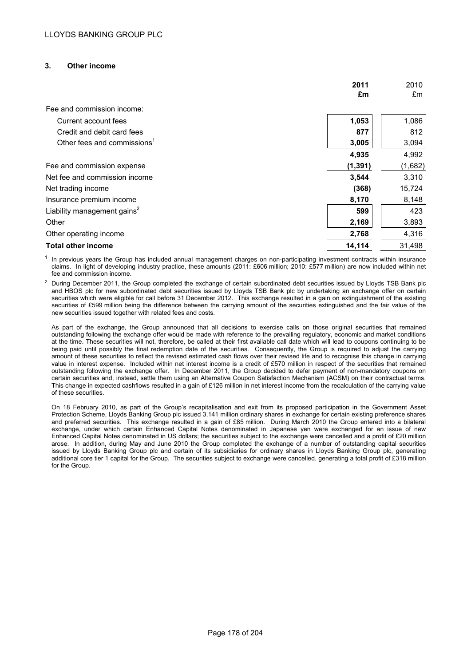## **3. Other income**

|                                         | 2011<br>£m | 2010<br>£m |
|-----------------------------------------|------------|------------|
| Fee and commission income:              |            |            |
| Current account fees                    | 1,053      | 1,086      |
| Credit and debit card fees              | 877        | 812        |
| Other fees and commissions <sup>1</sup> | 3,005      | 3,094      |
|                                         | 4,935      | 4,992      |
| Fee and commission expense              | (1, 391)   | (1,682)    |
| Net fee and commission income           | 3,544      | 3,310      |
| Net trading income                      | (368)      | 15,724     |
| Insurance premium income                | 8,170      | 8,148      |
| Liability management gains <sup>2</sup> | 599        | 423        |
| Other                                   | 2,169      | 3,893      |
| Other operating income                  | 2,768      | 4,316      |
| <b>Total other income</b>               | 14,114     | 31,498     |

 $<sup>1</sup>$  In previous years the Group has included annual management charges on non-participating investment contracts within insurance</sup> claims. In light of developing industry practice, these amounts (2011: £606 million; 2010: £577 million) are now included within net fee and commission income.

<sup>2</sup> During December 2011, the Group completed the exchange of certain subordinated debt securities issued by Lloyds TSB Bank plc and HBOS plc for new subordinated debt securities issued by Lloyds TSB Bank plc by undertaking an exchange offer on certain securities which were eligible for call before 31 December 2012. This exchange resulted in a gain on extinguishment of the existing securities of £599 million being the difference between the carrying amount of the securities extinguished and the fair value of the new securities issued together with related fees and costs.

As part of the exchange, the Group announced that all decisions to exercise calls on those original securities that remained outstanding following the exchange offer would be made with reference to the prevailing regulatory, economic and market conditions at the time. These securities will not, therefore, be called at their first available call date which will lead to coupons continuing to be being paid until possibly the final redemption date of the securities. Consequently, the Group is required to adjust the carrying amount of these securities to reflect the revised estimated cash flows over their revised life and to recognise this change in carrying value in interest expense. Included within net interest income is a credit of £570 million in respect of the securities that remained outstanding following the exchange offer. In December 2011, the Group decided to defer payment of non-mandatory coupons on certain securities and, instead, settle them using an Alternative Coupon Satisfaction Mechanism (ACSM) on their contractual terms. This change in expected cashflows resulted in a gain of £126 million in net interest income from the recalculation of the carrying value of these securities.

On 18 February 2010, as part of the Group's recapitalisation and exit from its proposed participation in the Government Asset Protection Scheme, Lloyds Banking Group plc issued 3,141 million ordinary shares in exchange for certain existing preference shares and preferred securities. This exchange resulted in a gain of £85 million. During March 2010 the Group entered into a bilateral exchange, under which certain Enhanced Capital Notes denominated in Japanese yen were exchanged for an issue of new Enhanced Capital Notes denominated in US dollars; the securities subject to the exchange were cancelled and a profit of £20 million arose. In addition, during May and June 2010 the Group completed the exchange of a number of outstanding capital securities issued by Lloyds Banking Group plc and certain of its subsidiaries for ordinary shares in Lloyds Banking Group plc, generating additional core tier 1 capital for the Group. The securities subject to exchange were cancelled, generating a total profit of £318 million for the Group.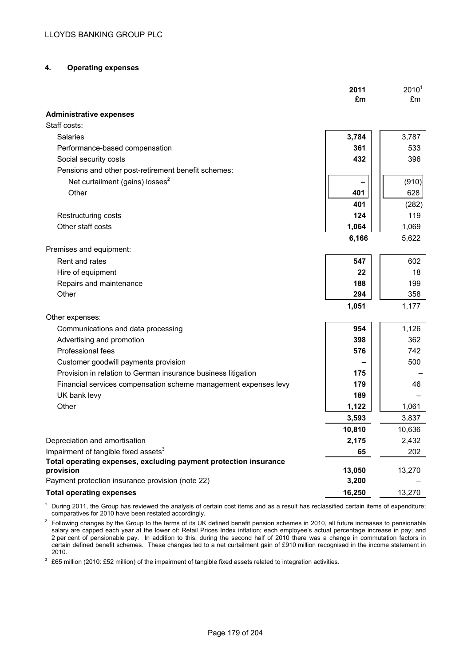## **4. Operating expenses**

|                                                                               | 2011   | $2010^{1}$ |
|-------------------------------------------------------------------------------|--------|------------|
|                                                                               | £m     | £m         |
| <b>Administrative expenses</b>                                                |        |            |
| Staff costs:                                                                  |        |            |
| Salaries                                                                      | 3,784  | 3,787      |
| Performance-based compensation                                                | 361    | 533        |
| Social security costs                                                         | 432    | 396        |
| Pensions and other post-retirement benefit schemes:                           |        |            |
| Net curtailment (gains) losses <sup>2</sup>                                   |        | (910)      |
| Other                                                                         | 401    | 628        |
|                                                                               | 401    | (282)      |
| Restructuring costs                                                           | 124    | 119        |
| Other staff costs                                                             | 1,064  | 1,069      |
|                                                                               | 6,166  | 5,622      |
| Premises and equipment:                                                       |        |            |
| Rent and rates                                                                | 547    | 602        |
| Hire of equipment                                                             | 22     | 18         |
| Repairs and maintenance                                                       | 188    | 199        |
| Other                                                                         | 294    | 358        |
|                                                                               | 1,051  | 1,177      |
| Other expenses:                                                               |        |            |
| Communications and data processing                                            | 954    | 1,126      |
| Advertising and promotion                                                     | 398    | 362        |
| Professional fees                                                             | 576    | 742        |
| Customer goodwill payments provision                                          |        | 500        |
| Provision in relation to German insurance business litigation                 | 175    |            |
| Financial services compensation scheme management expenses levy               | 179    | 46         |
| UK bank levy                                                                  | 189    |            |
| Other                                                                         | 1,122  | 1,061      |
|                                                                               | 3,593  | 3,837      |
|                                                                               | 10,810 | 10,636     |
| Depreciation and amortisation                                                 | 2,175  | 2,432      |
| Impairment of tangible fixed assets <sup>3</sup>                              | 65     | 202        |
| Total operating expenses, excluding payment protection insurance<br>provision | 13,050 | 13,270     |
| Payment protection insurance provision (note 22)                              | 3,200  |            |
| <b>Total operating expenses</b>                                               | 16,250 | 13,270     |
|                                                                               |        |            |

<sup>1</sup> During 2011, the Group has reviewed the analysis of certain cost items and as a result has reclassified certain items of expenditure; comparatives for 2010 have been restated accordingly.

<sup>2</sup> Following changes by the Group to the terms of its UK defined benefit pension schemes in 2010, all future increases to pensionable salary are capped each year at the lower of: Retail Prices Index inflation; each employee's actual percentage increase in pay; and 2 per cent of pensionable pay. In addition to this, during the second half of 2010 there was a change in commutation factors in certain defined benefit schemes. These changes led to a net curtailment gain of £910 million recognised in the income statement in 2010.

<sup>3</sup> £65 million (2010: £52 million) of the impairment of tangible fixed assets related to integration activities.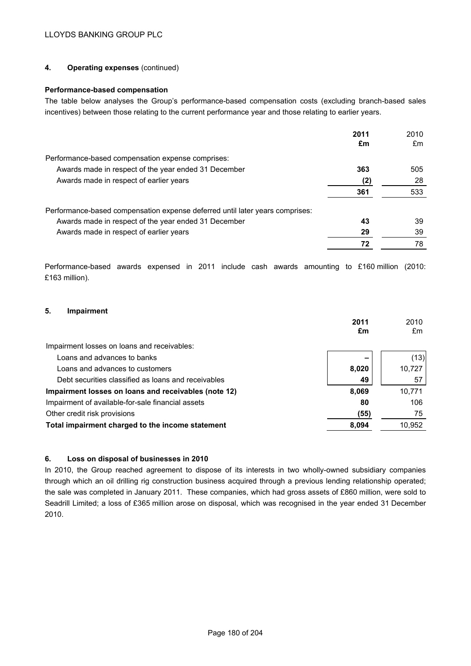# **4. Operating expenses** (continued)

## **Performance-based compensation**

The table below analyses the Group's performance-based compensation costs (excluding branch-based sales incentives) between those relating to the current performance year and those relating to earlier years.

|                                                                              | 2011 | 2010 |
|------------------------------------------------------------------------------|------|------|
|                                                                              | £m   | £m   |
| Performance-based compensation expense comprises:                            |      |      |
| Awards made in respect of the year ended 31 December                         | 363  | 505  |
| Awards made in respect of earlier years                                      | (2)  | 28   |
|                                                                              | 361  | 533  |
| Performance-based compensation expense deferred until later years comprises: |      |      |
| Awards made in respect of the year ended 31 December                         | 43   | 39   |
| Awards made in respect of earlier years                                      | 29   | 39   |
|                                                                              | 72   | 78   |

Performance-based awards expensed in 2011 include cash awards amounting to £160 million (2010: £163 million).

#### **5. Impairment**

|                                                      | 2011  | 2010   |
|------------------------------------------------------|-------|--------|
|                                                      | £m    | £m     |
| Impairment losses on loans and receivables:          |       |        |
| Loans and advances to banks                          |       | (13)   |
| Loans and advances to customers                      | 8,020 | 10,727 |
| Debt securities classified as loans and receivables  | 49    | 57     |
| Impairment losses on loans and receivables (note 12) | 8,069 | 10.771 |
| Impairment of available-for-sale financial assets    | 80    | 106    |
| Other credit risk provisions                         | (55)  | 75     |
| Total impairment charged to the income statement     | 8,094 | 10,952 |

## **6. Loss on disposal of businesses in 2010**

In 2010, the Group reached agreement to dispose of its interests in two wholly-owned subsidiary companies through which an oil drilling rig construction business acquired through a previous lending relationship operated; the sale was completed in January 2011. These companies, which had gross assets of £860 million, were sold to Seadrill Limited; a loss of £365 million arose on disposal, which was recognised in the year ended 31 December 2010.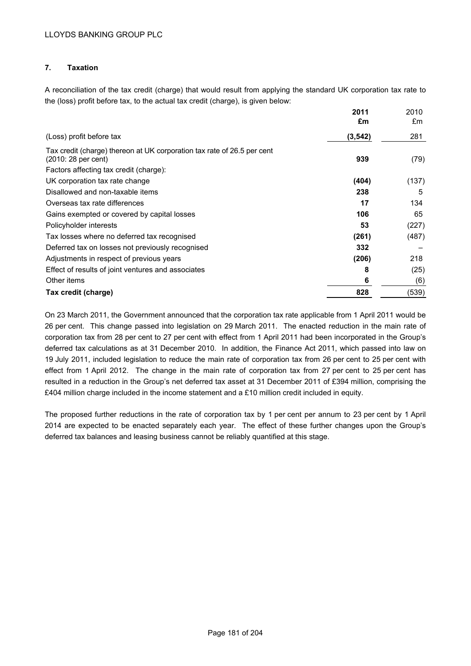# **7. Taxation**

A reconciliation of the tax credit (charge) that would result from applying the standard UK corporation tax rate to the (loss) profit before tax, to the actual tax credit (charge), is given below:

|                                                                                                | 2011<br>£m | 2010<br>£m |
|------------------------------------------------------------------------------------------------|------------|------------|
| (Loss) profit before tax                                                                       | (3, 542)   | 281        |
| Tax credit (charge) thereon at UK corporation tax rate of 26.5 per cent<br>(2010: 28 per cent) | 939        | (79)       |
| Factors affecting tax credit (charge):                                                         |            |            |
| UK corporation tax rate change                                                                 | (404)      | (137)      |
| Disallowed and non-taxable items                                                               | 238        | 5          |
| Overseas tax rate differences                                                                  | 17         | 134        |
| Gains exempted or covered by capital losses                                                    | 106        | 65         |
| Policyholder interests                                                                         | 53         | (227)      |
| Tax losses where no deferred tax recognised                                                    | (261)      | (487)      |
| Deferred tax on losses not previously recognised                                               | 332        |            |
| Adjustments in respect of previous years                                                       | (206)      | 218        |
| Effect of results of joint ventures and associates                                             | 8          | (25)       |
| Other items                                                                                    | 6          | (6)        |
| Tax credit (charge)                                                                            | 828        | (539)      |

On 23 March 2011, the Government announced that the corporation tax rate applicable from 1 April 2011 would be 26 per cent. This change passed into legislation on 29 March 2011. The enacted reduction in the main rate of corporation tax from 28 per cent to 27 per cent with effect from 1 April 2011 had been incorporated in the Group's deferred tax calculations as at 31 December 2010. In addition, the Finance Act 2011, which passed into law on 19 July 2011, included legislation to reduce the main rate of corporation tax from 26 per cent to 25 per cent with effect from 1 April 2012. The change in the main rate of corporation tax from 27 per cent to 25 per cent has resulted in a reduction in the Group's net deferred tax asset at 31 December 2011 of £394 million, comprising the £404 million charge included in the income statement and a £10 million credit included in equity.

The proposed further reductions in the rate of corporation tax by 1 per cent per annum to 23 per cent by 1 April 2014 are expected to be enacted separately each year. The effect of these further changes upon the Group's deferred tax balances and leasing business cannot be reliably quantified at this stage.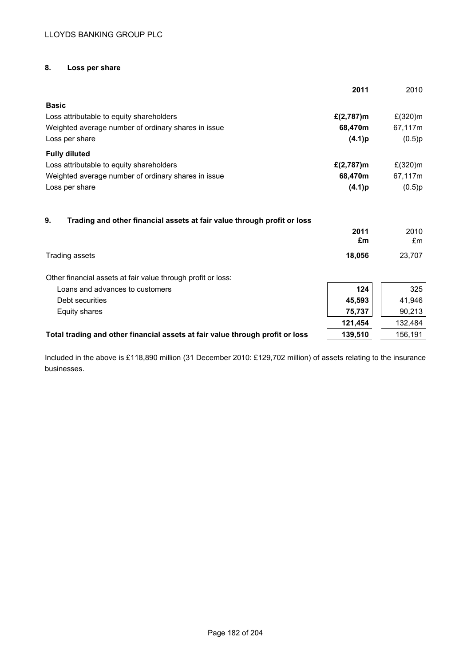# **8. Loss per share**

|                                                                               | 2011          | 2010       |
|-------------------------------------------------------------------------------|---------------|------------|
| <b>Basic</b>                                                                  |               |            |
| Loss attributable to equity shareholders                                      | $£(2,787)$ m  | £(320)m    |
| Weighted average number of ordinary shares in issue                           | 68,470m       | 67,117m    |
| Loss per share                                                                | (4.1)p        | (0.5)p     |
| <b>Fully diluted</b>                                                          |               |            |
| Loss attributable to equity shareholders                                      | £ $(2,787)$ m | £(320)m    |
| Weighted average number of ordinary shares in issue                           | 68,470m       | 67,117m    |
| Loss per share                                                                | (4.1)p        | (0.5)p     |
| 9.<br>Trading and other financial assets at fair value through profit or loss | 2011<br>£m    | 2010<br>Em |
| Trading assets                                                                | 18,056        | 23,707     |
| Other financial assets at fair value through profit or loss:                  |               |            |
| Loans and advances to customers                                               | 124           | 325        |
| Debt securities                                                               | 45,593        | 41,946     |
| Equity shares                                                                 | 75,737        | 90,213     |
|                                                                               | 121,454       | 132,484    |
| Total trading and other financial assets at fair value through profit or loss | 139,510       | 156,191    |
|                                                                               |               |            |

Included in the above is £118,890 million (31 December 2010: £129,702 million) of assets relating to the insurance businesses.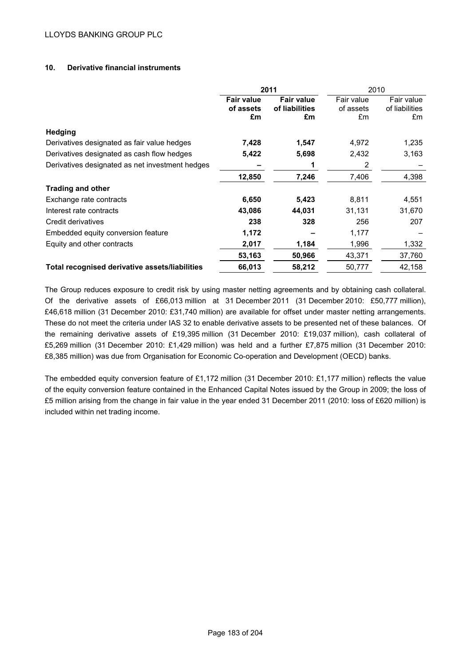## **10. Derivative financial instruments**

|                                                 | 2011                                 |                                           | 2010                          |                                    |
|-------------------------------------------------|--------------------------------------|-------------------------------------------|-------------------------------|------------------------------------|
|                                                 | <b>Fair value</b><br>of assets<br>£m | <b>Fair value</b><br>of liabilities<br>£m | Fair value<br>of assets<br>£m | Fair value<br>of liabilities<br>£m |
| <b>Hedging</b>                                  |                                      |                                           |                               |                                    |
| Derivatives designated as fair value hedges     | 7,428                                | 1,547                                     | 4,972                         | 1,235                              |
| Derivatives designated as cash flow hedges      | 5,422                                | 5,698                                     | 2,432                         | 3,163                              |
| Derivatives designated as net investment hedges |                                      | 1                                         | 2                             |                                    |
|                                                 | 12,850                               | 7,246                                     | 7,406                         | 4,398                              |
| <b>Trading and other</b>                        |                                      |                                           |                               |                                    |
| Exchange rate contracts                         | 6,650                                | 5,423                                     | 8,811                         | 4,551                              |
| Interest rate contracts                         | 43,086                               | 44,031                                    | 31,131                        | 31,670                             |
| Credit derivatives                              | 238                                  | 328                                       | 256                           | 207                                |
| Embedded equity conversion feature              | 1,172                                |                                           | 1,177                         |                                    |
| Equity and other contracts                      | 2,017                                | 1,184                                     | 1,996                         | 1,332                              |
|                                                 | 53,163                               | 50,966                                    | 43,371                        | 37,760                             |
| Total recognised derivative assets/liabilities  | 66,013                               | 58,212                                    | 50,777                        | 42,158                             |

The Group reduces exposure to credit risk by using master netting agreements and by obtaining cash collateral. Of the derivative assets of £66,013 million at 31 December 2011 (31 December 2010: £50,777 million), £46,618 million (31 December 2010: £31,740 million) are available for offset under master netting arrangements. These do not meet the criteria under IAS 32 to enable derivative assets to be presented net of these balances. Of the remaining derivative assets of £19,395 million (31 December 2010: £19,037 million), cash collateral of £5,269 million (31 December 2010: £1,429 million) was held and a further £7,875 million (31 December 2010: £8,385 million) was due from Organisation for Economic Co-operation and Development (OECD) banks.

The embedded equity conversion feature of £1,172 million (31 December 2010: £1,177 million) reflects the value of the equity conversion feature contained in the Enhanced Capital Notes issued by the Group in 2009; the loss of £5 million arising from the change in fair value in the year ended 31 December 2011 (2010: loss of £620 million) is included within net trading income.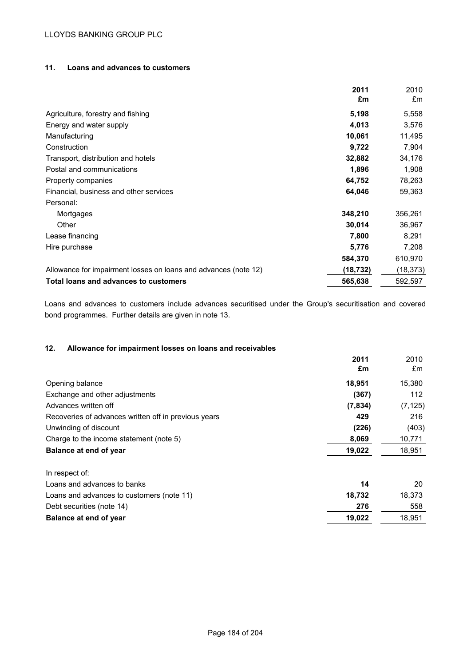# **11. Loans and advances to customers**

|                                                                 | 2011<br>£m | 2010<br>£m |
|-----------------------------------------------------------------|------------|------------|
| Agriculture, forestry and fishing                               | 5,198      | 5,558      |
| Energy and water supply                                         | 4,013      | 3,576      |
| Manufacturing                                                   | 10,061     | 11,495     |
| Construction                                                    | 9,722      | 7,904      |
| Transport, distribution and hotels                              | 32,882     | 34,176     |
| Postal and communications                                       | 1,896      | 1,908      |
| Property companies                                              | 64,752     | 78,263     |
| Financial, business and other services                          | 64,046     | 59,363     |
| Personal:                                                       |            |            |
| Mortgages                                                       | 348,210    | 356,261    |
| Other                                                           | 30,014     | 36,967     |
| Lease financing                                                 | 7,800      | 8,291      |
| Hire purchase                                                   | 5,776      | 7,208      |
|                                                                 | 584,370    | 610,970    |
| Allowance for impairment losses on loans and advances (note 12) | (18, 732)  | (18, 373)  |
| Total loans and advances to customers                           | 565,638    | 592,597    |

Loans and advances to customers include advances securitised under the Group's securitisation and covered bond programmes. Further details are given in note 13.

## **12. Allowance for impairment losses on loans and receivables**

|                                                      | 2011     | 2010     |
|------------------------------------------------------|----------|----------|
|                                                      | £m       | £m       |
| Opening balance                                      | 18,951   | 15,380   |
| Exchange and other adjustments                       | (367)    | 112      |
| Advances written off                                 | (7, 834) | (7, 125) |
| Recoveries of advances written off in previous years | 429      | 216      |
| Unwinding of discount                                | (226)    | (403)    |
| Charge to the income statement (note 5)              | 8,069    | 10,771   |
| Balance at end of year                               | 19,022   | 18,951   |
| In respect of:                                       |          |          |
| Loans and advances to banks                          | 14       | 20       |
| Loans and advances to customers (note 11)            | 18,732   | 18,373   |
| Debt securities (note 14)                            | 276      | 558      |
| Balance at end of year                               | 19,022   | 18,951   |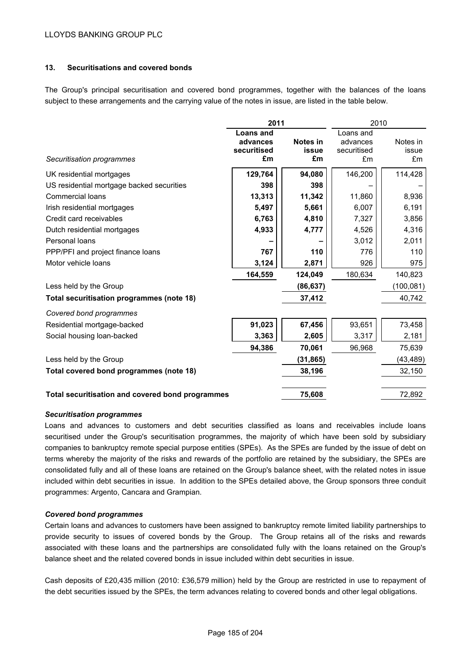## **13. Securitisations and covered bonds**

The Group's principal securitisation and covered bond programmes, together with the balances of the loans subject to these arrangements and the carrying value of the notes in issue, are listed in the table below.

|                                                  | 2011                         |           | 2010                  |            |
|--------------------------------------------------|------------------------------|-----------|-----------------------|------------|
|                                                  | <b>Loans and</b><br>advances | Notes in  | Loans and<br>advances | Notes in   |
|                                                  | securitised                  | issue     | securitised           | issue      |
| Securitisation programmes                        | £m                           | £m        | £m                    | £m         |
| UK residential mortgages                         | 129,764                      | 94,080    | 146,200               | 114,428    |
| US residential mortgage backed securities        | 398                          | 398       |                       |            |
| Commercial loans                                 | 13,313                       | 11,342    | 11,860                | 8,936      |
| Irish residential mortgages                      | 5,497                        | 5,661     | 6,007                 | 6,191      |
| Credit card receivables                          | 6,763                        | 4,810     | 7,327                 | 3,856      |
| Dutch residential mortgages                      | 4,933                        | 4,777     | 4,526                 | 4,316      |
| Personal loans                                   |                              |           | 3,012                 | 2,011      |
| PPP/PFI and project finance loans                | 767                          | 110       | 776                   | 110        |
| Motor vehicle loans                              | 3,124                        | 2,871     | 926                   | 975        |
|                                                  | 164,559                      | 124,049   | 180,634               | 140,823    |
| Less held by the Group                           |                              | (86, 637) |                       | (100, 081) |
| Total securitisation programmes (note 18)        |                              | 37,412    |                       | 40,742     |
| Covered bond programmes                          |                              |           |                       |            |
| Residential mortgage-backed                      | 91,023                       | 67,456    | 93,651                | 73,458     |
| Social housing loan-backed                       | 3,363                        | 2,605     | 3,317                 | 2,181      |
|                                                  | 94,386                       | 70,061    | 96,968                | 75,639     |
| Less held by the Group                           |                              | (31, 865) |                       | (43, 489)  |
| Total covered bond programmes (note 18)          |                              | 38,196    |                       | 32,150     |
|                                                  |                              |           |                       |            |
| Total securitisation and covered bond programmes |                              | 75,608    |                       | 72,892     |

#### *Securitisation programmes*

Loans and advances to customers and debt securities classified as loans and receivables include loans securitised under the Group's securitisation programmes, the majority of which have been sold by subsidiary companies to bankruptcy remote special purpose entities (SPEs). As the SPEs are funded by the issue of debt on terms whereby the majority of the risks and rewards of the portfolio are retained by the subsidiary, the SPEs are consolidated fully and all of these loans are retained on the Group's balance sheet, with the related notes in issue included within debt securities in issue. In addition to the SPEs detailed above, the Group sponsors three conduit programmes: Argento, Cancara and Grampian.

#### *Covered bond programmes*

Certain loans and advances to customers have been assigned to bankruptcy remote limited liability partnerships to provide security to issues of covered bonds by the Group. The Group retains all of the risks and rewards associated with these loans and the partnerships are consolidated fully with the loans retained on the Group's balance sheet and the related covered bonds in issue included within debt securities in issue.

Cash deposits of £20,435 million (2010: £36,579 million) held by the Group are restricted in use to repayment of the debt securities issued by the SPEs, the term advances relating to covered bonds and other legal obligations.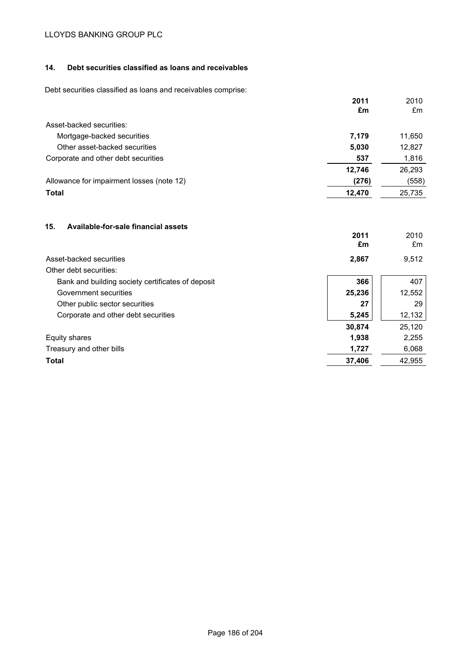# LLOYDS BANKING GROUP PLC

# **14. Debt securities classified as loans and receivables**

Debt securities classified as loans and receivables comprise:

|                                           | 2011   | 2010   |
|-------------------------------------------|--------|--------|
|                                           | £m     | £m     |
| Asset-backed securities:                  |        |        |
| Mortgage-backed securities                | 7.179  | 11,650 |
| Other asset-backed securities             | 5,030  | 12,827 |
| Corporate and other debt securities       | 537    | 1,816  |
|                                           | 12,746 | 26,293 |
| Allowance for impairment losses (note 12) | (276)  | (558)  |
| <b>Total</b>                              | 12,470 | 25,735 |

## **15. Available-for-sale financial assets**

|                                                   | 2011<br>£m | 2010<br>£m |
|---------------------------------------------------|------------|------------|
| Asset-backed securities                           | 2,867      | 9,512      |
| Other debt securities:                            |            |            |
| Bank and building society certificates of deposit | 366        | 407        |
| Government securities                             | 25,236     | 12,552     |
| Other public sector securities                    | 27         | 29         |
| Corporate and other debt securities               | 5,245      | 12,132     |
|                                                   | 30,874     | 25,120     |
| Equity shares                                     | 1,938      | 2,255      |
| Treasury and other bills                          | 1,727      | 6,068      |
| <b>Total</b>                                      | 37,406     | 42,955     |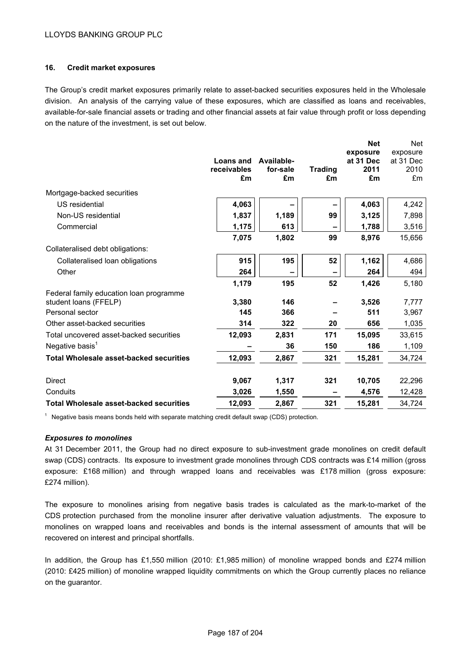## **16. Credit market exposures**

The Group's credit market exposures primarily relate to asset-backed securities exposures held in the Wholesale division. An analysis of the carrying value of these exposures, which are classified as loans and receivables, available-for-sale financial assets or trading and other financial assets at fair value through profit or loss depending on the nature of the investment, is set out below.

|                                                                  | Loans and<br>receivables<br>£m | Available-<br>for-sale<br>£m | <b>Trading</b><br>£m | <b>Net</b><br>exposure<br>at 31 Dec<br>2011<br>£m | Net<br>exposure<br>at 31 Dec<br>2010<br>£m |
|------------------------------------------------------------------|--------------------------------|------------------------------|----------------------|---------------------------------------------------|--------------------------------------------|
| Mortgage-backed securities                                       |                                |                              |                      |                                                   |                                            |
| US residential                                                   | 4,063                          |                              |                      | 4,063                                             | 4,242                                      |
| Non-US residential                                               | 1,837                          | 1,189                        | 99                   | 3,125                                             | 7,898                                      |
| Commercial                                                       | 1,175                          | 613                          |                      | 1,788                                             | 3,516                                      |
|                                                                  | 7,075                          | 1,802                        | 99                   | 8,976                                             | 15,656                                     |
| Collateralised debt obligations:                                 |                                |                              |                      |                                                   |                                            |
| Collateralised loan obligations                                  | 915                            | 195                          | 52                   | 1,162                                             | 4,686                                      |
| Other                                                            | 264                            |                              |                      | 264                                               | 494                                        |
|                                                                  | 1,179                          | 195                          | 52                   | 1,426                                             | 5,180                                      |
| Federal family education loan programme<br>student loans (FFELP) | 3,380                          | 146                          |                      | 3,526                                             | 7,777                                      |
| Personal sector                                                  | 145                            | 366                          |                      | 511                                               | 3,967                                      |
| Other asset-backed securities                                    | 314                            | 322                          | 20                   | 656                                               | 1,035                                      |
| Total uncovered asset-backed securities                          | 12,093                         | 2,831                        | 171                  | 15,095                                            | 33,615                                     |
| Negative basis <sup>1</sup>                                      |                                | 36                           | 150                  | 186                                               | 1,109                                      |
| <b>Total Wholesale asset-backed securities</b>                   | 12,093                         | 2,867                        | 321                  | 15,281                                            | 34,724                                     |
| Direct                                                           | 9,067                          | 1,317                        | 321                  | 10,705                                            | 22,296                                     |
| Conduits                                                         | 3,026                          | 1,550                        |                      | 4,576                                             | 12,428                                     |
| <b>Total Wholesale asset-backed securities</b>                   | 12,093                         | 2,867                        | 321                  | 15,281                                            | 34,724                                     |

 $1$  Negative basis means bonds held with separate matching credit default swap (CDS) protection.

#### *Exposures to monolines*

At 31 December 2011, the Group had no direct exposure to sub-investment grade monolines on credit default swap (CDS) contracts. Its exposure to investment grade monolines through CDS contracts was £14 million (gross exposure: £168 million) and through wrapped loans and receivables was £178 million (gross exposure: £274 million).

The exposure to monolines arising from negative basis trades is calculated as the mark-to-market of the CDS protection purchased from the monoline insurer after derivative valuation adjustments. The exposure to monolines on wrapped loans and receivables and bonds is the internal assessment of amounts that will be recovered on interest and principal shortfalls.

In addition, the Group has £1,550 million (2010: £1,985 million) of monoline wrapped bonds and £274 million (2010: £425 million) of monoline wrapped liquidity commitments on which the Group currently places no reliance on the guarantor.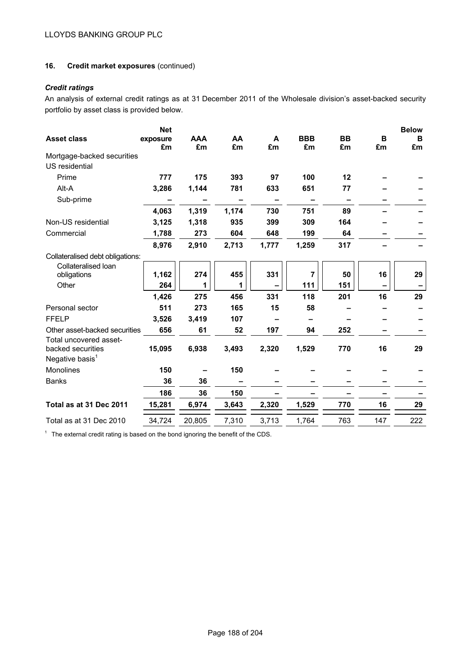# **16. Credit market exposures** (continued)

# *Credit ratings*

An analysis of external credit ratings as at 31 December 2011 of the Wholesale division's asset-backed security portfolio by asset class is provided below.

| <b>Asset class</b>               | <b>Net</b><br>exposure | <b>AAA</b> | AA    | A     | <b>BBB</b> | <b>BB</b> | B   | <b>Below</b><br>B        |
|----------------------------------|------------------------|------------|-------|-------|------------|-----------|-----|--------------------------|
|                                  | £m                     | £m         | £m    | £m    | £m         | £m        | £m  | £m                       |
| Mortgage-backed securities       |                        |            |       |       |            |           |     |                          |
| US residential                   |                        |            |       |       |            |           |     |                          |
| Prime                            | 777                    | 175        | 393   | 97    | 100        | 12        |     |                          |
| Alt-A                            | 3,286                  | 1,144      | 781   | 633   | 651        | 77        |     |                          |
| Sub-prime                        |                        |            |       |       |            |           |     |                          |
|                                  | 4,063                  | 1,319      | 1,174 | 730   | 751        | 89        |     |                          |
| Non-US residential               | 3,125                  | 1,318      | 935   | 399   | 309        | 164       |     |                          |
| Commercial                       | 1,788                  | 273        | 604   | 648   | 199        | 64        |     |                          |
|                                  | 8,976                  | 2,910      | 2,713 | 1,777 | 1,259      | 317       |     |                          |
| Collateralised debt obligations: |                        |            |       |       |            |           |     |                          |
| Collateralised loan              |                        |            |       |       |            |           |     |                          |
| obligations                      | 1,162                  | 274        | 455   | 331   | 7          | 50        | 16  | 29                       |
| Other                            | 264                    | 1          | 1     |       | 111        | 151       | -   | $\overline{\phantom{0}}$ |
|                                  | 1,426                  | 275        | 456   | 331   | 118        | 201       | 16  | 29                       |
| Personal sector                  | 511                    | 273        | 165   | 15    | 58         |           |     |                          |
| <b>FFELP</b>                     | 3,526                  | 3,419      | 107   |       |            |           |     |                          |
| Other asset-backed securities    | 656                    | 61         | 52    | 197   | 94         | 252       |     |                          |
| Total uncovered asset-           |                        |            |       |       |            |           |     |                          |
| backed securities                | 15,095                 | 6,938      | 3,493 | 2,320 | 1,529      | 770       | 16  | 29                       |
| Negative basis $1$               |                        |            |       |       |            |           |     |                          |
| <b>Monolines</b>                 | 150                    |            | 150   |       |            |           |     |                          |
| <b>Banks</b>                     | 36                     | 36         |       |       |            |           |     |                          |
|                                  | 186                    | 36         | 150   |       |            |           |     |                          |
| Total as at 31 Dec 2011          | 15,281                 | 6,974      | 3,643 | 2,320 | 1,529      | 770       | 16  | 29                       |
| Total as at 31 Dec 2010          | 34,724                 | 20,805     | 7,310 | 3,713 | 1,764      | 763       | 147 | 222                      |

 $1$  The external credit rating is based on the bond ignoring the benefit of the CDS.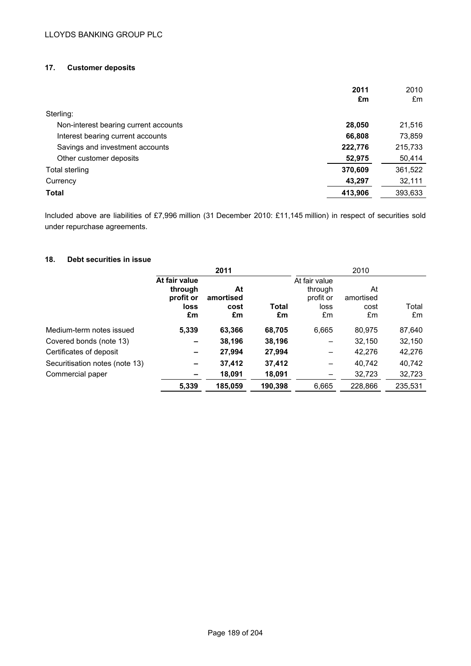# **17. Customer deposits**

|                                       | 2011<br>£m | 2010<br>£m |
|---------------------------------------|------------|------------|
| Sterling:                             |            |            |
| Non-interest bearing current accounts | 28,050     | 21,516     |
| Interest bearing current accounts     | 66,808     | 73,859     |
| Savings and investment accounts       | 222,776    | 215,733    |
| Other customer deposits               | 52,975     | 50,414     |
| Total sterling                        | 370,609    | 361,522    |
| Currency                              | 43,297     | 32,111     |
| <b>Total</b>                          | 413,906    | 393,633    |

Included above are liabilities of £7,996 million (31 December 2010: £11,145 million) in respect of securities sold under repurchase agreements.

# **18. Debt securities in issue**

|                                |                          | 2011              |         |                   | 2010              |         |
|--------------------------------|--------------------------|-------------------|---------|-------------------|-------------------|---------|
|                                | At fair value            |                   |         | At fair value     |                   |         |
|                                | through                  | At                |         | through           | At                |         |
|                                | profit or<br><b>loss</b> | amortised<br>cost | Total   | profit or<br>loss | amortised<br>cost | Total   |
|                                | £m                       | £m                | £m      | £m                | £m                | £m      |
|                                |                          |                   |         |                   |                   |         |
| Medium-term notes issued       | 5,339                    | 63,366            | 68,705  | 6.665             | 80.975            | 87,640  |
| Covered bonds (note 13)        | $\overline{\phantom{a}}$ | 38,196            | 38,196  |                   | 32,150            | 32,150  |
| Certificates of deposit        | $\overline{\phantom{0}}$ | 27,994            | 27,994  |                   | 42.276            | 42,276  |
| Securitisation notes (note 13) | $\overline{\phantom{0}}$ | 37,412            | 37,412  |                   | 40.742            | 40,742  |
| Commercial paper               |                          | 18,091            | 18,091  |                   | 32,723            | 32,723  |
|                                | 5,339                    | 185.059           | 190,398 | 6,665             | 228,866           | 235,531 |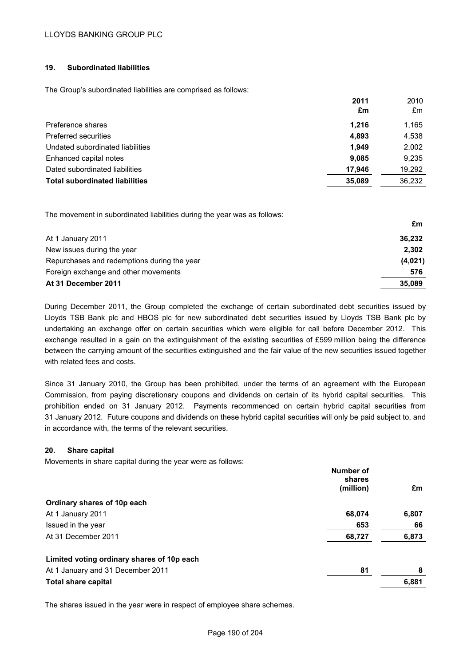## **19. Subordinated liabilities**

The Group's subordinated liabilities are comprised as follows:

|                                       | 2011<br>£m | 2010<br>£m |
|---------------------------------------|------------|------------|
| Preference shares                     | 1.216      | 1.165      |
| <b>Preferred securities</b>           | 4,893      | 4,538      |
| Undated subordinated liabilities      | 1.949      | 2,002      |
| Enhanced capital notes                | 9,085      | 9,235      |
| Dated subordinated liabilities        | 17.946     | 19,292     |
| <b>Total subordinated liabilities</b> | 35,089     | 36,232     |

The movement in subordinated liabilities during the year was as follows:

|                                             | £m      |
|---------------------------------------------|---------|
| At 1 January 2011                           | 36,232  |
| New issues during the year                  | 2,302   |
| Repurchases and redemptions during the year | (4,021) |
| Foreign exchange and other movements        | 576     |
| At 31 December 2011                         | 35,089  |

During December 2011, the Group completed the exchange of certain subordinated debt securities issued by Lloyds TSB Bank plc and HBOS plc for new subordinated debt securities issued by Lloyds TSB Bank plc by undertaking an exchange offer on certain securities which were eligible for call before December 2012. This exchange resulted in a gain on the extinguishment of the existing securities of £599 million being the difference between the carrying amount of the securities extinguished and the fair value of the new securities issued together with related fees and costs.

Since 31 January 2010, the Group has been prohibited, under the terms of an agreement with the European Commission, from paying discretionary coupons and dividends on certain of its hybrid capital securities. This prohibition ended on 31 January 2012. Payments recommenced on certain hybrid capital securities from 31 January 2012. Future coupons and dividends on these hybrid capital securities will only be paid subject to, and in accordance with, the terms of the relevant securities.

## **20. Share capital**

Movements in share capital during the year were as follows:

|                                            | Number of<br>shares |       |
|--------------------------------------------|---------------------|-------|
|                                            | (million)           | £m    |
| Ordinary shares of 10p each                |                     |       |
| At 1 January 2011                          | 68,074              | 6,807 |
| Issued in the year                         | 653                 | 66    |
| At 31 December 2011                        | 68,727              | 6,873 |
| Limited voting ordinary shares of 10p each |                     |       |
| At 1 January and 31 December 2011          | 81                  | 8     |
| <b>Total share capital</b>                 |                     | 6,881 |

The shares issued in the year were in respect of employee share schemes.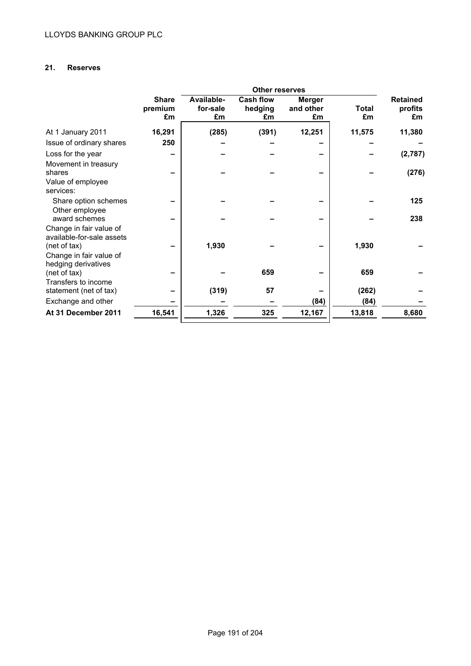# **21. Reserves**

|                                                                       | <b>Share</b><br>premium<br>£m | Available-<br>for-sale<br>£m | <b>Cash flow</b><br>hedging<br>£m | <b>Merger</b><br>and other<br>£m | <b>Total</b><br>£m | <b>Retained</b><br>profits<br>£m |
|-----------------------------------------------------------------------|-------------------------------|------------------------------|-----------------------------------|----------------------------------|--------------------|----------------------------------|
| At 1 January 2011                                                     | 16,291                        | (285)                        | (391)                             | 12,251                           | 11,575             | 11,380                           |
| Issue of ordinary shares                                              | 250                           |                              |                                   |                                  |                    |                                  |
| Loss for the year<br>Movement in treasury                             |                               |                              |                                   |                                  |                    | (2,787)                          |
| shares<br>Value of employee<br>services:                              |                               |                              |                                   |                                  |                    | (276)                            |
| Share option schemes<br>Other employee                                |                               |                              |                                   |                                  |                    | 125                              |
| award schemes<br>Change in fair value of<br>available-for-sale assets |                               |                              |                                   |                                  |                    | 238                              |
| (net of tax)<br>Change in fair value of<br>hedging derivatives        |                               | 1,930                        |                                   |                                  | 1,930              |                                  |
| (net of tax)<br>Transfers to income                                   |                               |                              | 659                               |                                  | 659                |                                  |
| statement (net of tax)                                                |                               | (319)                        | 57                                |                                  | (262)              |                                  |
| Exchange and other                                                    |                               |                              |                                   | (84)                             | (84)               |                                  |
| At 31 December 2011                                                   | 16,541                        | 1,326                        | 325                               | 12,167                           | 13,818             | 8,680                            |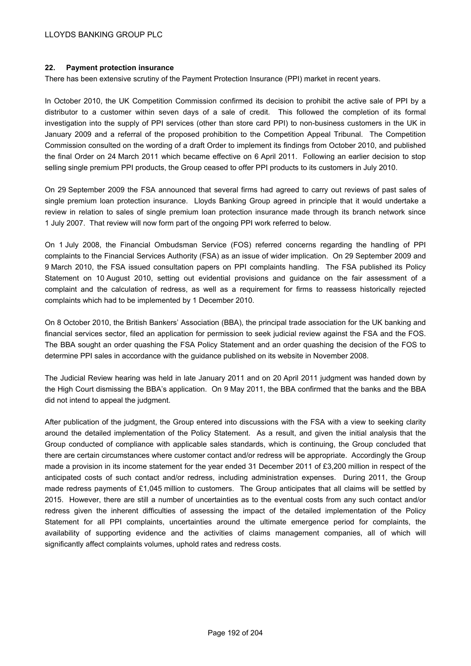## **22. Payment protection insurance**

There has been extensive scrutiny of the Payment Protection Insurance (PPI) market in recent years.

In October 2010, the UK Competition Commission confirmed its decision to prohibit the active sale of PPI by a distributor to a customer within seven days of a sale of credit. This followed the completion of its formal investigation into the supply of PPI services (other than store card PPI) to non-business customers in the UK in January 2009 and a referral of the proposed prohibition to the Competition Appeal Tribunal. The Competition Commission consulted on the wording of a draft Order to implement its findings from October 2010, and published the final Order on 24 March 2011 which became effective on 6 April 2011. Following an earlier decision to stop selling single premium PPI products, the Group ceased to offer PPI products to its customers in July 2010.

On 29 September 2009 the FSA announced that several firms had agreed to carry out reviews of past sales of single premium loan protection insurance. Lloyds Banking Group agreed in principle that it would undertake a review in relation to sales of single premium loan protection insurance made through its branch network since 1 July 2007. That review will now form part of the ongoing PPI work referred to below.

On 1 July 2008, the Financial Ombudsman Service (FOS) referred concerns regarding the handling of PPI complaints to the Financial Services Authority (FSA) as an issue of wider implication. On 29 September 2009 and 9 March 2010, the FSA issued consultation papers on PPI complaints handling. The FSA published its Policy Statement on 10 August 2010, setting out evidential provisions and guidance on the fair assessment of a complaint and the calculation of redress, as well as a requirement for firms to reassess historically rejected complaints which had to be implemented by 1 December 2010.

On 8 October 2010, the British Bankers' Association (BBA), the principal trade association for the UK banking and financial services sector, filed an application for permission to seek judicial review against the FSA and the FOS. The BBA sought an order quashing the FSA Policy Statement and an order quashing the decision of the FOS to determine PPI sales in accordance with the guidance published on its website in November 2008.

The Judicial Review hearing was held in late January 2011 and on 20 April 2011 judgment was handed down by the High Court dismissing the BBA's application. On 9 May 2011, the BBA confirmed that the banks and the BBA did not intend to appeal the judgment.

After publication of the judgment, the Group entered into discussions with the FSA with a view to seeking clarity around the detailed implementation of the Policy Statement. As a result, and given the initial analysis that the Group conducted of compliance with applicable sales standards, which is continuing, the Group concluded that there are certain circumstances where customer contact and/or redress will be appropriate. Accordingly the Group made a provision in its income statement for the year ended 31 December 2011 of £3,200 million in respect of the anticipated costs of such contact and/or redress, including administration expenses. During 2011, the Group made redress payments of £1,045 million to customers. The Group anticipates that all claims will be settled by 2015. However, there are still a number of uncertainties as to the eventual costs from any such contact and/or redress given the inherent difficulties of assessing the impact of the detailed implementation of the Policy Statement for all PPI complaints, uncertainties around the ultimate emergence period for complaints, the availability of supporting evidence and the activities of claims management companies, all of which will significantly affect complaints volumes, uphold rates and redress costs.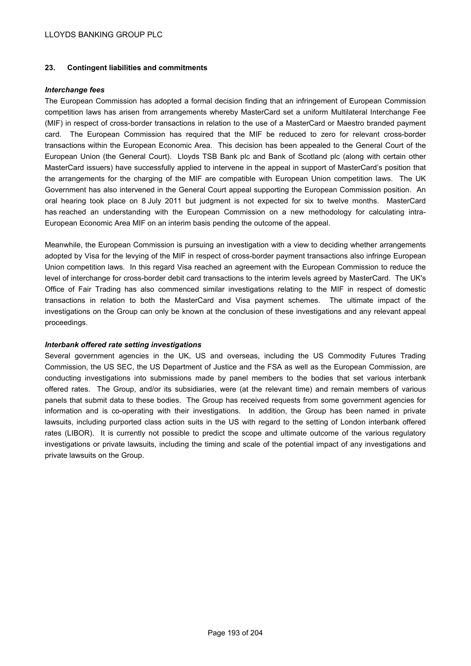#### **23. Contingent liabilities and commitments**

#### *Interchange fees*

The European Commission has adopted a formal decision finding that an infringement of European Commission competition laws has arisen from arrangements whereby MasterCard set a uniform Multilateral Interchange Fee (MIF) in respect of cross-border transactions in relation to the use of a MasterCard or Maestro branded payment card. The European Commission has required that the MIF be reduced to zero for relevant cross-border transactions within the European Economic Area. This decision has been appealed to the General Court of the European Union (the General Court). Lloyds TSB Bank plc and Bank of Scotland plc (along with certain other MasterCard issuers) have successfully applied to intervene in the appeal in support of MasterCard's position that the arrangements for the charging of the MIF are compatible with European Union competition laws. The UK Government has also intervened in the General Court appeal supporting the European Commission position. An oral hearing took place on 8 July 2011 but judgment is not expected for six to twelve months. MasterCard has reached an understanding with the European Commission on a new methodology for calculating intra-European Economic Area MIF on an interim basis pending the outcome of the appeal.

Meanwhile, the European Commission is pursuing an investigation with a view to deciding whether arrangements adopted by Visa for the levying of the MIF in respect of cross-border payment transactions also infringe European Union competition laws. In this regard Visa reached an agreement with the European Commission to reduce the level of interchange for cross-border debit card transactions to the interim levels agreed by MasterCard. The UK's Office of Fair Trading has also commenced similar investigations relating to the MIF in respect of domestic transactions in relation to both the MasterCard and Visa payment schemes. The ultimate impact of the investigations on the Group can only be known at the conclusion of these investigations and any relevant appeal proceedings.

#### *Interbank offered rate setting investigations*

Several government agencies in the UK, US and overseas, including the US Commodity Futures Trading Commission, the US SEC, the US Department of Justice and the FSA as well as the European Commission, are conducting investigations into submissions made by panel members to the bodies that set various interbank offered rates. The Group, and/or its subsidiaries, were (at the relevant time) and remain members of various panels that submit data to these bodies. The Group has received requests from some government agencies for information and is co-operating with their investigations. In addition, the Group has been named in private lawsuits, including purported class action suits in the US with regard to the setting of London interbank offered rates (LIBOR). It is currently not possible to predict the scope and ultimate outcome of the various regulatory investigations or private lawsuits, including the timing and scale of the potential impact of any investigations and private lawsuits on the Group.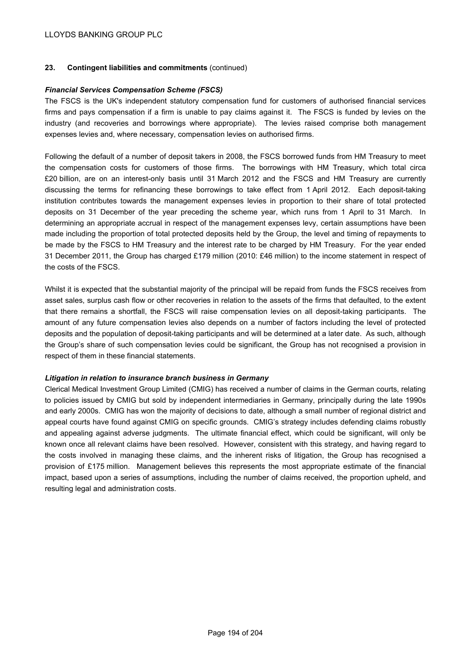## **23. Contingent liabilities and commitments** (continued)

## *Financial Services Compensation Scheme (FSCS)*

The FSCS is the UK's independent statutory compensation fund for customers of authorised financial services firms and pays compensation if a firm is unable to pay claims against it. The FSCS is funded by levies on the industry (and recoveries and borrowings where appropriate). The levies raised comprise both management expenses levies and, where necessary, compensation levies on authorised firms.

Following the default of a number of deposit takers in 2008, the FSCS borrowed funds from HM Treasury to meet the compensation costs for customers of those firms. The borrowings with HM Treasury, which total circa £20 billion, are on an interest-only basis until 31 March 2012 and the FSCS and HM Treasury are currently discussing the terms for refinancing these borrowings to take effect from 1 April 2012. Each deposit-taking institution contributes towards the management expenses levies in proportion to their share of total protected deposits on 31 December of the year preceding the scheme year, which runs from 1 April to 31 March. In determining an appropriate accrual in respect of the management expenses levy, certain assumptions have been made including the proportion of total protected deposits held by the Group, the level and timing of repayments to be made by the FSCS to HM Treasury and the interest rate to be charged by HM Treasury. For the year ended 31 December 2011, the Group has charged £179 million (2010: £46 million) to the income statement in respect of the costs of the FSCS.

Whilst it is expected that the substantial majority of the principal will be repaid from funds the FSCS receives from asset sales, surplus cash flow or other recoveries in relation to the assets of the firms that defaulted, to the extent that there remains a shortfall, the FSCS will raise compensation levies on all deposit-taking participants. The amount of any future compensation levies also depends on a number of factors including the level of protected deposits and the population of deposit-taking participants and will be determined at a later date. As such, although the Group's share of such compensation levies could be significant, the Group has not recognised a provision in respect of them in these financial statements.

#### *Litigation in relation to insurance branch business in Germany*

Clerical Medical Investment Group Limited (CMIG) has received a number of claims in the German courts, relating to policies issued by CMIG but sold by independent intermediaries in Germany, principally during the late 1990s and early 2000s. CMIG has won the majority of decisions to date, although a small number of regional district and appeal courts have found against CMIG on specific grounds. CMIG's strategy includes defending claims robustly and appealing against adverse judgments. The ultimate financial effect, which could be significant, will only be known once all relevant claims have been resolved. However, consistent with this strategy, and having regard to the costs involved in managing these claims, and the inherent risks of litigation, the Group has recognised a provision of £175 million. Management believes this represents the most appropriate estimate of the financial impact, based upon a series of assumptions, including the number of claims received, the proportion upheld, and resulting legal and administration costs.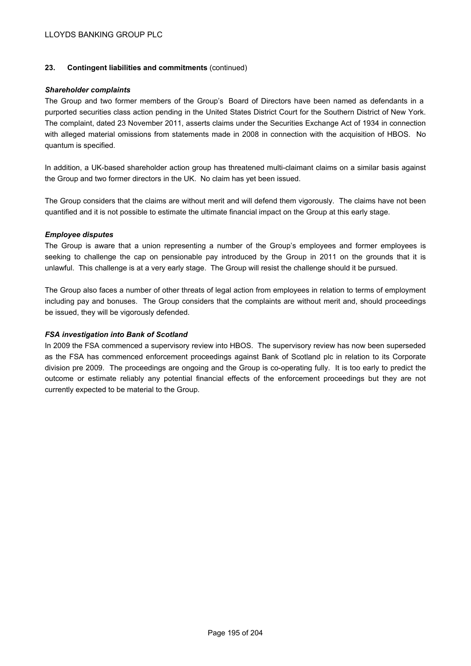## **23. Contingent liabilities and commitments** (continued)

#### *Shareholder complaints*

The Group and two former members of the Group's Board of Directors have been named as defendants in a purported securities class action pending in the United States District Court for the Southern District of New York. The complaint, dated 23 November 2011, asserts claims under the Securities Exchange Act of 1934 in connection with alleged material omissions from statements made in 2008 in connection with the acquisition of HBOS. No quantum is specified.

In addition, a UK-based shareholder action group has threatened multi-claimant claims on a similar basis against the Group and two former directors in the UK. No claim has yet been issued.

The Group considers that the claims are without merit and will defend them vigorously. The claims have not been quantified and it is not possible to estimate the ultimate financial impact on the Group at this early stage.

## *Employee disputes*

The Group is aware that a union representing a number of the Group's employees and former employees is seeking to challenge the cap on pensionable pay introduced by the Group in 2011 on the grounds that it is unlawful. This challenge is at a very early stage. The Group will resist the challenge should it be pursued.

The Group also faces a number of other threats of legal action from employees in relation to terms of employment including pay and bonuses. The Group considers that the complaints are without merit and, should proceedings be issued, they will be vigorously defended.

#### *FSA investigation into Bank of Scotland*

In 2009 the FSA commenced a supervisory review into HBOS. The supervisory review has now been superseded as the FSA has commenced enforcement proceedings against Bank of Scotland plc in relation to its Corporate division pre 2009. The proceedings are ongoing and the Group is co-operating fully. It is too early to predict the outcome or estimate reliably any potential financial effects of the enforcement proceedings but they are not currently expected to be material to the Group.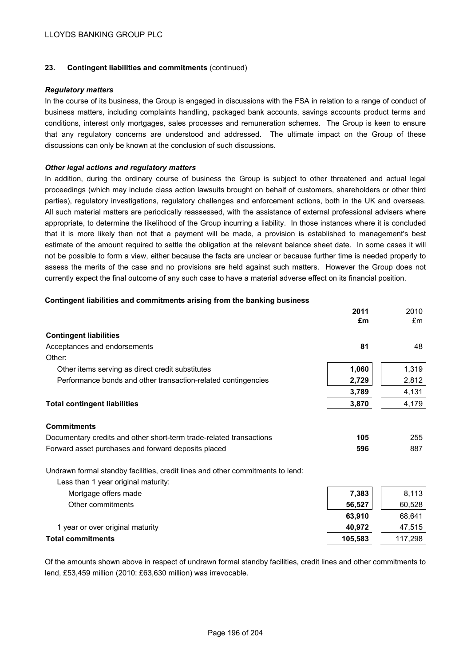## **23. Contingent liabilities and commitments** (continued)

#### *Regulatory matters*

In the course of its business, the Group is engaged in discussions with the FSA in relation to a range of conduct of business matters, including complaints handling, packaged bank accounts, savings accounts product terms and conditions, interest only mortgages, sales processes and remuneration schemes. The Group is keen to ensure that any regulatory concerns are understood and addressed. The ultimate impact on the Group of these discussions can only be known at the conclusion of such discussions.

## *Other legal actions and regulatory matters*

In addition, during the ordinary course of business the Group is subject to other threatened and actual legal proceedings (which may include class action lawsuits brought on behalf of customers, shareholders or other third parties), regulatory investigations, regulatory challenges and enforcement actions, both in the UK and overseas. All such material matters are periodically reassessed, with the assistance of external professional advisers where appropriate, to determine the likelihood of the Group incurring a liability. In those instances where it is concluded that it is more likely than not that a payment will be made, a provision is established to management's best estimate of the amount required to settle the obligation at the relevant balance sheet date. In some cases it will not be possible to form a view, either because the facts are unclear or because further time is needed properly to assess the merits of the case and no provisions are held against such matters. However the Group does not currently expect the final outcome of any such case to have a material adverse effect on its financial position.

|                                                                                                                       | 2011<br>£m | 2010<br>£m |
|-----------------------------------------------------------------------------------------------------------------------|------------|------------|
| <b>Contingent liabilities</b>                                                                                         |            |            |
| Acceptances and endorsements                                                                                          | 81         | 48         |
| Other:                                                                                                                |            |            |
| Other items serving as direct credit substitutes                                                                      | 1,060      | 1,319      |
| Performance bonds and other transaction-related contingencies                                                         | 2,729      | 2,812      |
|                                                                                                                       | 3,789      | 4,131      |
| <b>Total contingent liabilities</b>                                                                                   | 3,870      | 4,179      |
| <b>Commitments</b>                                                                                                    |            |            |
| Documentary credits and other short-term trade-related transactions                                                   | 105        | 255        |
| Forward asset purchases and forward deposits placed                                                                   | 596        | 887        |
| Undrawn formal standby facilities, credit lines and other commitments to lend:<br>Less than 1 year original maturity: |            |            |
| Mortgage offers made                                                                                                  | 7,383      | 8,113      |
| Other commitments                                                                                                     | 56,527     | 60,528     |
|                                                                                                                       | 63,910     | 68,641     |
| 1 year or over original maturity                                                                                      | 40,972     | 47,515     |
| <b>Total commitments</b>                                                                                              | 105,583    | 117,298    |

#### **Contingent liabilities and commitments arising from the banking business**

Of the amounts shown above in respect of undrawn formal standby facilities, credit lines and other commitments to lend, £53,459 million (2010: £63,630 million) was irrevocable.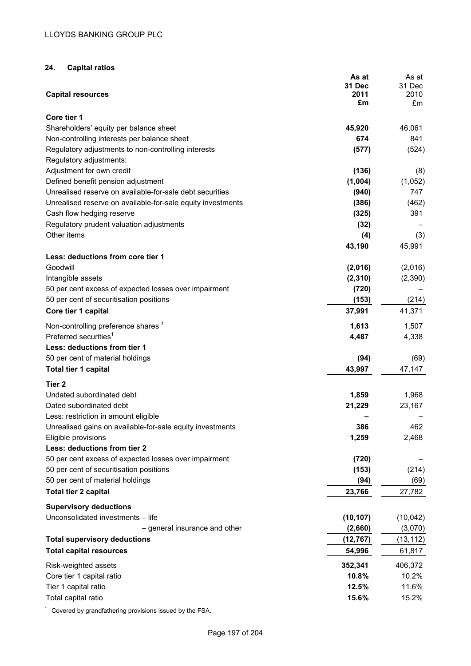# **24. Capital ratios**

|                                                             | As at          | As at          |
|-------------------------------------------------------------|----------------|----------------|
|                                                             | 31 Dec<br>2011 | 31 Dec<br>2010 |
| <b>Capital resources</b>                                    | £m             | £m             |
| Core tier 1                                                 |                |                |
| Shareholders' equity per balance sheet                      | 45,920         | 46,061         |
| Non-controlling interests per balance sheet                 | 674            | 841            |
| Regulatory adjustments to non-controlling interests         | (577)          | (524)          |
| Regulatory adjustments:                                     |                |                |
| Adjustment for own credit                                   | (136)          | (8)            |
| Defined benefit pension adjustment                          | (1,004)        | (1,052)        |
| Unrealised reserve on available-for-sale debt securities    | (940)          | 747            |
| Unrealised reserve on available-for-sale equity investments | (386)          | (462)          |
| Cash flow hedging reserve                                   | (325)          | 391            |
| Regulatory prudent valuation adjustments                    | (32)           |                |
| Other items                                                 | (4)            | (3)            |
|                                                             | 43,190         | 45,991         |
| Less: deductions from core tier 1                           |                |                |
| Goodwill                                                    | (2,016)        | (2,016)        |
| Intangible assets                                           | (2, 310)       | (2,390)        |
| 50 per cent excess of expected losses over impairment       | (720)          |                |
| 50 per cent of securitisation positions                     | (153)          | (214)          |
| Core tier 1 capital                                         | 37,991         | 41,371         |
| Non-controlling preference shares 1                         | 1,613          | 1,507          |
| Preferred securities <sup>1</sup>                           | 4,487          | 4,338          |
| Less: deductions from tier 1                                |                |                |
| 50 per cent of material holdings                            | (94)           | (69)           |
| Total tier 1 capital                                        | 43,997         | 47,147         |
| Tier 2                                                      |                |                |
| Undated subordinated debt                                   | 1,859          | 1,968          |
| Dated subordinated debt                                     | 21,229         | 23,167         |
| Less: restriction in amount eligible                        |                |                |
| Unrealised gains on available-for-sale equity investments   | 386            | 462            |
| Eligible provisions                                         | 1,259          | 2,468          |
| Less: deductions from tier 2                                |                |                |
| 50 per cent excess of expected losses over impairment       | (720)          |                |
| 50 per cent of securitisation positions                     | (153)          | (214)          |
| 50 per cent of material holdings                            | (94)           | (69)           |
| <b>Total tier 2 capital</b>                                 | 23,766         | 27,782         |
| <b>Supervisory deductions</b>                               |                |                |
| Unconsolidated investments - life                           | (10, 107)      | (10, 042)      |
| - general insurance and other                               | (2,660)        | (3,070)        |
| <b>Total supervisory deductions</b>                         | (12, 767)      | (13, 112)      |
| <b>Total capital resources</b>                              | 54,996         | 61,817         |
| Risk-weighted assets                                        | 352,341        | 406,372        |
| Core tier 1 capital ratio                                   | 10.8%          | 10.2%          |
| Tier 1 capital ratio                                        | 12.5%          | 11.6%          |
| Total capital ratio                                         | 15.6%          | 15.2%          |
|                                                             |                |                |

 $1$  Covered by grandfathering provisions issued by the FSA.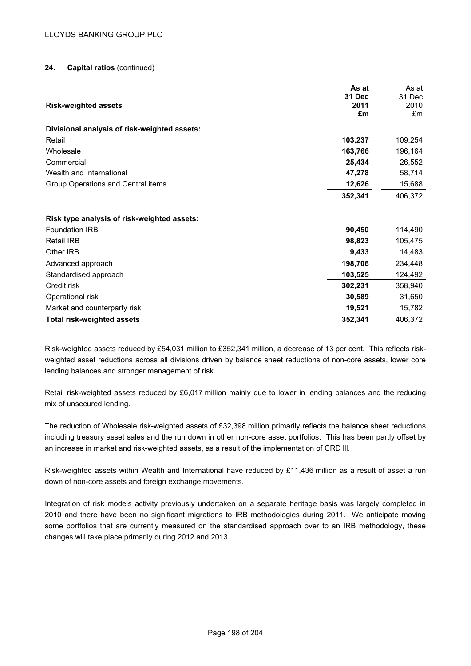## **24. Capital ratios** (continued)

| <b>Risk-weighted assets</b>                  | As at<br><b>31 Dec</b><br>2011<br>£m | As at<br>31 Dec<br>2010<br>£m |
|----------------------------------------------|--------------------------------------|-------------------------------|
| Divisional analysis of risk-weighted assets: |                                      |                               |
| Retail                                       | 103,237                              | 109,254                       |
| Wholesale                                    | 163,766                              | 196,164                       |
| Commercial                                   | 25,434                               | 26,552                        |
| Wealth and International                     | 47,278                               | 58,714                        |
| Group Operations and Central items           | 12,626                               | 15,688                        |
|                                              | 352,341                              | 406,372                       |
| Risk type analysis of risk-weighted assets:  |                                      |                               |
| <b>Foundation IRB</b>                        | 90,450                               | 114,490                       |
| <b>Retail IRB</b>                            | 98,823                               | 105,475                       |
| Other IRB                                    | 9,433                                | 14,483                        |
| Advanced approach                            | 198,706                              | 234,448                       |
| Standardised approach                        | 103,525                              | 124,492                       |
| Credit risk                                  | 302,231                              | 358,940                       |
| Operational risk                             | 30,589                               | 31,650                        |
| Market and counterparty risk                 | 19,521                               | 15,782                        |
| <b>Total risk-weighted assets</b>            | 352,341                              | 406,372                       |

Risk-weighted assets reduced by £54,031 million to £352,341 million, a decrease of 13 per cent. This reflects riskweighted asset reductions across all divisions driven by balance sheet reductions of non-core assets, lower core lending balances and stronger management of risk.

Retail risk-weighted assets reduced by £6,017 million mainly due to lower in lending balances and the reducing mix of unsecured lending.

The reduction of Wholesale risk-weighted assets of £32,398 million primarily reflects the balance sheet reductions including treasury asset sales and the run down in other non-core asset portfolios. This has been partly offset by an increase in market and risk-weighted assets, as a result of the implementation of CRD lll.

Risk-weighted assets within Wealth and International have reduced by £11,436 million as a result of asset a run down of non-core assets and foreign exchange movements.

Integration of risk models activity previously undertaken on a separate heritage basis was largely completed in 2010 and there have been no significant migrations to IRB methodologies during 2011. We anticipate moving some portfolios that are currently measured on the standardised approach over to an IRB methodology, these changes will take place primarily during 2012 and 2013.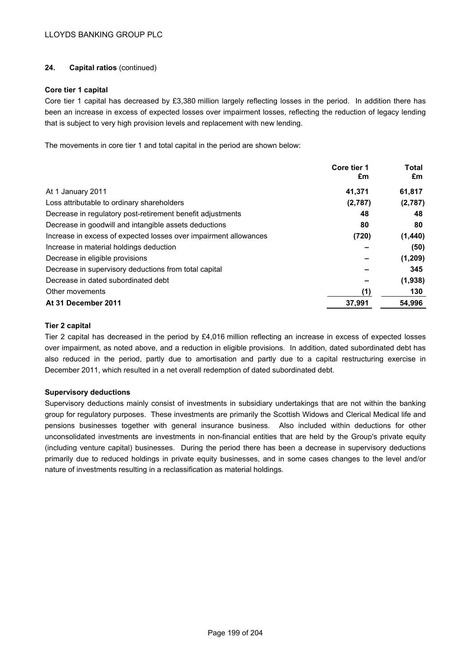## **24. Capital ratios** (continued)

#### **Core tier 1 capital**

Core tier 1 capital has decreased by £3,380 million largely reflecting losses in the period. In addition there has been an increase in excess of expected losses over impairment losses, reflecting the reduction of legacy lending that is subject to very high provision levels and replacement with new lending.

The movements in core tier 1 and total capital in the period are shown below:

|                                                                  | Core tier 1 | <b>Total</b> |
|------------------------------------------------------------------|-------------|--------------|
|                                                                  | £m          | £m           |
| At 1 January 2011                                                | 41,371      | 61,817       |
| Loss attributable to ordinary shareholders                       | (2,787)     | (2,787)      |
| Decrease in regulatory post-retirement benefit adjustments       | 48          | 48           |
| Decrease in goodwill and intangible assets deductions            | 80          | 80           |
| Increase in excess of expected losses over impairment allowances | (720)       | (1,440)      |
| Increase in material holdings deduction                          |             | (50)         |
| Decrease in eligible provisions                                  |             | (1,209)      |
| Decrease in supervisory deductions from total capital            |             | 345          |
| Decrease in dated subordinated debt                              |             | (1,938)      |
| Other movements                                                  | (1)         | 130          |
| At 31 December 2011                                              | 37,991      | 54,996       |

#### **Tier 2 capital**

Tier 2 capital has decreased in the period by £4,016 million reflecting an increase in excess of expected losses over impairment, as noted above, and a reduction in eligible provisions. In addition, dated subordinated debt has also reduced in the period, partly due to amortisation and partly due to a capital restructuring exercise in December 2011, which resulted in a net overall redemption of dated subordinated debt.

#### **Supervisory deductions**

Supervisory deductions mainly consist of investments in subsidiary undertakings that are not within the banking group for regulatory purposes. These investments are primarily the Scottish Widows and Clerical Medical life and pensions businesses together with general insurance business. Also included within deductions for other unconsolidated investments are investments in non-financial entities that are held by the Group's private equity (including venture capital) businesses. During the period there has been a decrease in supervisory deductions primarily due to reduced holdings in private equity businesses, and in some cases changes to the level and/or nature of investments resulting in a reclassification as material holdings.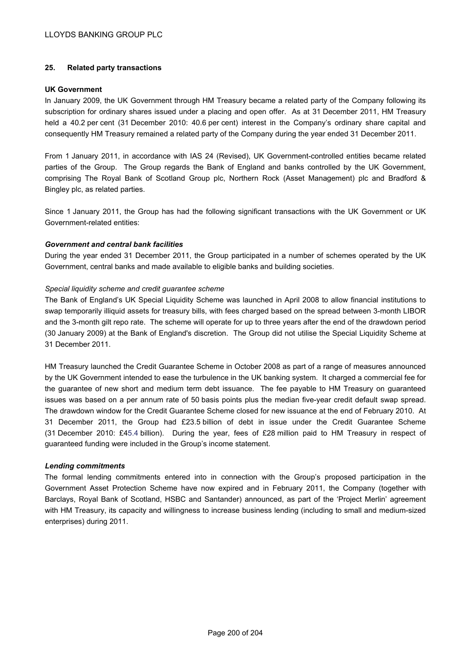## **25. Related party transactions**

## **UK Government**

In January 2009, the UK Government through HM Treasury became a related party of the Company following its subscription for ordinary shares issued under a placing and open offer. As at 31 December 2011, HM Treasury held a 40.2 per cent (31 December 2010: 40.6 per cent) interest in the Company's ordinary share capital and consequently HM Treasury remained a related party of the Company during the year ended 31 December 2011.

From 1 January 2011, in accordance with IAS 24 (Revised), UK Government-controlled entities became related parties of the Group. The Group regards the Bank of England and banks controlled by the UK Government, comprising The Royal Bank of Scotland Group plc, Northern Rock (Asset Management) plc and Bradford & Bingley plc, as related parties.

Since 1 January 2011, the Group has had the following significant transactions with the UK Government or UK Government-related entities:

#### *Government and central bank facilities*

During the year ended 31 December 2011, the Group participated in a number of schemes operated by the UK Government, central banks and made available to eligible banks and building societies.

## *Special liquidity scheme and credit guarantee scheme*

The Bank of England's UK Special Liquidity Scheme was launched in April 2008 to allow financial institutions to swap temporarily illiquid assets for treasury bills, with fees charged based on the spread between 3-month LIBOR and the 3-month gilt repo rate. The scheme will operate for up to three years after the end of the drawdown period (30 January 2009) at the Bank of England's discretion. The Group did not utilise the Special Liquidity Scheme at 31 December 2011.

HM Treasury launched the Credit Guarantee Scheme in October 2008 as part of a range of measures announced by the UK Government intended to ease the turbulence in the UK banking system. It charged a commercial fee for the guarantee of new short and medium term debt issuance. The fee payable to HM Treasury on guaranteed issues was based on a per annum rate of 50 basis points plus the median five-year credit default swap spread. The drawdown window for the Credit Guarantee Scheme closed for new issuance at the end of February 2010. At 31 December 2011, the Group had £23.5 billion of debt in issue under the Credit Guarantee Scheme (31 December 2010: £45.4 billion). During the year, fees of £28 million paid to HM Treasury in respect of guaranteed funding were included in the Group's income statement.

#### *Lending commitments*

The formal lending commitments entered into in connection with the Group's proposed participation in the Government Asset Protection Scheme have now expired and in February 2011, the Company (together with Barclays, Royal Bank of Scotland, HSBC and Santander) announced, as part of the 'Project Merlin' agreement with HM Treasury, its capacity and willingness to increase business lending (including to small and medium-sized enterprises) during 2011.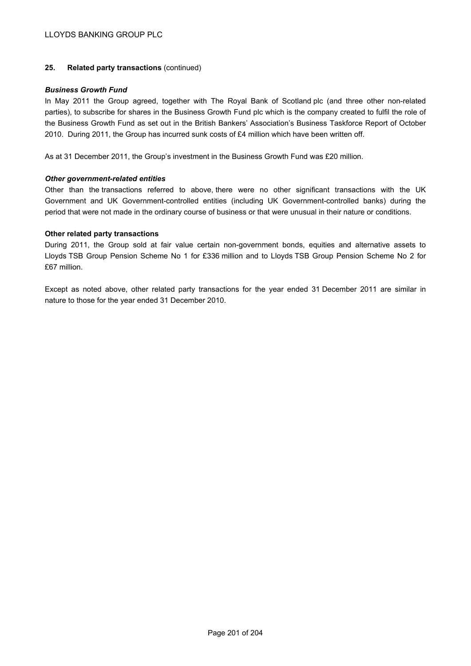## **25. Related party transactions** (continued)

#### *Business Growth Fund*

In May 2011 the Group agreed, together with The Royal Bank of Scotland plc (and three other non-related parties), to subscribe for shares in the Business Growth Fund plc which is the company created to fulfil the role of the Business Growth Fund as set out in the British Bankers' Association's Business Taskforce Report of October 2010. During 2011, the Group has incurred sunk costs of £4 million which have been written off.

As at 31 December 2011, the Group's investment in the Business Growth Fund was £20 million.

## *Other government-related entities*

Other than the transactions referred to above, there were no other significant transactions with the UK Government and UK Government-controlled entities (including UK Government-controlled banks) during the period that were not made in the ordinary course of business or that were unusual in their nature or conditions.

#### **Other related party transactions**

During 2011, the Group sold at fair value certain non-government bonds, equities and alternative assets to Lloyds TSB Group Pension Scheme No 1 for £336 million and to Lloyds TSB Group Pension Scheme No 2 for £67 million.

Except as noted above, other related party transactions for the year ended 31 December 2011 are similar in nature to those for the year ended 31 December 2010.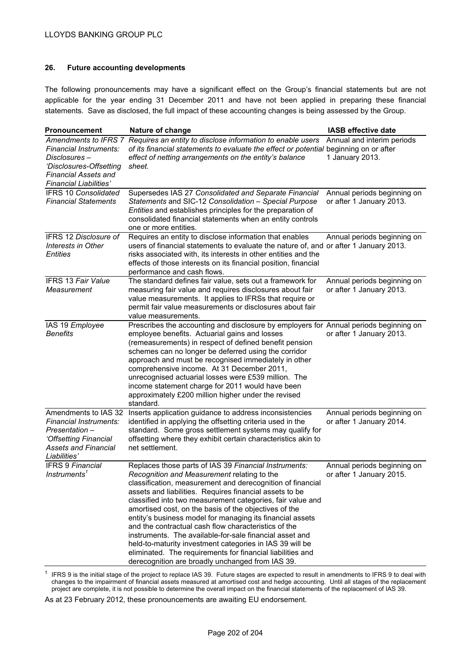## **26. Future accounting developments**

The following pronouncements may have a significant effect on the Group's financial statements but are not applicable for the year ending 31 December 2011 and have not been applied in preparing these financial statements. Save as disclosed, the full impact of these accounting changes is being assessed by the Group.

| <b>Pronouncement</b>                                                                                                                                      | Nature of change                                                                                                                                                                                                                                                                                                                                                                                                                                                                                                                                                                                                                                                                                                   | <b>IASB</b> effective date                              |
|-----------------------------------------------------------------------------------------------------------------------------------------------------------|--------------------------------------------------------------------------------------------------------------------------------------------------------------------------------------------------------------------------------------------------------------------------------------------------------------------------------------------------------------------------------------------------------------------------------------------------------------------------------------------------------------------------------------------------------------------------------------------------------------------------------------------------------------------------------------------------------------------|---------------------------------------------------------|
| Amendments to IFRS 7<br>Financial Instruments:<br>Disclosures-<br>'Disclosures-Offsetting<br><b>Financial Assets and</b><br><b>Financial Liabilities'</b> | Requires an entity to disclose information to enable users<br>of its financial statements to evaluate the effect or potential beginning on or after<br>effect of netting arrangements on the entity's balance<br>sheet.                                                                                                                                                                                                                                                                                                                                                                                                                                                                                            | Annual and interim periods<br>1 January 2013.           |
| <b>IFRS 10 Consolidated</b><br><b>Financial Statements</b>                                                                                                | Supersedes IAS 27 Consolidated and Separate Financial<br>Statements and SIC-12 Consolidation - Special Purpose<br>Entities and establishes principles for the preparation of<br>consolidated financial statements when an entity controls<br>one or more entities.                                                                                                                                                                                                                                                                                                                                                                                                                                                 | Annual periods beginning on<br>or after 1 January 2013. |
| IFRS 12 Disclosure of<br>Interests in Other<br>Entities                                                                                                   | Requires an entity to disclose information that enables<br>users of financial statements to evaluate the nature of, and or after 1 January 2013.<br>risks associated with, its interests in other entities and the<br>effects of those interests on its financial position, financial<br>performance and cash flows.                                                                                                                                                                                                                                                                                                                                                                                               | Annual periods beginning on                             |
| IFRS 13 Fair Value<br>Measurement                                                                                                                         | The standard defines fair value, sets out a framework for<br>measuring fair value and requires disclosures about fair<br>value measurements. It applies to IFRSs that require or<br>permit fair value measurements or disclosures about fair<br>value measurements.                                                                                                                                                                                                                                                                                                                                                                                                                                                | Annual periods beginning on<br>or after 1 January 2013. |
| IAS 19 Employee<br><b>Benefits</b>                                                                                                                        | Prescribes the accounting and disclosure by employers for Annual periods beginning on<br>employee benefits. Actuarial gains and losses<br>(remeasurements) in respect of defined benefit pension<br>schemes can no longer be deferred using the corridor<br>approach and must be recognised immediately in other<br>comprehensive income. At 31 December 2011,<br>unrecognised actuarial losses were £539 million. The<br>income statement charge for 2011 would have been<br>approximately £200 million higher under the revised<br>standard.                                                                                                                                                                     | or after 1 January 2013.                                |
| Amendments to IAS 32<br>Financial Instruments:<br>Presentation-<br>'Offsetting Financial<br><b>Assets and Financial</b><br>Liabilities'                   | Inserts application guidance to address inconsistencies<br>identified in applying the offsetting criteria used in the<br>standard. Some gross settlement systems may qualify for<br>offsetting where they exhibit certain characteristics akin to<br>net settlement.                                                                                                                                                                                                                                                                                                                                                                                                                                               | Annual periods beginning on<br>or after 1 January 2014. |
| <b>IFRS 9 Financial</b><br>Instruments <sup>1</sup>                                                                                                       | Replaces those parts of IAS 39 Financial Instruments:<br>Recognition and Measurement relating to the<br>classification, measurement and derecognition of financial<br>assets and liabilities. Requires financial assets to be<br>classified into two measurement categories, fair value and<br>amortised cost, on the basis of the objectives of the<br>entity's business model for managing its financial assets<br>and the contractual cash flow characteristics of the<br>instruments. The available-for-sale financial asset and<br>held-to-maturity investment categories in IAS 39 will be<br>eliminated. The requirements for financial liabilities and<br>derecognition are broadly unchanged from IAS 39. | Annual periods beginning on<br>or after 1 January 2015. |

1 IFRS 9 is the initial stage of the project to replace IAS 39. Future stages are expected to result in amendments to IFRS 9 to deal with changes to the impairment of financial assets measured at amortised cost and hedge accounting. Until all stages of the replacement project are complete, it is not possible to determine the overall impact on the financial statements of the replacement of IAS 39.

As at 23 February 2012, these pronouncements are awaiting EU endorsement.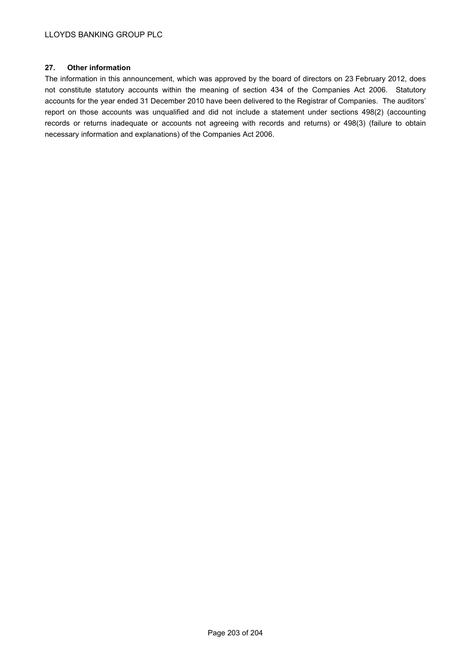## **27. Other information**

The information in this announcement, which was approved by the board of directors on 23 February 2012, does not constitute statutory accounts within the meaning of section 434 of the Companies Act 2006. Statutory accounts for the year ended 31 December 2010 have been delivered to the Registrar of Companies. The auditors' report on those accounts was unqualified and did not include a statement under sections 498(2) (accounting records or returns inadequate or accounts not agreeing with records and returns) or 498(3) (failure to obtain necessary information and explanations) of the Companies Act 2006.